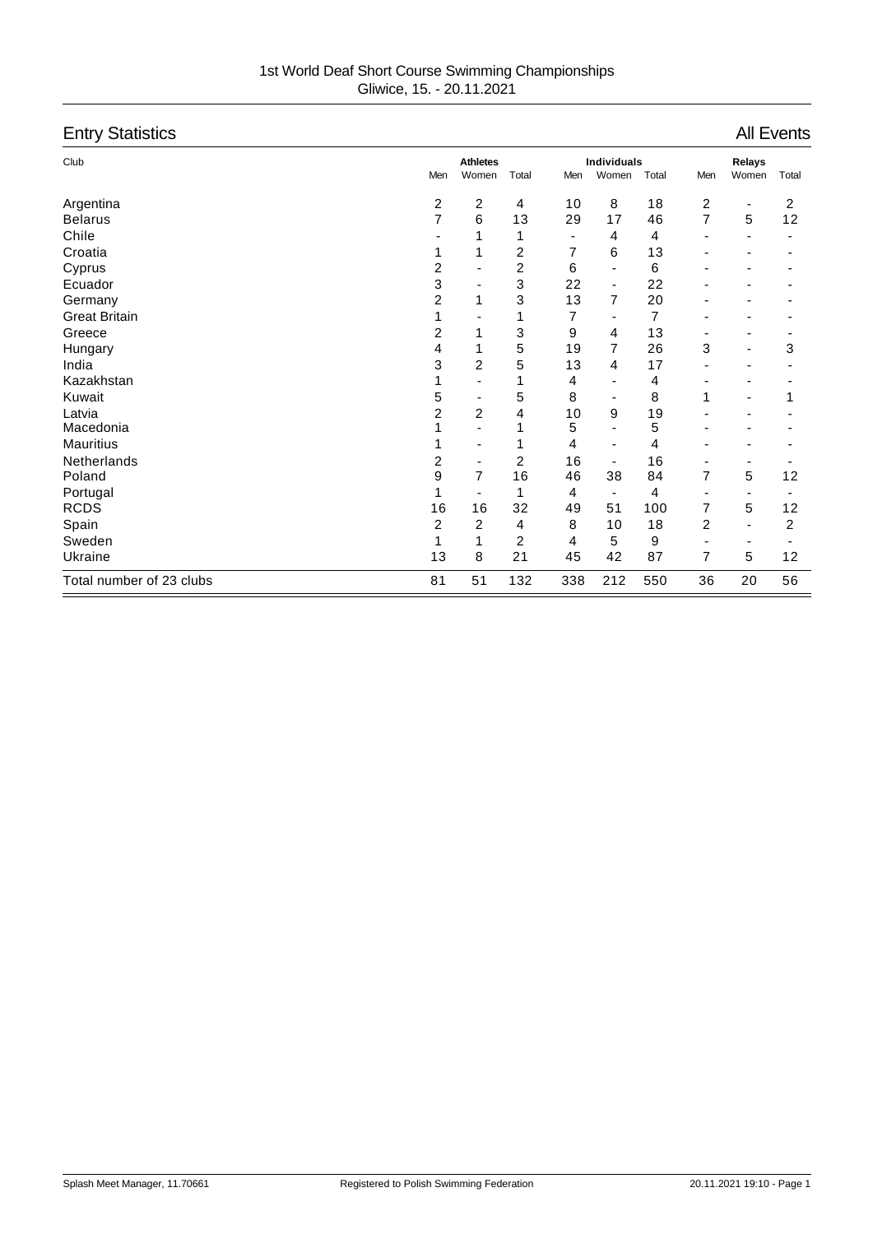| <b>Entry Statistics</b>  |     |                          |       |     |                          |       |                          |                              | <b>All Events</b> |
|--------------------------|-----|--------------------------|-------|-----|--------------------------|-------|--------------------------|------------------------------|-------------------|
| Club                     |     | <b>Athletes</b>          |       |     | <b>Individuals</b>       |       |                          | Relays                       |                   |
|                          | Men | Women                    | Total | Men | Women                    | Total | Men                      | Women                        | Total             |
| Argentina                | 2   | 2                        | 4     | 10  | 8                        | 18    | 2                        | $\qquad \qquad \blacksquare$ | 2                 |
| <b>Belarus</b>           | 7   | 6                        | 13    | 29  | 17                       | 46    | 7                        | 5                            | 12                |
| Chile                    |     |                          | 1     |     | 4                        | 4     |                          |                              |                   |
| Croatia                  |     |                          | 2     | 7   | 6                        | 13    |                          |                              |                   |
| Cyprus                   | 2   |                          | 2     | 6   | $\overline{\phantom{0}}$ | 6     |                          |                              |                   |
| Ecuador                  | 3   | $\overline{\phantom{0}}$ | 3     | 22  | $\overline{\phantom{a}}$ | 22    |                          |                              |                   |
| Germany                  | 2   | 1                        | 3     | 13  | 7                        | 20    |                          |                              |                   |
| <b>Great Britain</b>     | 1   |                          | 1     | 7   |                          | 7     |                          |                              |                   |
| Greece                   | 2   | 1                        | 3     | 9   | 4                        | 13    | $\overline{\phantom{0}}$ |                              |                   |
| Hungary                  | 4   | 1                        | 5     | 19  | 7                        | 26    | 3                        |                              | 3                 |
| India                    | 3   | 2                        | 5     | 13  | 4                        | 17    |                          |                              |                   |
| Kazakhstan               |     |                          | 1     | 4   |                          | 4     |                          |                              |                   |
| Kuwait                   | 5   | $\overline{\phantom{0}}$ | 5     | 8   |                          | 8     | 1                        |                              | 1                 |
| Latvia                   | 2   | 2                        | 4     | 10  | 9                        | 19    |                          |                              |                   |
| Macedonia                |     |                          |       | 5   |                          | 5     |                          |                              |                   |
| <b>Mauritius</b>         |     | $\overline{\phantom{0}}$ |       | 4   |                          | 4     |                          |                              |                   |
| <b>Netherlands</b>       | 2   | $\overline{\phantom{a}}$ | 2     | 16  |                          | 16    |                          |                              |                   |
| Poland                   | 9   | $\overline{7}$           | 16    | 46  | 38                       | 84    | 7                        | 5                            | 12                |
| Portugal                 |     |                          | 1     | 4   | $\overline{\phantom{a}}$ | 4     |                          |                              |                   |
| <b>RCDS</b>              | 16  | 16                       | 32    | 49  | 51                       | 100   | 7                        | 5                            | 12                |
| Spain                    | 2   | 2                        | 4     | 8   | 10                       | 18    | 2                        |                              | 2                 |
| Sweden                   | 1   | 1                        | 2     | 4   | 5                        | 9     | $\blacksquare$           | $\overline{\phantom{0}}$     |                   |
| Ukraine                  | 13  | 8                        | 21    | 45  | 42                       | 87    | 7                        | 5                            | 12                |
| Total number of 23 clubs | 81  | 51                       | 132   | 338 | 212                      | 550   | 36                       | 20                           | 56                |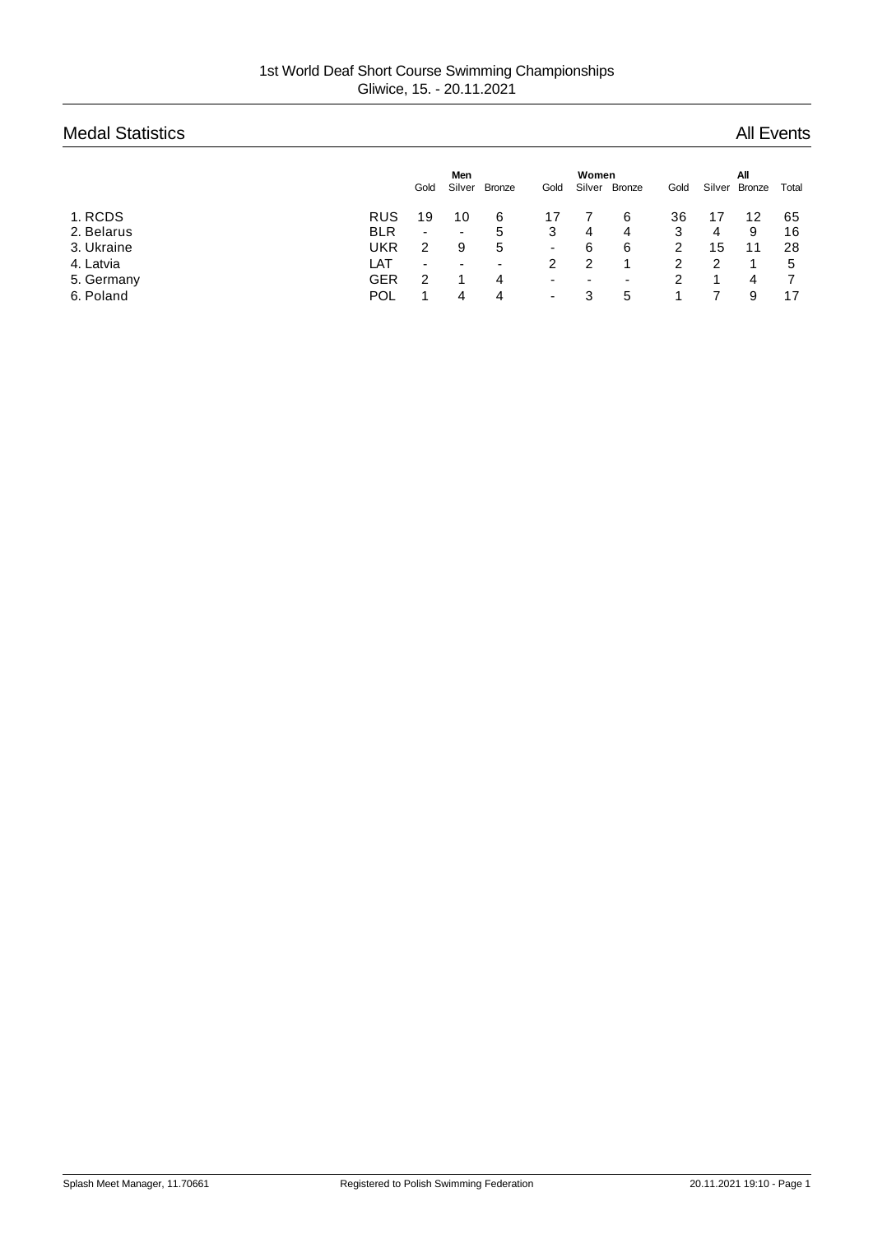# Medal Statistics **All Events** All Events

|            |            | Gold                     | <b>Men</b><br>Silver | <b>Bronze</b>            | Gold                     | Women<br>Silver | Bronze | Gold | Silver | All<br><b>Bronze</b> | Total |
|------------|------------|--------------------------|----------------------|--------------------------|--------------------------|-----------------|--------|------|--------|----------------------|-------|
| 1. RCDS    | <b>RUS</b> | 19                       | 10                   | 6                        |                          |                 | 6      | 36   |        | 12                   | 65    |
| 2. Belarus | <b>BLR</b> | $\overline{\phantom{a}}$ | ۰                    | 5                        | 3                        | 4               | 4      | 3    | 4      | 9                    | 16    |
| 3. Ukraine | <b>UKR</b> | 2                        | 9                    | 5                        | ۰                        | 6               | 6      | 2    | 15     | 11                   | 28    |
| 4. Latvia  | LAT        | -                        | -                    | $\overline{\phantom{0}}$ | 2                        |                 |        | 2    | 2      |                      | 5     |
| 5. Germany | GER        | 2                        |                      | 4                        | $\overline{\phantom{0}}$ | -               | ٠      | 2    |        | 4                    |       |
| 6. Poland  | <b>POL</b> |                          | 4                    | 4                        | $\overline{\phantom{0}}$ |                 | 5      |      |        | 9                    | 17    |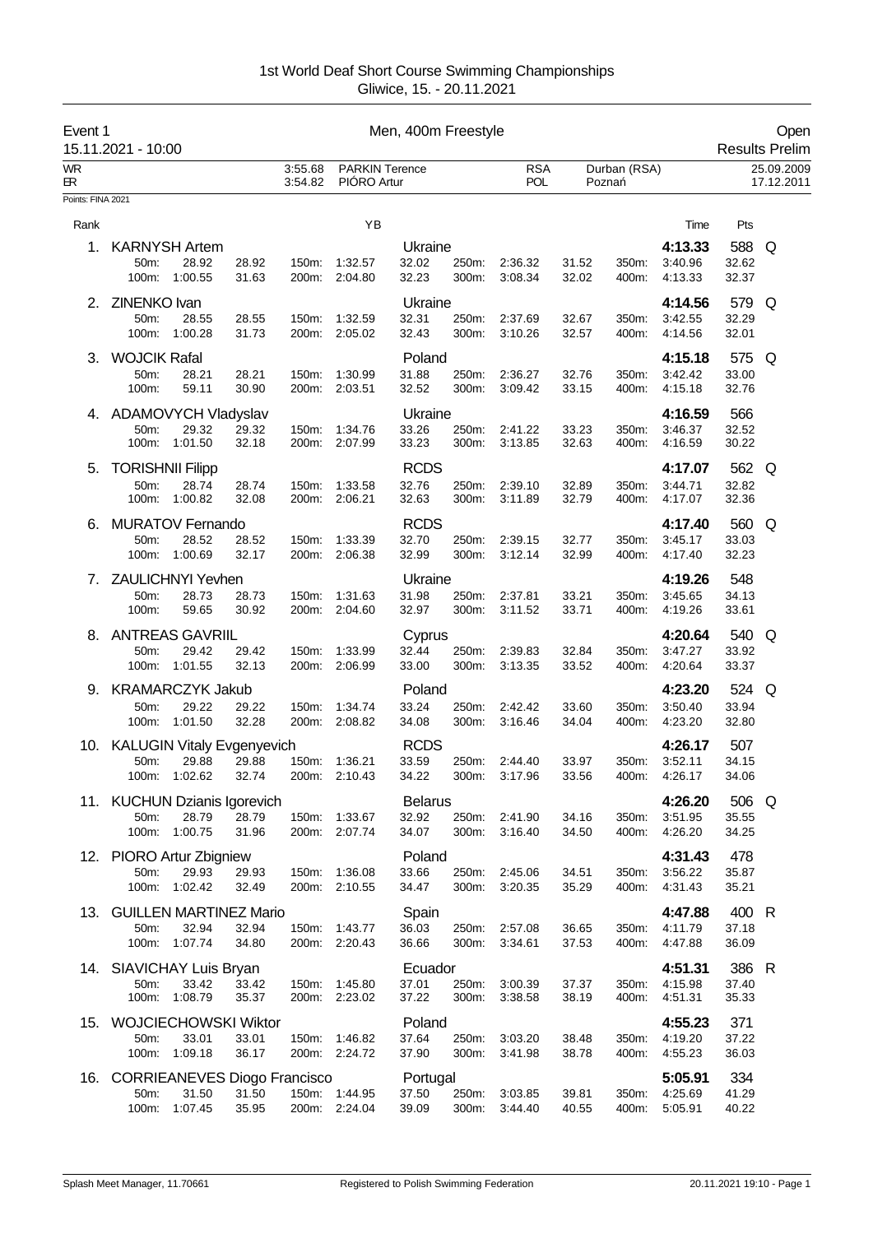| Event 1                | 15.11.2021 - 10:00            |                                              |                |                    |                                      | Men, 400m Freestyle       |                |                          |                |                       |                               |                         | Open<br><b>Results Prelim</b> |
|------------------------|-------------------------------|----------------------------------------------|----------------|--------------------|--------------------------------------|---------------------------|----------------|--------------------------|----------------|-----------------------|-------------------------------|-------------------------|-------------------------------|
| <b>WR</b><br><b>ER</b> |                               |                                              |                | 3:55.68<br>3:54.82 | <b>PARKIN Terence</b><br>PIÓRO Artur |                           |                | <b>RSA</b><br><b>POL</b> |                | Durban (RSA)<br>Pozna |                               |                         | 25.09.2009<br>17.12.2011      |
| Points: FINA 2021      |                               |                                              |                |                    |                                      |                           |                |                          |                |                       |                               |                         |                               |
| Rank                   |                               |                                              |                |                    | YB                                   |                           |                |                          |                |                       | Time                          | Pts                     |                               |
| 1.                     | 50m:<br>100m:                 | <b>KARNYSH Artem</b><br>28.92<br>1:00.55     | 28.92<br>31.63 | 150m:              | 1:32.57<br>200m: 2:04.80             | Ukraine<br>32.02<br>32.23 | 250m:<br>300m: | 2:36.32<br>3:08.34       | 31.52<br>32.02 | 350m:<br>400m:        | 4:13.33<br>3:40.96<br>4:13.33 | 588 Q<br>32.62<br>32.37 |                               |
|                        |                               |                                              |                |                    |                                      |                           |                |                          |                |                       |                               |                         |                               |
| 2.                     | ZINENKO Ivan<br>50m:<br>100m: | 28.55<br>1:00.28                             | 28.55<br>31.73 | 150m:              | 1:32.59<br>200m: 2:05.02             | Ukraine<br>32.31<br>32.43 | 250m:<br>300m: | 2:37.69<br>3:10.26       | 32.67<br>32.57 | 350m:<br>400m:        | 4:14.56<br>3:42.55<br>4:14.56 | 579 Q<br>32.29<br>32.01 |                               |
| 3.                     | <b>WOJCIK Rafal</b>           |                                              |                |                    |                                      | Poland                    |                |                          |                |                       | 4:15.18                       | 575                     | Q                             |
|                        | 50m:<br>100m:                 | 28.21<br>59.11                               | 28.21<br>30.90 | 150m:<br>200m:     | 1:30.99<br>2:03.51                   | 31.88<br>32.52            | 250m:<br>300m: | 2:36.27<br>3:09.42       | 32.76<br>33.15 | 350m:<br>400m:        | 3:42.42<br>4:15.18            | 33.00<br>32.76          |                               |
|                        |                               | <b>ADAMOVYCH Vladyslav</b>                   |                |                    |                                      | Ukraine                   |                |                          |                |                       | 4:16.59                       | 566                     |                               |
|                        | 50m:<br>100m:                 | 29.32<br>1:01.50                             | 29.32<br>32.18 | 150m:              | 1:34.76<br>200m: 2:07.99             | 33.26<br>33.23            | 250m:<br>300m: | 2:41.22<br>3:13.85       | 33.23<br>32.63 | 350m:<br>400m:        | 3:46.37<br>4:16.59            | 32.52<br>30.22          |                               |
| 5.                     | <b>TORISHNII Filipp</b>       |                                              |                |                    |                                      | <b>RCDS</b>               |                |                          |                |                       | 4:17.07                       | 562                     | Q                             |
|                        | 50m:<br>100m:                 | 28.74<br>1:00.82                             | 28.74<br>32.08 | 150m:              | 1:33.58<br>200m: 2:06.21             | 32.76<br>32.63            | 250m:<br>300m: | 2:39.10<br>3:11.89       | 32.89<br>32.79 | 350m:<br>400m:        | 3:44.71<br>4:17.07            | 32.82<br>32.36          |                               |
| 6.                     |                               | <b>MURATOV Fernando</b>                      |                |                    |                                      | <b>RCDS</b>               |                |                          |                |                       | 4:17.40                       | 560 Q                   |                               |
|                        | 50m:<br>100m:                 | 28.52<br>1:00.69                             | 28.52<br>32.17 | 150m:              | 1:33.39<br>200m: 2:06.38             | 32.70<br>32.99            | 250m:<br>300m: | 2:39.15<br>3:12.14       | 32.77<br>32.99 | 350m:<br>400m:        | 3:45.17<br>4:17.40            | 33.03<br>32.23          |                               |
| 7.                     | 50m:                          | ZAULICHNYI Yevhen<br>28.73                   | 28.73          | 150m:              | 1:31.63                              | Ukraine<br>31.98          | 250m:          | 2:37.81                  | 33.21          | 350m:                 | 4:19.26<br>3:45.65            | 548<br>34.13            |                               |
|                        | 100m:                         | 59.65                                        | 30.92          |                    | 200m: 2:04.60                        | 32.97                     | 300m:          | 3:11.52                  | 33.71          | 400m:                 | 4:19.26                       | 33.61                   |                               |
| 8.                     | 50m:                          | <b>ANTREAS GAVRIIL</b><br>29.42              | 29.42          | 150m:              | 1:33.99                              | Cyprus<br>32.44           | 250m:          | 2:39.83                  | 32.84          | 350m:                 | 4:20.64<br>3:47.27            | 540 Q<br>33.92          |                               |
|                        | 100m:                         | 1:01.55                                      | 32.13          |                    | 200m: 2:06.99                        | 33.00                     | 300m:          | 3:13.35                  | 33.52          | 400m:                 | 4:20.64                       | 33.37                   |                               |
| 9.                     |                               | <b>KRAMARCZYK Jakub</b>                      |                |                    |                                      | Poland                    |                |                          |                |                       | 4:23.20                       | 524 Q                   |                               |
|                        | 50m:<br>100m:                 | 29.22<br>1:01.50                             | 29.22<br>32.28 | 150m:              | 1:34.74<br>200m: 2:08.82             | 33.24<br>34.08            | 250m:<br>300m: | 2:42.42<br>3:16.46       | 33.60<br>34.04 | 350m:<br>400m:        | 3:50.40<br>4:23.20            | 33.94<br>32.80          |                               |
| 10.                    |                               | <b>KALUGIN Vitaly Evgenyevich</b>            |                |                    |                                      | <b>RCDS</b>               |                |                          |                |                       | 4:26.17                       | 507                     |                               |
|                        | 50m:                          | 29.88<br>100m: 1:02.62                       | 29.88<br>32.74 |                    | 150m: 1:36.21<br>200m: 2:10.43       | 33.59<br>34.22            | 300m:          | 250m: 2:44.40<br>3:17.96 | 33.97<br>33.56 | 350m:<br>400m:        | 3:52.11<br>4:26.17            | 34.15<br>34.06          |                               |
|                        |                               | 11. KUCHUN Dzianis Igorevich                 |                |                    |                                      | <b>Belarus</b>            |                |                          |                |                       | 4:26.20                       | 506 Q                   |                               |
|                        | 50m:<br>100m:                 | 28.79<br>1:00.75                             | 28.79<br>31.96 |                    | 150m: 1:33.67<br>200m: 2:07.74       | 32.92<br>34.07            | 250m:<br>300m: | 2:41.90<br>3:16.40       | 34.16<br>34.50 | 350m:<br>400m:        | 3:51.95<br>4:26.20            | 35.55<br>34.25          |                               |
|                        |                               | 12. PIORO Artur Zbigniew                     |                |                    |                                      | Poland                    |                |                          |                |                       | 4:31.43                       | 478                     |                               |
|                        | 50m:<br>100m:                 | 29.93<br>1:02.42                             | 29.93<br>32.49 | 150m:              | 1:36.08<br>200m: 2:10.55             | 33.66<br>34.47            | 250m:<br>300m: | 2:45.06<br>3:20.35       | 34.51<br>35.29 | 350m:<br>400m:        | 3:56.22<br>4:31.43            | 35.87<br>35.21          |                               |
| 13.                    |                               | <b>GUILLEN MARTINEZ Mario</b>                |                |                    |                                      | Spain                     |                |                          |                |                       | 4:47.88<br>4:11.79            | 400 R                   |                               |
|                        | 50m:<br>100m:                 | 32.94<br>1:07.74                             | 32.94<br>34.80 | 150m:              | 1:43.77<br>200m: 2:20.43             | 36.03<br>36.66            | 250m:<br>300m: | 2:57.08<br>3:34.61       | 36.65<br>37.53 | 350m:<br>400m:        | 4:47.88                       | 37.18<br>36.09          |                               |
| 14.                    |                               | SIAVICHAY Luis Bryan                         |                |                    |                                      | Ecuador                   |                |                          |                |                       | 4:51.31                       | 386 R                   |                               |
|                        | 50m:<br>100m:                 | 33.42<br>1:08.79                             | 33.42<br>35.37 | 150m:<br>200m:     | 1:45.80<br>2:23.02                   | 37.01<br>37.22            | 250m:<br>300m: | 3:00.39<br>3:38.58       | 37.37<br>38.19 | 350m:<br>400m:        | 4:15.98<br>4:51.31            | 37.40<br>35.33          |                               |
| 15.                    |                               | <b>WOJCIECHOWSKI Wiktor</b>                  |                |                    |                                      | Poland                    |                |                          |                |                       | 4:55.23                       | 371                     |                               |
|                        | 50m:                          | 33.01                                        | 33.01          |                    | 150m: 1:46.82                        | 37.64                     | 250m:          | 3:03.20                  | 38.48          | 350m:                 | 4:19.20                       | 37.22                   |                               |
|                        | 100m:                         | 1:09.18                                      | 36.17          |                    | 200m: 2:24.72                        | 37.90                     | 300m:          | 3:41.98                  | 38.78          | 400m:                 | 4:55.23                       | 36.03                   |                               |
| 16.                    | 50m:                          | <b>CORRIEANEVES Diogo Francisco</b><br>31.50 | 31.50          |                    | 150m: 1:44.95                        | Portugal<br>37.50         | 250m:          | 3:03.85                  | 39.81          | 350m:                 | 5:05.91<br>4:25.69            | 334<br>41.29            |                               |
|                        |                               | 100m: 1:07.45                                | 35.95          |                    | 200m: 2:24.04                        | 39.09                     |                | 300m: 3:44.40            | 40.55          | 400m:                 | 5:05.91                       | 40.22                   |                               |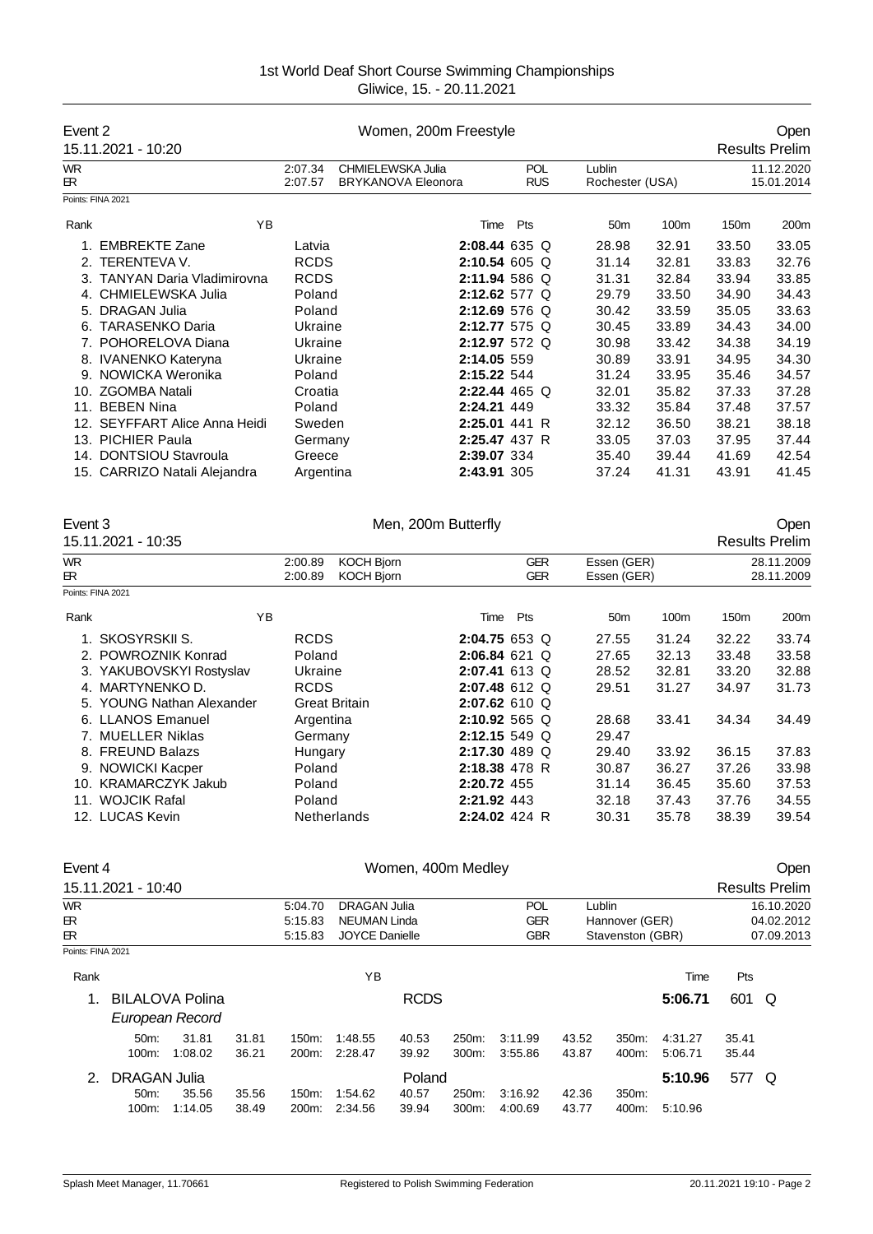| Event 2                  | 15.11.2021 - 10:20                                  |                    |                                              | Women, 200m Freestyle     |                |                    |                |                                    |         |       | Open<br><b>Results Prelim</b> |
|--------------------------|-----------------------------------------------------|--------------------|----------------------------------------------|---------------------------|----------------|--------------------|----------------|------------------------------------|---------|-------|-------------------------------|
| <b>WR</b>                |                                                     | 2:07.34            |                                              | CHMIELEWSKA Julia         |                | <b>POL</b>         | Lublin         |                                    |         |       | 11.12.2020                    |
| ЕR.<br>Points: FINA 2021 |                                                     | 2:07.57            |                                              | <b>BRYKANOVA Eleonora</b> |                | <b>RUS</b>         |                | Rochester (USA)                    |         |       | 15.01.2014                    |
|                          |                                                     |                    |                                              |                           |                |                    |                |                                    |         |       |                               |
| Rank                     | YB                                                  |                    |                                              |                           | Time           | Pts                |                | 50 <sub>m</sub>                    | 100m    | 150m  | 200m                          |
|                          | 1. EMBREKTE Zane                                    | Latvia             |                                              |                           |                | 2:08.44 635 Q      |                | 28.98                              | 32.91   | 33.50 | 33.05                         |
|                          | 2. TERENTEVA V.                                     | <b>RCDS</b>        |                                              |                           |                | 2:10.54 605 Q      |                | 31.14                              | 32.81   | 33.83 | 32.76                         |
|                          | 3. TANYAN Daria Vladimirovna                        | <b>RCDS</b>        |                                              |                           |                | 2:11.94 586 Q      |                | 31.31                              | 32.84   | 33.94 | 33.85                         |
|                          | 4. CHMIELEWSKA Julia                                | Poland             |                                              |                           |                | 2:12.62 577 Q      |                | 29.79                              | 33.50   | 34.90 | 34.43                         |
|                          | 5. DRAGAN Julia                                     | Poland             |                                              |                           |                | 2:12.69 576 Q      |                | 30.42                              | 33.59   | 35.05 | 33.63                         |
|                          | 6. TARASENKO Daria                                  | Ukraine            |                                              |                           |                | 2:12.77 575 Q      |                | 30.45                              | 33.89   | 34.43 | 34.00                         |
|                          | 7. POHORELOVA Diana                                 | Ukraine            |                                              |                           |                | 2:12.97 572 Q      |                | 30.98                              | 33.42   | 34.38 | 34.19                         |
|                          | 8. IVANENKO Kateryna                                | Ukraine            |                                              |                           | 2:14.05 559    |                    |                | 30.89                              | 33.91   | 34.95 | 34.30                         |
|                          | 9. NOWICKA Weronika                                 | Poland             |                                              |                           | 2:15.22 544    |                    |                | 31.24                              | 33.95   | 35.46 | 34.57                         |
|                          | 10. ZGOMBA Natali                                   | Croatia            |                                              |                           |                | 2:22.44 465 Q      |                | 32.01                              | 35.82   | 37.33 | 37.28                         |
|                          | 11. BEBEN Nina                                      | Poland             |                                              |                           | 2:24.21 449    |                    |                | 33.32                              | 35.84   | 37.48 | 37.57                         |
|                          | 12. SEYFFART Alice Anna Heidi                       | Sweden             |                                              |                           |                | 2:25.01 441 R      |                | 32.12                              | 36.50   | 38.21 | 38.18                         |
|                          | 13. PICHIER Paula                                   | Germany            |                                              |                           |                | 2:25.47 437 R      |                | 33.05                              | 37.03   | 37.95 | 37.44                         |
|                          | 14. DONTSIOU Stavroula                              | Greece             |                                              |                           | 2:39.07 334    |                    |                | 35.40                              | 39.44   | 41.69 | 42.54                         |
|                          | 15. CARRIZO Natali Alejandra                        | Argentina          |                                              |                           | 2:43.91 305    |                    |                | 37.24                              | 41.31   | 43.91 | 41.45                         |
| Event 3                  |                                                     |                    |                                              | Men, 200m Butterfly       |                |                    |                |                                    |         |       | Open                          |
|                          | 15.11.2021 - 10:35                                  |                    |                                              |                           |                |                    |                |                                    |         |       | <b>Results Prelim</b>         |
| <b>WR</b>                |                                                     | 2:00.89            | <b>KOCH Bjorn</b>                            |                           |                | GER                |                | Essen (GER)                        |         |       | 28.11.2009                    |
| ЕR.                      |                                                     | 2:00.89            | <b>KOCH Bjorn</b>                            |                           |                | <b>GER</b>         |                | Essen (GER)                        |         |       | 28.11.2009                    |
| Points: FINA 2021        |                                                     |                    |                                              |                           |                |                    |                |                                    |         |       |                               |
|                          |                                                     |                    |                                              |                           |                |                    |                |                                    |         |       |                               |
| Rank                     | YB                                                  |                    |                                              |                           | Time           | Pts                |                | 50 <sub>m</sub>                    | 100m    | 150m  | 200m                          |
|                          | 1. SKOSYRSKII S.                                    | <b>RCDS</b>        |                                              |                           |                | 2:04.75 653 Q      |                | 27.55                              | 31.24   | 32.22 | 33.74                         |
|                          | 2. POWROZNIK Konrad                                 | Poland             |                                              |                           |                | 2:06.84 621 Q      |                | 27.65                              | 32.13   | 33.48 | 33.58                         |
|                          | 3. YAKUBOVSKYI Rostyslav                            | Ukraine            |                                              |                           |                | 2:07.41 613 Q      |                | 28.52                              | 32.81   | 33.20 | 32.88                         |
|                          | 4. MARTYNENKO D.                                    | <b>RCDS</b>        |                                              |                           |                | 2:07.48 612 Q      |                | 29.51                              | 31.27   | 34.97 | 31.73                         |
|                          | 5. YOUNG Nathan Alexander                           |                    | <b>Great Britain</b>                         |                           |                | 2:07.62 610 Q      |                |                                    |         |       |                               |
|                          | 6. LLANOS Emanuel                                   | Argentina          |                                              |                           |                | 2:10.92 565 Q      |                | 28.68                              | 33.41   | 34.34 | 34.49                         |
|                          | 7. MUELLER Niklas                                   | Germany            |                                              |                           |                | 2:12.15 549 Q      |                | 29.47                              |         |       |                               |
|                          | 8. FREUND Balazs                                    | Hungary            |                                              |                           |                | 2:17.30 489 Q      |                | 29.40                              | 33.92   | 36.15 | 37.83                         |
|                          | 9. NOWICKI Kacper                                   | Poland             |                                              |                           |                | 2:18.38 478 R      |                | 30.87                              | 36.27   | 37.26 | 33.98                         |
|                          | 10. KRAMARCZYK Jakub                                | Poland             |                                              |                           | 2:20.72 455    |                    |                | 31.14                              | 36.45   | 35.60 | 37.53                         |
|                          | 11. WOJCIK Rafal                                    | Poland             |                                              |                           | 2:21.92 443    |                    |                | 32.18                              | 37.43   | 37.76 | 34.55                         |
|                          | 12. LUCAS Kevin                                     |                    | Netherlands                                  |                           |                | 2:24.02 424 R      |                | 30.31                              | 35.78   | 38.39 | 39.54                         |
|                          |                                                     |                    |                                              |                           |                |                    |                |                                    |         |       |                               |
| Event 4                  |                                                     |                    |                                              | Women, 400m Medley        |                |                    |                |                                    |         |       | Open                          |
|                          | 15.11.2021 - 10:40                                  |                    |                                              |                           |                |                    |                |                                    |         |       | <b>Results Prelim</b>         |
|                          |                                                     |                    |                                              |                           |                |                    |                |                                    |         |       |                               |
| WR.                      |                                                     | 5:04.70            | <b>DRAGAN Julia</b>                          |                           |                | <b>POL</b>         | Lublin         |                                    |         |       | 16.10.2020                    |
| BR.<br>BR.               |                                                     | 5:15.83<br>5:15.83 | <b>NEUMAN Linda</b><br><b>JOYCE Danielle</b> |                           |                | GER<br><b>GBR</b>  |                | Hannover (GER)<br>Stavenston (GBR) |         |       | 04.02.2012<br>07.09.2013      |
| Points: FINA 2021        |                                                     |                    |                                              |                           |                |                    |                |                                    |         |       |                               |
| Rank                     |                                                     |                    | YB                                           |                           |                |                    |                |                                    | Time    | Pts   |                               |
|                          |                                                     |                    |                                              |                           |                |                    |                |                                    |         |       |                               |
| 1.                       | <b>BILALOVA Polina</b><br>European Record           |                    |                                              | <b>RCDS</b>               |                |                    |                |                                    | 5:06.71 | 601 Q |                               |
|                          | 31.81<br>50m:<br>31.81                              | 150m:              | 1:48.55                                      | 40.53                     | 250m:          | 3:11.99            | 43.52          | 350m:                              | 4:31.27 | 35.41 |                               |
|                          | 100m:<br>1:08.02<br>36.21                           |                    | 200m: 2:28.47                                | 39.92                     | 300m:          | 3:55.86            | 43.87          | 400m:                              | 5:06.71 | 35.44 |                               |
| 2.                       | <b>DRAGAN Julia</b>                                 |                    |                                              | Poland                    |                |                    |                |                                    | 5:10.96 | 577 Q |                               |
|                          | 50m:<br>35.56<br>35.56<br>100m:<br>1:14.05<br>38.49 | 150m:<br>200m:     | 1:54.62<br>2:34.56                           | 40.57<br>39.94            | 250m:<br>300m: | 3:16.92<br>4:00.69 | 42.36<br>43.77 | 350m:<br>400m:                     | 5:10.96 |       |                               |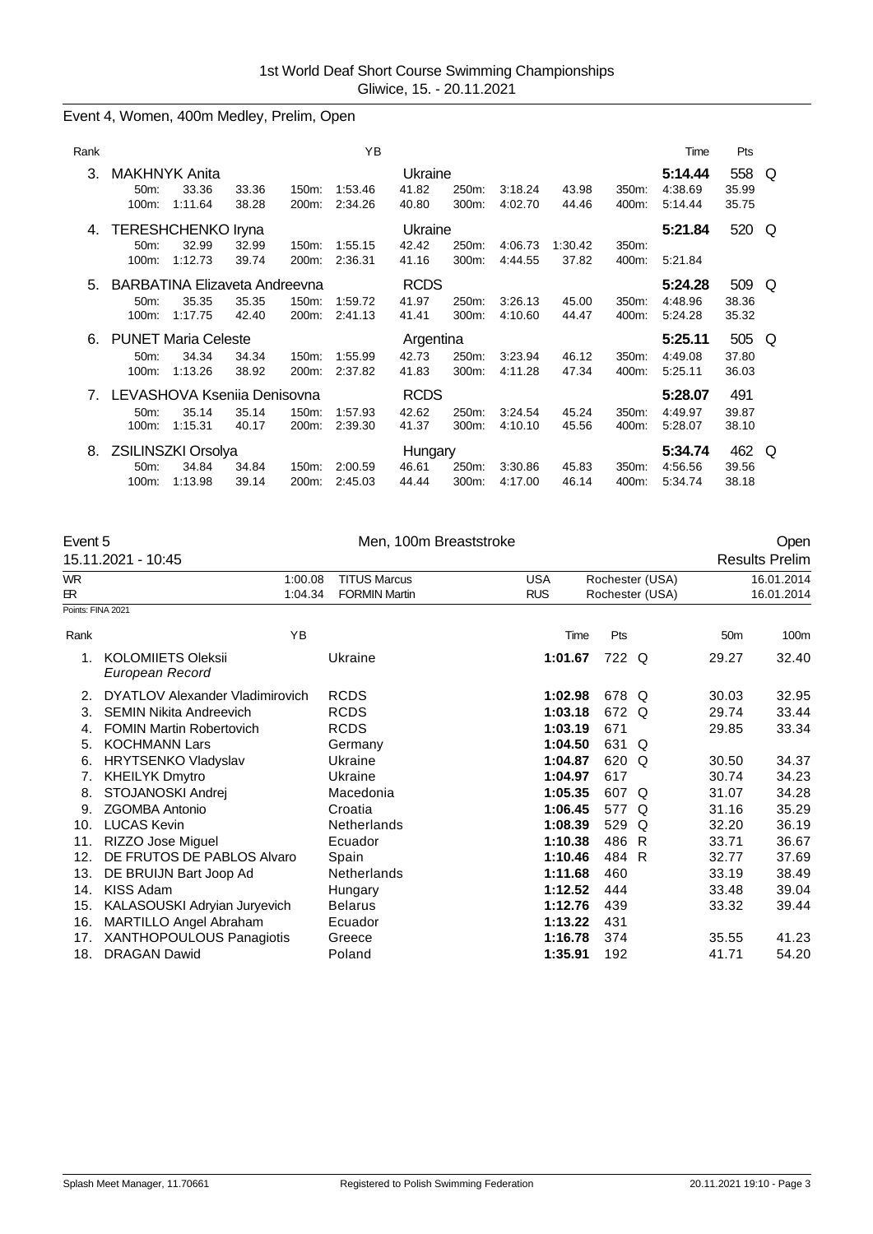# Event 4, Women, 400m Medley, Prelim, Open

| Rank |                                                   |                                                          |                |                   | ΥB                 |                               |                |                    |                  |                   | Time                          | Pts                   |   |
|------|---------------------------------------------------|----------------------------------------------------------|----------------|-------------------|--------------------|-------------------------------|----------------|--------------------|------------------|-------------------|-------------------------------|-----------------------|---|
| 3.   | <b>MAKHNYK Anita</b><br>50m<br>100m:              | 33.36<br>1:11.64                                         | 33.36<br>38.28 | 150m:<br>200m:    | 1:53.46<br>2:34.26 | Ukraine<br>41.82<br>40.80     | 250m:<br>300m: | 3:18.24<br>4:02.70 | 43.98<br>44.46   | $350m$ :<br>400m: | 5:14.44<br>4:38.69<br>5:14.44 | 558<br>35.99<br>35.75 | Q |
| 4.   | 50m<br>100m:                                      | <b>TERESHCHENKO Iryna</b><br>32.99<br>1:12.73            | 32.99<br>39.74 | $150m$ :<br>200m: | 1:55.15<br>2:36.31 | Ukraine<br>42.42<br>41.16     | 250m:<br>300m: | 4:06.73<br>4:44.55 | 1:30.42<br>37.82 | 350m:<br>400m:    | 5:21.84<br>5:21.84            | 520                   | Q |
| 5.   | $50m$ :<br>$100m$ :                               | <b>BARBATINA Elizaveta Andreevna</b><br>35.35<br>1:17.75 | 35.35<br>42.40 | 150m:<br>200m:    | 1:59.72<br>2:41.13 | <b>RCDS</b><br>41.97<br>41.41 | 250m:<br>300m: | 3.26.13<br>4:10.60 | 45.00<br>44.47   | 350m:<br>400m:    | 5:24.28<br>4:48.96<br>5:24.28 | 509<br>38.36<br>35.32 | Q |
| 6.   | <b>PUNET Maria Celeste</b><br>$50m$ :<br>$100m$ : | 34.34<br>1:13.26                                         | 34.34<br>38.92 | 150m:<br>200m:    | 1:55.99<br>2:37.82 | Argentina<br>42.73<br>41.83   | 250m:<br>300m: | 3:23.94<br>4:11.28 | 46.12<br>47.34   | 350m:<br>400m:    | 5:25.11<br>4:49.08<br>5:25.11 | 505<br>37.80<br>36.03 | Q |
| 7.   | 50m:<br>$100m$ :                                  | LEVASHOVA Ksenija Denisovna<br>35.14<br>1:15.31          | 35.14<br>40.17 | 150m:<br>200m:    | 1:57.93<br>2:39.30 | <b>RCDS</b><br>42.62<br>41.37 | 250m:<br>300m: | 3:24.54<br>4:10.10 | 45.24<br>45.56   | 350m:<br>400m:    | 5:28.07<br>4:49.97<br>5:28.07 | 491<br>39.87<br>38.10 |   |
| 8.   | ZSILINSZKI Orsolya<br>50m<br>100m:                | 34.84<br>1:13.98                                         | 34.84<br>39.14 | 150m:<br>$200m$ : | 2:00.59<br>2:45.03 | Hungary<br>46.61<br>44.44     | 250m:<br>300m: | 3:30.86<br>4:17.00 | 45.83<br>46.14   | 350m:<br>400m:    | 5:34.74<br>4:56.56<br>5:34.74 | 462<br>39.56<br>38.18 | Q |

| Event 5           |                                              | Men, 100m Breaststroke | Open       |                 |                 |                       |  |  |  |  |
|-------------------|----------------------------------------------|------------------------|------------|-----------------|-----------------|-----------------------|--|--|--|--|
|                   | 15.11.2021 - 10:45                           |                        |            |                 |                 | <b>Results Prelim</b> |  |  |  |  |
| <b>WR</b>         | 1:00.08                                      | <b>TITUS Marcus</b>    | <b>USA</b> | Rochester (USA) |                 | 16.01.2014            |  |  |  |  |
| ЕR.               | 1:04.34                                      | <b>FORMIN Martin</b>   | <b>RUS</b> | Rochester (USA) |                 | 16.01.2014            |  |  |  |  |
| Points: FINA 2021 |                                              |                        |            |                 |                 |                       |  |  |  |  |
| Rank              | YB                                           |                        | Time       | Pts             | 50 <sub>m</sub> | 100m                  |  |  |  |  |
| 1.                | <b>KOLOMIIETS Oleksii</b><br>European Record | Ukraine                | 1:01.67    | 722 Q           | 29.27           | 32.40                 |  |  |  |  |
| 2.                | DYATLOV Alexander Vladimirovich              | <b>RCDS</b>            | 1:02.98    | 678 Q           | 30.03           | 32.95                 |  |  |  |  |
| 3.                | <b>SEMIN Nikita Andreevich</b>               | <b>RCDS</b>            | 1:03.18    | 672 Q           | 29.74           | 33.44                 |  |  |  |  |
| 4.                | <b>FOMIN Martin Robertovich</b>              | <b>RCDS</b>            | 1:03.19    | 671             | 29.85           | 33.34                 |  |  |  |  |
| 5.                | <b>KOCHMANN Lars</b>                         | Germany                | 1:04.50    | 631 Q           |                 |                       |  |  |  |  |
| 6.                | <b>HRYTSENKO Vladyslav</b>                   | Ukraine                | 1:04.87    | 620 Q           | 30.50           | 34.37                 |  |  |  |  |
| 7.                | <b>KHEILYK Dmytro</b>                        | Ukraine                | 1:04.97    | 617             | 30.74           | 34.23                 |  |  |  |  |
| 8.                | STOJANOSKI Andrej                            | Macedonia              | 1:05.35    | 607 Q           | 31.07           | 34.28                 |  |  |  |  |
| 9.                | <b>ZGOMBA Antonio</b>                        | Croatia                | 1:06.45    | 577 Q           | 31.16           | 35.29                 |  |  |  |  |
| 10.               | <b>LUCAS Kevin</b>                           | <b>Netherlands</b>     | 1:08.39    | 529 Q           | 32.20           | 36.19                 |  |  |  |  |
| 11.               | RIZZO Jose Miguel                            | Ecuador                | 1:10.38    | 486 R           | 33.71           | 36.67                 |  |  |  |  |
| 12.               | DE FRUTOS DE PABLOS Alvaro                   | Spain                  | 1:10.46    | 484 R           | 32.77           | 37.69                 |  |  |  |  |
| 13.               | DE BRUIJN Bart Joop Ad                       | Netherlands            | 1:11.68    | 460             | 33.19           | 38.49                 |  |  |  |  |
| 14.               | KISS Adam                                    | Hungary                | 1:12.52    | 444             | 33.48           | 39.04                 |  |  |  |  |
| 15.               | KALASOUSKI Adryian Juryevich                 | <b>Belarus</b>         | 1:12.76    | 439             | 33.32           | 39.44                 |  |  |  |  |
| 16.               | MARTILLO Angel Abraham                       | Ecuador                | 1:13.22    | 431             |                 |                       |  |  |  |  |
| 17.               | XANTHOPOULOUS Panagiotis                     | Greece                 | 1:16.78    | 374             | 35.55           | 41.23                 |  |  |  |  |
| 18.               | <b>DRAGAN Dawid</b>                          | Poland                 | 1:35.91    | 192             | 41.71           | 54.20                 |  |  |  |  |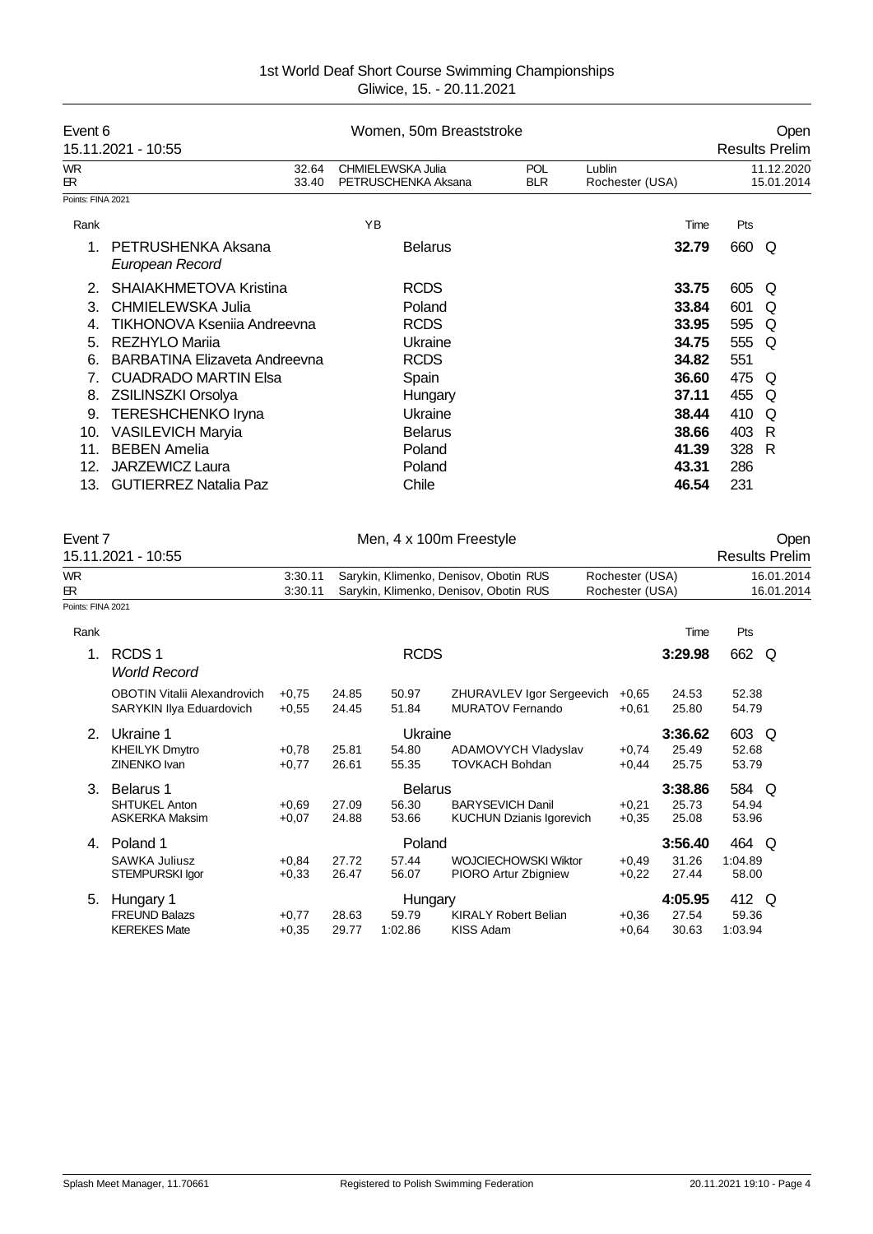| Event 6<br>Women, 50m Breaststroke<br>15.11.2021 - 10:55<br><b>Results Prelim</b> |                                       |                                          |                          |                           |       |                          |  |  |  |
|-----------------------------------------------------------------------------------|---------------------------------------|------------------------------------------|--------------------------|---------------------------|-------|--------------------------|--|--|--|
| <b>WR</b><br>ЕR.                                                                  | 32.64<br>33.40                        | CHMIELEWSKA Julia<br>PETRUSCHENKA Aksana | <b>POL</b><br><b>BLR</b> | Lublin<br>Rochester (USA) |       | 11.12.2020<br>15.01.2014 |  |  |  |
| Points: FINA 2021                                                                 |                                       |                                          |                          |                           |       |                          |  |  |  |
| Rank                                                                              |                                       | YB                                       |                          | Time                      | Pts   |                          |  |  |  |
| $1_{-}$                                                                           | PETRUSHENKA Aksana<br>European Record | <b>Belarus</b>                           |                          | 32.79                     | 660 Q |                          |  |  |  |
| 2.                                                                                | SHAIAKHMETOVA Kristina                | <b>RCDS</b>                              |                          | 33.75                     | 605   | O                        |  |  |  |
| 3.                                                                                | CHMIELEWSKA Julia                     | Poland                                   |                          | 33.84                     | 601   | Q                        |  |  |  |
| 4.                                                                                | TIKHONOVA Kseniia Andreevna           | <b>RCDS</b>                              |                          | 33.95                     | 595   | O                        |  |  |  |
| 5.                                                                                | <b>REZHYLO Marija</b>                 | Ukraine                                  |                          | 34.75                     | 555   | O                        |  |  |  |
| 6.                                                                                | BARBATINA Elizaveta Andreevna         | <b>RCDS</b>                              |                          | 34.82                     | 551   |                          |  |  |  |
|                                                                                   | <b>CUADRADO MARTIN Elsa</b>           | Spain                                    |                          | 36.60                     | 475 Q |                          |  |  |  |
| 8.                                                                                | <b>ZSILINSZKI Orsolya</b>             | Hungary                                  |                          | 37.11                     | 455   | O                        |  |  |  |
| 9.                                                                                | <b>TERESHCHENKO Iryna</b>             | Ukraine                                  |                          | 38.44                     | 410   | O                        |  |  |  |
| 10.                                                                               | <b>VASILEVICH Maryia</b>              | <b>Belarus</b>                           |                          | 38.66                     | 403   | R                        |  |  |  |
| 11.                                                                               | <b>BEBEN Amelia</b>                   | Poland                                   |                          | 41.39                     | 328   | R                        |  |  |  |
| 12.                                                                               | <b>JARZEWICZ Laura</b>                | Poland                                   |                          | 43.31                     | 286   |                          |  |  |  |
| 13.                                                                               | <b>GUTIERREZ Natalia Paz</b>          | Chile                                    |                          | 46.54                     | 231   |                          |  |  |  |

| Event 7           | 15.11.2021 - 10:55                                              |                    |                |                | Men, 4 x 100m Freestyle                                                          |                                    |                |                | Open<br><b>Results Prelim</b> |
|-------------------|-----------------------------------------------------------------|--------------------|----------------|----------------|----------------------------------------------------------------------------------|------------------------------------|----------------|----------------|-------------------------------|
| WR<br>ЕR.         |                                                                 | 3:30.11<br>3:30.11 |                |                | Sarykin, Klimenko, Denisov, Obotin RUS<br>Sarykin, Klimenko, Denisov, Obotin RUS | Rochester (USA)<br>Rochester (USA) |                |                | 16.01.2014<br>16.01.2014      |
| Points: FINA 2021 |                                                                 |                    |                |                |                                                                                  |                                    |                |                |                               |
| Rank              |                                                                 |                    |                |                |                                                                                  |                                    | Time           | Pts            |                               |
| 1.                | RCDS <sub>1</sub><br><b>World Record</b>                        |                    |                | <b>RCDS</b>    |                                                                                  |                                    | 3:29.98        | 662 Q          |                               |
|                   | <b>OBOTIN Vitalii Alexandrovich</b><br>SARYKIN Ilya Eduardovich | $+0.75$<br>$+0,55$ | 24.85<br>24.45 | 50.97<br>51.84 | ZHURAVLEV Igor Sergeevich<br>MURATOV Fernando                                    | $+0,65$<br>$+0,61$                 | 24.53<br>25.80 | 52.38<br>54.79 |                               |
| 2.                | Ukraine 1                                                       |                    |                | Ukraine        |                                                                                  |                                    | 3:36.62        | 603 Q          |                               |
|                   | <b>KHEILYK Dmytro</b>                                           | $+0,78$            | 25.81          | 54.80          | ADAMOVYCH Vladyslav                                                              | $+0,74$                            | 25.49          | 52.68          |                               |
|                   | ZINENKO Ivan                                                    | $+0,77$            | 26.61          | 55.35          | <b>TOVKACH Bohdan</b>                                                            | $+0.44$                            | 25.75          | 53.79          |                               |
| 3.                | Belarus 1                                                       |                    |                | <b>Belarus</b> |                                                                                  |                                    | 3:38.86        | 584 Q          |                               |
|                   | <b>SHTUKEL Anton</b>                                            | $+0.69$            | 27.09          | 56.30          | <b>BARYSEVICH Danil</b>                                                          | $+0,21$                            | 25.73          | 54.94          |                               |
|                   | <b>ASKERKA Maksim</b>                                           | $+0,07$            | 24.88          | 53.66          | <b>KUCHUN Dzianis Igorevich</b>                                                  | $+0,35$                            | 25.08          | 53.96          |                               |
| 4.                | Poland 1                                                        |                    |                | Poland         |                                                                                  |                                    | 3:56.40        | 464 Q          |                               |
|                   | <b>SAWKA Juliusz</b>                                            | $+0,84$            | 27.72          | 57.44          | <b>WOJCIECHOWSKI Wiktor</b>                                                      | $+0.49$                            | 31.26          | 1:04.89        |                               |
|                   | STEMPURSKI Igor                                                 | $+0,33$            | 26.47          | 56.07          | PIORO Artur Zbigniew                                                             | $+0,22$                            | 27.44          | 58.00          |                               |
| 5.                | Hungary 1                                                       |                    |                | Hungary        |                                                                                  |                                    | 4:05.95        | 412 Q          |                               |
|                   | <b>FREUND Balazs</b>                                            | $+0,77$            | 28.63          | 59.79          | <b>KIRALY Robert Belian</b>                                                      | $+0,36$                            | 27.54          | 59.36          |                               |
|                   | <b>KEREKES Mate</b>                                             | $+0.35$            | 29.77          | 1:02.86        | <b>KISS Adam</b>                                                                 | $+0.64$                            | 30.63          | 1:03.94        |                               |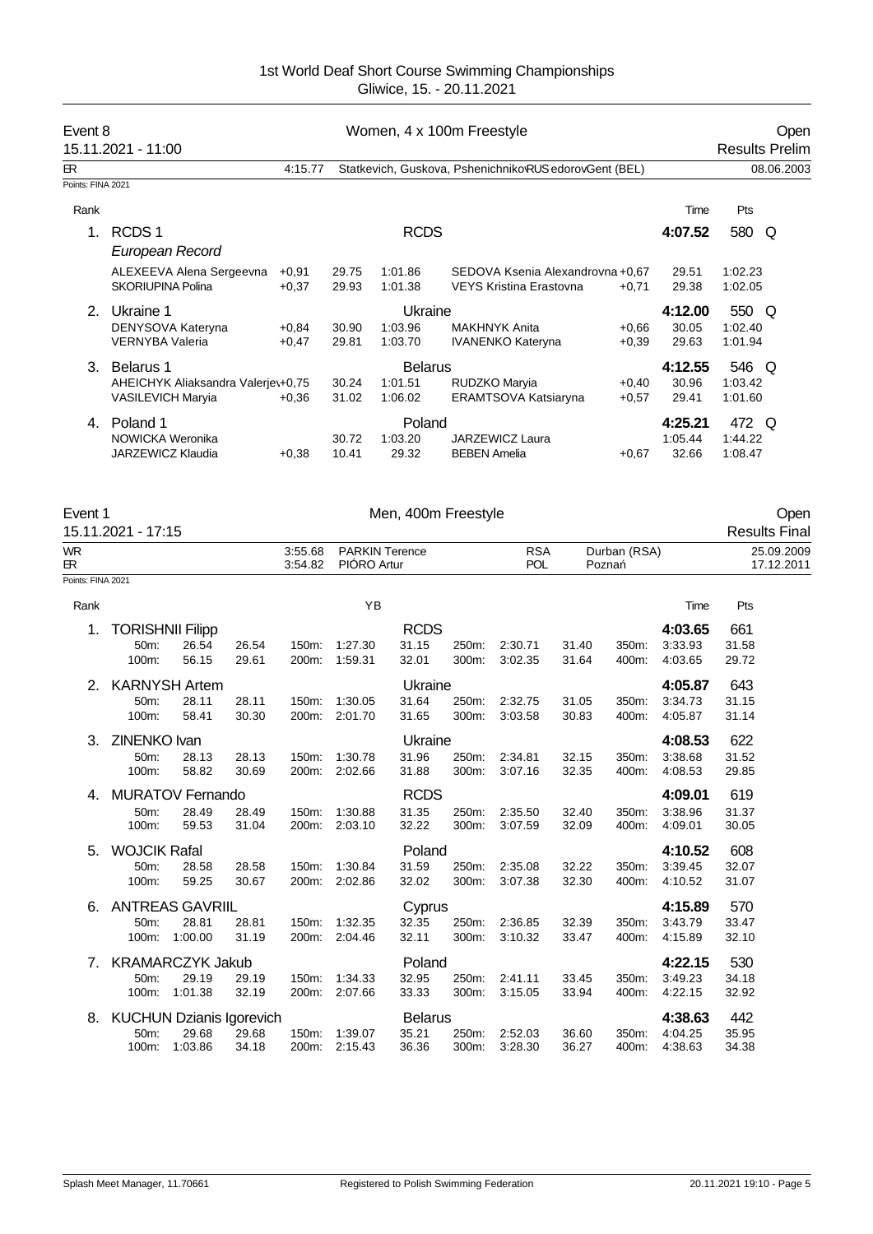|                   | Event 8<br>Women, 4 x 100m Freestyle<br>15.11.2021 - 11:00                  |                    |                |                                      |                                                             |                    |                             |                             | Open<br><b>Results Prelim</b> |
|-------------------|-----------------------------------------------------------------------------|--------------------|----------------|--------------------------------------|-------------------------------------------------------------|--------------------|-----------------------------|-----------------------------|-------------------------------|
| <b>ER</b>         |                                                                             | 4:15.77            |                |                                      | Statkevich, Guskova, Pshenichniko RUS edorovGent (BEL)      |                    |                             |                             | 08.06.2003                    |
| Points: FINA 2021 |                                                                             |                    |                |                                      |                                                             |                    |                             |                             |                               |
| Rank              |                                                                             |                    |                |                                      |                                                             |                    | Time                        | Pts                         |                               |
| $\mathbf{1}$ .    | RCDS <sub>1</sub><br>European Record                                        |                    |                | <b>RCDS</b>                          |                                                             |                    | 4:07.52                     | 580                         | O                             |
|                   | ALEXEEVA Alena Sergeevna<br><b>SKORIUPINA Polina</b>                        | $+0.91$<br>$+0.37$ | 29.75<br>29.93 | 1:01.86<br>1:01.38                   | SEDOVA Ksenia Alexandrovna +0.67<br>VEYS Kristina Erastovna | $+0,71$            | 29.51<br>29.38              | 1:02.23<br>1:02.05          |                               |
| 2 <sup>1</sup>    | Ukraine 1<br>DENYSOVA Kateryna<br><b>VERNYBA Valeria</b>                    | $+0.84$<br>$+0,47$ | 30.90<br>29.81 | Ukraine<br>1:03.96<br>1:03.70        | <b>MAKHNYK Anita</b><br><b>IVANENKO Kateryna</b>            | $+0.66$<br>$+0,39$ | 4:12.00<br>30.05<br>29.63   | 550 Q<br>1:02.40<br>1:01.94 |                               |
| 3.                | Belarus 1<br>AHEICHYK Aliaksandra Valerjev+0,75<br><b>VASILEVICH Maryia</b> | $+0.36$            | 30.24<br>31.02 | <b>Belarus</b><br>1:01.51<br>1:06.02 | RUDZKO Maryia<br>ERAMTSOVA Katsiaryna                       | $+0,40$<br>$+0.57$ | 4:12.55<br>30.96<br>29.41   | 546 Q<br>1:03.42<br>1:01.60 |                               |
| 4.                | Poland 1<br>NOWICKA Weronika<br>JARZEWICZ Klaudia                           | $+0.38$            | 30.72<br>10.41 | Poland<br>1:03.20<br>29.32           | JARZEWICZ Laura<br><b>BEBEN Amelia</b>                      | $+0.67$            | 4:25.21<br>1:05.44<br>32.66 | 472 Q<br>1:44.22<br>1:08.47 |                               |

| Event 1            | Men, 400m Freestyle | Oper                 |
|--------------------|---------------------|----------------------|
| 15.11.2021 - 17:15 |                     | <b>Results Final</b> |

# Event 1 Men, 400m Freestyle Controller of the UP of the UP of the Open Controller Open Controller of the Open Controller of the Open Controller of the Open Controller of the Open Controller of the Open Controller of the Op

| <b>WR</b><br>ER.  |                                          |                                                     |                | 3:55.68<br>3:54.82 | <b>PARKIN Terence</b><br>PIÓRO Artur |                                  |                | <b>RSA</b><br><b>POL</b> |                | Durban (RSA)<br>Pozna |                               |                       | 25.09.2009<br>17.12.2011 |
|-------------------|------------------------------------------|-----------------------------------------------------|----------------|--------------------|--------------------------------------|----------------------------------|----------------|--------------------------|----------------|-----------------------|-------------------------------|-----------------------|--------------------------|
| Points: FINA 2021 |                                          |                                                     |                |                    |                                      |                                  |                |                          |                |                       |                               |                       |                          |
| Rank              |                                          |                                                     |                |                    | YB                                   |                                  |                |                          |                |                       | Time                          | Pts                   |                          |
| 1.                | <b>TORISHNII Filipp</b><br>50m:<br>100m: | 26.54<br>56.15                                      | 26.54<br>29.61 | 150m.<br>200m:     | 1:27.30<br>1:59.31                   | <b>RCDS</b><br>31.15<br>32.01    | 250m:<br>300m: | 2:30.71<br>3:02.35       | 31.40<br>31.64 | 350m:<br>400m:        | 4:03.65<br>3:33.93<br>4:03.65 | 661<br>31.58<br>29.72 |                          |
| 2.                | 50m:<br>100m:                            | <b>KARNYSH Artem</b><br>28.11<br>58.41              | 28.11<br>30.30 | 150m:<br>200m:     | 1:30.05<br>2:01.70                   | Ukraine<br>31.64<br>31.65        | 250m:<br>300m: | 2:32.75<br>3:03.58       | 31.05<br>30.83 | 350m:<br>400m:        | 4:05.87<br>3:34.73<br>4:05.87 | 643<br>31.15<br>31.14 |                          |
| 3.                | <b>ZINENKO Ivan</b><br>50m:<br>100m:     | 28.13<br>58.82                                      | 28.13<br>30.69 | 150m:<br>200m:     | 1:30.78<br>2:02.66                   | Ukraine<br>31.96<br>31.88        | 250m:<br>300m: | 2:34.81<br>3:07.16       | 32.15<br>32.35 | 350m:<br>400m:        | 4:08.53<br>3:38.68<br>4:08.53 | 622<br>31.52<br>29.85 |                          |
| 4.                | 50m:<br>100m:                            | <b>MURATOV Fernando</b><br>28.49<br>59.53           | 28.49<br>31.04 | 150m:<br>200m:     | 1:30.88<br>2:03.10                   | <b>RCDS</b><br>31.35<br>32.22    | 250m:<br>300m: | 2:35.50<br>3:07.59       | 32.40<br>32.09 | 350m:<br>400m:        | 4:09.01<br>3:38.96<br>4:09.01 | 619<br>31.37<br>30.05 |                          |
| 5.                | <b>WOJCIK Rafal</b><br>50m:<br>100m:     | 28.58<br>59.25                                      | 28.58<br>30.67 | 150m:<br>200m:     | 1:30.84<br>2:02.86                   | Poland<br>31.59<br>32.02         | 250m:<br>300m: | 2:35.08<br>3:07.38       | 32.22<br>32.30 | 350m:<br>400m:        | 4:10.52<br>3:39.45<br>4:10.52 | 608<br>32.07<br>31.07 |                          |
| 6.                | 50m:<br>100m:                            | <b>ANTREAS GAVRIIL</b><br>28.81<br>1:00.00          | 28.81<br>31.19 | 150m:<br>200m:     | 1:32.35<br>2:04.46                   | Cyprus<br>32.35<br>32.11         | 250m:<br>300m: | 2:36.85<br>3:10.32       | 32.39<br>33.47 | 350m:<br>400m:        | 4:15.89<br>3:43.79<br>4:15.89 | 570<br>33.47<br>32.10 |                          |
| 7.                | 50m:<br>100m:                            | <b>KRAMARCZYK Jakub</b><br>29.19<br>1:01.38         | 29.19<br>32.19 | 150m:<br>200m:     | 1.34.33<br>2:07.66                   | Poland<br>32.95<br>33.33         | 250m:<br>300m: | 2:41.11<br>3:15.05       | 33.45<br>33.94 | 350m:<br>400m:        | 4:22.15<br>3:49.23<br>4:22.15 | 530<br>34.18<br>32.92 |                          |
| 8.                | 50m:<br>100m:                            | <b>KUCHUN Dzianis Igorevich</b><br>29.68<br>1:03.86 | 29.68<br>34.18 | 150m:              | 1:39.07<br>200m: 2:15.43             | <b>Belarus</b><br>35.21<br>36.36 | 250m:<br>300m: | 2:52.03<br>3:28.30       | 36.60<br>36.27 | 350m:<br>400m:        | 4:38.63<br>4:04.25<br>4:38.63 | 442<br>35.95<br>34.38 |                          |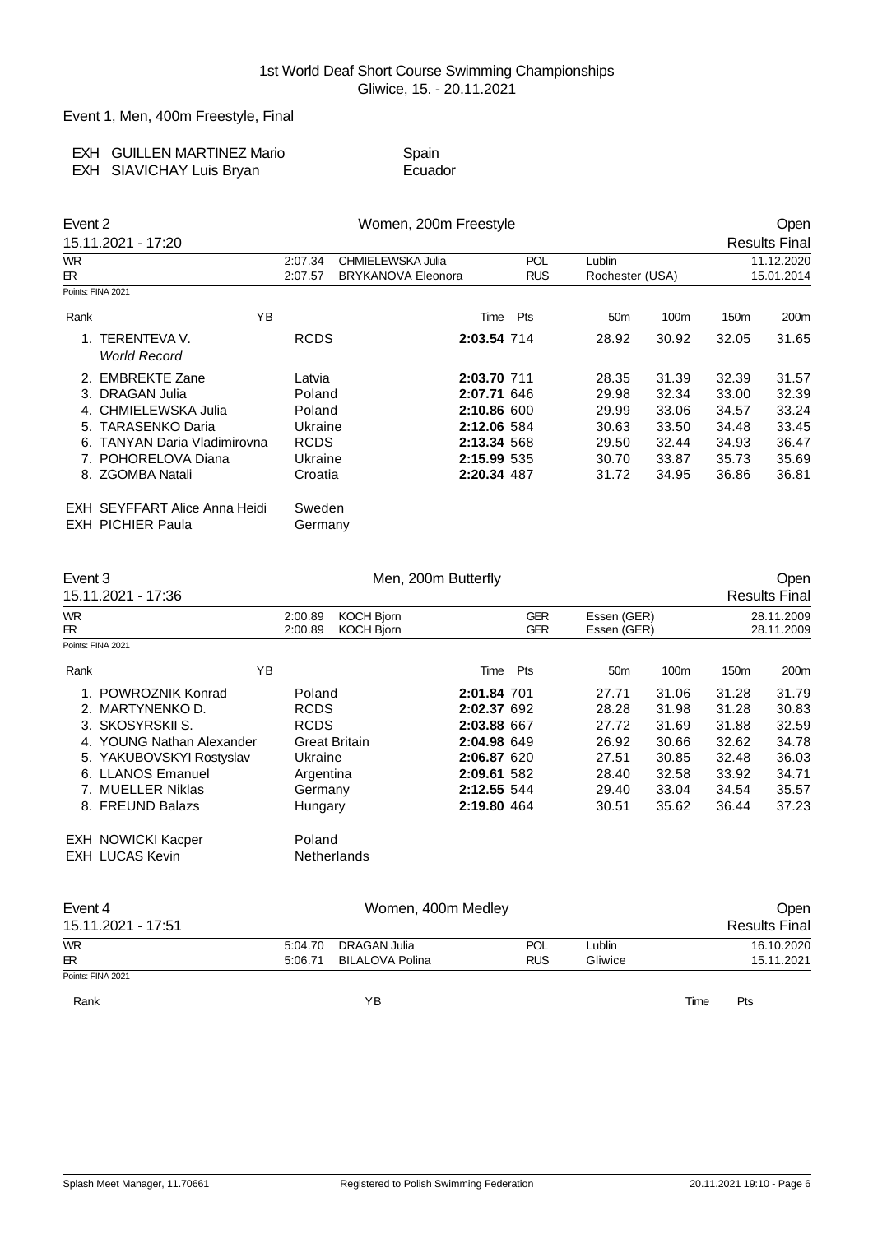Event 1, Men, 400m Freestyle, Final

| EXH GUILLEN MARTINEZ Mario | Spain   |
|----------------------------|---------|
| EXH SIAVICHAY Luis Bryan   | Ecuador |

Event 2 Communication of the UV Women, 200m Freestyle Communication of the Open 15.11.2021 - 17:20 Results Final WR 2:07.34 CHMIELEWSKA Julia POL Lublin 11.12.2020 ER 2:07.57 BRYKANOVA Eleonora RUS Rochester (USA) 15.01.2014 Points: FINA 2021 Rank 150m 100m 160m 160m 17H YB 180m 100m 17H Pts 50m 100m 150m 200m 1. TERENTEVA V. RCDS **2:03.54** 714 28.92 30.92 32.05 31.65 *World Record* 2. EMBREKTE Zane Latvia **2:03.70** 711 28.35 31.39 32.39 31.57 3. DRAGAN Julia Poland **2:07.71** 646 29.98 32.34 33.00 32.39 4. CHMIELEWSKA Julia Poland **2:10.86** 600 29.99 33.06 34.57 33.24 5. TARASENKO Daria Ukraine **2:12.06** 584 30.63 33.50 34.48 33.45 6. TANYAN Daria Vladimirovna RCDS **2:13.34** 568 29.50 32.44 34.93 36.47 7. POHORELOVA Diana Ukraine **2:15.99** 535 30.70 33.87 35.73 35.69 8. ZGOMBA Natali EXH SEYFFART Alice Anna Heidi Sweden EXH PICHIER Paula Germany

| Event 3    | 15.11.2021 - 17:36        |                    | Men, 200m Butterfly                                                |             |     |                            |       | Open<br><b>Results Final</b> |                  |  |
|------------|---------------------------|--------------------|--------------------------------------------------------------------|-------------|-----|----------------------------|-------|------------------------------|------------------|--|
| WR.<br>ЕR. |                           | 2:00.89<br>2:00.89 | <b>KOCH Biorn</b><br><b>GER</b><br><b>GER</b><br><b>KOCH Bjorn</b> |             |     | Essen (GER)<br>Essen (GER) |       | 28.11.2009<br>28.11.2009     |                  |  |
|            | Points: FINA 2021         |                    |                                                                    |             |     |                            |       |                              |                  |  |
| Rank       | YB                        |                    |                                                                    | Time        | Pts | 50 <sub>m</sub>            | 100m  | 150 <sub>m</sub>             | 200 <sub>m</sub> |  |
|            | 1. POWROZNIK Konrad       | Poland             |                                                                    | 2:01.84 701 |     | 27.71                      | 31.06 | 31.28                        | 31.79            |  |
|            | 2. MARTYNENKO D.          | <b>RCDS</b>        |                                                                    | 2:02.37 692 |     | 28.28                      | 31.98 | 31.28                        | 30.83            |  |
|            | 3. SKOSYRSKII S.          | <b>RCDS</b>        |                                                                    | 2:03.88 667 |     | 27.72                      | 31.69 | 31.88                        | 32.59            |  |
|            | 4. YOUNG Nathan Alexander |                    | <b>Great Britain</b>                                               | 2:04.98 649 |     | 26.92                      | 30.66 | 32.62                        | 34.78            |  |
|            | 5. YAKUBOVSKYI Rostyslav  | Ukraine            |                                                                    | 2:06.87 620 |     | 27.51                      | 30.85 | 32.48                        | 36.03            |  |
|            | 6. LLANOS Emanuel         | Argentina          |                                                                    | 2:09.61 582 |     | 28.40                      | 32.58 | 33.92                        | 34.71            |  |
|            | 7. MUELLER Niklas         | Germany            |                                                                    | 2:12.55 544 |     | 29.40                      | 33.04 | 34.54                        | 35.57            |  |
|            | 8. FREUND Balazs          | Hungary            |                                                                    | 2:19.80 464 |     | 30.51                      | 35.62 | 36.44                        | 37.23            |  |
|            | EXH NOWICKI Kacper        | Poland             |                                                                    |             |     |                            |       |                              |                  |  |
|            | <b>EXH LUCAS Kevin</b>    |                    | Netherlands                                                        |             |     |                            |       |                              |                  |  |
|            |                           |                    |                                                                    |             |     |                            |       |                              |                  |  |

| Event 4            |         | Women, 400m Medley | Open<br><b>Results Final</b> |         |      |            |
|--------------------|---------|--------------------|------------------------------|---------|------|------------|
| 15.11.2021 - 17:51 |         |                    |                              |         |      |            |
| <b>WR</b>          | 5:04.70 | DRAGAN Julia       | <b>POL</b>                   | Lublin  |      | 16.10.2020 |
| $\mathbb{R}$       | 5:06.71 | BILALOVA Polina    | <b>RUS</b>                   | Gliwice |      | 15.11.2021 |
| Points: FINA 2021  |         |                    |                              |         |      |            |
| Rank               |         | ΥB                 |                              |         | Time | Pts        |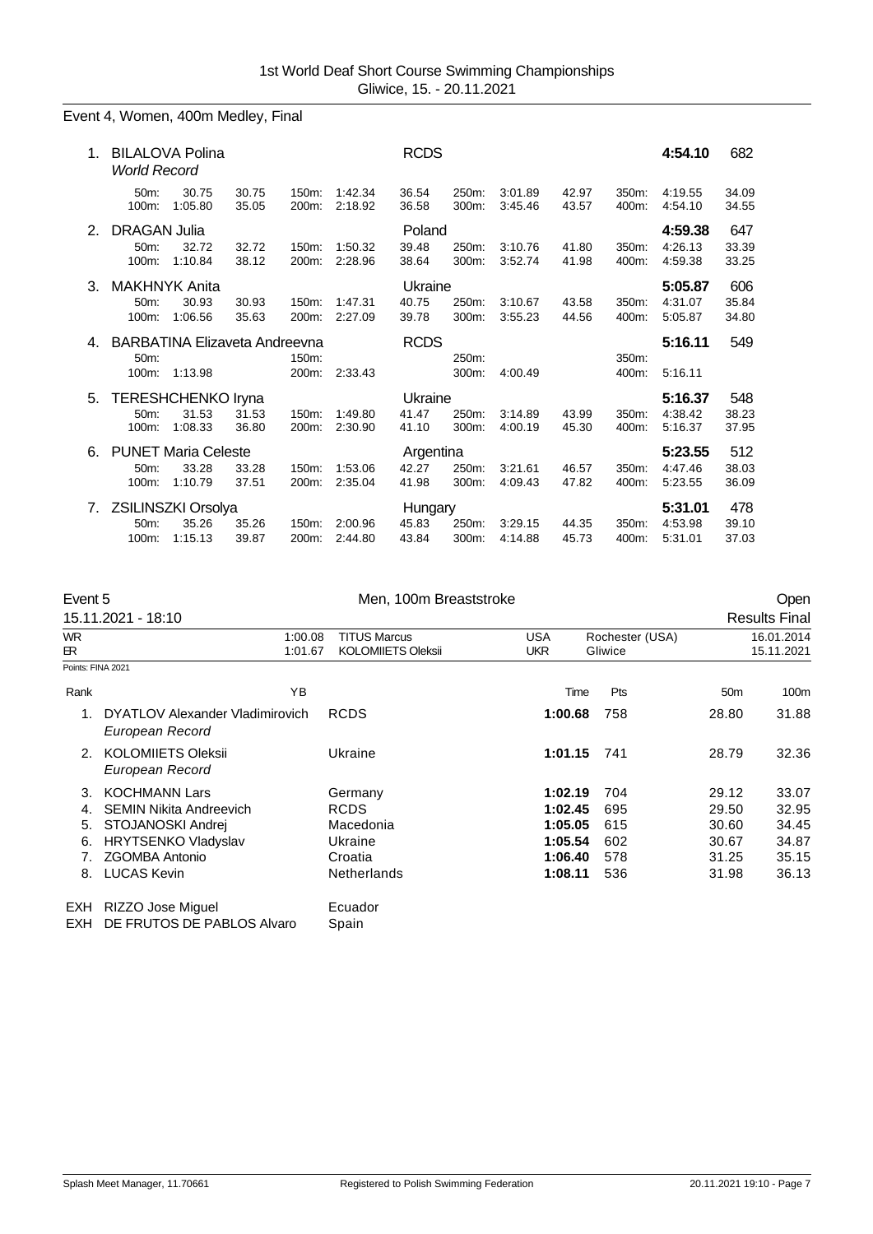# Event 4, Women, 400m Medley, Final

| 1. | <b>BILALOVA Polina</b><br><b>World Record</b>     |                                                 |                |                |                    | <b>RCDS</b>                 |                   |                    |                |                | 4:54.10                       | 682                   |
|----|---------------------------------------------------|-------------------------------------------------|----------------|----------------|--------------------|-----------------------------|-------------------|--------------------|----------------|----------------|-------------------------------|-----------------------|
|    | 50m:<br>100m:                                     | 30.75<br>1:05.80                                | 30.75<br>35.05 | 150m:<br>200m: | 1:42.34<br>2:18.92 | 36.54<br>36.58              | 250m:<br>$300m$ : | 3:01.89<br>3:45.46 | 42.97<br>43.57 | 350m:<br>400m: | 4:19.55<br>4:54.10            | 34.09<br>34.55        |
| 2. | <b>DRAGAN Julia</b><br>50 <sub>m</sub> :<br>100m: | 32.72<br>1:10.84                                | 32.72<br>38.12 | 150m:<br>200m: | 1:50.32<br>2:28.96 | Poland<br>39.48<br>38.64    | 250m:<br>300m:    | 3:10.76<br>3:52.74 | 41.80<br>41.98 | 350m:<br>400m: | 4:59.38<br>4:26.13<br>4:59.38 | 647<br>33.39<br>33.25 |
| 3. | <b>MAKHNYK Anita</b><br>50m:<br>100m:             | 30.93<br>1:06.56                                | 30.93<br>35.63 | 150m:<br>200m: | 1:47.31<br>2:27.09 | Ukraine<br>40.75<br>39.78   | 250m:<br>300m:    | 3:10.67<br>3:55.23 | 43.58<br>44.56 | 350m:<br>400m: | 5:05.87<br>4:31.07<br>5:05.87 | 606<br>35.84<br>34.80 |
| 4. | 50m:<br>100m:                                     | <b>BARBATINA Elizaveta Andreevna</b><br>1:13.98 |                | 150m:<br>200m: | 2:33.43            | <b>RCDS</b>                 | 250m:<br>300m:    | 4:00.49            |                | 350m:<br>400m: | 5:16.11<br>5:16.11            | 549                   |
| 5. | 50m:<br>100m:                                     | <b>TERESHCHENKO Iryna</b><br>31.53<br>1:08.33   | 31.53<br>36.80 | 150m:<br>200m: | 1:49.80<br>2:30.90 | Ukraine<br>41.47<br>41.10   | 250m:<br>300m:    | 3:14.89<br>4:00.19 | 43.99<br>45.30 | 350m:<br>400m: | 5:16.37<br>4:38.42<br>5:16.37 | 548<br>38.23<br>37.95 |
| 6. | 50m:<br>100m:                                     | <b>PUNET Maria Celeste</b><br>33.28<br>1:10.79  | 33.28<br>37.51 | 150m:<br>200m: | 1:53.06<br>2:35.04 | Argentina<br>42.27<br>41.98 | 250m:<br>300m:    | 3.21.61<br>4:09.43 | 46.57<br>47.82 | 350m:<br>400m: | 5:23.55<br>4:47.46<br>5:23.55 | 512<br>38.03<br>36.09 |
| 7. | 50m:<br>100m:                                     | ZSILINSZKI Orsolya<br>35.26<br>1:15.13          | 35.26<br>39.87 | 150m:<br>200m: | 2:00.96<br>2:44.80 | Hungary<br>45.83<br>43.84   | 250m:<br>300m:    | 3:29.15<br>4:14.88 | 44.35<br>45.73 | 350m:<br>400m: | 5:31.01<br>4:53.98<br>5:31.01 | 478<br>39.10<br>37.03 |

| Event 5           |                                                    | Men, 100m Breaststroke    |            |                 |                 | Open                 |
|-------------------|----------------------------------------------------|---------------------------|------------|-----------------|-----------------|----------------------|
|                   | 15.11.2021 - 18:10                                 |                           |            |                 |                 | <b>Results Final</b> |
| <b>WR</b>         | 1:00.08                                            | <b>TITUS Marcus</b>       | <b>USA</b> | Rochester (USA) |                 | 16.01.2014           |
| ЕR.               | 1:01.67                                            | <b>KOLOMIIETS Oleksii</b> | <b>UKR</b> | Gliwice         |                 | 15.11.2021           |
| Points: FINA 2021 |                                                    |                           |            |                 |                 |                      |
| Rank              | YB                                                 |                           | Time       | Pts             | 50 <sub>m</sub> | 100m                 |
|                   | DYATLOV Alexander Vladimirovich<br>European Record | <b>RCDS</b>               | 1:00.68    | 758             | 28.80           | 31.88                |
| 2.                | <b>KOLOMIIETS Oleksii</b><br>European Record       | Ukraine                   | 1:01.15    | 741             | 28.79           | 32.36                |
| 3.                | <b>KOCHMANN Lars</b>                               | Germany                   | 1:02.19    | 704             | 29.12           | 33.07                |
| 4.                | <b>SEMIN Nikita Andreevich</b>                     | <b>RCDS</b>               | 1:02.45    | 695             | 29.50           | 32.95                |
| 5.                | STOJANOSKI Andrej                                  | Macedonia                 | 1:05.05    | 615             | 30.60           | 34.45                |
| 6.                | <b>HRYTSENKO Vladyslav</b>                         | Ukraine                   | 1:05.54    | 602             | 30.67           | 34.87                |
| 7 <sub>1</sub>    | <b>ZGOMBA Antonio</b>                              | Croatia                   | 1:06.40    | 578             | 31.25           | 35.15                |
| 8.                | <b>LUCAS Kevin</b>                                 | <b>Netherlands</b>        | 1:08.11    | 536             | 31.98           | 36.13                |
| <b>EXH</b>        | RIZZO Jose Miguel                                  | Ecuador                   |            |                 |                 |                      |
| EXH               | DE FRUTOS DE PABLOS Alvaro                         | Spain                     |            |                 |                 |                      |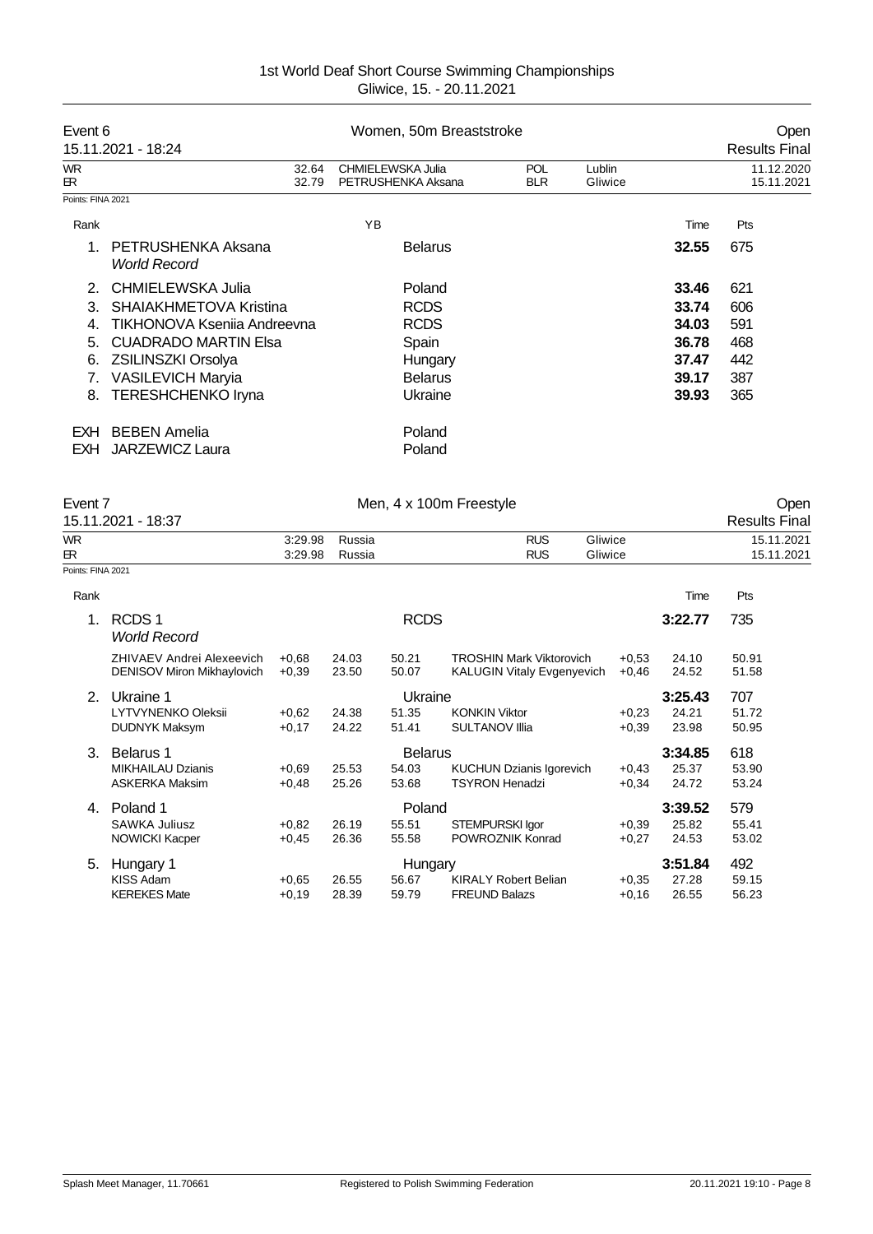| Event 6           | 15.11.2021 - 18:24                        | Women, 50m Breaststroke                 |                          |                   | Open<br><b>Results Final</b> |                          |
|-------------------|-------------------------------------------|-----------------------------------------|--------------------------|-------------------|------------------------------|--------------------------|
| WR<br>ЕR.         | 32.64<br>32.79                            | CHMIELEWSKA Julia<br>PETRUSHENKA Aksana | <b>POL</b><br><b>BLR</b> | Lublin<br>Gliwice |                              | 11.12.2020<br>15.11.2021 |
| Points: FINA 2021 |                                           |                                         |                          |                   |                              |                          |
| Rank              |                                           | YB                                      |                          |                   | Time                         | Pts                      |
| 1                 | PETRUSHENKA Aksana<br><b>World Record</b> | <b>Belarus</b>                          |                          |                   | 32.55                        | 675                      |
| 2 <sub>1</sub>    | CHMIELEWSKA Julia                         | Poland                                  |                          |                   | 33.46                        | 621                      |
| 3.                | SHAIAKHMETOVA Kristina                    | <b>RCDS</b>                             |                          |                   | 33.74                        | 606                      |
| 4.                | TIKHONOVA Ksenija Andreevna               | <b>RCDS</b>                             |                          |                   | 34.03                        | 591                      |
| 5.                | <b>CUADRADO MARTIN Elsa</b>               | Spain                                   |                          |                   | 36.78                        | 468                      |
| 6.                | <b>ZSILINSZKI Orsolya</b>                 | Hungary                                 |                          |                   | 37.47                        | 442                      |
| 7.                | <b>VASILEVICH Maryia</b>                  | <b>Belarus</b>                          |                          |                   | 39.17                        | 387                      |
| 8.                | <b>TERESHCHENKO Iryna</b>                 | Ukraine                                 |                          |                   | 39.93                        | 365                      |
| EXH               | <b>BEBEN Amelia</b>                       | Poland                                  |                          |                   |                              |                          |
| EXH               | <b>JARZEWICZ Laura</b>                    | Poland                                  |                          |                   |                              |                          |

| Event 7           |                                          |                    |                  |                | Men, 4 x 100m Freestyle           |                    |         | Open                     |
|-------------------|------------------------------------------|--------------------|------------------|----------------|-----------------------------------|--------------------|---------|--------------------------|
|                   | 15.11.2021 - 18:37                       |                    |                  |                |                                   |                    |         | <b>Results Final</b>     |
| <b>WR</b><br>ЕR.  |                                          | 3:29.98<br>3:29.98 | Russia<br>Russia |                | <b>RUS</b><br><b>RUS</b>          | Gliwice<br>Gliwice |         | 15.11.2021<br>15.11.2021 |
| Points: FINA 2021 |                                          |                    |                  |                |                                   |                    |         |                          |
|                   |                                          |                    |                  |                |                                   |                    |         |                          |
| Rank              |                                          |                    |                  |                |                                   |                    | Time    | Pts                      |
| 1.                | RCDS <sub>1</sub><br><b>World Record</b> |                    |                  | <b>RCDS</b>    |                                   |                    | 3:22.77 | 735                      |
|                   | <b>ZHIVAEV Andrei Alexeevich</b>         | $+0.68$            | 24.03            | 50.21          | <b>TROSHIN Mark Viktorovich</b>   | $+0.53$            | 24.10   | 50.91                    |
|                   | <b>DENISOV Miron Mikhaylovich</b>        | $+0,39$            | 23.50            | 50.07          | <b>KALUGIN Vitaly Evgenyevich</b> | $+0.46$            | 24.52   | 51.58                    |
| 2.                | Ukraine 1                                |                    |                  | Ukraine        |                                   |                    | 3:25.43 | 707                      |
|                   | LYTVYNENKO Oleksii                       | $+0.62$            | 24.38            | 51.35          | <b>KONKIN Viktor</b>              | $+0.23$            | 24.21   | 51.72                    |
|                   | <b>DUDNYK Maksym</b>                     | $+0,17$            | 24.22            | 51.41          | <b>SULTANOV IIIia</b>             | $+0,39$            | 23.98   | 50.95                    |
| 3.                | Belarus 1                                |                    |                  | <b>Belarus</b> |                                   |                    | 3:34.85 | 618                      |
|                   | <b>MIKHAILAU Dzianis</b>                 | $+0.69$            | 25.53            | 54.03          | <b>KUCHUN Dzianis Igorevich</b>   | $+0.43$            | 25.37   | 53.90                    |
|                   | <b>ASKERKA Maksim</b>                    | $+0.48$            | 25.26            | 53.68          | <b>TSYRON Henadzi</b>             | $+0.34$            | 24.72   | 53.24                    |
| 4.                | Poland 1                                 |                    |                  | Poland         |                                   |                    | 3:39.52 | 579                      |
|                   | <b>SAWKA Juliusz</b>                     | $+0.82$            | 26.19            | 55.51          | STEMPURSKI Igor                   | $+0.39$            | 25.82   | 55.41                    |
|                   | <b>NOWICKI Kacper</b>                    | $+0.45$            | 26.36            | 55.58          | POWROZNIK Konrad                  | $+0,27$            | 24.53   | 53.02                    |
| 5.                | Hungary 1                                |                    |                  | Hungary        |                                   |                    | 3:51.84 | 492                      |
|                   | <b>KISS Adam</b>                         | $+0.65$            | 26.55            | 56.67          | <b>KIRALY Robert Belian</b>       | $+0,35$            | 27.28   | 59.15                    |
|                   | <b>KEREKES Mate</b>                      | $+0.19$            | 28.39            | 59.79          | <b>FREUND Balazs</b>              | $+0.16$            | 26.55   | 56.23                    |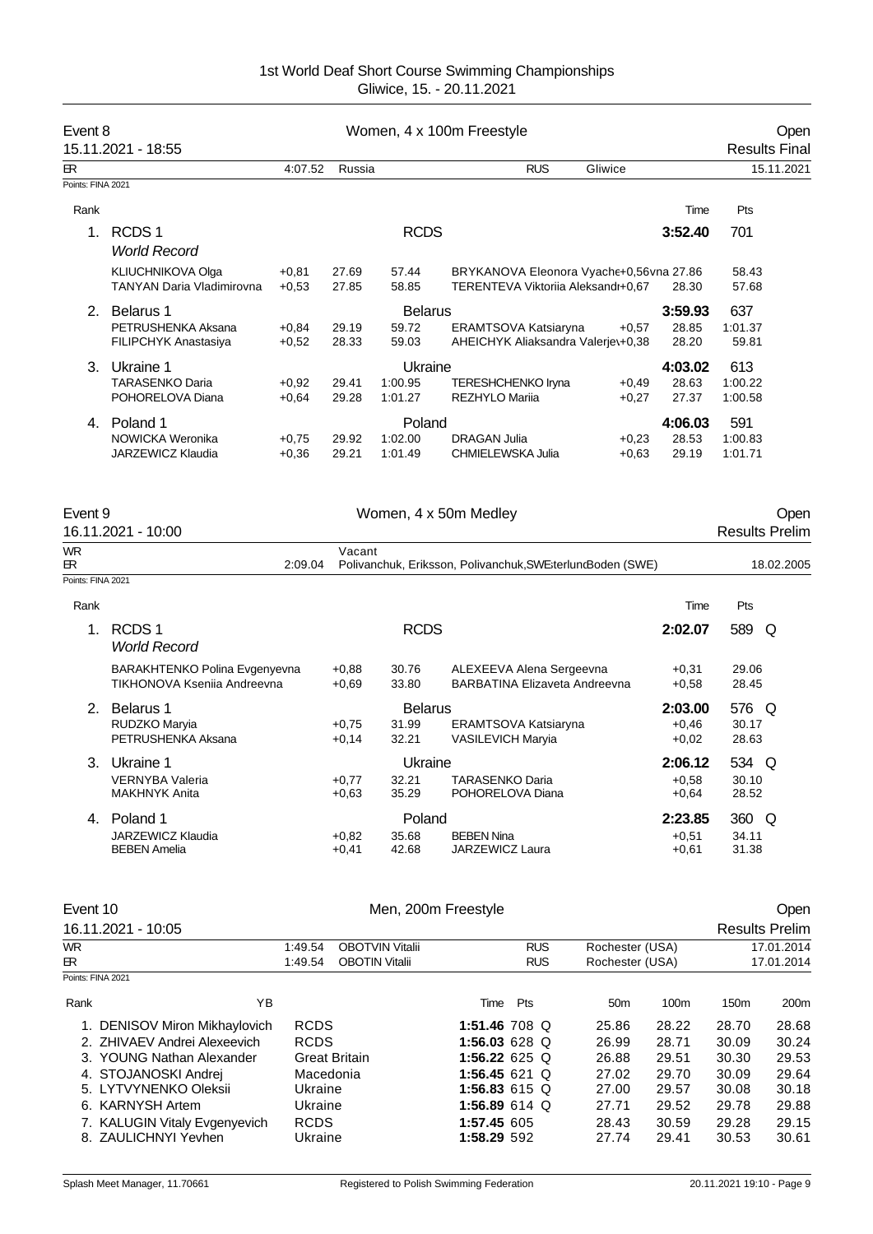| Event 8           | 15.11.2021 - 18:55               |         |        |                | Women, 4 x 100m Freestyle                                   |         |         | <b>Results Final</b>  | Open       |
|-------------------|----------------------------------|---------|--------|----------------|-------------------------------------------------------------|---------|---------|-----------------------|------------|
| <b>ER</b>         |                                  | 4:07.52 | Russia |                | <b>RUS</b>                                                  | Gliwice |         |                       | 15.11.2021 |
| Points: FINA 2021 |                                  |         |        |                |                                                             |         |         |                       |            |
| Rank              |                                  |         |        |                |                                                             |         | Time    | Pts                   |            |
| 1 <sub>1</sub>    | RCDS <sub>1</sub>                |         |        | <b>RCDS</b>    |                                                             |         | 3:52.40 | 701                   |            |
|                   | <b>World Record</b>              |         |        |                |                                                             |         |         |                       |            |
|                   | KLIUCHNIKOVA Olga                | $+0,81$ | 27.69  | 57.44          | BRYKANOVA Eleonora Vyache+0,56vna 27.86                     |         |         | 58.43                 |            |
|                   | <b>TANYAN Daria Vladimirovna</b> | $+0.53$ | 27.85  | 58.85          | TERENTEVA Viktorija Aleksandi+0.67                          |         | 28.30   | 57.68                 |            |
| 2.                | Belarus 1                        |         |        | <b>Belarus</b> |                                                             |         | 3:59.93 | 637                   |            |
|                   | PETRUSHENKA Aksana               | $+0.84$ | 29.19  | 59.72          | ERAMTSOVA Katsiaryna                                        | $+0.57$ | 28.85   | 1:01.37               |            |
|                   | FILIPCHYK Anastasiya             | $+0,52$ | 28.33  | 59.03          | AHEICHYK Aliaksandra Valeriev+0,38                          |         | 28.20   | 59.81                 |            |
| 3.                | Ukraine 1                        |         |        | Ukraine        |                                                             |         | 4:03.02 | 613                   |            |
|                   | <b>TARASENKO Daria</b>           | $+0.92$ | 29.41  | 1:00.95        | <b>TERESHCHENKO Iryna</b>                                   | $+0.49$ | 28.63   | 1:00.22               |            |
|                   | POHORELOVA Diana                 | $+0.64$ | 29.28  | 1:01.27        | <b>REZHYLO Marija</b>                                       | $+0,27$ | 27.37   | 1:00.58               |            |
| 4.                | Poland 1                         |         |        | Poland         |                                                             |         | 4:06.03 | 591                   |            |
|                   | NOWICKA Weronika                 | $+0.75$ | 29.92  | 1:02.00        | <b>DRAGAN Julia</b>                                         | $+0.23$ | 28.53   | 1:00.83               |            |
|                   | JARZEWICZ Klaudia                | $+0.36$ | 29.21  | 1:01.49        | CHMIELEWSKA Julia                                           | $+0.63$ | 29.19   | 1:01.71               |            |
|                   |                                  |         |        |                |                                                             |         |         |                       |            |
| Event 9           | 16.11.2021 - 10:00               |         |        |                | Women, 4 x 50m Medley                                       |         |         | <b>Results Prelim</b> | Oper       |
| <b>WR</b><br>ЕR   |                                  | 2:09.04 | Vacant |                | Polivanchuk, Eriksson, Polivanchuk, SWE; terluncBoden (SWE) |         |         |                       | 18.02.2005 |

| Rank |                                                                     |                    |                                  |                                                           | Time                          | Pts                     |
|------|---------------------------------------------------------------------|--------------------|----------------------------------|-----------------------------------------------------------|-------------------------------|-------------------------|
|      | RCDS <sub>1</sub><br><b>World Record</b>                            |                    | <b>RCDS</b>                      |                                                           | 2:02.07                       | 589<br>O                |
|      | <b>BARAKHTENKO Polina Evgenyevna</b><br>TIKHONOVA Ksenija Andreevna | $+0.88$<br>$+0.69$ | 30.76<br>33.80                   | ALEXEEVA Alena Sergeevna<br>BARBATINA Elizaveta Andreevna | $+0,31$<br>$+0.58$            | 29.06<br>28.45          |
| 2    | Belarus 1<br>RUDZKO Maryia<br>PETRUSHENKA Aksana                    | $+0.75$<br>$+0,14$ | <b>Belarus</b><br>31.99<br>32.21 | ERAMTSOVA Katsiaryna<br><b>VASILEVICH Maryia</b>          | 2:03.00<br>$+0.46$<br>$+0.02$ | 576 Q<br>30.17<br>28.63 |
| 3    | Ukraine 1<br><b>VERNYBA Valeria</b><br><b>MAKHNYK Anita</b>         | $+0.77$<br>$+0.63$ | Ukraine<br>32.21<br>35.29        | TARASENKO Daria<br>POHORELOVA Diana                       | 2:06.12<br>$+0.58$<br>$+0.64$ | 534 Q<br>30.10<br>28.52 |
| 4.   | Poland 1<br>JARZEWICZ Klaudia<br><b>BEBEN Amelia</b>                | $+0.82$<br>$+0.41$ | Poland<br>35.68<br>42.68         | <b>BEBEN Nina</b><br>JARZEWICZ Laura                      | 2:23.85<br>$+0.51$<br>$+0,61$ | 360 Q<br>34.11<br>31.38 |

|      | Event 10                      |             |                        | Men, 200m Freestyle |            |                 |                 |                       | Open       |
|------|-------------------------------|-------------|------------------------|---------------------|------------|-----------------|-----------------|-----------------------|------------|
|      | 16.11.2021 - 10:05            |             |                        |                     |            |                 |                 | <b>Results Prelim</b> |            |
| WR.  |                               | 1:49.54     | <b>OBOTVIN Vitalii</b> |                     | <b>RUS</b> | Rochester (USA) |                 |                       | 17.01.2014 |
| ЕR.  | 1:49.54                       |             | <b>OBOTIN Vitalii</b>  |                     | <b>RUS</b> |                 | Rochester (USA) |                       | 17.01.2014 |
|      | Points: FINA 2021             |             |                        |                     |            |                 |                 |                       |            |
| Rank | ΥB                            |             |                        | Time                | Pts        | 50 <sub>m</sub> | 100m            | 150 <sub>m</sub>      | 200m       |
|      | 1. DENISOV Miron Mikhaylovich | <b>RCDS</b> |                        | 1:51.46 708 Q       |            | 25.86           | 28.22           | 28.70                 | 28.68      |
|      | 2. ZHIVAEV Andrei Alexeevich  | <b>RCDS</b> |                        | 1:56.03 628 Q       |            | 26.99           | 28.71           | 30.09                 | 30.24      |
|      | 3. YOUNG Nathan Alexander     |             | <b>Great Britain</b>   | 1:56.22 625 Q       |            | 26.88           | 29.51           | 30.30                 | 29.53      |
|      | 4. STOJANOSKI Andrei          | Macedonia   |                        | 1:56.45 621 Q       |            | 27.02           | 29.70           | 30.09                 | 29.64      |
|      | 5. LYTVYNENKO Oleksii         | Ukraine     |                        | 1:56.83 615 Q       |            | 27.00           | 29.57           | 30.08                 | 30.18      |
|      | 6. KARNYSH Artem              | Ukraine     |                        | 1:56.89 614 Q       |            | 27.71           | 29.52           | 29.78                 | 29.88      |
|      | 7. KALUGIN Vitaly Evgenyevich | <b>RCDS</b> |                        | 1:57.45 605         |            | 28.43           | 30.59           | 29.28                 | 29.15      |
|      | 8. ZAULICHNYI Yevhen          | Ukraine     |                        | 1:58.29 592         |            | 27.74           | 29.41           | 30.53                 | 30.61      |
|      |                               |             |                        |                     |            |                 |                 |                       |            |

Points: FINA 2021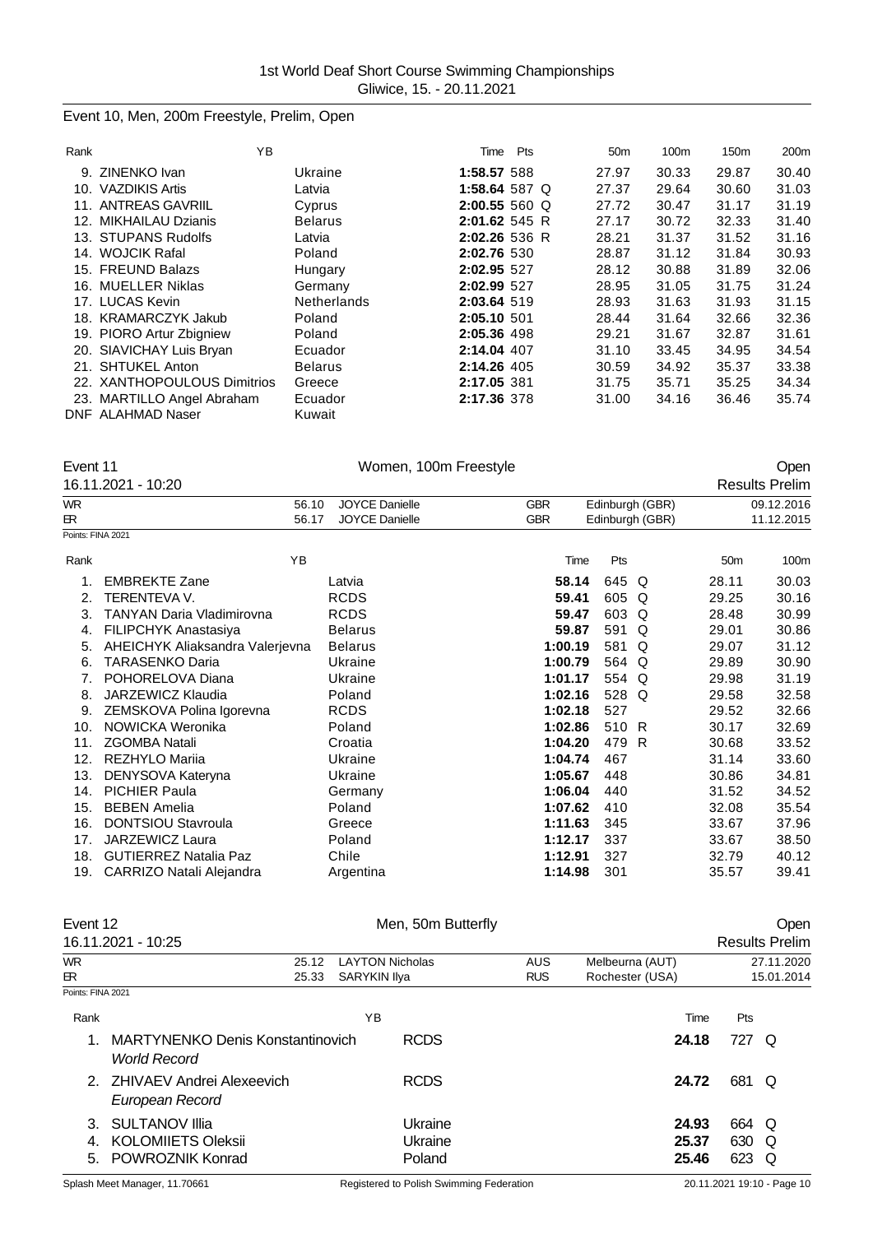# Event 10, Men, 200m Freestyle, Prelim, Open

| Rank | ΥB                          |                    | Time            | Pts | 50 <sub>m</sub> | 100m  | 150 <sub>m</sub> | 200 <sub>m</sub> |
|------|-----------------------------|--------------------|-----------------|-----|-----------------|-------|------------------|------------------|
| 9.   | ZINENKO Ivan                | Ukraine            | 1:58.57 588     |     | 27.97           | 30.33 | 29.87            | 30.40            |
|      | 10. VAZDIKIS Artis          | Latvia             | 1:58.64 587 Q   |     | 27.37           | 29.64 | 30.60            | 31.03            |
|      | 11. ANTREAS GAVRIIL         | Cyprus             | 2:00.55 560 Q   |     | 27.72           | 30.47 | 31.17            | 31.19            |
|      | 12. MIKHAILAU Dzianis       | <b>Belarus</b>     | $2:01.62$ 545 R |     | 27.17           | 30.72 | 32.33            | 31.40            |
|      | 13. STUPANS Rudolfs         | Latvia             | 2:02.26 536 R   |     | 28.21           | 31.37 | 31.52            | 31.16            |
|      | 14. WOJCIK Rafal            | Poland             | 2:02.76 530     |     | 28.87           | 31.12 | 31.84            | 30.93            |
|      | 15. FREUND Balazs           | Hungary            | 2:02.95 527     |     | 28.12           | 30.88 | 31.89            | 32.06            |
|      | 16. MUELLER Niklas          | Germany            | 2:02.99 527     |     | 28.95           | 31.05 | 31.75            | 31.24            |
|      | 17. LUCAS Kevin             | <b>Netherlands</b> | 2:03.64 519     |     | 28.93           | 31.63 | 31.93            | 31.15            |
|      | 18. KRAMARCZYK Jakub        | Poland             | 2:05.10 501     |     | 28.44           | 31.64 | 32.66            | 32.36            |
|      | 19. PIORO Artur Zbigniew    | Poland             | 2:05.36 498     |     | 29.21           | 31.67 | 32.87            | 31.61            |
|      | 20. SIAVICHAY Luis Bryan    | Ecuador            | 2:14.04 407     |     | 31.10           | 33.45 | 34.95            | 34.54            |
|      | 21. SHTUKEL Anton           | <b>Belarus</b>     | 2:14.26 405     |     | 30.59           | 34.92 | 35.37            | 33.38            |
|      | 22. XANTHOPOULOUS Dimitrios | Greece             | 2:17.05 381     |     | 31.75           | 35.71 | 35.25            | 34.34            |
|      | 23. MARTILLO Angel Abraham  | Ecuador            | 2:17.36 378     |     | 31.00           | 34.16 | 36.46            | 35.74            |
|      | <b>DNF ALAHMAD Naser</b>    | Kuwait             |                 |     |                 |       |                  |                  |

| Event 11  |                                  | Women, 100m Freestyle |            |                 |                 | Open                  |
|-----------|----------------------------------|-----------------------|------------|-----------------|-----------------|-----------------------|
|           | 16.11.2021 - 10:20               |                       |            |                 |                 | <b>Results Prelim</b> |
| <b>WR</b> | 56.10                            | <b>JOYCE Danielle</b> | <b>GBR</b> | Edinburgh (GBR) |                 | 09.12.2016            |
| ЕR.       | 56.17                            | <b>JOYCE Danielle</b> | <b>GBR</b> | Edinburgh (GBR) |                 | 11.12.2015            |
|           | Points: FINA 2021                |                       |            |                 |                 |                       |
| Rank      | YB                               |                       | Time       | Pts             | 50 <sub>m</sub> | 100m                  |
|           | <b>EMBREKTE Zane</b>             | Latvia                | 58.14      | 645<br>Q        | 28.11           | 30.03                 |
| 2.        | <b>TERENTEVA V.</b>              | <b>RCDS</b>           | 59.41      | 605<br>Q        | 29.25           | 30.16                 |
| 3.        | <b>TANYAN Daria Vladimirovna</b> | <b>RCDS</b>           | 59.47      | 603<br>Q        | 28.48           | 30.99                 |
| 4.        | FILIPCHYK Anastasiya             | <b>Belarus</b>        | 59.87      | 591<br>$\Omega$ | 29.01           | 30.86                 |
| 5.        | AHEICHYK Aliaksandra Valerjevna  | <b>Belarus</b>        | 1:00.19    | 581<br>$\Omega$ | 29.07           | 31.12                 |
| 6.        | TARASENKO Daria                  | Ukraine               | 1:00.79    | 564<br>O        | 29.89           | 30.90                 |
| 7.        | POHORELOVA Diana                 | Ukraine               | 1:01.17    | 554 Q           | 29.98           | 31.19                 |
| 8.        | JARZEWICZ Klaudia                | Poland                | 1:02.16    | 528 Q           | 29.58           | 32.58                 |
| 9.        | ZEMSKOVA Polina Igorevna         | <b>RCDS</b>           | 1:02.18    | 527             | 29.52           | 32.66                 |
| 10.       | NOWICKA Weronika                 | Poland                | 1:02.86    | 510 R           | 30.17           | 32.69                 |
| 11.       | <b>ZGOMBA Natali</b>             | Croatia               | 1:04.20    | 479<br>-R       | 30.68           | 33.52                 |
| 12.       | REZHYLO Mariia                   | Ukraine               | 1:04.74    | 467             | 31.14           | 33.60                 |
| 13.       | DENYSOVA Kateryna                | Ukraine               | 1:05.67    | 448             | 30.86           | 34.81                 |
| 14.       | <b>PICHIER Paula</b>             | Germany               | 1:06.04    | 440             | 31.52           | 34.52                 |
| 15.       | <b>BEBEN Amelia</b>              | Poland                | 1:07.62    | 410             | 32.08           | 35.54                 |
| 16.       | <b>DONTSIOU Stavroula</b>        | Greece                | 1:11.63    | 345             | 33.67           | 37.96                 |
| 17.       | JARZEWICZ Laura                  | Poland                | 1:12.17    | 337             | 33.67           | 38.50                 |
| 18.       | <b>GUTIERREZ Natalia Paz</b>     | Chile                 | 1:12.91    | 327             | 32.79           | 40.12                 |
| 19.       | CARRIZO Natali Alejandra         | Argentina             | 1:14.98    | 301             | 35.57           | 39.41                 |

| Event 12                  | 16.11.2021 - 10:25                                                     | Men, 50m Butterfly                     |                          |                                    |                       | Open<br><b>Results Prelim</b> |
|---------------------------|------------------------------------------------------------------------|----------------------------------------|--------------------------|------------------------------------|-----------------------|-------------------------------|
| WR.<br>ЕR.                | 25.12<br>25.33                                                         | <b>LAYTON Nicholas</b><br>SARYKIN Ilya | <b>AUS</b><br><b>RUS</b> | Melbeurna (AUT)<br>Rochester (USA) |                       | 27.11.2020<br>15.01.2014      |
| Points: FINA 2021<br>Rank |                                                                        | YB                                     |                          | Time                               | Pts                   |                               |
|                           | MARTYNENKO Denis Konstantinovich<br><b>World Record</b>                | <b>RCDS</b>                            |                          | 24.18                              | 727 Q                 |                               |
|                           | 2. ZHIVAEV Andrei Alexeevich<br>European Record                        | <b>RCDS</b>                            |                          | 24.72                              | 681                   | Q                             |
| 3.<br>4.<br>5.            | <b>SULTANOV Illia</b><br><b>KOLOMIIETS Oleksii</b><br>POWROZNIK Konrad | Ukraine<br>Ukraine<br>Poland           |                          | 24.93<br>25.37<br>25.46            | 664 Q<br>630 Q<br>623 | O                             |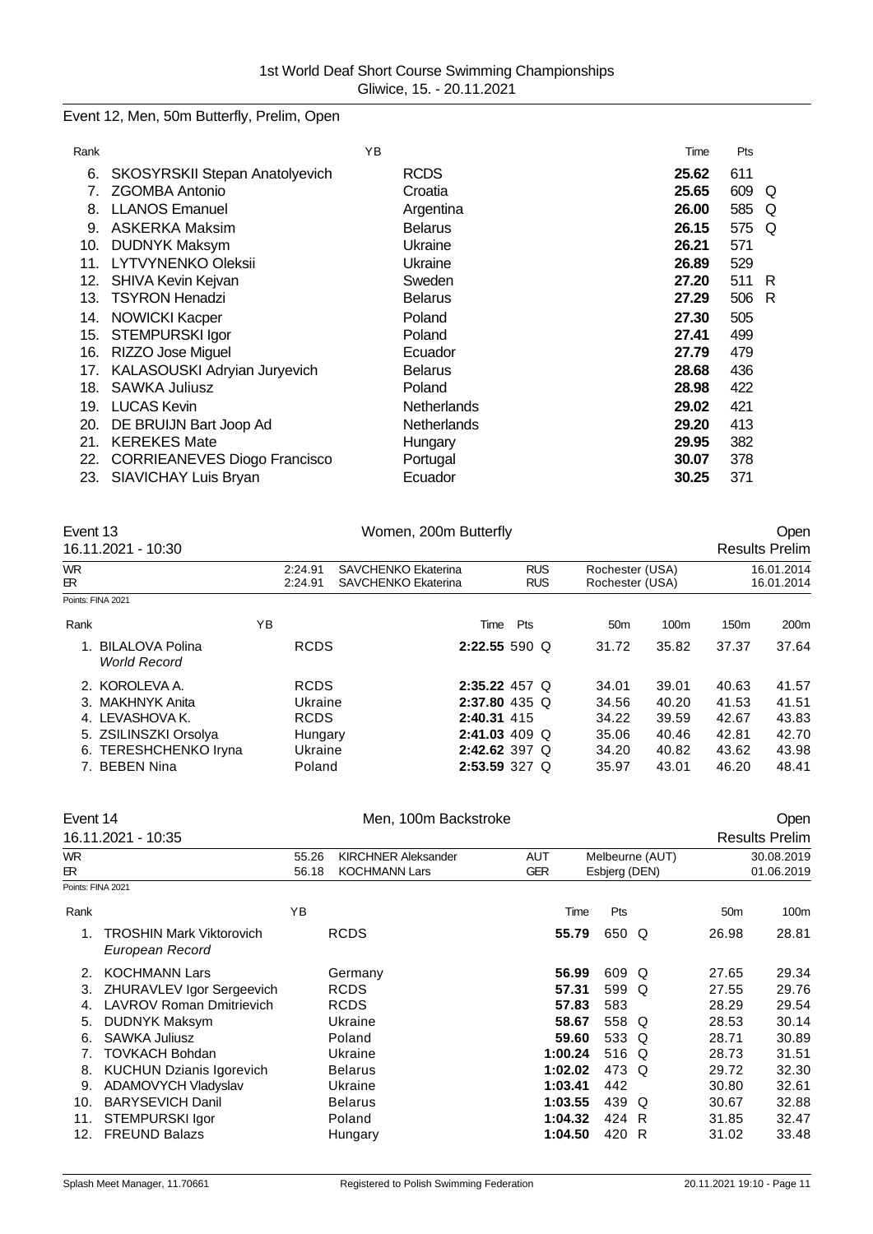Event 12, Men, 50m Butterfly, Prelim, Open

| Rank |                                     | YB |                    | Time  | Pts |   |
|------|-------------------------------------|----|--------------------|-------|-----|---|
| 6.   | SKOSYRSKII Stepan Anatolyevich      |    | <b>RCDS</b>        | 25.62 | 611 |   |
| 7.   | ZGOMBA Antonio                      |    | Croatia            | 25.65 | 609 | Q |
| 8.   | <b>LLANOS Emanuel</b>               |    | Argentina          | 26.00 | 585 | O |
| 9.   | <b>ASKERKA Maksim</b>               |    | <b>Belarus</b>     | 26.15 | 575 | O |
| 10.  | <b>DUDNYK Maksym</b>                |    | Ukraine            | 26.21 | 571 |   |
| 11.  | <b>LYTVYNENKO Oleksii</b>           |    | Ukraine            | 26.89 | 529 |   |
| 12.  | SHIVA Kevin Kejvan                  |    | Sweden             | 27.20 | 511 | R |
| 13.  | <b>TSYRON Henadzi</b>               |    | <b>Belarus</b>     | 27.29 | 506 | R |
| 14.  | <b>NOWICKI Kacper</b>               |    | Poland             | 27.30 | 505 |   |
| 15.  | <b>STEMPURSKI Igor</b>              |    | Poland             | 27.41 | 499 |   |
| 16.  | <b>RIZZO Jose Miguel</b>            |    | Ecuador            | 27.79 | 479 |   |
| 17.  | KALASOUSKI Adryian Juryevich        |    | <b>Belarus</b>     | 28.68 | 436 |   |
| 18.  | <b>SAWKA Juliusz</b>                |    | Poland             | 28.98 | 422 |   |
| 19.  | <b>LUCAS Kevin</b>                  |    | <b>Netherlands</b> | 29.02 | 421 |   |
| 20.  | DE BRUIJN Bart Joop Ad              |    | <b>Netherlands</b> | 29.20 | 413 |   |
| 21.  | <b>KEREKES Mate</b>                 |    | Hungary            | 29.95 | 382 |   |
| 22.  | <b>CORRIEANEVES Diogo Francisco</b> |    | Portugal           | 30.07 | 378 |   |
| 23.  | SIAVICHAY Luis Bryan                |    | Ecuador            | 30.25 | 371 |   |

| Event 13<br>Women, 200m Butterfly<br>16.11.2021 - 10:30 |                                                          |                                                                                      |                                                                                                                                     |                                           | <b>Open</b><br><b>Results Prelim</b>        |                                                    |  |
|---------------------------------------------------------|----------------------------------------------------------|--------------------------------------------------------------------------------------|-------------------------------------------------------------------------------------------------------------------------------------|-------------------------------------------|---------------------------------------------|----------------------------------------------------|--|
| 2:24.91<br>2:24.91                                      | <b>SAVCHENKO Ekaterina</b><br><b>SAVCHENKO Ekaterina</b> | <b>RUS</b><br><b>RUS</b>                                                             |                                                                                                                                     |                                           |                                             | 16.01.2014<br>16.01.2014                           |  |
|                                                         |                                                          |                                                                                      |                                                                                                                                     |                                           |                                             |                                                    |  |
| ΥB                                                      |                                                          | Pts                                                                                  | 50 <sub>m</sub>                                                                                                                     | 100m                                      | 150m                                        | 200 <sub>m</sub>                                   |  |
|                                                         |                                                          |                                                                                      | 31.72                                                                                                                               | 35.82                                     | 37.37                                       | 37.64                                              |  |
|                                                         |                                                          |                                                                                      | 34.01<br>34.56<br>34.22<br>35.06<br>34.20                                                                                           | 39.01<br>40.20<br>39.59<br>40.46<br>40.82 | 40.63<br>41.53<br>42.67<br>42.81<br>43.62   | 41.57<br>41.51<br>43.83<br>42.70<br>43.98<br>48.41 |  |
|                                                         |                                                          | <b>RCDS</b><br><b>RCDS</b><br>Ukraine<br><b>RCDS</b><br>Hungary<br>Ukraine<br>Poland | Time<br>2:22.55 590 Q<br>$2:35.22$ 457 Q<br>$2:37.80$ 435 Q<br>2:40.31 415<br>$2:41.03$ 409 Q<br>$2:42.62$ 397 Q<br>$2:53.59$ 327 Q | 35.97                                     | Rochester (USA)<br>Rochester (USA)<br>43.01 | 46.20                                              |  |

|                                                    |                                                                        |                                                    |                                                                                                                                                          |                      |                                                                                                                              |   |                                                                                                                         | <b>Open</b>              |
|----------------------------------------------------|------------------------------------------------------------------------|----------------------------------------------------|----------------------------------------------------------------------------------------------------------------------------------------------------------|----------------------|------------------------------------------------------------------------------------------------------------------------------|---|-------------------------------------------------------------------------------------------------------------------------|--------------------------|
|                                                    |                                                                        |                                                    |                                                                                                                                                          |                      |                                                                                                                              |   |                                                                                                                         | <b>Results Prelim</b>    |
|                                                    | 55.26<br>56.18                                                         | <b>KIRCHNER Aleksander</b><br><b>KOCHMANN Lars</b> | <b>AUT</b><br><b>GER</b>                                                                                                                                 |                      |                                                                                                                              |   |                                                                                                                         | 30.08.2019<br>01.06.2019 |
|                                                    |                                                                        |                                                    |                                                                                                                                                          |                      |                                                                                                                              |   |                                                                                                                         |                          |
|                                                    | YB                                                                     |                                                    |                                                                                                                                                          |                      | Pts                                                                                                                          |   | 50 <sub>m</sub>                                                                                                         | 100m                     |
| <b>TROSHIN Mark Viktorovich</b><br>European Record |                                                                        |                                                    |                                                                                                                                                          |                      |                                                                                                                              |   | 26.98                                                                                                                   | 28.81                    |
| <b>KOCHMANN Lars</b>                               |                                                                        |                                                    |                                                                                                                                                          |                      |                                                                                                                              |   | 27.65                                                                                                                   | 29.34                    |
| ZHURAVLEV Igor Sergeevich                          |                                                                        |                                                    |                                                                                                                                                          |                      |                                                                                                                              | Q | 27.55                                                                                                                   | 29.76                    |
| <b>LAVROV Roman Dmitrievich</b>                    |                                                                        |                                                    |                                                                                                                                                          |                      | 583                                                                                                                          |   | 28.29                                                                                                                   | 29.54                    |
| <b>DUDNYK Maksym</b>                               |                                                                        |                                                    |                                                                                                                                                          |                      |                                                                                                                              |   | 28.53                                                                                                                   | 30.14                    |
| <b>SAWKA Juliusz</b>                               |                                                                        |                                                    |                                                                                                                                                          |                      |                                                                                                                              |   | 28.71                                                                                                                   | 30.89                    |
| <b>TOVKACH Bohdan</b>                              |                                                                        |                                                    |                                                                                                                                                          |                      |                                                                                                                              |   | 28.73                                                                                                                   | 31.51                    |
| <b>KUCHUN Dzianis Igorevich</b>                    |                                                                        |                                                    |                                                                                                                                                          |                      |                                                                                                                              |   | 29.72                                                                                                                   | 32.30                    |
| ADAMOVYCH Vladyslav                                |                                                                        |                                                    |                                                                                                                                                          |                      | 442                                                                                                                          |   | 30.80                                                                                                                   | 32.61                    |
| <b>BARYSEVICH Danil</b>                            |                                                                        |                                                    |                                                                                                                                                          |                      |                                                                                                                              | O | 30.67                                                                                                                   | 32.88                    |
|                                                    |                                                                        |                                                    |                                                                                                                                                          |                      |                                                                                                                              |   | 31.85                                                                                                                   | 32.47                    |
| <b>FREUND Balazs</b>                               |                                                                        |                                                    |                                                                                                                                                          |                      | 420                                                                                                                          |   | 31.02                                                                                                                   | 33.48                    |
|                                                    | Event 14<br>16.11.2021 - 10:35<br>Points: FINA 2021<br>STEMPURSKI Igor |                                                    | <b>RCDS</b><br>Germany<br><b>RCDS</b><br><b>RCDS</b><br>Ukraine<br>Poland<br>Ukraine<br><b>Belarus</b><br>Ukraine<br><b>Belarus</b><br>Poland<br>Hungary | Men, 100m Backstroke | Time<br>55.79<br>56.99<br>57.31<br>57.83<br>58.67<br>59.60<br>1:00.24<br>1:02.02<br>1:03.41<br>1:03.55<br>1:04.32<br>1:04.50 |   | Melbeurne (AUT)<br>Esbjerg (DEN)<br>650 Q<br>609 Q<br>599<br>558 Q<br>533 Q<br>516 Q<br>473<br>Q<br>439<br>424 R<br>- R |                          |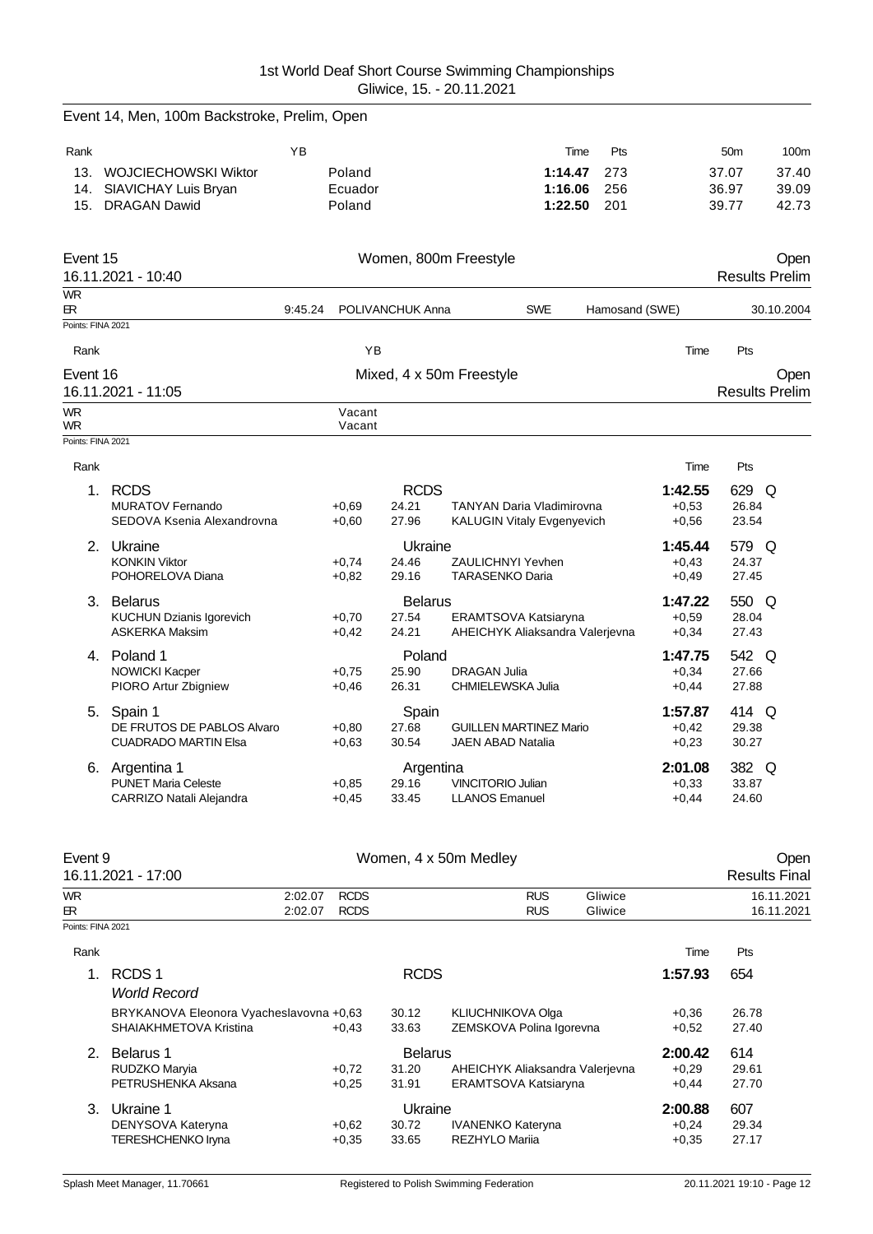|                   | Event 14, Men, 100m Backstroke, Prelim, Open             |         |                    |                  |                                          |                                                         |     |                    |                 |                       |
|-------------------|----------------------------------------------------------|---------|--------------------|------------------|------------------------------------------|---------------------------------------------------------|-----|--------------------|-----------------|-----------------------|
| Rank              |                                                          | YB      |                    |                  |                                          | Time                                                    | Pts |                    | 50 <sub>m</sub> | 100m                  |
|                   | 13. WOJCIECHOWSKI Wiktor                                 |         | Poland             |                  |                                          | 1:14.47                                                 | 273 |                    | 37.07           | 37.40                 |
| 14.               | SIAVICHAY Luis Bryan                                     |         | Ecuador            |                  |                                          | 1:16.06                                                 | 256 |                    | 36.97           | 39.09                 |
| 15.               | <b>DRAGAN Dawid</b>                                      |         | Poland             |                  |                                          | 1:22.50                                                 | 201 |                    | 39.77           | 42.73                 |
| Event 15          |                                                          |         |                    |                  | Women, 800m Freestyle                    |                                                         |     |                    |                 | Open                  |
|                   | 16.11.2021 - 10:40                                       |         |                    |                  |                                          |                                                         |     |                    |                 | <b>Results Prelim</b> |
| <b>WR</b><br>БR.  |                                                          | 9:45.24 |                    | POLIVANCHUK Anna |                                          | <b>SWE</b>                                              |     | Hamosand (SWE)     |                 | 30.10.2004            |
| Points: FINA 2021 |                                                          |         |                    |                  |                                          |                                                         |     |                    |                 |                       |
| Rank              |                                                          |         | YB                 |                  |                                          |                                                         |     | Time               | Pts             |                       |
| Event 16          |                                                          |         |                    |                  | Mixed, 4 x 50m Freestyle                 |                                                         |     |                    |                 | Open                  |
|                   | 16.11.2021 - 11:05                                       |         |                    |                  |                                          |                                                         |     |                    |                 | <b>Results Prelim</b> |
| <b>WR</b><br>WR.  |                                                          |         | Vacant<br>Vacant   |                  |                                          |                                                         |     |                    |                 |                       |
| Points: FINA 2021 |                                                          |         |                    |                  |                                          |                                                         |     |                    |                 |                       |
| Rank              |                                                          |         |                    |                  |                                          |                                                         |     | Time               | Pts             |                       |
|                   | 1. RCDS                                                  |         |                    | <b>RCDS</b>      |                                          |                                                         |     | 1:42.55            | 629 Q           |                       |
|                   | <b>MURATOV Fernando</b>                                  |         | $+0.69$            | 24.21            |                                          | <b>TANYAN Daria Vladimirovna</b>                        |     | $+0.53$            | 26.84           |                       |
|                   | SEDOVA Ksenia Alexandrovna                               |         | $+0.60$            | 27.96            |                                          | <b>KALUGIN Vitaly Evgenyevich</b>                       |     | $+0.56$            | 23.54           |                       |
|                   | 2. Ukraine                                               |         |                    | Ukraine          |                                          |                                                         |     | 1:45.44            | 579 Q           |                       |
|                   | <b>KONKIN Viktor</b>                                     |         | $+0.74$            | 24.46            | <b>ZAULICHNYI Yevhen</b>                 |                                                         |     | $+0.43$            | 24.37           |                       |
|                   | POHORELOVA Diana                                         |         | $+0,82$            | 29.16            | <b>TARASENKO Daria</b>                   |                                                         |     | $+0,49$            | 27.45           |                       |
|                   | 3. Belarus                                               |         |                    | <b>Belarus</b>   |                                          |                                                         |     | 1:47.22            | 550 Q           |                       |
|                   | <b>KUCHUN Dzianis Igorevich</b><br><b>ASKERKA Maksim</b> |         | $+0,70$            | 27.54<br>24.21   |                                          | ERAMTSOVA Katsiaryna<br>AHEICHYK Aliaksandra Valerjevna |     | $+0.59$            | 28.04<br>27.43  |                       |
|                   |                                                          |         | $+0,42$            |                  |                                          |                                                         |     | $+0,34$            |                 |                       |
|                   | 4. Poland 1                                              |         |                    | Poland           |                                          |                                                         |     | 1:47.75            | 542 Q           |                       |
|                   | <b>NOWICKI Kacper</b><br>PIORO Artur Zbigniew            |         | $+0.75$<br>$+0.46$ | 25.90<br>26.31   | <b>DRAGAN Julia</b><br>CHMIELEWSKA Julia |                                                         |     | $+0,34$<br>$+0,44$ | 27.66<br>27.88  |                       |
|                   |                                                          |         |                    |                  |                                          |                                                         |     |                    |                 |                       |
|                   | 5. Spain 1<br>DE FRUTOS DE PABLOS Alvaro                 |         | $+0.80$            | Spain<br>27.68   |                                          | <b>GUILLEN MARTINEZ Mario</b>                           |     | 1:57.87<br>$+0,42$ | 414 Q<br>29.38  |                       |
|                   | <b>CUADRADO MARTIN Elsa</b>                              |         | $+0,63$            | 30.54            | <b>JAEN ABAD Natalia</b>                 |                                                         |     | $+0,23$            | 30.27           |                       |
|                   | 6. Argentina 1                                           |         |                    | Argentina        |                                          |                                                         |     | 2:01.08            | 382 Q           |                       |
|                   | <b>PUNET Maria Celeste</b>                               |         | $+0.85$            | 29.16            | <b>VINCITORIO Julian</b>                 |                                                         |     | $+0.33$            | 33.87           |                       |
|                   | CARRIZO Natali Alejandra                                 |         | $+0.45$            | 33.45            | <b>LLANOS Emanuel</b>                    |                                                         |     | $+0,44$            | 24.60           |                       |
|                   |                                                          |         |                    |                  |                                          |                                                         |     |                    |                 |                       |

| Event 9           | 16.11.2021 - 17:00                      |             |                | Women, 4 x 50m Medley           |         |         | Oper<br><b>Results Final</b> |  |
|-------------------|-----------------------------------------|-------------|----------------|---------------------------------|---------|---------|------------------------------|--|
| WR.               | 2:02.07                                 | <b>RCDS</b> |                | <b>RUS</b>                      | Gliwice |         | 16.11.2021                   |  |
| ЕR.               | 2:02.07                                 | <b>RCDS</b> |                | <b>RUS</b>                      | Gliwice |         | 16.11.2021                   |  |
| Points: FINA 2021 |                                         |             |                |                                 |         |         |                              |  |
| Rank              |                                         |             |                |                                 |         | Time    | Pts                          |  |
| $\mathbf 1$ .     | RCDS <sub>1</sub>                       |             | <b>RCDS</b>    |                                 |         | 1:57.93 | 654                          |  |
|                   | <b>World Record</b>                     |             |                |                                 |         |         |                              |  |
|                   | BRYKANOVA Eleonora Vyacheslavovna +0,63 |             | 30.12          | KLIUCHNIKOVA Olga               |         | $+0,36$ | 26.78                        |  |
|                   | SHAIAKHMETOVA Kristina                  | $+0.43$     | 33.63          | ZEMSKOVA Polina Igorevna        |         | $+0.52$ | 27.40                        |  |
| 2.                | Belarus 1                               |             | <b>Belarus</b> |                                 |         | 2:00.42 | 614                          |  |
|                   | RUDZKO Maryia                           | $+0.72$     | 31.20          | AHEICHYK Aliaksandra Valerjevna |         | $+0.29$ | 29.61                        |  |
|                   | PETRUSHENKA Aksana                      | $+0.25$     | 31.91          | ERAMTSOVA Katsiaryna            |         | $+0,44$ | 27.70                        |  |
| 3.                | Ukraine 1                               |             | Ukraine        |                                 |         | 2:00.88 | 607                          |  |
|                   | DENYSOVA Kateryna                       | $+0,62$     | 30.72          | <b>IVANENKO Kateryna</b>        |         | $+0,24$ | 29.34                        |  |
|                   | TERESHCHENKO Iryna                      | $+0,35$     | 33.65          | REZHYLO Marija                  |         | $+0.35$ | 27.17                        |  |
|                   |                                         |             |                |                                 |         |         |                              |  |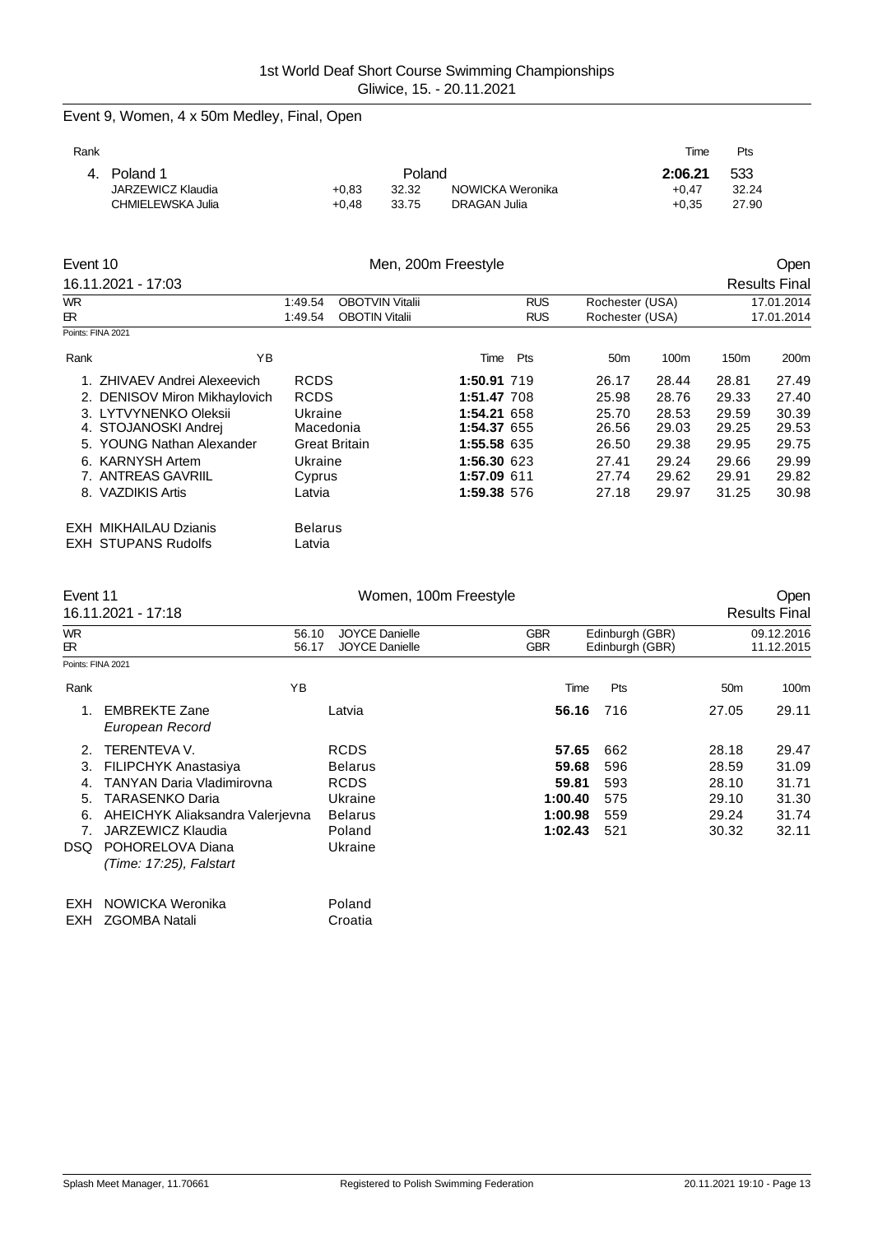| Event 9, Women, 4 x 50m Medley, Final, Open |  |  |  |  |  |
|---------------------------------------------|--|--|--|--|--|
|---------------------------------------------|--|--|--|--|--|

| Rank |                   |         |        |                  | Time    | Pts   |
|------|-------------------|---------|--------|------------------|---------|-------|
|      | 4. Poland 1       |         | Poland |                  | 2:06.21 | -533  |
|      | JARZEWICZ Klaudia | $+0.83$ | 32.32  | NOWICKA Weronika | $+0.47$ | 32.24 |
|      | CHMIELEWSKA Julia | $+0.48$ | 33.75  | DRAGAN Julia     | $+0.35$ | 27.90 |
|      |                   |         |        |                  |         |       |

| Event 10  |                               | Men, 200m Freestyle |                        |             |            |                 |       |                          | Open                 |
|-----------|-------------------------------|---------------------|------------------------|-------------|------------|-----------------|-------|--------------------------|----------------------|
|           | 16.11.2021 - 17:03            |                     |                        |             |            |                 |       |                          | <b>Results Final</b> |
| <b>WR</b> |                               | 1:49.54             | <b>OBOTVIN Vitalii</b> |             | <b>RUS</b> | Rochester (USA) |       | 17.01.2014<br>17.01.2014 |                      |
| ER        |                               | 1:49.54             | <b>OBOTIN Vitalii</b>  |             | <b>RUS</b> | Rochester (USA) |       |                          |                      |
|           | Points: FINA 2021             |                     |                        |             |            |                 |       |                          |                      |
| Rank      | ΥB                            |                     |                        | Time        | Pts        | 50 <sub>m</sub> | 100m  | 150m                     | 200m                 |
|           | 1. ZHIVAEV Andrei Alexeevich  | <b>RCDS</b>         |                        | 1:50.91 719 |            | 26.17           | 28.44 | 28.81                    | 27.49                |
|           | 2. DENISOV Miron Mikhaylovich | <b>RCDS</b>         |                        | 1:51.47 708 |            | 25.98           | 28.76 | 29.33                    | 27.40                |
|           | 3. LYTVYNENKO Oleksii         | Ukraine             |                        | 1:54.21 658 |            | 25.70           | 28.53 | 29.59                    | 30.39                |
|           | 4. STOJANOSKI Andrej          | Macedonia           |                        | 1:54.37 655 |            | 26.56           | 29.03 | 29.25                    | 29.53                |
|           | 5. YOUNG Nathan Alexander     |                     | Great Britain          | 1:55.58 635 |            | 26.50           | 29.38 | 29.95                    | 29.75                |
|           | 6. KARNYSH Artem              | Ukraine             |                        | 1:56.30 623 |            | 27.41           | 29.24 | 29.66                    | 29.99                |
|           | 7. ANTREAS GAVRIIL            | Cyprus              |                        | 1:57.09 611 |            | 27.74           | 29.62 | 29.91                    | 29.82                |
|           | 8. VAZDIKIS Artis             | Latvia              |                        | 1:59.38 576 |            | 27.18           | 29.97 | 31.25                    | 30.98                |
|           | <b>EXH MIKHAILAU Dzianis</b>  | <b>Belarus</b>      |                        |             |            |                 |       |                          |                      |
|           | <b>EXH STUPANS Rudolfs</b>    | Latvia              |                        |             |            |                 |       |                          |                      |

| Event 11                                |                                                                                                                                                                                                                  | Women, 100m Freestyle                                                                          |                                                          |                                        |                                                    | Open                                               |
|-----------------------------------------|------------------------------------------------------------------------------------------------------------------------------------------------------------------------------------------------------------------|------------------------------------------------------------------------------------------------|----------------------------------------------------------|----------------------------------------|----------------------------------------------------|----------------------------------------------------|
|                                         | 16.11.2021 - 17:18                                                                                                                                                                                               |                                                                                                |                                                          |                                        |                                                    | <b>Results Final</b>                               |
| <b>WR</b><br>ЕR                         | 56.10<br>56.17                                                                                                                                                                                                   | <b>JOYCE Danielle</b><br><b>JOYCE Danielle</b>                                                 | <b>GBR</b><br><b>GBR</b>                                 | Edinburgh (GBR)<br>Edinburgh (GBR)     |                                                    | 09.12.2016<br>11.12.2015                           |
| Points: FINA 2021                       |                                                                                                                                                                                                                  |                                                                                                |                                                          |                                        |                                                    |                                                    |
| Rank                                    | YB                                                                                                                                                                                                               |                                                                                                | Time                                                     | Pts                                    | 50 <sub>m</sub>                                    | 100m                                               |
| 1.                                      | <b>EMBREKTE Zane</b><br>European Record                                                                                                                                                                          | Latvia                                                                                         | 56.16                                                    | 716                                    | 27.05                                              | 29.11                                              |
| 2<br>3.<br>4.<br>5.<br>6.<br>7.<br>DSQ. | <b>TERENTEVA V.</b><br><b>FILIPCHYK Anastasiya</b><br>TANYAN Daria Vladimirovna<br>TARASENKO Daria<br>AHEICHYK Aliaksandra Valerievna<br><b>JARZEWICZ Klaudia</b><br>POHORELOVA Diana<br>(Time: 17:25), Falstart | <b>RCDS</b><br><b>Belarus</b><br><b>RCDS</b><br>Ukraine<br><b>Belarus</b><br>Poland<br>Ukraine | 57.65<br>59.68<br>59.81<br>1:00.40<br>1:00.98<br>1:02.43 | 662<br>596<br>593<br>575<br>559<br>521 | 28.18<br>28.59<br>28.10<br>29.10<br>29.24<br>30.32 | 29.47<br>31.09<br>31.71<br>31.30<br>31.74<br>32.11 |
| EXH<br>EXH                              | NOWICKA Weronika<br><b>ZGOMBA Natali</b>                                                                                                                                                                         | Poland<br>Croatia                                                                              |                                                          |                                        |                                                    |                                                    |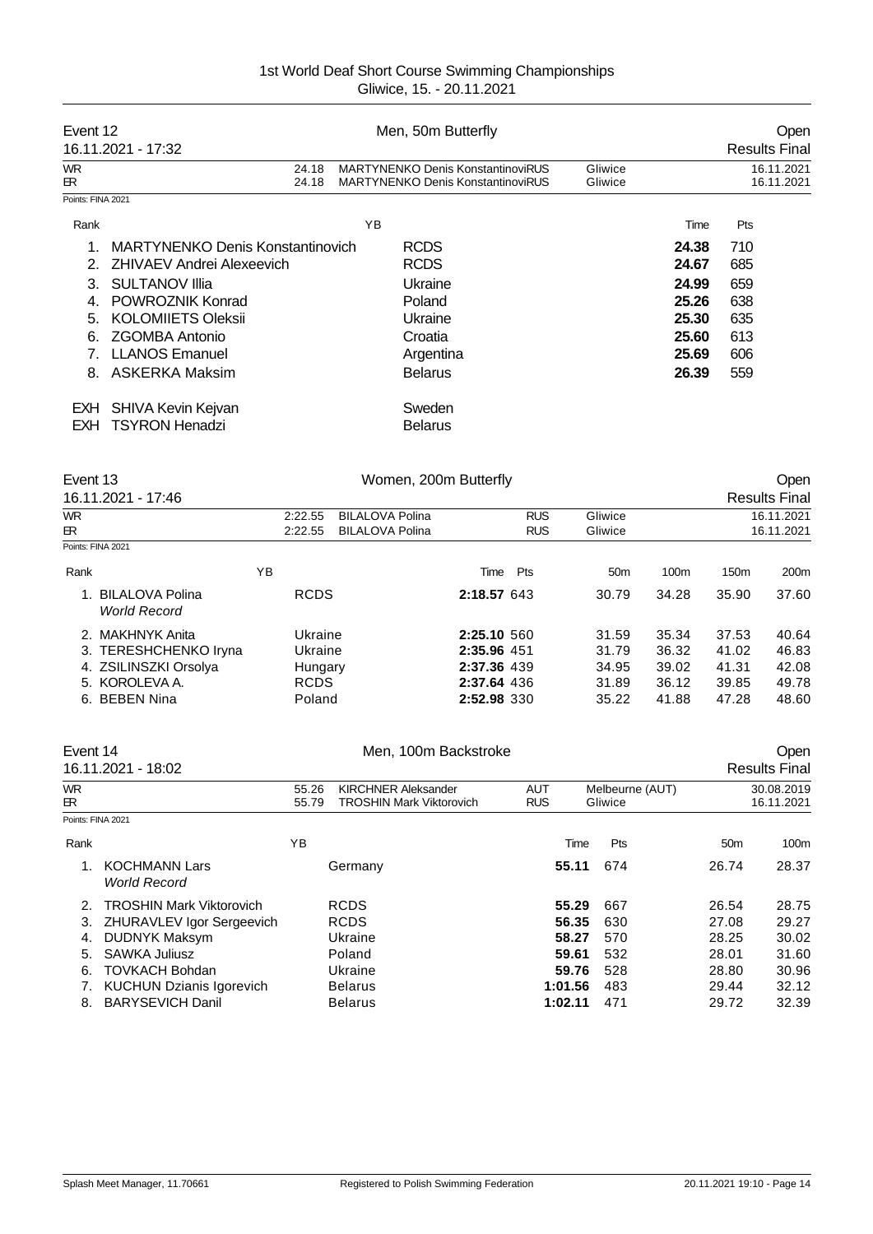| Event 12          | 16.11.2021 - 17:32                      |                | Men, 50m Butterfly                                                                   |                    |       | Open<br><b>Results Final</b> |
|-------------------|-----------------------------------------|----------------|--------------------------------------------------------------------------------------|--------------------|-------|------------------------------|
| <b>WR</b><br>ЕR.  |                                         | 24.18<br>24.18 | <b>MARTYNENKO Denis KonstantinoviRUS</b><br><b>MARTYNENKO Denis KonstantinoviRUS</b> | Gliwice<br>Gliwice |       | 16.11.2021<br>16.11.2021     |
| Points: FINA 2021 |                                         |                |                                                                                      |                    |       |                              |
| Rank              |                                         |                | YB                                                                                   |                    | Time  | Pts                          |
|                   | <b>MARTYNENKO Denis Konstantinovich</b> |                | <b>RCDS</b>                                                                          |                    | 24.38 | 710                          |
| 2.                | ZHIVAEV Andrei Alexeevich               |                | <b>RCDS</b>                                                                          |                    | 24.67 | 685                          |
| 3.                | <b>SULTANOV IIIia</b>                   |                | Ukraine                                                                              |                    | 24.99 | 659                          |
| 4.                | POWROZNIK Konrad                        |                | Poland                                                                               |                    | 25.26 | 638                          |
| 5.                | <b>KOLOMIIETS Oleksii</b>               |                | Ukraine                                                                              |                    | 25.30 | 635                          |
| 6.                | ZGOMBA Antonio                          |                | Croatia                                                                              |                    | 25.60 | 613                          |
| 7.                | <b>LLANOS Emanuel</b>                   |                | Argentina                                                                            |                    | 25.69 | 606                          |
| 8.                | ASKERKA Maksim                          |                | <b>Belarus</b>                                                                       |                    | 26.39 | 559                          |
|                   | EXH SHIVA Kevin Kejvan                  |                | Sweden                                                                               |                    |       |                              |
| EXH.              | <b>TSYRON Henadzi</b>                   |                | <b>Belarus</b>                                                                       |                    |       |                              |

|                    | Event 13                                      |    |                    | Women, 200m Butterfly                            |             |                          |                    |       |                  | Open                 |  |  |  |
|--------------------|-----------------------------------------------|----|--------------------|--------------------------------------------------|-------------|--------------------------|--------------------|-------|------------------|----------------------|--|--|--|
| 16.11.2021 - 17:46 |                                               |    |                    |                                                  |             |                          |                    |       |                  | <b>Results Final</b> |  |  |  |
| <b>WR</b><br>ЕR.   |                                               |    | 2:22.55<br>2:22.55 | <b>BILALOVA Polina</b><br><b>BILALOVA Polina</b> |             | <b>RUS</b><br><b>RUS</b> | Gliwice<br>Gliwice |       |                  |                      |  |  |  |
|                    | Points: FINA 2021                             |    |                    |                                                  |             |                          |                    |       |                  |                      |  |  |  |
| Rank               |                                               | ΥB |                    |                                                  | Time        | Pts                      | 50 <sub>m</sub>    | 100m  | 150 <sub>m</sub> | 200 <sub>m</sub>     |  |  |  |
|                    | <b>BILALOVA Polina</b><br><b>World Record</b> |    | <b>RCDS</b>        |                                                  | 2:18.57 643 |                          | 30.79              | 34.28 | 35.90            | 37.60                |  |  |  |
|                    | 2. MAKHNYK Anita                              |    | Ukraine            |                                                  | 2:25.10 560 |                          | 31.59              | 35.34 | 37.53            | 40.64                |  |  |  |
|                    | 3. TERESHCHENKO Iryna                         |    | Ukraine            |                                                  | 2:35.96 451 |                          | 31.79              | 36.32 | 41.02            | 46.83                |  |  |  |
|                    | 4. ZSILINSZKI Orsolya                         |    | Hungary            |                                                  | 2:37.36 439 |                          | 34.95              | 39.02 | 41.31            | 42.08                |  |  |  |
|                    | 5. KOROLEVA A.                                |    | <b>RCDS</b>        |                                                  | 2:37.64 436 |                          | 31.89              | 36.12 | 39.85            | 49.78                |  |  |  |
|                    | 6. BEBEN Nina                                 |    | Poland             |                                                  | 2:52.98 330 |                          | 35.22              | 41.88 | 47.28            | 48.60                |  |  |  |

| Event 14          | 16.11.2021 - 18:02                                           |                | Men, 100m Backstroke                                          |                          |                            |                 | Open<br><b>Results Final</b> |
|-------------------|--------------------------------------------------------------|----------------|---------------------------------------------------------------|--------------------------|----------------------------|-----------------|------------------------------|
| WR.<br>ЕR.        |                                                              | 55.26<br>55.79 | <b>KIRCHNER Aleksander</b><br><b>TROSHIN Mark Viktorovich</b> | <b>AUT</b><br><b>RUS</b> | Melbeurne (AUT)<br>Gliwice |                 | 30.08.2019<br>16.11.2021     |
| Points: FINA 2021 |                                                              |                |                                                               |                          |                            |                 |                              |
| Rank              |                                                              | YB             |                                                               | Time                     | Pts                        | 50 <sub>m</sub> | 100m                         |
|                   | <b>KOCHMANN Lars</b><br><b>World Record</b>                  |                | Germany                                                       | 55.11                    | 674                        | 26.74           | 28.37                        |
| 2.<br>З.          | <b>TROSHIN Mark Viktorovich</b><br>ZHURAVLEV Igor Sergeevich |                | <b>RCDS</b><br><b>RCDS</b>                                    | 55.29<br>56.35           | 667<br>630                 | 26.54<br>27.08  | 28.75<br>29.27               |
| 4.                | <b>DUDNYK Maksym</b>                                         |                | Ukraine                                                       | 58.27                    | 570                        | 28.25           | 30.02                        |
| 5.                | SAWKA Juliusz                                                |                | Poland                                                        | 59.61                    | 532                        | 28.01           | 31.60                        |
| 6.                | <b>TOVKACH Bohdan</b>                                        |                | Ukraine                                                       | 59.76                    | 528                        | 28.80           | 30.96                        |
|                   | <b>KUCHUN Dzianis Igorevich</b>                              |                | <b>Belarus</b>                                                | 1:01.56                  | 483                        | 29.44           | 32.12                        |
| 8.                | <b>BARYSEVICH Danil</b>                                      |                | <b>Belarus</b>                                                | 1:02.11                  | 471                        | 29.72           | 32.39                        |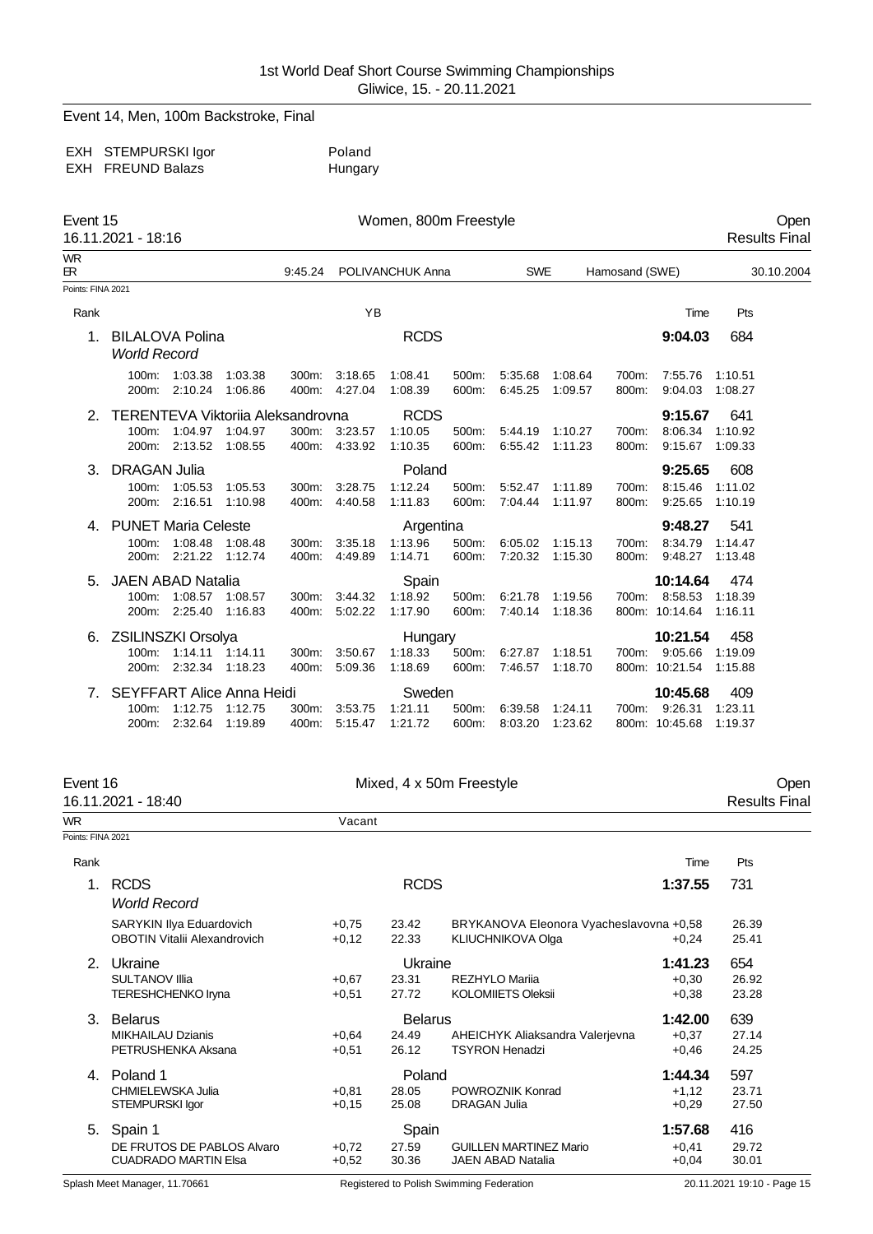Event 14, Men, 100m Backstroke, Final

EXH STEMPURSKI Igor Poland<br>EXH FREUND Balazs Particle Hungary EXH FREUND Balazs

| Event 15<br>16.11.2021 - 18:16 |                                               |                       |                    |                | Women, 800m Freestyle |                    |                |                    |                    |                |                    | Open<br><b>Results Final</b> |            |
|--------------------------------|-----------------------------------------------|-----------------------|--------------------|----------------|-----------------------|--------------------|----------------|--------------------|--------------------|----------------|--------------------|------------------------------|------------|
| <b>WR</b><br>ЕR.               |                                               |                       |                    | 9:45.24        |                       | POLIVANCHUK Anna   |                | <b>SWE</b>         |                    | Hamosand (SWE) |                    |                              | 30.10.2004 |
| Points: FINA 2021              |                                               |                       |                    |                |                       |                    |                |                    |                    |                |                    |                              |            |
| Rank                           |                                               |                       |                    |                | <b>YB</b>             |                    |                |                    |                    |                | Time               | Pts                          |            |
| 1.                             | <b>BILALOVA Polina</b><br><b>World Record</b> |                       |                    |                |                       | <b>RCDS</b>        |                |                    |                    |                | 9:04.03            | 684                          |            |
|                                | 100m:<br>200m:                                | 1:03.38<br>2:10.24    | 1:03.38<br>1:06.86 | 300m:<br>400m: | 3:18.65<br>4:27.04    | 1:08.41<br>1:08.39 | 500m:<br>600m: | 5:35.68<br>6:45.25 | 1:08.64<br>1:09.57 | 700m:<br>800m: | 7:55.76<br>9:04.03 | 1:10.51<br>1:08.27           |            |
|                                | TERENTEVA Viktoriia Aleksandrovna             |                       |                    |                |                       | <b>RCDS</b>        |                |                    |                    |                | 9:15.67            | 641                          |            |
|                                | 100m:                                         | 1:04.97               | 1:04.97            | 300m:          | 3:23.57               | 1:10.05            | 500m:          | 5:44.19            | 1:10.27            | 700m:          | 8:06.34            | 1:10.92                      |            |
|                                | 200m:                                         | 2:13.52               | 1:08.55            |                | 400m: 4:33.92         | 1:10.35            | 600m:          | 6:55.42            | 1:11.23            | 800m:          | 9:15.67            | 1:09.33                      |            |
| 3.                             | <b>DRAGAN Julia</b>                           |                       |                    |                |                       | Poland             |                |                    |                    |                | 9:25.65            | 608                          |            |
|                                | 100m:                                         | 1:05.53               | 1:05.53            | 300m:          | 3:28.75               | 1:12.24            | 500m:          | 5:52.47            | 1:11.89            | 700m:          | 8:15.46            | 1:11.02                      |            |
|                                | 200m:                                         | 2:16.51               | 1:10.98            | 400m:          | 4:40.58               | 1:11.83            | 600m:          | 7:04.44            | 1:11.97            | 800m:          | 9:25.65            | 1:10.19                      |            |
| 4.                             | <b>PUNET Maria Celeste</b>                    |                       |                    |                |                       | Argentina          |                |                    |                    |                | 9:48.27            | 541                          |            |
|                                | 100m:                                         | 1:08.48 1:08.48       |                    | 300m:          | 3:35.18               | 1:13.96            | 500m:          | 6:05.02            | 1:15.13            | 700m:          | 8:34.79            | 1:14.47                      |            |
|                                | 200m:                                         | 2:21.22 1:12.74       |                    | 400m:          | 4:49.89               | 1:14.71            | 600m:          | 7:20.32            | 1:15.30            | 800m:          | 9:48.27            | 1:13.48                      |            |
| 5.                             | <b>JAEN ABAD Natalia</b>                      |                       |                    |                |                       | Spain              |                |                    |                    |                | 10:14.64           | 474                          |            |
|                                |                                               | 100m: 1:08.57 1:08.57 |                    | 300m:          | 3:44.32               | 1:18.92            | 500m:          | 6:21.78            | 1:19.56            |                | 700m: 8:58.53      | 1:18.39                      |            |
|                                |                                               | 200m: 2:25.40         | 1:16.83            | 400m:          | 5:02.22               | 1:17.90            | 600m:          | 7:40.14            | 1:18.36            |                | 800m: 10:14.64     | 1:16.11                      |            |
| 6.                             | ZSILINSZKI Orsolya                            |                       |                    |                |                       | Hungary            |                |                    |                    |                | 10:21.54           | 458                          |            |
|                                |                                               | 100m: 1:14.11 1:14.11 |                    | 300m:          | 3:50.67               | 1:18.33            | 500m:          | 6:27.87            | 1:18.51            |                | 700m: 9:05.66      | 1:19.09                      |            |
|                                | 200m:                                         | 2:32.34 1:18.23       |                    | 400m:          | 5:09.36               | 1:18.69            | 600m:          | 7:46.57            | 1:18.70            |                | 800m: 10:21.54     | 1:15.88                      |            |
| 7.                             | <b>SEYFFART Alice Anna Heidi</b>              |                       |                    |                |                       | Sweden             |                |                    |                    |                | 10:45.68           | 409                          |            |
|                                | 100m:                                         | 1:12.75               | 1:12.75            | 300m:          | 3:53.75               | 1:21.11            | 500m:          | 6:39.58            | 1:24.11            | 700m:          | 9:26.31            | 1:23.11                      |            |
|                                |                                               | 200m: 2:32.64         | 1:19.89            | 400m:          | 5:15.47               | 1:21.72            | 600m:          | 8:03.20            | 1:23.62            |                | 800m: 10:45.68     | 1:19.37                      |            |

|                   | Event 16<br>16.11.2021 - 18:40                                  |                    | Mixed, 4 x 50m Freestyle |                                                                     |         |                |  |  |  |  |
|-------------------|-----------------------------------------------------------------|--------------------|--------------------------|---------------------------------------------------------------------|---------|----------------|--|--|--|--|
| <b>WR</b>         |                                                                 | Vacant             |                          |                                                                     |         |                |  |  |  |  |
| Points: FINA 2021 |                                                                 |                    |                          |                                                                     |         |                |  |  |  |  |
| Rank              |                                                                 |                    |                          |                                                                     | Time    | Pts            |  |  |  |  |
| 1.                | <b>RCDS</b><br><b>World Record</b>                              | <b>RCDS</b>        | 1:37.55                  | 731                                                                 |         |                |  |  |  |  |
|                   | SARYKIN Ilya Eduardovich<br><b>OBOTIN Vitalii Alexandrovich</b> | $+0,75$<br>$+0,12$ | 23.42<br>22.33           | BRYKANOVA Eleonora Vyacheslavovna +0,58<br><b>KLIUCHNIKOVA Olga</b> | $+0,24$ | 26.39<br>25.41 |  |  |  |  |
| 2.                | Ukraine                                                         |                    | Ukraine                  |                                                                     | 1:41.23 | 654            |  |  |  |  |
|                   | <b>SULTANOV Illia</b>                                           | $+0.67$            | 23.31                    | <b>REZHYLO Marija</b>                                               | $+0,30$ | 26.92          |  |  |  |  |
|                   | <b>TERESHCHENKO Iryna</b>                                       | $+0.51$            | 27.72                    | <b>KOLOMIIETS Oleksii</b>                                           | $+0.38$ | 23.28          |  |  |  |  |
| 3.                | <b>Belarus</b>                                                  |                    | <b>Belarus</b>           | 1:42.00                                                             | 639     |                |  |  |  |  |
|                   | <b>MIKHAILAU Dzianis</b>                                        | $+0.64$            | 24.49                    | AHEICHYK Aliaksandra Valerjevna                                     | $+0.37$ | 27.14          |  |  |  |  |
|                   | PETRUSHENKA Aksana                                              | $+0,51$            | 26.12                    | <b>TSYRON Henadzi</b>                                               | $+0,46$ | 24.25          |  |  |  |  |
| 4.                | Poland 1                                                        |                    | Poland                   |                                                                     | 1:44.34 | 597            |  |  |  |  |
|                   | CHMIELEWSKA Julia                                               | $+0.81$            | 28.05                    | POWROZNIK Konrad                                                    | $+1,12$ | 23.71          |  |  |  |  |
|                   | STEMPURSKI Igor                                                 | $+0,15$            | 25.08                    | <b>DRAGAN Julia</b>                                                 | $+0,29$ | 27.50          |  |  |  |  |
| 5.                | Spain 1                                                         |                    | Spain                    |                                                                     | 1:57.68 | 416            |  |  |  |  |
|                   | DE FRUTOS DE PABLOS Alvaro                                      | $+0.72$            | 27.59                    | <b>GUILLEN MARTINEZ Mario</b>                                       | $+0.41$ | 29.72          |  |  |  |  |
|                   | <b>CUADRADO MARTIN Elsa</b>                                     | $+0,52$            | 30.36                    | <b>JAEN ABAD Natalia</b>                                            | $+0,04$ | 30.01          |  |  |  |  |

Splash Meet Manager, 11.70661 Registered to Polish Swimming Federation 20.11.2021 19:10 - Page 15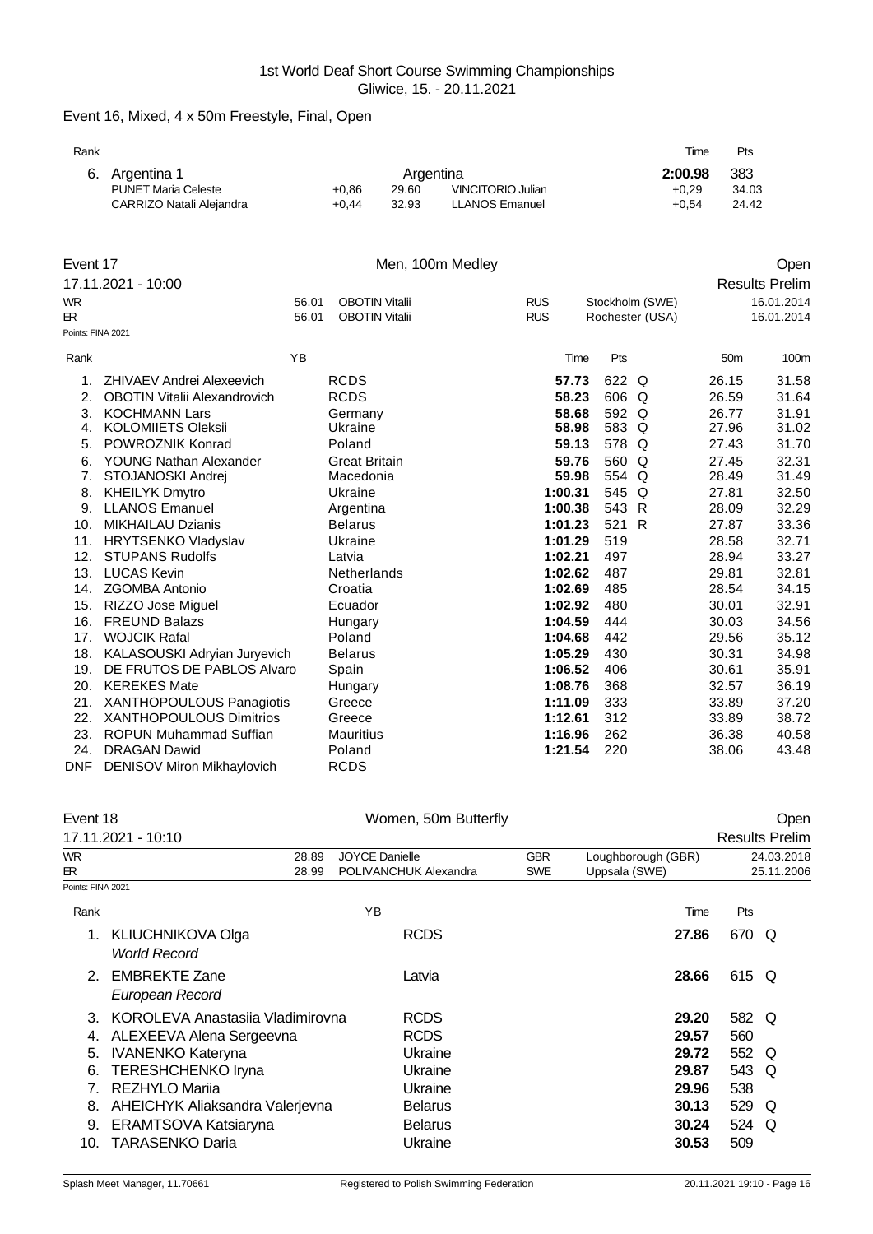# Event 16, Mixed, 4 x 50m Freestyle, Final, Open

| .<br>× |
|--------|
|--------|

|                            |                |       |                          | Time      | Pts   |
|----------------------------|----------------|-------|--------------------------|-----------|-------|
|                            |                |       |                          | 2:00.98   | 383   |
| <b>PUNET Maria Celeste</b> | $+0.86$        | 29.60 | <b>VINCITORIO Julian</b> | $+0.29$   | 34.03 |
| CARRIZO Natali Alejandra   | $+0.44$        | 32.93 | <b>LLANOS Emanuel</b>    | $+0.54$   | 24.42 |
|                            | 6. Argentina 1 |       |                          | Argentina |       |

| Event 17          |                                     | Men, 100m Medley                               |                          |                                    |                 | Open                     |
|-------------------|-------------------------------------|------------------------------------------------|--------------------------|------------------------------------|-----------------|--------------------------|
|                   | 17.11.2021 - 10:00                  |                                                |                          |                                    |                 | <b>Results Prelim</b>    |
| <b>WR</b><br>ЕR.  | 56.01<br>56.01                      | <b>OBOTIN Vitalii</b><br><b>OBOTIN Vitalii</b> | <b>RUS</b><br><b>RUS</b> | Stockholm (SWE)<br>Rochester (USA) |                 | 16.01.2014<br>16.01.2014 |
| Points: FINA 2021 |                                     |                                                |                          |                                    |                 |                          |
| Rank              | YB                                  |                                                | Time                     | Pts                                | 50 <sub>m</sub> | 100m                     |
| 1.                | ZHIVAEV Andrei Alexeevich           | <b>RCDS</b>                                    | 57.73                    | 622 Q                              | 26.15           | 31.58                    |
| 2.                | <b>OBOTIN Vitalii Alexandrovich</b> | <b>RCDS</b>                                    | 58.23                    | 606 Q                              | 26.59           | 31.64                    |
| 3.                | <b>KOCHMANN Lars</b>                | Germany                                        | 58.68                    | 592 Q                              | 26.77           | 31.91                    |
| 4.                | <b>KOLOMIIETS Oleksii</b>           | Ukraine                                        | 58.98                    | 583 Q                              | 27.96           | 31.02                    |
| 5.                | POWROZNIK Konrad                    | Poland                                         | 59.13                    | 578 Q                              | 27.43           | 31.70                    |
| 6.                | YOUNG Nathan Alexander              | <b>Great Britain</b>                           | 59.76                    | 560 Q                              | 27.45           | 32.31                    |
| 7.                | STOJANOSKI Andrej                   | Macedonia                                      | 59.98                    | 554 Q                              | 28.49           | 31.49                    |
| 8.                | <b>KHEILYK Dmytro</b>               | Ukraine                                        | 1:00.31                  | 545<br>Q                           | 27.81           | 32.50                    |
| 9.                | <b>LLANOS Emanuel</b>               | Argentina                                      | 1:00.38                  | 543 R                              | 28.09           | 32.29                    |
| 10.               | <b>MIKHAILAU Dzianis</b>            | <b>Belarus</b>                                 | 1:01.23                  | 521<br>R                           | 27.87           | 33.36                    |
| 11.               | <b>HRYTSENKO Vladyslav</b>          | Ukraine                                        | 1:01.29                  | 519                                | 28.58           | 32.71                    |
| 12.               | <b>STUPANS Rudolfs</b>              | Latvia                                         | 1:02.21                  | 497                                | 28.94           | 33.27                    |
| 13.               | <b>LUCAS Kevin</b>                  | Netherlands                                    | 1:02.62                  | 487                                | 29.81           | 32.81                    |
| 14.               | <b>ZGOMBA Antonio</b>               | Croatia                                        | 1:02.69                  | 485                                | 28.54           | 34.15                    |
| 15.               | RIZZO Jose Miguel                   | Ecuador                                        | 1:02.92                  | 480                                | 30.01           | 32.91                    |
| 16.               | <b>FREUND Balazs</b>                | Hungary                                        | 1:04.59                  | 444                                | 30.03           | 34.56                    |
| 17.               | <b>WOJCIK Rafal</b>                 | Poland                                         | 1:04.68                  | 442                                | 29.56           | 35.12                    |
| 18.               | KALASOUSKI Adryian Juryevich        | <b>Belarus</b>                                 | 1:05.29                  | 430                                | 30.31           | 34.98                    |
| 19.               | DE FRUTOS DE PABLOS Alvaro          | Spain                                          | 1:06.52                  | 406                                | 30.61           | 35.91                    |
| 20.               | <b>KEREKES Mate</b>                 | Hungary                                        | 1:08.76                  | 368                                | 32.57           | 36.19                    |
| 21.               | XANTHOPOULOUS Panagiotis            | Greece                                         | 1:11.09                  | 333                                | 33.89           | 37.20                    |
| 22.               | <b>XANTHOPOULOUS Dimitrios</b>      | Greece                                         | 1:12.61                  | 312                                | 33.89           | 38.72                    |
| 23.               | <b>ROPUN Muhammad Suffian</b>       | <b>Mauritius</b>                               | 1:16.96                  | 262                                | 36.38           | 40.58                    |
| 24.               | <b>DRAGAN Dawid</b>                 | Poland                                         | 1:21.54                  | 220                                | 38.06           | 43.48                    |
| <b>DNF</b>        | DENISOV Miron Mikhaylovich          | <b>RCDS</b>                                    |                          |                                    |                 |                          |

| Event 18          |                                  | Women, 50m Butterfly  |            |                    | Oper                  |  |
|-------------------|----------------------------------|-----------------------|------------|--------------------|-----------------------|--|
|                   | 17.11.2021 - 10:10               |                       |            |                    | <b>Results Prelim</b> |  |
| <b>WR</b>         | 28.89                            | <b>JOYCE Danielle</b> | <b>GBR</b> | Loughborough (GBR) | 24.03.2018            |  |
| ЕR.               | 28.99                            | POLIVANCHUK Alexandra | <b>SWE</b> | Uppsala (SWE)      | 25.11.2006            |  |
| Points: FINA 2021 |                                  |                       |            |                    |                       |  |
| Rank              |                                  | YB                    |            | Time               | Pts                   |  |
| 1.                | <b>KLIUCHNIKOVA Olga</b>         | <b>RCDS</b>           |            | 27.86              | 670 Q                 |  |
|                   | <b>World Record</b>              |                       |            |                    |                       |  |
| 2 <sup>1</sup>    | <b>EMBREKTE Zane</b>             | Latvia                |            | 28.66              | 615 Q                 |  |
|                   | European Record                  |                       |            |                    |                       |  |
| 3                 | KOROLEVA Anastasija Vladimirovna | <b>RCDS</b>           |            | 29.20              | 582 Q                 |  |
| 4.                | ALEXEEVA Alena Sergeevna         | <b>RCDS</b>           |            | 29.57              | 560                   |  |
| 5.                | <b>IVANENKO Kateryna</b>         | Ukraine               |            | 29.72              | 552 Q                 |  |
| 6.                | <b>TERESHCHENKO Iryna</b>        | Ukraine               |            | 29.87              | 543<br>O              |  |
|                   | REZHYLO Marija                   | Ukraine               |            | 29.96              | 538                   |  |
| 8.                | AHEICHYK Aliaksandra Valerjevna  | <b>Belarus</b>        |            | 30.13              | 529<br>Q              |  |
| 9.                | ERAMTSOVA Katsiaryna             | <b>Belarus</b>        |            | 30.24              | 524<br>O              |  |
| 10.               | <b>TARASENKO Daria</b>           | Ukraine               |            | 30.53              | 509                   |  |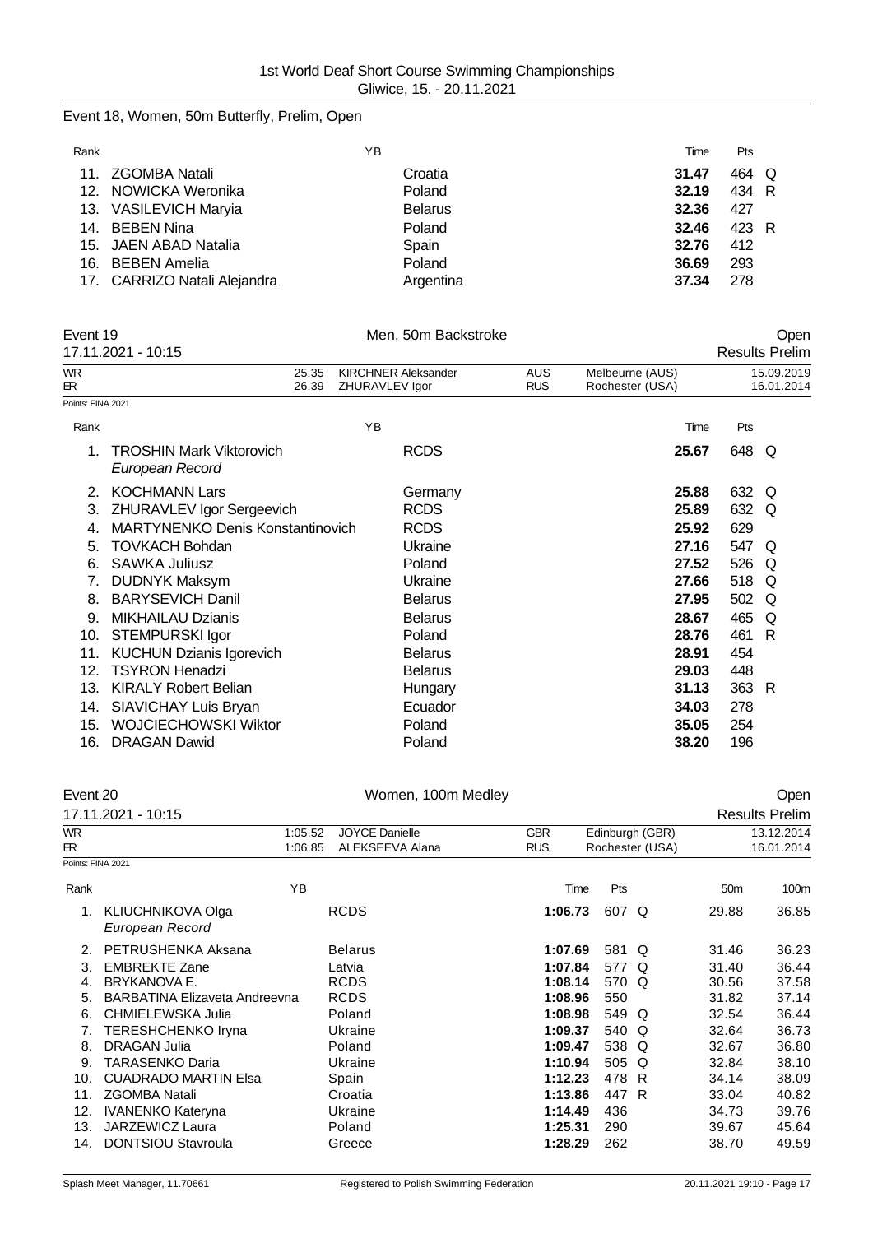# Event 18, Women, 50m Butterfly, Prelim, Open

| Rank |                              | ΥB             | Time  | Pts   |  |
|------|------------------------------|----------------|-------|-------|--|
|      | 11. ZGOMBA Natali            | Croatia        | 31.47 | 464 Q |  |
|      | 12. NOWICKA Weronika         | Poland         | 32.19 | 434 R |  |
|      | 13. VASILEVICH Maryia        | <b>Belarus</b> | 32.36 | 427   |  |
|      | 14. BEBEN Nina               | Poland         | 32.46 | 423 R |  |
|      | 15. JAEN ABAD Natalia        | Spain          | 32.76 | 412   |  |
|      | 16. BEBEN Amelia             | Poland         | 36.69 | 293   |  |
|      | 17. CARRIZO Natali Alejandra | Argentina      | 37.34 | 278   |  |

|                           | Event 19                                           |                |                                              | Men, 50m Backstroke |                   |                                    |       | Open                     |
|---------------------------|----------------------------------------------------|----------------|----------------------------------------------|---------------------|-------------------|------------------------------------|-------|--------------------------|
|                           | 17.11.2021 - 10:15                                 |                |                                              |                     |                   |                                    |       | <b>Results Prelim</b>    |
| <b>WR</b><br>$\mathbb{R}$ |                                                    | 25.35<br>26.39 | <b>KIRCHNER Aleksander</b><br>ZHURAVLEV Igor |                     | AUS<br><b>RUS</b> | Melbeurne (AUS)<br>Rochester (USA) |       | 15.09.2019<br>16.01.2014 |
| Points: FINA 2021         |                                                    |                |                                              |                     |                   |                                    |       |                          |
| Rank                      |                                                    |                | YB                                           |                     |                   | Time                               | Pts   |                          |
| 1.                        | <b>TROSHIN Mark Viktorovich</b><br>European Record |                |                                              | <b>RCDS</b>         |                   | 25.67                              | 648 Q |                          |
| 2.                        | <b>KOCHMANN Lars</b>                               |                |                                              | Germany             |                   | 25.88                              | 632   | O                        |
| 3.                        | ZHURAVLEV Igor Sergeevich                          |                |                                              | <b>RCDS</b>         |                   | 25.89                              | 632   | Q                        |
| 4.                        | MARTYNENKO Denis Konstantinovich                   |                |                                              | <b>RCDS</b>         |                   | 25.92                              | 629   |                          |
| 5.                        | <b>TOVKACH Bohdan</b>                              |                |                                              | Ukraine             |                   | 27.16                              | 547   | Q                        |
| 6.                        | SAWKA Juliusz                                      |                |                                              | Poland              |                   | 27.52                              | 526 Q |                          |
| 7.                        | <b>DUDNYK Maksym</b>                               |                |                                              | Ukraine             |                   | 27.66                              | 518   | Q                        |
| 8.                        | <b>BARYSEVICH Danil</b>                            |                |                                              | <b>Belarus</b>      |                   | 27.95                              | 502   | Q                        |
| 9.                        | <b>MIKHAILAU Dzianis</b>                           |                |                                              | <b>Belarus</b>      |                   | 28.67                              | 465   | Q                        |
| 10.                       | <b>STEMPURSKI Igor</b>                             |                |                                              | Poland              |                   | 28.76                              | 461   | R                        |
| 11.                       | <b>KUCHUN Dzianis Igorevich</b>                    |                |                                              | <b>Belarus</b>      |                   | 28.91                              | 454   |                          |
| 12.                       | <b>TSYRON Henadzi</b>                              |                |                                              | <b>Belarus</b>      |                   | 29.03                              | 448   |                          |
| 13.                       | <b>KIRALY Robert Belian</b>                        |                |                                              | Hungary             |                   | 31.13                              | 363 R |                          |
| 14.                       | SIAVICHAY Luis Bryan                               |                |                                              | Ecuador             |                   | 34.03                              | 278   |                          |
| 15.                       | <b>WOJCIECHOWSKI Wiktor</b>                        |                |                                              | Poland              |                   | 35.05                              | 254   |                          |
| 16.                       | <b>DRAGAN Dawid</b>                                |                |                                              | Poland              |                   | 38.20                              | 196   |                          |

| Event 20          |                                             | Women, 100m Medley    |            |                 |                 |                 | Open                  |
|-------------------|---------------------------------------------|-----------------------|------------|-----------------|-----------------|-----------------|-----------------------|
|                   | 17.11.2021 - 10:15                          |                       |            |                 |                 |                 | <b>Results Prelim</b> |
| <b>WR</b>         | 1:05.52                                     | <b>JOYCE Danielle</b> | <b>GBR</b> | Edinburgh (GBR) |                 | 13.12.2014      |                       |
| ER                | 1:06.85                                     | ALEKSEEVA Alana       | <b>RUS</b> |                 | Rochester (USA) |                 | 16.01.2014            |
| Points: FINA 2021 |                                             |                       |            |                 |                 |                 |                       |
| Rank              | YB                                          |                       | Time       | Pts             |                 | 50 <sub>m</sub> | 100m                  |
|                   | <b>KLIUCHNIKOVA Olga</b><br>European Record | <b>RCDS</b>           | 1:06.73    | 607 Q           |                 | 29.88           | 36.85                 |
| 2.                | PETRUSHENKA Aksana                          | <b>Belarus</b>        | 1:07.69    | 581 Q           |                 | 31.46           | 36.23                 |
| 3.                | <b>EMBREKTE Zane</b>                        | Latvia                | 1:07.84    | 577 Q           |                 | 31.40           | 36.44                 |
| 4.                | <b>BRYKANOVA E.</b>                         | <b>RCDS</b>           | 1:08.14    | 570 Q           |                 | 30.56           | 37.58                 |
| 5.                | <b>BARBATINA Elizaveta Andreevna</b>        | <b>RCDS</b>           | 1:08.96    | 550             |                 | 31.82           | 37.14                 |
| 6.                | CHMIELEWSKA Julia                           | Poland                | 1:08.98    | 549 Q           |                 | 32.54           | 36.44                 |
| 7.                | <b>TERESHCHENKO Iryna</b>                   | Ukraine               | 1:09.37    | 540 Q           |                 | 32.64           | 36.73                 |
| 8.                | <b>DRAGAN Julia</b>                         | Poland                | 1:09.47    | 538 Q           |                 | 32.67           | 36.80                 |
| 9.                | <b>TARASENKO Daria</b>                      | Ukraine               | 1:10.94    | 505 Q           |                 | 32.84           | 38.10                 |
| 10.               | <b>CUADRADO MARTIN Elsa</b>                 | Spain                 | 1:12.23    | 478 R           |                 | 34.14           | 38.09                 |
| 11.               | <b>ZGOMBA Natali</b>                        | Croatia               | 1:13.86    | 447 R           |                 | 33.04           | 40.82                 |
| 12.               | <b>IVANENKO Kateryna</b>                    | Ukraine               | 1:14.49    | 436             |                 | 34.73           | 39.76                 |
| 13.               | <b>JARZEWICZ Laura</b>                      | Poland                | 1:25.31    | 290             |                 | 39.67           | 45.64                 |
| 14.               | <b>DONTSIOU Stavroula</b>                   | Greece                | 1:28.29    | 262             |                 | 38.70           | 49.59                 |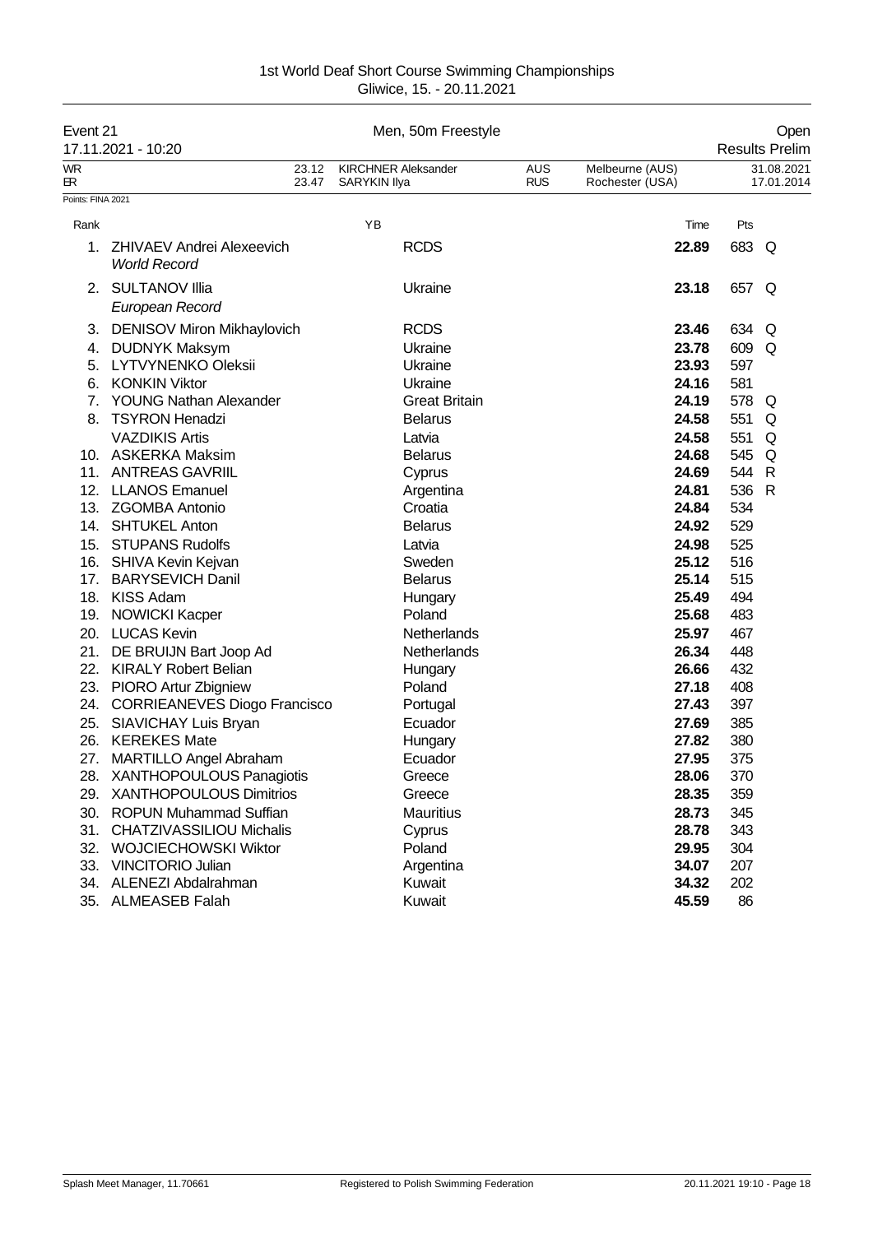|                   | Event 21<br>17.11.2021 - 10:20                          |                |              | Men, 50m Freestyle         | Open<br><b>Results Prelim</b> |                                    |       |                          |
|-------------------|---------------------------------------------------------|----------------|--------------|----------------------------|-------------------------------|------------------------------------|-------|--------------------------|
| <b>WR</b><br>БR.  |                                                         | 23.12<br>23.47 | SARYKIN Ilya | <b>KIRCHNER Aleksander</b> | <b>AUS</b><br><b>RUS</b>      | Melbeurne (AUS)<br>Rochester (USA) |       | 31.08.2021<br>17.01.2014 |
| Points: FINA 2021 |                                                         |                |              |                            |                               |                                    |       |                          |
| Rank              |                                                         |                | YB           |                            |                               | Time                               | Pts   |                          |
| 1.                | <b>ZHIVAEV Andrei Alexeevich</b><br><b>World Record</b> |                |              | <b>RCDS</b>                |                               | 22.89                              | 683 Q |                          |
|                   | 2. SULTANOV Illia<br>European Record                    |                |              | Ukraine                    |                               | 23.18                              | 657 Q |                          |
| 3.                | <b>DENISOV Miron Mikhaylovich</b>                       |                |              | <b>RCDS</b>                |                               | 23.46                              | 634   | Q                        |
| 4.                | <b>DUDNYK Maksym</b>                                    |                |              | Ukraine                    |                               | 23.78                              | 609   | Q                        |
| 5.                | <b>LYTVYNENKO Oleksii</b>                               |                |              | Ukraine                    |                               | 23.93                              | 597   |                          |
| 6.                | <b>KONKIN Viktor</b>                                    |                |              | Ukraine                    |                               | 24.16                              | 581   |                          |
| 7.                | <b>YOUNG Nathan Alexander</b>                           |                |              | <b>Great Britain</b>       |                               | 24.19                              | 578 Q |                          |
| 8.                | <b>TSYRON Henadzi</b>                                   |                |              | <b>Belarus</b>             |                               | 24.58                              | 551   | Q                        |
|                   | <b>VAZDIKIS Artis</b>                                   |                |              | Latvia                     |                               | 24.58                              | 551   | Q                        |
|                   | 10. ASKERKA Maksim                                      |                |              | <b>Belarus</b>             |                               | 24.68                              | 545   | Q                        |
|                   | 11. ANTREAS GAVRIIL                                     |                |              | Cyprus                     |                               | 24.69                              | 544   | $\mathsf{R}$             |
|                   | 12. LLANOS Emanuel                                      |                |              | Argentina                  |                               | 24.81                              | 536   | $\mathsf{R}$             |
|                   | 13. ZGOMBA Antonio                                      |                |              | Croatia                    |                               | 24.84                              | 534   |                          |
|                   | 14. SHTUKEL Anton                                       |                |              | <b>Belarus</b>             |                               | 24.92                              | 529   |                          |
|                   | 15. STUPANS Rudolfs                                     |                |              | Latvia                     |                               | 24.98                              | 525   |                          |
|                   | 16. SHIVA Kevin Kejvan                                  |                |              | Sweden                     |                               | 25.12                              | 516   |                          |
|                   | 17. BARYSEVICH Danil                                    |                |              | <b>Belarus</b>             |                               | 25.14                              | 515   |                          |
|                   | 18. KISS Adam                                           |                |              | Hungary                    |                               | 25.49                              | 494   |                          |
|                   | 19. NOWICKI Kacper                                      |                |              | Poland                     |                               | 25.68                              | 483   |                          |
|                   | 20. LUCAS Kevin                                         |                |              | Netherlands                |                               | 25.97                              | 467   |                          |
| 21.               | DE BRUIJN Bart Joop Ad                                  |                |              | Netherlands                |                               | 26.34                              | 448   |                          |
| 22.               | <b>KIRALY Robert Belian</b>                             |                |              | Hungary                    |                               | 26.66                              | 432   |                          |
| 23.               | <b>PIORO Artur Zbigniew</b>                             |                |              | Poland                     |                               | 27.18                              | 408   |                          |
| 24.               | <b>CORRIEANEVES Diogo Francisco</b>                     |                |              | Portugal                   |                               | 27.43                              | 397   |                          |
| 25.               | <b>SIAVICHAY Luis Bryan</b>                             |                |              | Ecuador                    |                               | 27.69                              | 385   |                          |
| 26.               | <b>KEREKES Mate</b>                                     |                |              | Hungary                    |                               | 27.82                              | 380   |                          |
| 27.               | <b>MARTILLO Angel Abraham</b>                           |                |              | Ecuador                    |                               | 27.95                              | 375   |                          |
|                   | 28. XANTHOPOULOUS Panagiotis                            |                |              | Greece                     |                               | 28.06                              | 370   |                          |
| 29.               | <b>XANTHOPOULOUS Dimitrios</b>                          |                |              | Greece                     |                               | 28.35                              | 359   |                          |
| 30.               | <b>ROPUN Muhammad Suffian</b>                           |                |              | <b>Mauritius</b>           |                               | 28.73                              | 345   |                          |
| 31.               | <b>CHATZIVASSILIOU Michalis</b>                         |                |              | Cyprus                     |                               | 28.78                              | 343   |                          |
| 32.               | <b>WOJCIECHOWSKI Wiktor</b>                             |                |              | Poland                     |                               | 29.95                              | 304   |                          |
| 33.               | <b>VINCITORIO Julian</b>                                |                |              | Argentina                  |                               | 34.07                              | 207   |                          |
| 34.               | ALENEZI Abdalrahman                                     |                |              | Kuwait                     |                               | 34.32                              | 202   |                          |
| 35.               | <b>ALMEASEB Falah</b>                                   |                |              | Kuwait                     |                               | 45.59                              | 86    |                          |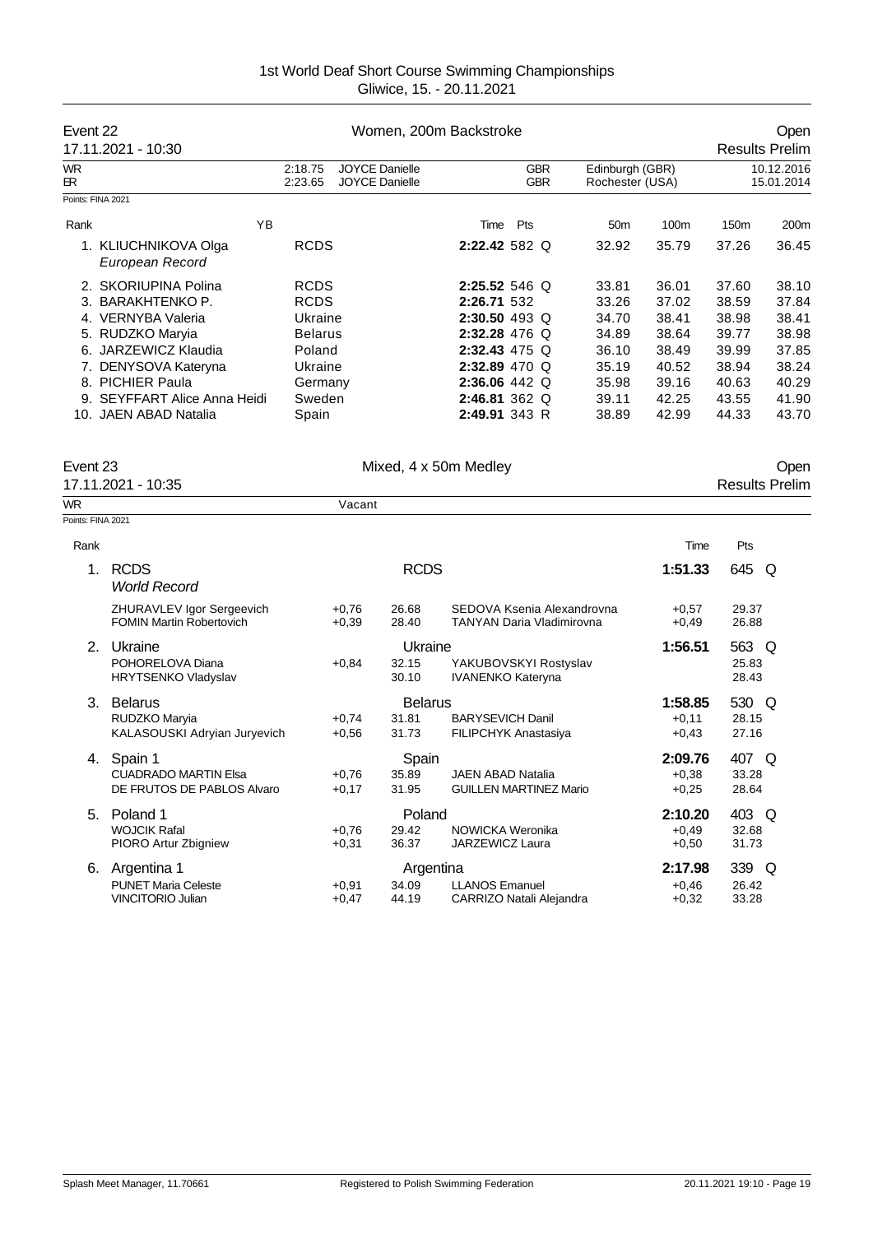| Event 22          | 17.11.2021 - 10:30                                                                                          |                                                                   |                    |                                                | Women, 200m Backstroke                                                          |                                                         |                                           |                                           | Open<br><b>Results Prelim</b>             |                                           |
|-------------------|-------------------------------------------------------------------------------------------------------------|-------------------------------------------------------------------|--------------------|------------------------------------------------|---------------------------------------------------------------------------------|---------------------------------------------------------|-------------------------------------------|-------------------------------------------|-------------------------------------------|-------------------------------------------|
| WR<br>ЕR          |                                                                                                             | 2:18.75<br>2:23.65                                                |                    | <b>JOYCE Danielle</b><br><b>JOYCE Danielle</b> |                                                                                 | <b>GBR</b><br><b>GBR</b>                                | Edinburgh (GBR)<br>Rochester (USA)        |                                           |                                           | 10.12.2016<br>15.01.2014                  |
| Points: FINA 2021 |                                                                                                             |                                                                   |                    |                                                |                                                                                 |                                                         |                                           |                                           |                                           |                                           |
| Rank              | YB                                                                                                          |                                                                   |                    |                                                | Time Pts                                                                        |                                                         | 50 <sub>m</sub>                           | 100m                                      | 150m                                      | 200m                                      |
|                   | 1. KLIUCHNIKOVA Olga<br>European Record                                                                     | <b>RCDS</b>                                                       |                    |                                                | 2:22.42 582 Q                                                                   |                                                         | 32.92                                     | 35.79                                     | 37.26                                     | 36.45                                     |
|                   | 2. SKORIUPINA Polina<br>3. BARAKHTENKO P.<br>4. VERNYBA Valeria<br>5. RUDZKO Maryia<br>6. JARZEWICZ Klaudia | <b>RCDS</b><br><b>RCDS</b><br>Ukraine<br><b>Belarus</b><br>Poland |                    |                                                | 2:25.52 546 Q<br>2:26.71 532<br>2:30.50 493 Q<br>2:32.28 476 Q<br>2:32.43 475 Q |                                                         | 33.81<br>33.26<br>34.70<br>34.89<br>36.10 | 36.01<br>37.02<br>38.41<br>38.64<br>38.49 | 37.60<br>38.59<br>38.98<br>39.77<br>39.99 | 38.10<br>37.84<br>38.41<br>38.98<br>37.85 |
|                   | 7. DENYSOVA Kateryna                                                                                        | Ukraine                                                           |                    |                                                | 2:32.89 470 Q                                                                   |                                                         | 35.19                                     | 40.52                                     | 38.94                                     | 38.24                                     |
|                   | 8. PICHIER Paula                                                                                            | Germany                                                           |                    |                                                | 2:36.06 442 Q                                                                   |                                                         | 35.98                                     | 39.16                                     | 40.63                                     | 40.29                                     |
|                   | 9. SEYFFART Alice Anna Heidi                                                                                | Sweden                                                            |                    |                                                | 2:46.81 362 Q                                                                   |                                                         | 39.11                                     | 42.25                                     | 43.55                                     | 41.90                                     |
|                   | 10. JAEN ABAD Natalia                                                                                       | Spain                                                             |                    |                                                | 2:49.91 343 R                                                                   |                                                         | 38.89                                     | 42.99                                     | 44.33                                     | 43.70                                     |
| Event 23          | 17.11.2021 - 10:35                                                                                          |                                                                   |                    |                                                | Mixed, 4 x 50m Medley                                                           |                                                         |                                           |                                           |                                           | Open<br><b>Results Prelim</b>             |
| <b>WR</b>         |                                                                                                             |                                                                   | Vacant             |                                                |                                                                                 |                                                         |                                           |                                           |                                           |                                           |
| Points: FINA 2021 |                                                                                                             |                                                                   |                    |                                                |                                                                                 |                                                         |                                           |                                           |                                           |                                           |
| Rank              |                                                                                                             |                                                                   |                    |                                                |                                                                                 |                                                         |                                           | Time                                      | Pts                                       |                                           |
| 1.                | <b>RCDS</b><br><b>World Record</b>                                                                          |                                                                   |                    | <b>RCDS</b>                                    |                                                                                 |                                                         |                                           | 1:51.33                                   | 645                                       | Q                                         |
|                   | ZHURAVLEV Igor Sergeevich<br><b>FOMIN Martin Robertovich</b>                                                |                                                                   | $+0.76$<br>$+0,39$ | 26.68<br>28.40                                 |                                                                                 | SEDOVA Ksenia Alexandrovna<br>TANYAN Daria Vladimirovna |                                           | $+0,57$<br>$+0,49$                        | 29.37<br>26.88                            |                                           |
| 2.                | Ukraine                                                                                                     |                                                                   |                    | Ukraine                                        |                                                                                 |                                                         |                                           | 1:56.51                                   | 563 Q                                     |                                           |
|                   | POHORELOVA Diana<br>HRYTSENKO Vladyslav                                                                     |                                                                   | $+0,84$            | 32.15<br>30.10                                 | YAKUBOVSKYI Rostyslav<br><b>IVANENKO Kateryna</b>                               |                                                         |                                           |                                           | 25.83<br>28.43                            |                                           |
|                   | 3. Belarus                                                                                                  |                                                                   |                    | <b>Belarus</b>                                 |                                                                                 |                                                         |                                           | 1:58.85                                   | 530 Q                                     |                                           |
|                   | RUDZKO Maryia                                                                                               |                                                                   | $+0,74$            | 31.81                                          | <b>BARYSEVICH Danil</b>                                                         |                                                         |                                           | $+0,11$                                   | 28.15                                     |                                           |
|                   | KALASOUSKI Adryian Juryevich                                                                                |                                                                   | $+0,56$            | 31.73                                          | FILIPCHYK Anastasiya                                                            |                                                         |                                           | $+0,43$                                   | 27.16                                     |                                           |
| 4.                | Spain 1<br><b>CUADRADO MARTIN Elsa</b><br>DE FRUTOS DE PABLOS Alvaro                                        |                                                                   | $+0,76$<br>$+0,17$ | Spain<br>35.89<br>31.95                        | JAEN ABAD Natalia                                                               | <b>GUILLEN MARTINEZ Mario</b>                           |                                           | 2:09.76<br>$+0,38$<br>$+0,25$             | 407 Q<br>33.28<br>28.64                   |                                           |
| 5.                | Poland 1                                                                                                    |                                                                   |                    | Poland                                         |                                                                                 |                                                         |                                           | 2:10.20                                   | 403 Q                                     |                                           |
|                   | <b>WOJCIK Rafal</b>                                                                                         |                                                                   | $+0,76$            | 29.42                                          | NOWICKA Weronika                                                                |                                                         |                                           | $+0,49$                                   | 32.68                                     |                                           |
|                   | PIORO Artur Zbigniew                                                                                        |                                                                   | $+0,31$            | 36.37                                          | JARZEWICZ Laura                                                                 |                                                         |                                           | $+0,50$                                   | 31.73                                     |                                           |
|                   | 6. Argentina 1                                                                                              |                                                                   |                    | Argentina                                      |                                                                                 |                                                         |                                           | 2:17.98                                   | 339 Q                                     |                                           |
|                   | <b>PUNET Maria Celeste</b><br><b>VINCITORIO Julian</b>                                                      |                                                                   | $+0,91$<br>$+0,47$ | 34.09<br>44.19                                 | <b>LLANOS Emanuel</b><br>CARRIZO Natali Alejandra                               |                                                         |                                           | $+0,46$<br>$+0,32$                        | 26.42<br>33.28                            |                                           |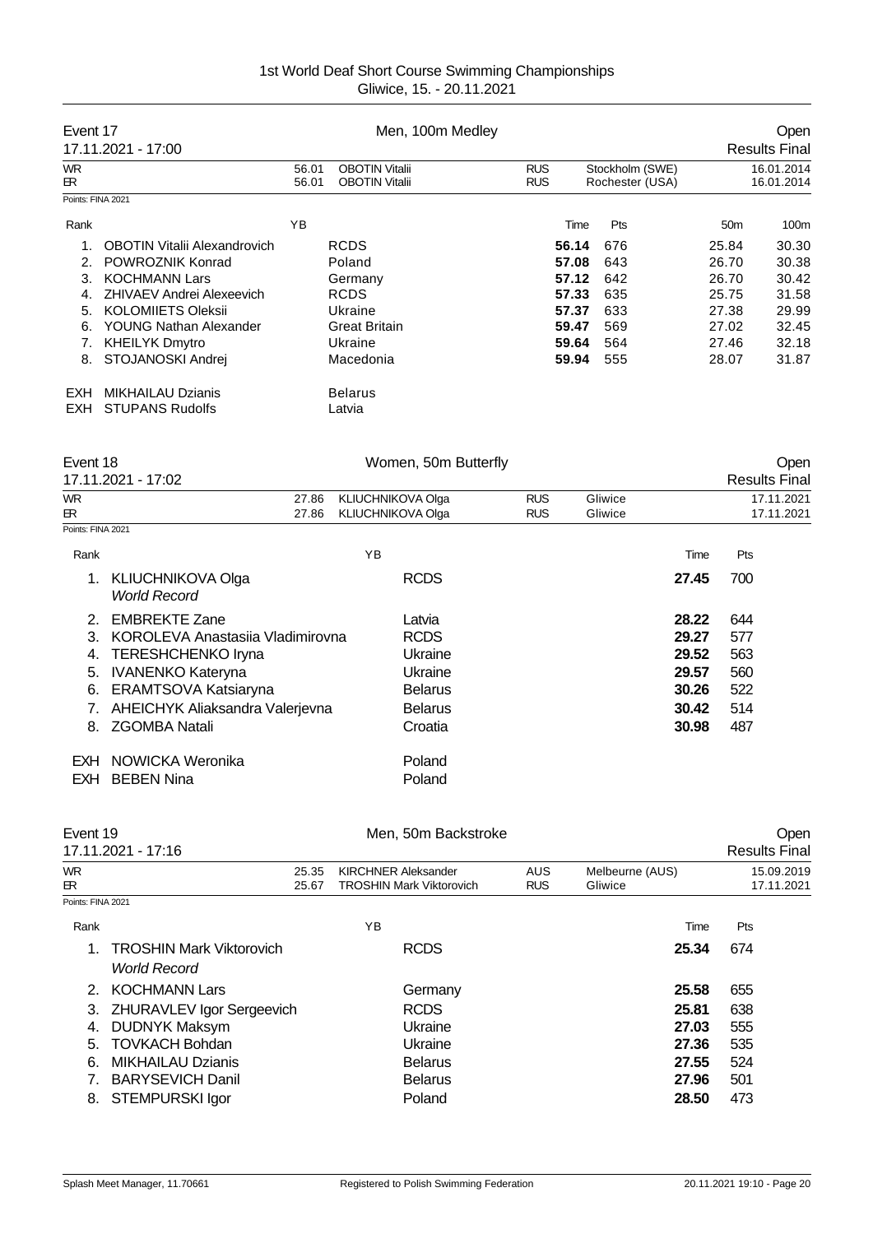| Event 17                                             | 17.11.2021 - 17:00                                                                                                                                                                                                                                                         |                | Men, 100m Medley                                                                                                                       |                          |                                                                      |                                                      |                                                             |                                                                      | Open<br><b>Results Final</b>                                         |
|------------------------------------------------------|----------------------------------------------------------------------------------------------------------------------------------------------------------------------------------------------------------------------------------------------------------------------------|----------------|----------------------------------------------------------------------------------------------------------------------------------------|--------------------------|----------------------------------------------------------------------|------------------------------------------------------|-------------------------------------------------------------|----------------------------------------------------------------------|----------------------------------------------------------------------|
| <b>WR</b><br>ЕR.                                     |                                                                                                                                                                                                                                                                            | 56.01<br>56.01 | <b>OBOTIN Vitalii</b><br><b>OBOTIN Vitalii</b>                                                                                         | <b>RUS</b><br><b>RUS</b> |                                                                      | Stockholm (SWE)<br>Rochester (USA)                   |                                                             |                                                                      | 16.01.2014<br>16.01.2014                                             |
| Points: FINA 2021                                    |                                                                                                                                                                                                                                                                            |                |                                                                                                                                        |                          |                                                                      |                                                      |                                                             |                                                                      |                                                                      |
| Rank                                                 |                                                                                                                                                                                                                                                                            | YB             |                                                                                                                                        |                          | Time                                                                 | Pts                                                  |                                                             | 50 <sub>m</sub>                                                      | 100m                                                                 |
| 1.<br>2.<br>3.<br>4.<br>5.<br>6.<br>7.<br>EXH<br>EXH | <b>OBOTIN Vitalii Alexandrovich</b><br>POWROZNIK Konrad<br><b>KOCHMANN Lars</b><br>ZHIVAEV Andrei Alexeevich<br><b>KOLOMIIETS Oleksii</b><br>YOUNG Nathan Alexander<br><b>KHEILYK Dmytro</b><br>8. STOJANOSKI Andrej<br><b>MIKHAILAU Dzianis</b><br><b>STUPANS Rudolfs</b> |                | <b>RCDS</b><br>Poland<br>Germany<br><b>RCDS</b><br>Ukraine<br><b>Great Britain</b><br>Ukraine<br>Macedonia<br><b>Belarus</b><br>Latvia |                          | 56.14<br>57.08<br>57.12<br>57.33<br>57.37<br>59.47<br>59.64<br>59.94 | 676<br>643<br>642<br>635<br>633<br>569<br>564<br>555 |                                                             | 25.84<br>26.70<br>26.70<br>25.75<br>27.38<br>27.02<br>27.46<br>28.07 | 30.30<br>30.38<br>30.42<br>31.58<br>29.99<br>32.45<br>32.18<br>31.87 |
| Event 18                                             | 17.11.2021 - 17:02                                                                                                                                                                                                                                                         |                | Women, 50m Butterfly                                                                                                                   |                          |                                                                      |                                                      |                                                             |                                                                      | Open<br><b>Results Final</b>                                         |
| <b>WR</b><br>ЕR.                                     |                                                                                                                                                                                                                                                                            | 27.86<br>27.86 | KLIUCHNIKOVA Olga<br>KLIUCHNIKOVA Olga                                                                                                 | <b>RUS</b><br><b>RUS</b> |                                                                      | Gliwice<br>Gliwice                                   |                                                             |                                                                      | 17.11.2021<br>17.11.2021                                             |
| Points: FINA 2021                                    |                                                                                                                                                                                                                                                                            |                |                                                                                                                                        |                          |                                                                      |                                                      |                                                             |                                                                      |                                                                      |
| Rank                                                 |                                                                                                                                                                                                                                                                            |                | YB                                                                                                                                     |                          |                                                                      |                                                      | Time                                                        | Pts                                                                  |                                                                      |
| 1.                                                   | KLIUCHNIKOVA Olga<br><b>World Record</b>                                                                                                                                                                                                                                   |                | <b>RCDS</b>                                                                                                                            |                          |                                                                      |                                                      | 27.45                                                       | 700                                                                  |                                                                      |
| 2.<br>3.<br>4.<br>5.<br>6.<br>7.<br>8.               | <b>EMBREKTE Zane</b><br>KOROLEVA Anastasiia Vladimirovna<br><b>TERESHCHENKO Iryna</b><br><b>IVANENKO Kateryna</b><br>ERAMTSOVA Katsiaryna<br>AHEICHYK Aliaksandra Valerjevna<br><b>ZGOMBA Natali</b>                                                                       |                | Latvia<br><b>RCDS</b><br>Ukraine<br>Ukraine<br><b>Belarus</b><br><b>Belarus</b><br>Croatia                                             |                          |                                                                      |                                                      | 28.22<br>29.27<br>29.52<br>29.57<br>30.26<br>30.42<br>30.98 | 644<br>577<br>563<br>560<br>522<br>514<br>487                        |                                                                      |
| <b>EXH</b>                                           | NOWICKA Weronika                                                                                                                                                                                                                                                           |                | Poland                                                                                                                                 |                          |                                                                      |                                                      |                                                             |                                                                      |                                                                      |

| EXH BEBEN Nina | Poland |  |
|----------------|--------|--|
|                |        |  |

| Event 19          |                                 | Men. 50m Backstroke             |            |                 | Oper                 |
|-------------------|---------------------------------|---------------------------------|------------|-----------------|----------------------|
|                   | 17.11.2021 - 17:16              |                                 |            |                 | <b>Results Final</b> |
| WR.               | 25.35                           | <b>KIRCHNER Aleksander</b>      | <b>AUS</b> | Melbeurne (AUS) | 15.09.2019           |
| ЕR                | 25.67                           | <b>TROSHIN Mark Viktorovich</b> | <b>RUS</b> | Gliwice         | 17.11.2021           |
| Points: FINA 2021 |                                 |                                 |            |                 |                      |
| Rank              |                                 | YB                              |            | Time            | Pts                  |
|                   | <b>TROSHIN Mark Viktorovich</b> | <b>RCDS</b>                     |            | 25.34           | 674                  |
|                   | <b>World Record</b>             |                                 |            |                 |                      |
| $\mathcal{P}$     | <b>KOCHMANN Lars</b>            | Germany                         |            | 25.58           | 655                  |
| 3.                | ZHURAVLEV Igor Sergeevich       | <b>RCDS</b>                     |            | 25.81           | 638                  |
| 4.                | <b>DUDNYK Maksym</b>            | Ukraine                         |            | 27.03           | 555                  |
| 5.                | <b>TOVKACH Bohdan</b>           | Ukraine                         |            | 27.36           | 535                  |
| 6.                | <b>MIKHAILAU Dzianis</b>        | <b>Belarus</b>                  |            | 27.55           | 524                  |
|                   | <b>BARYSEVICH Danil</b>         | <b>Belarus</b>                  |            | 27.96           | 501                  |
| 8.                | <b>STEMPURSKI Igor</b>          | Poland                          |            | 28.50           | 473                  |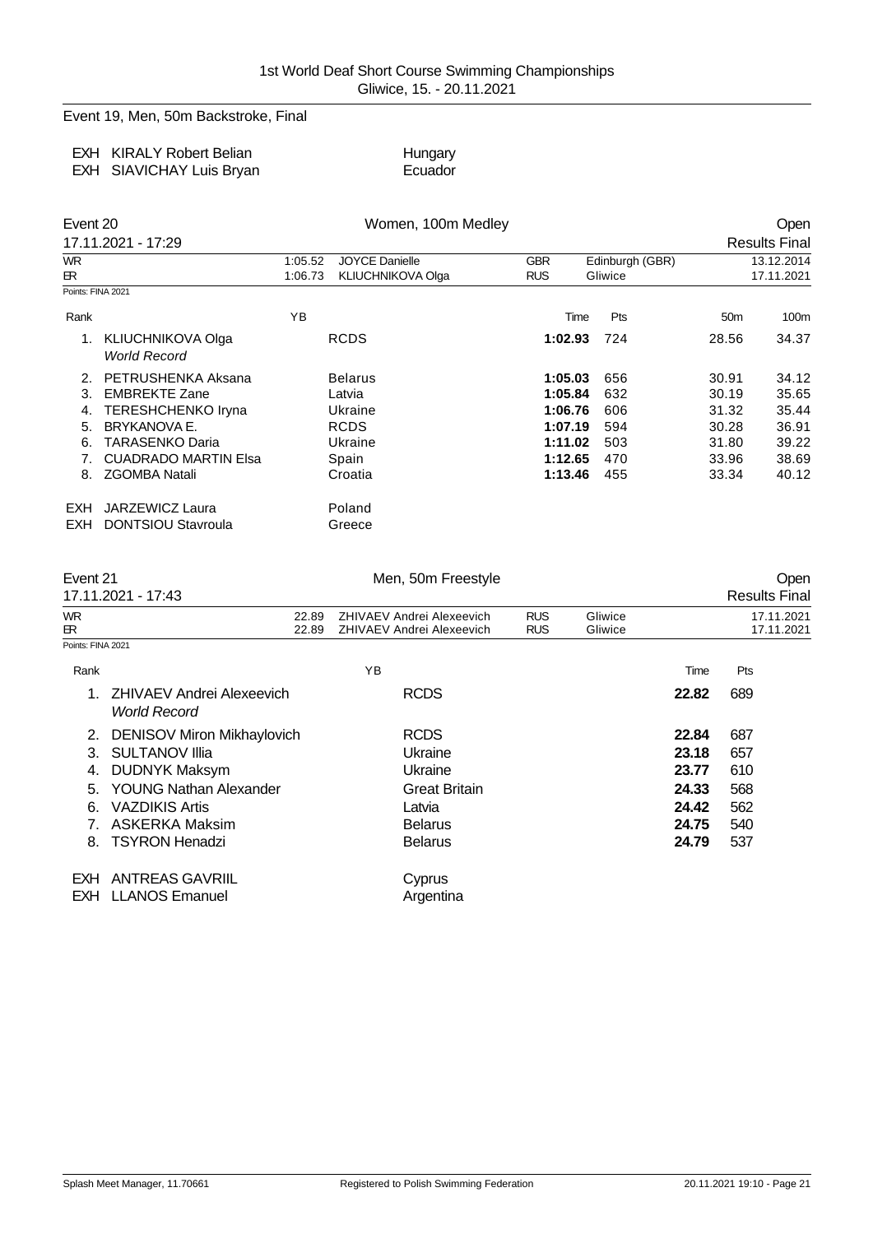Event 19, Men, 50m Backstroke, Final

| <b>EXH KIRALY Robert Belian</b> | Hungary |
|---------------------------------|---------|
| EXH SIAVICHAY Luis Bryan        | Ecuador |

| Event 20          |                                          |                    | Women, 100m Medley                                |                          |                            |                 |                          |  |
|-------------------|------------------------------------------|--------------------|---------------------------------------------------|--------------------------|----------------------------|-----------------|--------------------------|--|
|                   | 17.11.2021 - 17:29                       |                    |                                                   |                          |                            |                 | <b>Results Final</b>     |  |
| <b>WR</b><br>ЕR.  |                                          | 1:05.52<br>1:06.73 | <b>JOYCE Danielle</b><br><b>KLIUCHNIKOVA Olga</b> | <b>GBR</b><br><b>RUS</b> | Edinburgh (GBR)<br>Gliwice |                 | 13.12.2014<br>17.11.2021 |  |
| Points: FINA 2021 |                                          |                    |                                                   |                          |                            |                 |                          |  |
| Rank              |                                          | YB                 |                                                   | Time                     | Pts                        | 50 <sub>m</sub> | 100m                     |  |
|                   | KLIUCHNIKOVA Olga<br><b>World Record</b> |                    | <b>RCDS</b>                                       | 1:02.93                  | 724                        | 28.56           | 34.37                    |  |
| 2.                | PETRUSHENKA Aksana                       |                    | <b>Belarus</b>                                    | 1:05.03                  | 656                        | 30.91           | 34.12                    |  |
| 3.                | <b>EMBREKTE Zane</b>                     |                    | Latvia                                            | 1:05.84                  | 632                        | 30.19           | 35.65                    |  |
| 4.                | <b>TERESHCHENKO Iryna</b>                |                    | Ukraine                                           | 1:06.76                  | 606                        | 31.32           | 35.44                    |  |
| 5.                | BRYKANOVA E.                             |                    | <b>RCDS</b>                                       | 1:07.19                  | 594                        | 30.28           | 36.91                    |  |
| 6.                | TARASENKO Daria                          |                    | Ukraine                                           | 1:11.02                  | 503                        | 31.80           | 39.22                    |  |
|                   | <b>CUADRADO MARTIN Elsa</b>              |                    | Spain                                             | 1:12.65                  | 470                        | 33.96           | 38.69                    |  |
| 8.                | <b>ZGOMBA Natali</b>                     |                    | Croatia                                           | 1:13.46                  | 455                        | 33.34           | 40.12                    |  |
| <b>EXH</b>        | JARZEWICZ Laura                          |                    | Poland                                            |                          |                            |                 |                          |  |
| <b>EXH</b>        | <b>DONTSIOU Stavroula</b>                |                    | Greece                                            |                          |                            |                 |                          |  |

| Event 21          |                                                  | Men, 50m Freestyle                                            |                          |                    |       | Open                     |
|-------------------|--------------------------------------------------|---------------------------------------------------------------|--------------------------|--------------------|-------|--------------------------|
|                   | 17.11.2021 - 17:43                               |                                                               |                          |                    |       | <b>Results Final</b>     |
| WR<br>ЕR.         | 22.89<br>22.89                                   | ZHIVAEV Andrei Alexeevich<br><b>ZHIVAEV Andrei Alexeevich</b> | <b>RUS</b><br><b>RUS</b> | Gliwice<br>Gliwice |       | 17.11.2021<br>17.11.2021 |
| Points: FINA 2021 |                                                  |                                                               |                          |                    |       |                          |
| Rank              |                                                  | YB                                                            |                          |                    | Time  | Pts                      |
|                   | ZHIVAEV Andrei Alexeevich<br><b>World Record</b> | <b>RCDS</b>                                                   |                          |                    | 22.82 | 689                      |
| 2.                | <b>DENISOV Miron Mikhaylovich</b>                | <b>RCDS</b>                                                   |                          |                    | 22.84 | 687                      |
| 3.                | <b>SULTANOV Illia</b>                            | Ukraine                                                       |                          |                    | 23.18 | 657                      |
| 4.                | <b>DUDNYK Maksym</b>                             | Ukraine                                                       |                          |                    | 23.77 | 610                      |
| 5.                | <b>YOUNG Nathan Alexander</b>                    | <b>Great Britain</b>                                          |                          |                    | 24.33 | 568                      |
| 6.                | <b>VAZDIKIS Artis</b>                            | Latvia                                                        |                          |                    | 24.42 | 562                      |
|                   | <b>ASKERKA Maksim</b>                            | <b>Belarus</b>                                                |                          |                    | 24.75 | 540                      |
| 8.                | <b>TSYRON Henadzi</b>                            | <b>Belarus</b>                                                |                          |                    | 24.79 | 537                      |
| EXH.              | <b>ANTREAS GAVRIIL</b>                           | Cyprus                                                        |                          |                    |       |                          |
|                   | <b>EXH LLANOS Emanuel</b>                        | Argentina                                                     |                          |                    |       |                          |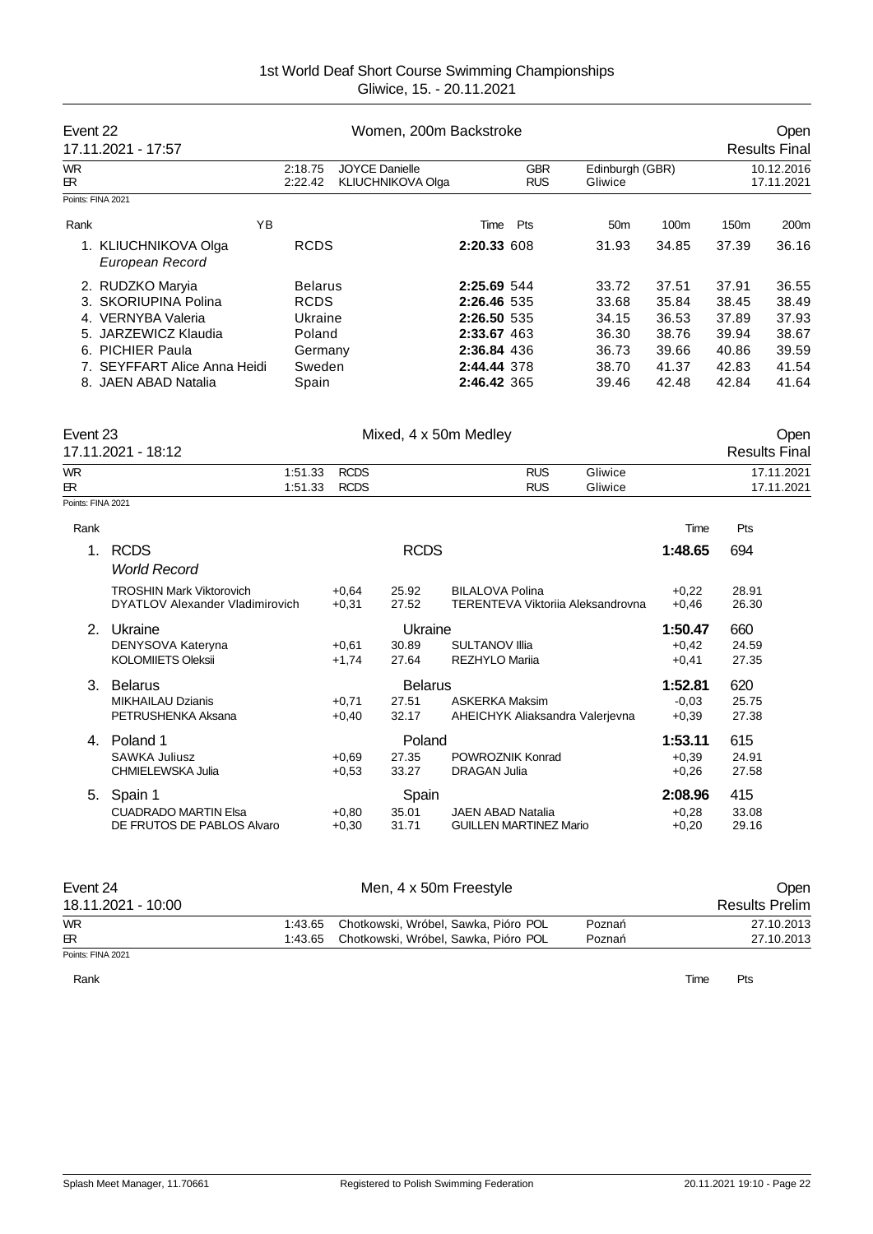| Event 22         | 17.11.2021 - 17:57                                                 |                    |                            | Women, 200m Backstroke                            |                                                |                          |                                   |                               |                       | Open<br><b>Results Final</b> |
|------------------|--------------------------------------------------------------------|--------------------|----------------------------|---------------------------------------------------|------------------------------------------------|--------------------------|-----------------------------------|-------------------------------|-----------------------|------------------------------|
| <b>WR</b><br>ЕR. |                                                                    | 2:18.75<br>2:22.42 |                            | <b>JOYCE Danielle</b><br><b>KLIUCHNIKOVA Olga</b> |                                                | <b>GBR</b><br><b>RUS</b> | Edinburgh (GBR)<br>Gliwice        |                               |                       | 10.12.2016<br>17.11.2021     |
|                  | Points: FINA 2021                                                  |                    |                            |                                                   |                                                |                          |                                   |                               |                       |                              |
| Rank             | YB                                                                 |                    |                            |                                                   | Time                                           | Pts                      | 50 <sub>m</sub>                   | 100m                          | 150 <sub>m</sub>      | 200m                         |
|                  | 1. KLIUCHNIKOVA Olga<br>European Record                            | <b>RCDS</b>        |                            |                                                   | 2:20.33 608                                    |                          | 31.93                             | 34.85                         | 37.39                 | 36.16                        |
|                  | 2. RUDZKO Maryia                                                   | <b>Belarus</b>     |                            |                                                   | 2:25.69 544                                    |                          | 33.72                             | 37.51                         | 37.91                 | 36.55                        |
|                  | 3. SKORIUPINA Polina                                               | <b>RCDS</b>        |                            |                                                   | 2:26.46 535                                    |                          | 33.68                             | 35.84                         | 38.45                 | 38.49                        |
|                  | 4. VERNYBA Valeria                                                 | Ukraine            |                            |                                                   | 2:26.50 535                                    |                          | 34.15                             | 36.53                         | 37.89                 | 37.93                        |
|                  | 5. JARZEWICZ Klaudia                                               | Poland             |                            |                                                   | 2:33.67 463                                    |                          | 36.30                             | 38.76                         | 39.94                 | 38.67                        |
|                  | 6. PICHIER Paula                                                   | Germany            |                            |                                                   | 2:36.84 436                                    |                          | 36.73                             | 39.66                         | 40.86                 | 39.59                        |
|                  | 7. SEYFFART Alice Anna Heidi                                       | Sweden             |                            |                                                   | 2:44.44 378                                    |                          | 38.70                             | 41.37                         | 42.83                 | 41.54                        |
|                  | 8. JAEN ABAD Natalia                                               | Spain              |                            |                                                   | 2:46.42 365                                    |                          | 39.46                             | 42.48                         | 42.84                 | 41.64                        |
| Event 23         | 17.11.2021 - 18:12                                                 |                    |                            | Mixed, 4 x 50m Medley                             |                                                |                          |                                   |                               |                       | Open<br><b>Results Final</b> |
|                  |                                                                    |                    |                            |                                                   |                                                |                          |                                   |                               |                       | 17.11.2021                   |
| <b>WR</b><br>ЕR  |                                                                    | 1:51.33<br>1:51.33 | <b>RCDS</b><br><b>RCDS</b> |                                                   |                                                | <b>RUS</b><br><b>RUS</b> | Gliwice<br>Gliwice                |                               |                       | 17.11.2021                   |
|                  | Points: FINA 2021                                                  |                    |                            |                                                   |                                                |                          |                                   |                               |                       |                              |
| Rank             |                                                                    |                    |                            |                                                   |                                                |                          |                                   | Time                          | Pts                   |                              |
| 1 <sub>1</sub>   | <b>RCDS</b><br><b>World Record</b>                                 |                    |                            | <b>RCDS</b>                                       |                                                |                          |                                   | 1:48.65                       | 694                   |                              |
|                  | <b>TROSHIN Mark Viktorovich</b><br>DYATLOV Alexander Vladimirovich |                    | $+0.64$<br>$+0,31$         | 25.92<br>27.52                                    | <b>BILALOVA Polina</b>                         |                          | TERENTEVA Viktoriia Aleksandrovna | $+0.22$<br>$+0,46$            | 28.91<br>26.30        |                              |
|                  | 2. Ukraine<br>DENYSOVA Kateryna<br><b>KOLOMIIETS Oleksii</b>       |                    | $+0,61$<br>$+1,74$         | Ukraine<br>30.89<br>27.64                         | <b>SULTANOV IIIia</b><br><b>REZHYLO Marija</b> |                          |                                   | 1:50.47<br>$+0,42$<br>$+0,41$ | 660<br>24.59<br>27.35 |                              |
| 3.               | <b>Belarus</b><br><b>MIKHAILAU Dzianis</b><br>PETRUSHENKA Aksana   |                    | $+0,71$<br>$+0,40$         | <b>Belarus</b><br>27.51<br>32.17                  | <b>ASKERKA Maksim</b>                          |                          | AHEICHYK Aliaksandra Valerjevna   | 1:52.81<br>$-0.03$<br>$+0,39$ | 620<br>25.75<br>27.38 |                              |
|                  | 4. Poland 1                                                        |                    |                            | Poland                                            |                                                |                          |                                   | 1:53.11                       | 615                   |                              |

SAWKA Juliusz +0,69 27.35 POWROZNIK Konrad +0,39 24.91 CHMIELEWSKA Julia +0,53 33.27 DRAGAN Julia +0,26 27.58

Event 24 Communication of Men, 4 x 50m Freestyle Communication of the Open 18.11.2021 - 10:00 Results Prelim WR 1:43.65 Chotkowski, Wróbel, Sawka, Pióro POL Pozna 27.10.2013<br>ER 1:43.65 Chotkowski, Wróbel, Sawka, Pióro POL Pozna 27.10.2013 Chotkowski, Wróbel, Sawka, Pióro POL

5. Spain 1 Spain **2:08.96** 415<br>CLIADRADO MARTIN Elsa + 0.80 35.01 JAEN ABAD Natalia + 0.28 33.08 CUADRADO MARTIN Elsa +0,80 35.01 JAEN ABAD Natalia +0,28 33.08 DE FRUTOS DE PABLOS Alvaro +0,30 31.71 GUILLEN MARTINEZ Mario +0,20 29.16

Points: FINA 2021

Rank **Time Pts**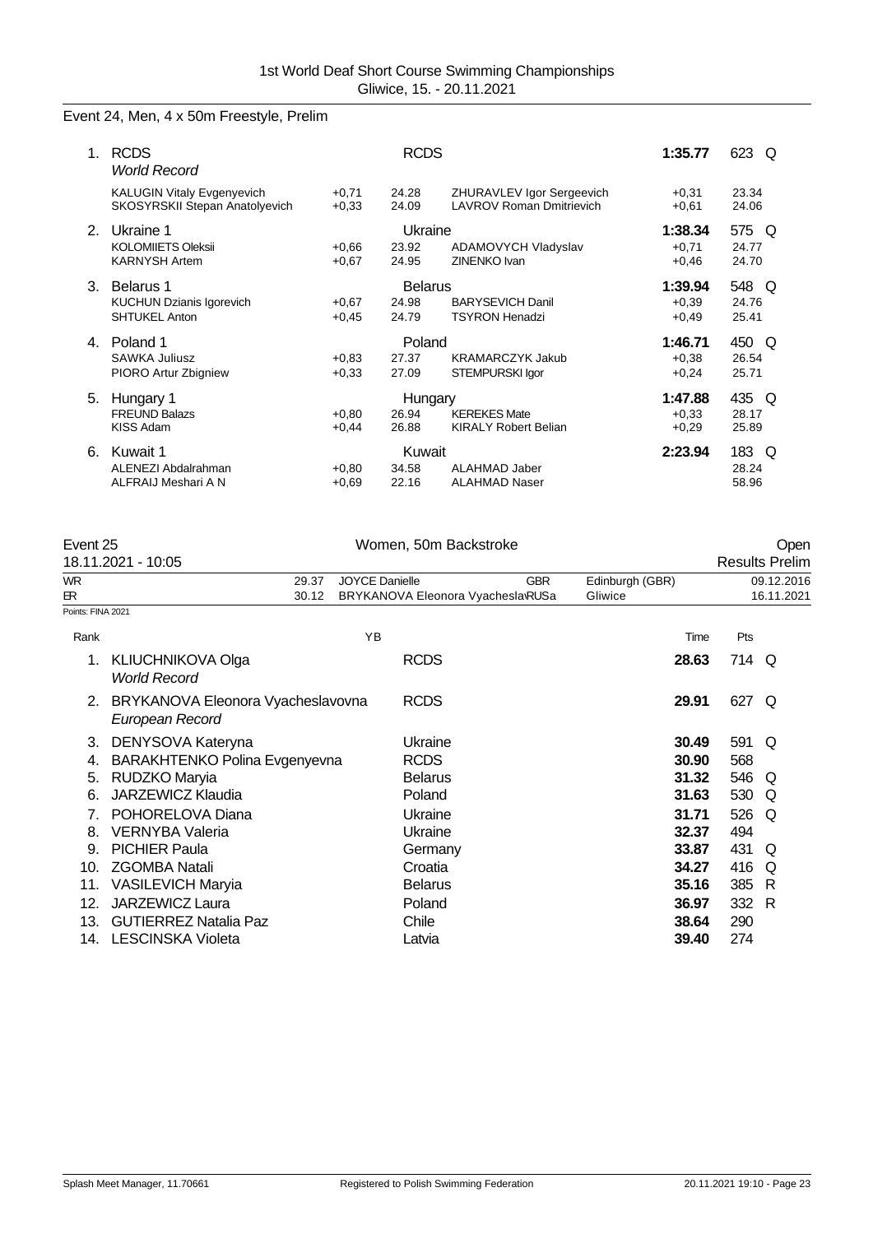# Event 24, Men, 4 x 50m Freestyle, Prelim

| 1. | <b>RCDS</b><br><b>World Record</b>                                  |                    | <b>RCDS</b>                      |                                                              | 1:35.77                       | 623<br>O                   |
|----|---------------------------------------------------------------------|--------------------|----------------------------------|--------------------------------------------------------------|-------------------------------|----------------------------|
|    | <b>KALUGIN Vitaly Evgenyevich</b><br>SKOSYRSKII Stepan Anatolyevich | $+0,71$<br>$+0.33$ | 24.28<br>24.09                   | ZHURAVLEV Igor Sergeevich<br><b>LAVROV Roman Dmitrievich</b> | $+0.31$<br>$+0.61$            | 23.34<br>24.06             |
| 2. | Ukraine 1<br><b>KOLOMIIETS Oleksii</b><br><b>KARNYSH Artem</b>      | $+0.66$<br>$+0,67$ | Ukraine<br>23.92<br>24.95        | ADAMOVYCH Vladyslav<br>ZINENKO Ivan                          | 1:38.34<br>$+0,71$<br>$+0,46$ | 575 Q<br>24.77<br>24.70    |
| 3  | Belarus 1<br>KUCHUN Dzianis Igorevich<br><b>SHTUKEL Anton</b>       | $+0,67$<br>$+0.45$ | <b>Belarus</b><br>24.98<br>24.79 | <b>BARYSEVICH Danil</b><br><b>TSYRON Henadzi</b>             | 1:39.94<br>$+0,39$<br>$+0,49$ | 548 Q<br>24.76<br>25.41    |
| 4. | Poland 1<br><b>SAWKA Juliusz</b><br>PIORO Artur Zbigniew            | $+0.83$<br>$+0.33$ | Poland<br>27.37<br>27.09         | <b>KRAMARCZYK Jakub</b><br><b>STEMPURSKI lgor</b>            | 1:46.71<br>$+0,38$<br>$+0,24$ | 450<br>O<br>26.54<br>25.71 |
| 5. | Hungary 1<br><b>FREUND Balazs</b><br><b>KISS Adam</b>               | $+0.80$<br>$+0,44$ | Hungary<br>26.94<br>26.88        | <b>KEREKES Mate</b><br><b>KIRALY Robert Belian</b>           | 1:47.88<br>$+0,33$<br>$+0,29$ | 435 Q<br>28.17<br>25.89    |
| 6. | Kuwait 1<br>ALENEZI Abdalrahman<br>ALFRAIJ Meshari A N              | $+0.80$<br>$+0.69$ | Kuwait<br>34.58<br>22.16         | ALAHMAD Jaber<br><b>ALAHMAD Naser</b>                        | 2:23.94                       | 183 Q<br>28.24<br>58.96    |

| Event 25          |                                                      |                       | Women, 50m Backstroke             |            |                 |       | Open                  |
|-------------------|------------------------------------------------------|-----------------------|-----------------------------------|------------|-----------------|-------|-----------------------|
|                   | 18.11.2021 - 10:05                                   |                       |                                   |            |                 |       | <b>Results Prelim</b> |
| <b>WR</b>         | 29.37                                                | <b>JOYCE Danielle</b> |                                   | <b>GBR</b> | Edinburgh (GBR) |       | 09.12.2016            |
| БR.               | 30.12                                                |                       | BRYKANOVA Eleonora Vyachesla RUSa |            | Gliwice         |       | 16.11.2021            |
| Points: FINA 2021 |                                                      |                       |                                   |            |                 |       |                       |
| Rank              |                                                      | YB                    |                                   |            | Time            | Pts   |                       |
| 1.                | <b>KLIUCHNIKOVA Olga</b><br><b>World Record</b>      |                       | <b>RCDS</b>                       |            | 28.63           | 714 Q |                       |
| 2.                | BRYKANOVA Eleonora Vyacheslavovna<br>European Record |                       | <b>RCDS</b>                       |            | 29.91           | 627 Q |                       |
| 3.                | DENYSOVA Kateryna                                    |                       | Ukraine                           |            | 30.49           | 591   | Q                     |
| 4.                | BARAKHTENKO Polina Evgenyevna                        |                       | <b>RCDS</b>                       |            | 30.90           | 568   |                       |
| 5.                | RUDZKO Maryia                                        |                       | <b>Belarus</b>                    |            | 31.32           | 546 Q |                       |
| 6.                | <b>JARZEWICZ Klaudia</b>                             |                       | Poland                            |            | 31.63           | 530   | Q                     |
| 7.                | POHORELOVA Diana                                     |                       | Ukraine                           |            | 31.71           | 526   | O                     |
| 8.                | <b>VERNYBA Valeria</b>                               |                       | Ukraine                           |            | 32.37           | 494   |                       |
| 9.                | <b>PICHIER Paula</b>                                 |                       | Germany                           |            | 33.87           | 431   | Q                     |
| 10.               | <b>ZGOMBA Natali</b>                                 |                       | Croatia                           |            | 34.27           | 416   | Q                     |
| 11.               | <b>VASILEVICH Maryia</b>                             |                       | <b>Belarus</b>                    |            | 35.16           | 385   | R                     |
| 12.               | <b>JARZEWICZ Laura</b>                               |                       | Poland                            |            | 36.97           | 332   | -R                    |
| 13.               | <b>GUTIERREZ Natalia Paz</b>                         |                       | Chile                             |            | 38.64           | 290   |                       |
| 14.               | <b>LESCINSKA Violeta</b>                             |                       | Latvia                            |            | 39.40           | 274   |                       |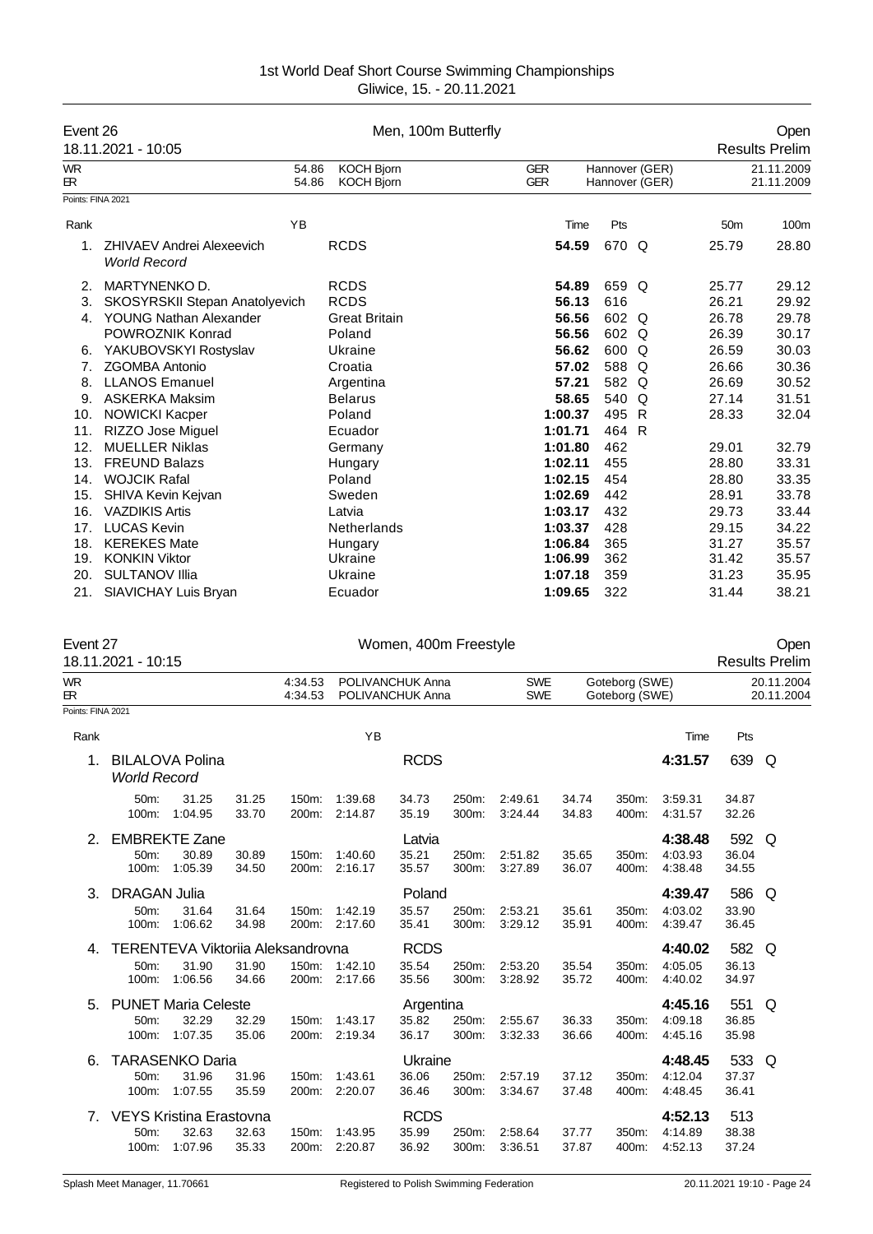| Event 26                               | 18.11.2021 - 10:05                                                                                                            |                    |                                                                         | Men, 100m Butterfly                  |                |                          |                                                                |                                           |                               |                                           | Open<br><b>Results Prelim</b>             |
|----------------------------------------|-------------------------------------------------------------------------------------------------------------------------------|--------------------|-------------------------------------------------------------------------|--------------------------------------|----------------|--------------------------|----------------------------------------------------------------|-------------------------------------------|-------------------------------|-------------------------------------------|-------------------------------------------|
| WR<br>ЕR.                              |                                                                                                                               | 54.86<br>54.86     | <b>KOCH Bjorn</b><br><b>KOCH Bjorn</b>                                  |                                      |                | <b>GER</b><br><b>GER</b> |                                                                | Hannover (GER)<br>Hannover (GER)          |                               |                                           | 21.11.2009<br>21.11.2009                  |
| Points: FINA 2021                      |                                                                                                                               |                    |                                                                         |                                      |                |                          |                                                                |                                           |                               |                                           |                                           |
| Rank                                   |                                                                                                                               | ΥB                 |                                                                         |                                      |                |                          | Time                                                           | Pts                                       |                               | 50 <sub>m</sub>                           | 100m                                      |
| 1.                                     | <b>ZHIVAEV Andrei Alexeevich</b><br><b>World Record</b>                                                                       |                    | <b>RCDS</b>                                                             |                                      |                |                          | 54.59                                                          | 670 Q                                     |                               | 25.79                                     | 28.80                                     |
| 2.<br>3.<br>4.<br>6.                   | MARTYNENKO D.<br>SKOSYRSKII Stepan Anatolyevich<br><b>YOUNG Nathan Alexander</b><br>POWROZNIK Konrad<br>YAKUBOVSKYI Rostyslav |                    | <b>RCDS</b><br><b>RCDS</b><br><b>Great Britain</b><br>Poland<br>Ukraine |                                      |                |                          | 54.89<br>56.13<br>56.56<br>56.56<br>56.62                      | 659 Q<br>616<br>602 Q<br>602 Q<br>600 Q   |                               | 25.77<br>26.21<br>26.78<br>26.39<br>26.59 | 29.12<br>29.92<br>29.78<br>30.17<br>30.03 |
| 7.<br>8.<br>9.<br>10.                  | <b>ZGOMBA Antonio</b><br><b>LLANOS Emanuel</b><br>ASKERKA Maksim<br><b>NOWICKI Kacper</b><br>RIZZO Jose Miguel                |                    | Croatia<br>Argentina<br><b>Belarus</b><br>Poland                        |                                      |                |                          | 57.02<br>57.21<br>58.65<br>1:00.37                             | 588 Q<br>582 Q<br>540 Q<br>495 R<br>464 R |                               | 26.66<br>26.69<br>27.14<br>28.33          | 30.36<br>30.52<br>31.51<br>32.04          |
| 11.<br>12.<br>13.<br>14.<br>15.<br>16. | <b>MUELLER Niklas</b><br><b>FREUND Balazs</b><br><b>WOJCIK Rafal</b><br>SHIVA Kevin Kejvan<br><b>VAZDIKIS Artis</b>           |                    | Ecuador<br>Germany<br>Hungary<br>Poland<br>Sweden<br>Latvia             |                                      |                |                          | 1:01.71<br>1:01.80<br>1:02.11<br>1:02.15<br>1:02.69<br>1:03.17 | 462<br>455<br>454<br>442<br>432           |                               | 29.01<br>28.80<br>28.80<br>28.91<br>29.73 | 32.79<br>33.31<br>33.35<br>33.78<br>33.44 |
| 17.<br>18.<br>19.<br>20.<br>21.        | <b>LUCAS Kevin</b><br><b>KEREKES Mate</b><br><b>KONKIN Viktor</b><br><b>SULTANOV Illia</b><br>SIAVICHAY Luis Bryan            |                    | <b>Netherlands</b><br>Hungary<br>Ukraine<br>Ukraine<br>Ecuador          |                                      |                |                          | 1:03.37<br>1:06.84<br>1:06.99<br>1:07.18<br>1:09.65            | 428<br>365<br>362<br>359<br>322           |                               | 29.15<br>31.27<br>31.42<br>31.23<br>31.44 | 34.22<br>35.57<br>35.57<br>35.95<br>38.21 |
| Event 27                               | 18.11.2021 - 10:15                                                                                                            |                    |                                                                         | Women, 400m Freestyle                |                |                          |                                                                |                                           |                               |                                           | Open<br><b>Results Prelim</b>             |
| <b>WR</b><br>ЕR.                       |                                                                                                                               | 4:34.53<br>4:34.53 |                                                                         | POLIVANCHUK Anna<br>POLIVANCHUK Anna |                | <b>SWE</b><br><b>SWE</b> |                                                                | Goteborg (SWE)<br>Goteborg (SWE)          |                               |                                           | 20.11.2004<br>20.11.2004                  |
| Points: FINA 2021                      |                                                                                                                               |                    |                                                                         |                                      |                |                          |                                                                |                                           |                               |                                           |                                           |
| Rank                                   |                                                                                                                               |                    | ΥB                                                                      |                                      |                |                          |                                                                |                                           | Time                          | Pts                                       |                                           |
| 1.                                     | <b>BILALOVA Polina</b><br><b>World Record</b>                                                                                 |                    |                                                                         | <b>RCDS</b>                          |                |                          |                                                                |                                           | 4:31.57                       | 639                                       | Q                                         |
|                                        | 50m:<br>31.25<br>31.25<br>100m: 1:04.95<br>33.70                                                                              |                    | 150m: 1:39.68<br>200m: 2:14.87                                          | 34.73<br>35.19                       | 250m:<br>300m: | 2:49.61<br>3:24.44       | 34.74<br>34.83                                                 | 350m:<br>400m:                            | 3:59.31<br>4:31.57            | 34.87<br>32.26                            |                                           |
|                                        | 2. EMBREKTE Zane<br>50m:<br>30.89<br>30.89<br>100m: 1:05.39<br>34.50                                                          |                    | 150m: 1:40.60<br>200m: 2:16.17                                          | Latvia<br>35.21<br>35.57             | 250m:<br>300m: | 2:51.82<br>3:27.89       | 35.65<br>36.07                                                 | 350m:<br>400m:                            | 4:38.48<br>4:03.93<br>4:38.48 | 592 Q<br>36.04<br>34.55                   |                                           |
|                                        | 3. DRAGAN Julia<br>50m:<br>31.64<br>31.64<br>100m: 1:06.62<br>34.98                                                           |                    | 150m: 1:42.19<br>200m: 2:17.60                                          | Poland<br>35.57<br>35.41             | 250m:<br>300m: | 2:53.21<br>3:29.12       | 35.61<br>35.91                                                 | 350m:<br>400m:                            | 4:39.47<br>4:03.02<br>4.39.47 | 586 Q<br>33.90<br>36.45                   |                                           |
|                                        | 4. TERENTEVA Viktoriia Aleksandrovna<br>31.90<br>31.90<br>50m:<br>100m:<br>1:06.56<br>34.66                                   |                    | 150m: 1:42.10<br>200m: 2:17.66                                          | <b>RCDS</b><br>35.54<br>35.56        | 250m:<br>300m: | 2:53.20<br>3:28.92       | 35.54<br>35.72                                                 | 350m:<br>400m:                            | 4:40.02<br>4:05.05<br>4:40.02 | 582 Q<br>36.13<br>34.97                   |                                           |
|                                        | 5. PUNET Maria Celeste<br>32.29<br>50m:<br>32.29<br>1:07.35<br>35.06<br>100m:                                                 |                    | 150m: 1:43.17<br>200m: 2:19.34                                          | Argentina<br>35.82<br>36.17          | 250m:<br>300m: | 2:55.67<br>3:32.33       | 36.33<br>36.66                                                 | 350m:<br>400m:                            | 4:45.16<br>4:09.18<br>4:45.16 | 551 Q<br>36.85<br>35.98                   |                                           |
| 6.                                     | <b>TARASENKO Daria</b><br>50m:<br>31.96<br>31.96<br>100m:<br>1:07.55<br>35.59                                                 | 150m:              | 1:43.61<br>200m: 2:20.07                                                | Ukraine<br>36.06<br>36.46            | 250m:<br>300m: | 2:57.19<br>3:34.67       | 37.12<br>37.48                                                 | 350m:<br>400m:                            | 4:48.45<br>4:12.04<br>4:48.45 | 533 Q<br>37.37<br>36.41                   |                                           |
|                                        | 7. VEYS Kristina Erastovna<br>50m: 32.63<br>32.63                                                                             |                    | 150m: 1:43.95                                                           | <b>RCDS</b><br>35.99                 |                | 250m: 2:58.64            | 37.77                                                          |                                           | 4:52.13<br>350m: 4:14.89      | 513<br>38.38                              |                                           |

100m: 1:07.96 35.33

50m: 32.63 32.63 150m: 1:43.95 35.99 250m: 2:58.64 37.77 350m: 4:14.89 38.38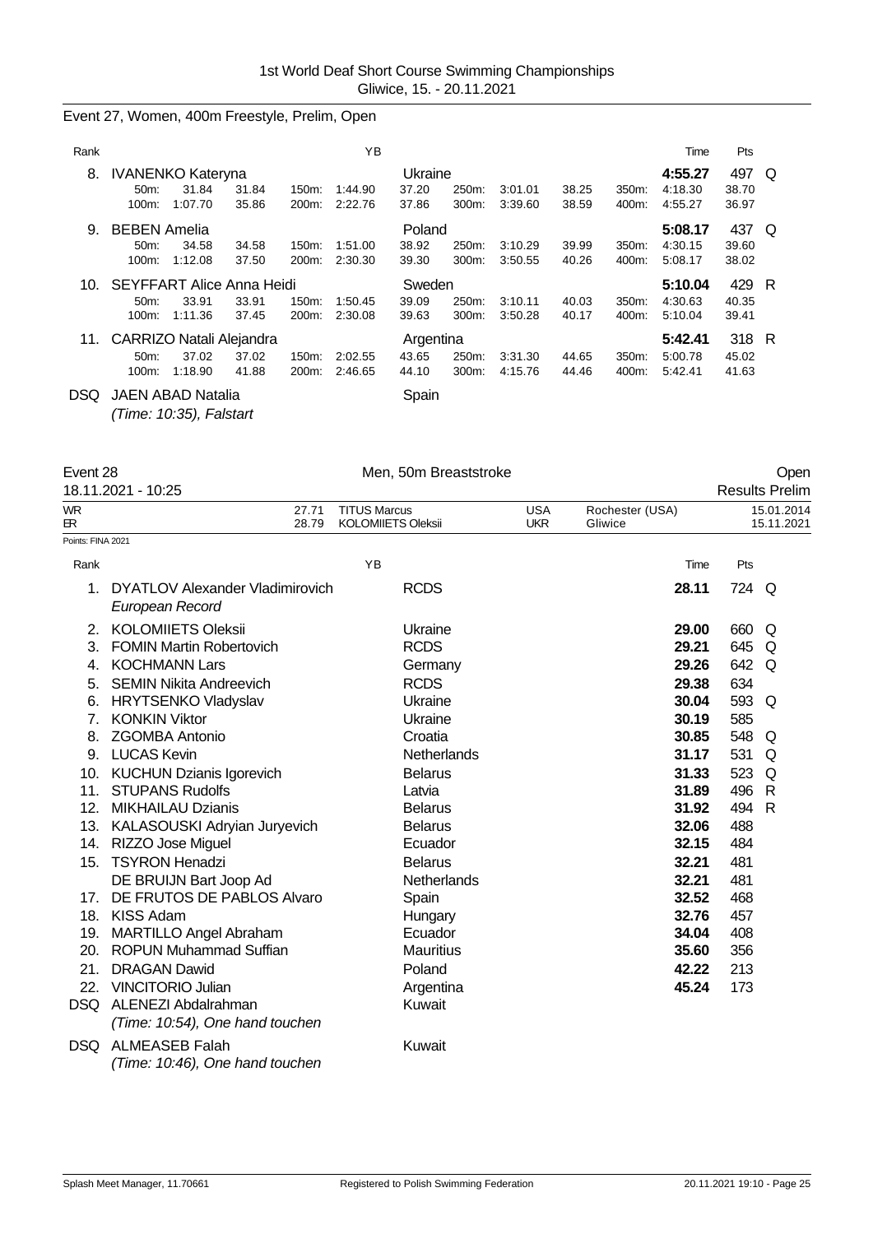#### Event 27, Women, 400m Freestyle, Prelim, Open

| Rank |                                  |         |       |       | ΥB      |           |       |         |       |       | Time    | Pts   |     |
|------|----------------------------------|---------|-------|-------|---------|-----------|-------|---------|-------|-------|---------|-------|-----|
| 8.   | <b>IVANENKO Kateryna</b>         |         |       |       |         | Ukraine   |       |         |       |       | 4:55.27 | 497   | O   |
|      | 50m                              | 31.84   | 31.84 | 150m: | 1:44.90 | 37.20     | 250m: | 3:01.01 | 38.25 | 350m: | 4:18.30 | 38.70 |     |
|      | 100m:                            | 1:07.70 | 35.86 | 200m: | 2:22.76 | 37.86     | 300m: | 3:39.60 | 38.59 | 400m: | 4:55.27 | 36.97 |     |
| 9.   | <b>BEBEN Amelia</b>              |         |       |       |         | Poland    |       |         |       |       | 5:08.17 | 437 Q |     |
|      | 50 <sub>m</sub> :                | 34.58   | 34.58 | 150m: | 1:51.00 | 38.92     | 250m: | 3:10.29 | 39.99 | 350m: | 4:30.15 | 39.60 |     |
|      | $100m$ :                         | 1:12.08 | 37.50 | 200m: | 2:30.30 | 39.30     | 300m: | 3:50.55 | 40.26 | 400m: | 5:08.17 | 38.02 |     |
| 10.  | <b>SEYFFART Alice Anna Heidi</b> |         |       |       |         | Sweden    |       |         |       |       | 5:10.04 | 429   | - R |
|      | 50 <sub>m</sub> :                | 33.91   | 33.91 | 150m: | 1:50.45 | 39.09     | 250m: | 3:10.11 | 40.03 | 350m: | 4:30.63 | 40.35 |     |
|      | 100m:                            | 1:11.36 | 37.45 | 200m: | 2:30.08 | 39.63     | 300m: | 3:50.28 | 40.17 | 400m: | 5:10.04 | 39.41 |     |
| 11.  | CARRIZO Natali Alejandra         |         |       |       |         | Argentina |       |         |       |       | 5:42.41 | 318 R |     |
|      | $50m$ :                          | 37.02   | 37.02 | 150m: | 2:02.55 | 43.65     | 250m: | 3.31.30 | 44.65 | 350m: | 5:00.78 | 45.02 |     |
|      | 100m:                            | 1:18.90 | 41.88 | 200m: | 2:46.65 | 44.10     | 300m: | 4:15.76 | 44.46 | 400m: | 5:42.41 | 41.63 |     |
| DSQ  | <b>JAEN ABAD Natalia</b>         |         |       |       |         | Spain     |       |         |       |       |         |       |     |

*(Time: 10:35), Falstart*

| Event 28          | 18.11.2021 - 10:25                                       | Men, 50m Breaststroke                            |                          |                            |       | Open<br><b>Results Prelim</b> |
|-------------------|----------------------------------------------------------|--------------------------------------------------|--------------------------|----------------------------|-------|-------------------------------|
| <b>WR</b><br>ВR.  | 27.71<br>28.79                                           | <b>TITUS Marcus</b><br><b>KOLOMIIETS Oleksii</b> | <b>USA</b><br><b>UKR</b> | Rochester (USA)<br>Gliwice |       | 15.01.2014<br>15.11.2021      |
| Points: FINA 2021 |                                                          |                                                  |                          |                            |       |                               |
| Rank              |                                                          | YB                                               |                          | Time                       | Pts   |                               |
| 1.                | DYATLOV Alexander Vladimirovich<br>European Record       | <b>RCDS</b>                                      |                          | 28.11                      | 724 Q |                               |
| 2.                | <b>KOLOMIIETS Oleksii</b>                                | Ukraine                                          |                          | 29.00                      | 660   | Q                             |
| 3.                | <b>FOMIN Martin Robertovich</b>                          | <b>RCDS</b>                                      |                          | 29.21                      | 645   | Q                             |
| 4.                | <b>KOCHMANN Lars</b>                                     | Germany                                          |                          | 29.26                      | 642 Q |                               |
| 5.                | <b>SEMIN Nikita Andreevich</b>                           | <b>RCDS</b>                                      |                          | 29.38                      | 634   |                               |
| 6.                | <b>HRYTSENKO Vladyslav</b>                               | Ukraine                                          |                          | 30.04                      | 593 Q |                               |
| 7 <sub>1</sub>    | <b>KONKIN Viktor</b>                                     | Ukraine                                          |                          | 30.19                      | 585   |                               |
| 8.                | <b>ZGOMBA Antonio</b>                                    | Croatia                                          |                          | 30.85                      | 548 Q |                               |
|                   | 9. LUCAS Kevin                                           | Netherlands                                      |                          | 31.17                      | 531   | Q                             |
| 10.               | <b>KUCHUN Dzianis Igorevich</b>                          | <b>Belarus</b>                                   |                          | 31.33                      | 523   | Q                             |
| 11.               | <b>STUPANS Rudolfs</b>                                   | Latvia                                           |                          | 31.89                      | 496   | $\mathsf{R}$                  |
| 12.               | <b>MIKHAILAU Dzianis</b>                                 | <b>Belarus</b>                                   |                          | 31.92                      | 494 R |                               |
|                   | 13. KALASOUSKI Adryian Juryevich                         | <b>Belarus</b>                                   |                          | 32.06                      | 488   |                               |
|                   | 14. RIZZO Jose Miguel                                    | Ecuador                                          |                          | 32.15                      | 484   |                               |
|                   | 15. TSYRON Henadzi                                       | <b>Belarus</b>                                   |                          | 32.21                      | 481   |                               |
|                   | DE BRUIJN Bart Joop Ad                                   | Netherlands                                      |                          | 32.21                      | 481   |                               |
| 17.               | DE FRUTOS DE PABLOS Alvaro                               | Spain                                            |                          | 32.52                      | 468   |                               |
|                   | 18. KISS Adam                                            | Hungary                                          |                          | 32.76                      | 457   |                               |
| 19.               | <b>MARTILLO Angel Abraham</b>                            | Ecuador                                          |                          | 34.04                      | 408   |                               |
| 20.               | <b>ROPUN Muhammad Suffian</b>                            | <b>Mauritius</b>                                 |                          | 35.60                      | 356   |                               |
| 21.               | <b>DRAGAN Dawid</b>                                      | Poland                                           |                          | 42.22                      | 213   |                               |
| 22.               | <b>VINCITORIO Julian</b>                                 | Argentina                                        |                          | 45.24                      | 173   |                               |
|                   | DSQ ALENEZI Abdalrahman                                  | Kuwait                                           |                          |                            |       |                               |
|                   | (Time: 10:54), One hand touchen                          |                                                  |                          |                            |       |                               |
| DSQ.              | <b>ALMEASEB Falah</b><br>(Time: 10:46), One hand touchen | Kuwait                                           |                          |                            |       |                               |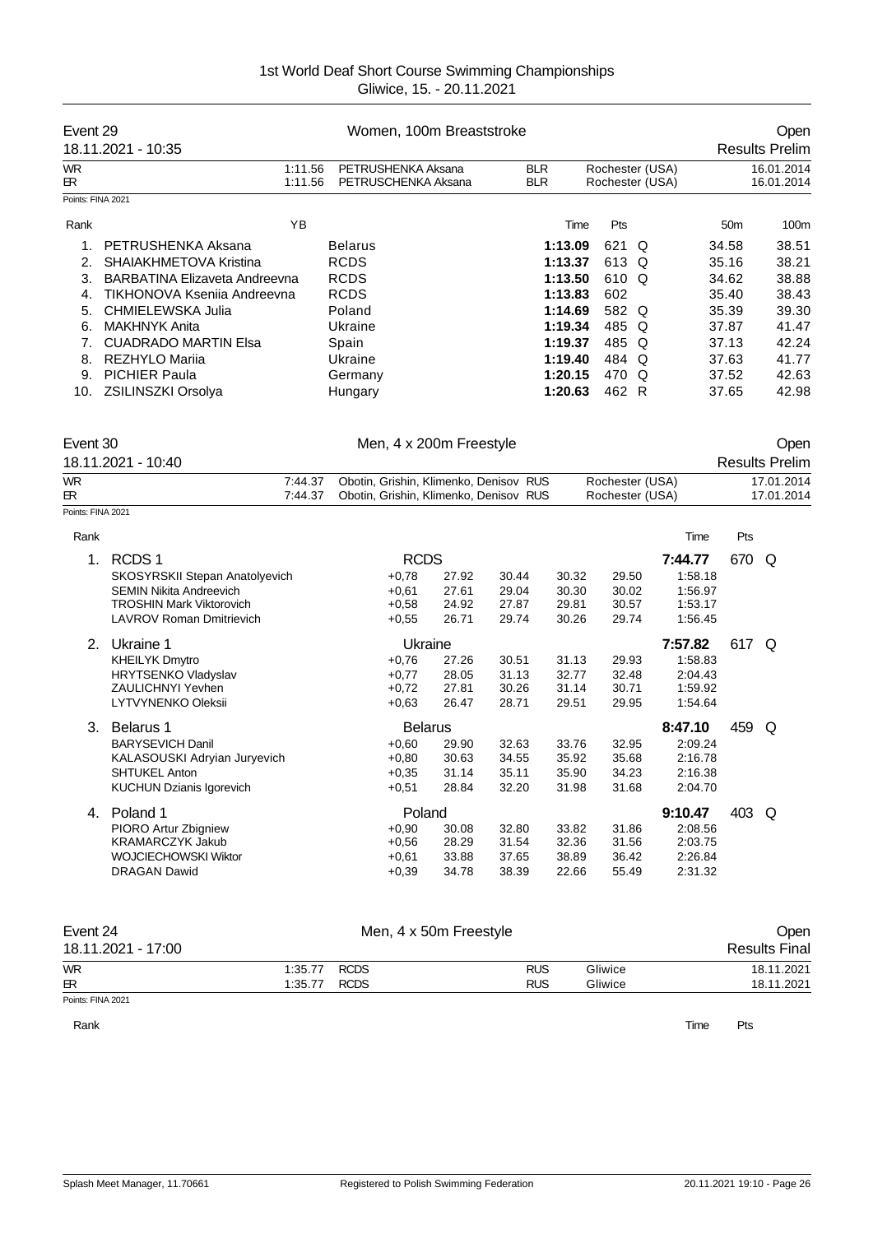| Event 29          | 18.11.2021 - 10:35            | Women, 100m Breaststroke |                                           |                          |      |       |                                    |                 | Open<br><b>Results Prelim</b> |
|-------------------|-------------------------------|--------------------------|-------------------------------------------|--------------------------|------|-------|------------------------------------|-----------------|-------------------------------|
| <b>WR</b><br>ЕR.  |                               | 1:11.56<br>1:11.56       | PETRUSHENKA Aksana<br>PETRUSCHENKA Aksana | <b>BLR</b><br><b>BLR</b> |      |       | Rochester (USA)<br>Rochester (USA) |                 | 16.01.2014<br>16.01.2014      |
| Points: FINA 2021 |                               |                          |                                           |                          |      |       |                                    |                 |                               |
| Rank              | YB.                           |                          |                                           |                          | Time | Pts   |                                    | 50 <sub>m</sub> | 100m                          |
|                   | PETRUSHENKA Aksana            |                          | <b>Belarus</b>                            | 1:13.09                  |      | 621 Q |                                    | 34.58           | 38.51                         |
| 2.                | SHAIAKHMETOVA Kristina        |                          | <b>RCDS</b>                               | 1:13.37                  |      | 613 Q |                                    | 35.16           | 38.21                         |
| 3.                | BARBATINA Elizaveta Andreevna |                          | <b>RCDS</b>                               | 1:13.50                  |      | 610 Q |                                    | 34.62           | 38.88                         |
| 4.                | TIKHONOVA Ksenija Andreevna   |                          | <b>RCDS</b>                               | 1:13.83                  |      | 602   |                                    | 35.40           | 38.43                         |
| 5.                | CHMIELEWSKA Julia             |                          | Poland                                    | 1:14.69                  |      | 582 Q |                                    | 35.39           | 39.30                         |
| 6.                | MAKHNYK Anita                 |                          | Ukraine                                   | 1:19.34                  |      | 485 Q |                                    | 37.87           | 41.47                         |
|                   | <b>CUADRADO MARTIN Elsa</b>   |                          | Spain                                     | 1:19.37                  |      | 485 Q |                                    | 37.13           | 42.24                         |
| 8.                | REZHYLO Marija                |                          | Ukraine                                   | 1:19.40                  |      | 484 Q |                                    | 37.63           | 41.77                         |
| 9.                | <b>PICHIER Paula</b>          |                          | Germany                                   | 1:20.15                  |      | 470 Q |                                    | 37.52           | 42.63                         |
| 10.               | ZSILINSZKI Orsolya            |                          | Hungary                                   | 1:20.63                  |      | 462 R |                                    | 37.65           | 42.98                         |

| Event 30           |         | Men, 4 x 200m Freestyle                |                 | Oper                  |
|--------------------|---------|----------------------------------------|-----------------|-----------------------|
| 18.11.2021 - 10:40 |         |                                        |                 | <b>Results Prelim</b> |
| <b>WR</b>          | 7:44.37 | Obotin, Grishin, Klimenko, Denisov RUS | Rochester (USA) | 17.01.2014            |
| $_{\rm{IR}}$       | 7:44.37 | Obotin, Grishin, Klimenko, Denisov RUS | Rochester (USA) | 17.01.2014            |
| Points: FINA 2021  |         |                                        |                 |                       |

| Rank |                                 |                |       |       |       |       | Time    | Pts   |   |
|------|---------------------------------|----------------|-------|-------|-------|-------|---------|-------|---|
| 1.   | RCDS <sub>1</sub>               | <b>RCDS</b>    |       |       |       |       | 7:44.77 | 670   | Q |
|      | SKOSYRSKII Stepan Anatolyevich  | $+0,78$        | 27.92 | 30.44 | 30.32 | 29.50 | 1:58.18 |       |   |
|      | <b>SEMIN Nikita Andreevich</b>  | $+0.61$        | 27.61 | 29.04 | 30.30 | 30.02 | 1:56.97 |       |   |
|      | <b>TROSHIN Mark Viktorovich</b> | $+0,58$        | 24.92 | 27.87 | 29.81 | 30.57 | 1:53.17 |       |   |
|      | <b>LAVROV Roman Dmitrievich</b> | $+0,55$        | 26.71 | 29.74 | 30.26 | 29.74 | 1:56.45 |       |   |
| 2.   | Ukraine 1                       | Ukraine        |       |       |       |       | 7:57.82 | 617 Q |   |
|      | <b>KHEILYK Dmytro</b>           | $+0.76$        | 27.26 | 30.51 | 31.13 | 29.93 | 1:58.83 |       |   |
|      | <b>HRYTSENKO Vladyslav</b>      | $+0,77$        | 28.05 | 31.13 | 32.77 | 32.48 | 2:04.43 |       |   |
|      | <b>ZAULICHNYI Yevhen</b>        | $+0,72$        | 27.81 | 30.26 | 31.14 | 30.71 | 1:59.92 |       |   |
|      | LYTVYNENKO Oleksii              | $+0.63$        | 26.47 | 28.71 | 29.51 | 29.95 | 1:54.64 |       |   |
| 3.   | Belarus 1                       | <b>Belarus</b> |       |       |       |       | 8:47.10 | 459   | Q |
|      | <b>BARYSEVICH Danil</b>         | $+0.60$        | 29.90 | 32.63 | 33.76 | 32.95 | 2:09.24 |       |   |
|      | KALASOUSKI Adryian Juryevich    | $+0.80$        | 30.63 | 34.55 | 35.92 | 35.68 | 2:16.78 |       |   |
|      | <b>SHTUKEL Anton</b>            | $+0.35$        | 31.14 | 35.11 | 35.90 | 34.23 | 2:16.38 |       |   |
|      | <b>KUCHUN Dzianis Igorevich</b> | $+0,51$        | 28.84 | 32.20 | 31.98 | 31.68 | 2:04.70 |       |   |
| 4.   | Poland 1                        | Poland         |       |       |       |       | 9:10.47 | 403   | Q |
|      | PIORO Artur Zbigniew            | $+0.90$        | 30.08 | 32.80 | 33.82 | 31.86 | 2:08.56 |       |   |
|      | <b>KRAMARCZYK Jakub</b>         | $+0,56$        | 28.29 | 31.54 | 32.36 | 31.56 | 2:03.75 |       |   |
|      | <b>WOJCIECHOWSKI Wiktor</b>     | $+0.61$        | 33.88 | 37.65 | 38.89 | 36.42 | 2:26.84 |       |   |
|      | <b>DRAGAN Dawid</b>             | $+0,39$        | 34.78 | 38.39 | 22.66 | 55.49 | 2:31.32 |       |   |
|      |                                 |                |       |       |       |       |         |       |   |

| Event 24<br>18.11.2021 - 17:00 |              | Men, 4 x 50m Freestyle |            |         | Open<br><b>Results Final</b> |
|--------------------------------|--------------|------------------------|------------|---------|------------------------------|
| <b>WR</b>                      | 1:35.77 RCDS |                        | <b>RUS</b> | Gliwice | 18.11.2021                   |
| œ.                             | 1:35.77 RCDS |                        | <b>RUS</b> | Gliwice | 18.11.2021                   |
| Points: FINA 2021              |              |                        |            |         |                              |

Rank **Time Pts**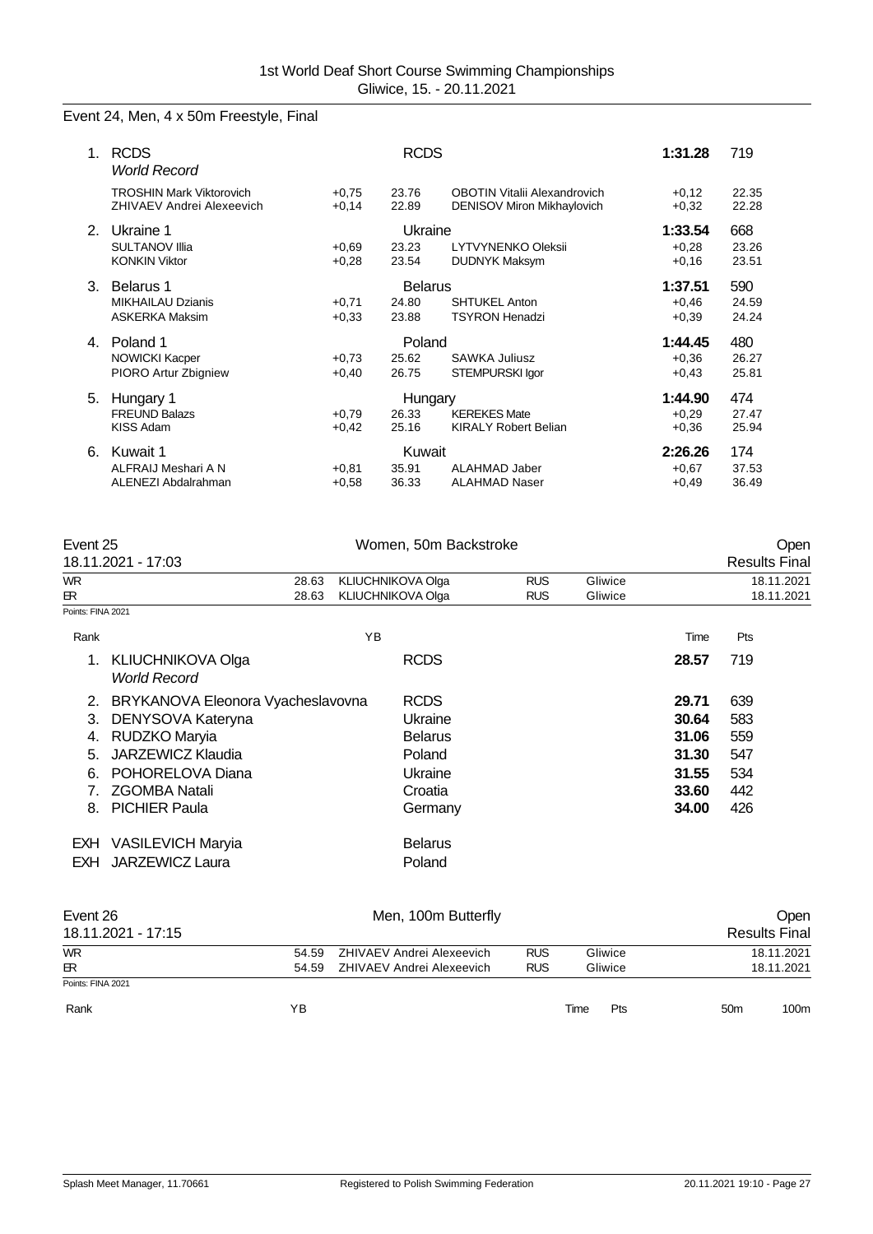# Event 24, Men, 4 x 50m Freestyle, Final

| 1             | <b>RCDS</b><br><b>World Record</b>                                  |                    | <b>RCDS</b>                      |                                                                   | 1:31.28                       | 719                   |
|---------------|---------------------------------------------------------------------|--------------------|----------------------------------|-------------------------------------------------------------------|-------------------------------|-----------------------|
|               | <b>TROSHIN Mark Viktorovich</b><br><b>ZHIVAEV Andrei Alexeevich</b> | $+0.75$<br>$+0.14$ | 23.76<br>22.89                   | <b>OBOTIN Vitalii Alexandrovich</b><br>DENISOV Miron Mikhaylovich | $+0,12$<br>$+0.32$            | 22.35<br>22.28        |
| $\mathcal{P}$ | Ukraine 1<br><b>SULTANOV IIIja</b><br><b>KONKIN Viktor</b>          | $+0.69$<br>$+0.28$ | Ukraine<br>23.23<br>23.54        | <b>LYTVYNENKO Oleksii</b><br><b>DUDNYK Maksym</b>                 | 1:33.54<br>$+0,28$<br>$+0,16$ | 668<br>23.26<br>23.51 |
| 3.            | Belarus 1<br><b>MIKHAILAU Dzianis</b><br><b>ASKERKA Maksim</b>      | $+0,71$<br>$+0.33$ | <b>Belarus</b><br>24.80<br>23.88 | <b>SHTUKEL Anton</b><br><b>TSYRON Henadzi</b>                     | 1:37.51<br>$+0,46$<br>$+0,39$ | 590<br>24.59<br>24.24 |
| 4.            | Poland 1<br><b>NOWICKI Kacper</b><br>PIORO Artur Zbigniew           | $+0.73$<br>$+0,40$ | Poland<br>25.62<br>26.75         | SAWKA Juliusz<br>STEMPURSKI Igor                                  | 1:44.45<br>$+0,36$<br>$+0.43$ | 480<br>26.27<br>25.81 |
| 5.            | Hungary 1<br><b>FREUND Balazs</b><br>KISS Adam                      | $+0.79$<br>$+0.42$ | Hungary<br>26.33<br>25.16        | <b>KEREKES Mate</b><br><b>KIRALY Robert Belian</b>                | 1:44.90<br>$+0,29$<br>$+0,36$ | 474<br>27.47<br>25.94 |
| 6.            | Kuwait 1<br>ALFRAIJ Meshari A N<br>ALENEZI Abdalrahman              | $+0.81$<br>$+0.58$ | Kuwait<br>35.91<br>36.33         | <b>ALAHMAD Jaber</b><br><b>ALAHMAD Naser</b>                      | 2:26.26<br>$+0.67$<br>$+0.49$ | 174<br>37.53<br>36.49 |

| Event 25<br>18.11.2021 - 17:03   |                                                                                                                                                                         |                |    | Women, 50m Backstroke                                                               |                          |                    |                                                             | Open<br><b>Results Final</b>                  |
|----------------------------------|-------------------------------------------------------------------------------------------------------------------------------------------------------------------------|----------------|----|-------------------------------------------------------------------------------------|--------------------------|--------------------|-------------------------------------------------------------|-----------------------------------------------|
| <b>WR</b><br>ЕR.                 |                                                                                                                                                                         | 28.63<br>28.63 |    | KLIUCHNIKOVA Olga<br>KLIUCHNIKOVA Olga                                              | <b>RUS</b><br><b>RUS</b> | Gliwice<br>Gliwice |                                                             | 18.11.2021<br>18.11.2021                      |
| Points: FINA 2021                |                                                                                                                                                                         |                |    |                                                                                     |                          |                    |                                                             |                                               |
| Rank                             |                                                                                                                                                                         |                | YB |                                                                                     |                          |                    | Time                                                        | Pts                                           |
| 1.                               | <b>KLIUCHNIKOVA Olga</b><br><b>World Record</b>                                                                                                                         |                |    | <b>RCDS</b>                                                                         |                          |                    | 28.57                                                       | 719                                           |
| 2.<br>3.<br>4.<br>5.<br>6.<br>8. | BRYKANOVA Eleonora Vyacheslavovna<br>DENYSOVA Kateryna<br>RUDZKO Maryia<br><b>JARZEWICZ Klaudia</b><br>POHORELOVA Diana<br><b>ZGOMBA Natali</b><br><b>PICHIER Paula</b> |                |    | <b>RCDS</b><br>Ukraine<br><b>Belarus</b><br>Poland<br>Ukraine<br>Croatia<br>Germany |                          |                    | 29.71<br>30.64<br>31.06<br>31.30<br>31.55<br>33.60<br>34.00 | 639<br>583<br>559<br>547<br>534<br>442<br>426 |
| EXH.                             | EXH VASILEVICH Maryia<br><b>JARZEWICZ Laura</b>                                                                                                                         |                |    | <b>Belarus</b><br>Poland                                                            |                          |                    |                                                             |                                               |

| Event 26           |       |                           | Open                  |      |         |                 |                      |
|--------------------|-------|---------------------------|-----------------------|------|---------|-----------------|----------------------|
| 18.11.2021 - 17:15 |       |                           |                       |      |         |                 | <b>Results Final</b> |
| <b>WR</b>          | 54.59 | ZHIVAEV Andrei Alexeevich | <b>RUS</b>            |      | Gliwice |                 | 18.11.2021           |
| $\mathbb{R}$       | 54.59 | ZHIVAEV Andrei Alexeevich | <b>RUS</b><br>Gliwice |      |         | 18.11.2021      |                      |
| Points: FINA 2021  |       |                           |                       |      |         |                 |                      |
| Rank               | YΒ    |                           |                       | Time | Pts     | 50 <sub>m</sub> | 100m                 |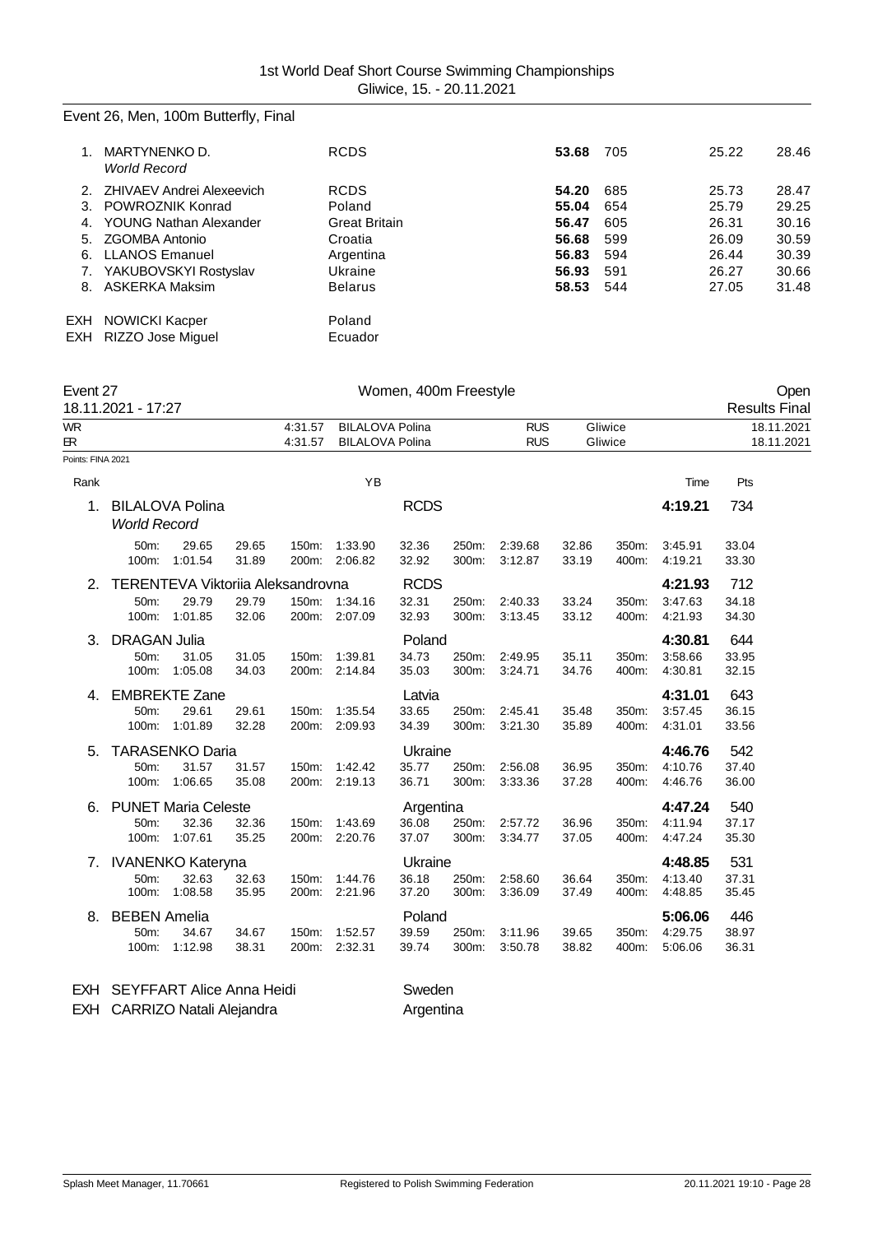# Event 26, Men, 100m Butterfly, Final

|             | MARTYNENKO D.<br><b>World Record</b> | <b>RCDS</b>          | 53.68 | 705 | 25.22 | 28.46 |
|-------------|--------------------------------------|----------------------|-------|-----|-------|-------|
| $2^{\circ}$ | ZHIVAEV Andrei Alexeevich            | <b>RCDS</b>          | 54.20 | 685 | 25.73 | 28.47 |
| 3.          | POWROZNIK Konrad                     | Poland               | 55.04 | 654 | 25.79 | 29.25 |
| 4.          | <b>YOUNG Nathan Alexander</b>        | <b>Great Britain</b> | 56.47 | 605 | 26.31 | 30.16 |
| 5.          | <b>ZGOMBA Antonio</b>                | Croatia              | 56.68 | 599 | 26.09 | 30.59 |
| 6.          | <b>LLANOS Emanuel</b>                | Argentina            | 56.83 | 594 | 26.44 | 30.39 |
| 7.          | YAKUBOVSKYI Rostyslav                | Ukraine              | 56.93 | 591 | 26.27 | 30.66 |
|             | 8. ASKERKA Maksim                    | <b>Belarus</b>       | 58.53 | 544 | 27.05 | 31.48 |
| EXH         | <b>NOWICKI Kacper</b>                | Poland               |       |     |       |       |
|             | EXH RIZZO Jose Miquel                | Ecuador              |       |     |       |       |
|             |                                      |                      |       |     |       |       |

| Event 27          | 18.11.2021 - 17:27                        |                                                       |                |                    |                                                  | Women, 400m Freestyle         |                |                          |                |                    |                               | Open<br><b>Results Final</b> |
|-------------------|-------------------------------------------|-------------------------------------------------------|----------------|--------------------|--------------------------------------------------|-------------------------------|----------------|--------------------------|----------------|--------------------|-------------------------------|------------------------------|
| <b>WR</b><br>ЕR.  |                                           |                                                       |                | 4:31.57<br>4:31.57 | <b>BILALOVA Polina</b><br><b>BILALOVA Polina</b> |                               |                | <b>RUS</b><br><b>RUS</b> |                | Gliwice<br>Gliwice |                               | 18.11.2021<br>18.11.2021     |
| Points: FINA 2021 |                                           |                                                       |                |                    |                                                  |                               |                |                          |                |                    |                               |                              |
| Rank              |                                           |                                                       |                |                    | YB                                               |                               |                |                          |                |                    | Time                          | Pts                          |
| 1.                | <b>World Record</b>                       | <b>BILALOVA Polina</b>                                |                |                    |                                                  | <b>RCDS</b>                   |                |                          |                |                    | 4:19.21                       | 734                          |
|                   | 50m:<br>100m:                             | 29.65<br>1:01.54                                      | 29.65<br>31.89 | 150m:<br>200m:     | 1:33.90<br>2:06.82                               | 32.36<br>32.92                | 250m:<br>300m: | 2:39.68<br>3:12.87       | 32.86<br>33.19 | 350m:<br>400m:     | 3:45.91<br>4:19.21            | 33.04<br>33.30               |
| 2.                | 50m:<br>100m:                             | TERENTEVA Viktoriia Aleksandrovna<br>29.79<br>1:01.85 | 29.79<br>32.06 | 200m:              | 150m: 1:34.16<br>2:07.09                         | <b>RCDS</b><br>32.31<br>32.93 | 250m:<br>300m: | 2:40.33<br>3:13.45       | 33.24<br>33.12 | 350m:<br>400m:     | 4:21.93<br>3:47.63<br>4:21.93 | 712<br>34.18<br>34.30        |
| 3.                | <b>DRAGAN Julia</b><br>50m:<br>100m:      | 31.05<br>1:05.08                                      | 31.05<br>34.03 | 150m:<br>200m:     | 1:39.81<br>2:14.84                               | Poland<br>34.73<br>35.03      | 250m:<br>300m: | 2:49.95<br>3:24.71       | 35.11<br>34.76 | 350m:<br>400m:     | 4:30.81<br>3:58.66<br>4:30.81 | 644<br>33.95<br>32.15        |
| 4.                | 50m:<br>100m:                             | <b>EMBREKTE Zane</b><br>29.61<br>1:01.89              | 29.61<br>32.28 | 150m:<br>200m:     | 1:35.54<br>2:09.93                               | Latvia<br>33.65<br>34.39      | 250m:<br>300m: | 2:45.41<br>3:21.30       | 35.48<br>35.89 | 350m:<br>400m:     | 4:31.01<br>3:57.45<br>4:31.01 | 643<br>36.15<br>33.56        |
| 5.                | 50m:<br>100m:                             | <b>TARASENKO Daria</b><br>31.57<br>1:06.65            | 31.57<br>35.08 | 150m:<br>200m:     | 1:42.42<br>2:19.13                               | Ukraine<br>35.77<br>36.71     | 250m:<br>300m: | 2:56.08<br>3:33.36       | 36.95<br>37.28 | 350m:<br>400m:     | 4:46.76<br>4:10.76<br>4:46.76 | 542<br>37.40<br>36.00        |
| 6.                | 50m:<br>100m:                             | <b>PUNET Maria Celeste</b><br>32.36<br>1:07.61        | 32.36<br>35.25 | 150m:<br>200m:     | 1:43.69<br>2:20.76                               | Argentina<br>36.08<br>37.07   | 250m:<br>300m: | 2:57.72<br>3:34.77       | 36.96<br>37.05 | 350m:<br>400m:     | 4:47.24<br>4:11.94<br>4:47.24 | 540<br>37.17<br>35.30        |
| 7.                | <b>IVANENKO Kateryna</b><br>50m:<br>100m: | 32.63<br>1:08.58                                      | 32.63<br>35.95 | 150m:<br>200m:     | 1:44.76<br>2:21.96                               | Ukraine<br>36.18<br>37.20     | 250m:<br>300m: | 2:58.60<br>3:36.09       | 36.64<br>37.49 | 350m:<br>400m:     | 4:48.85<br>4:13.40<br>4:48.85 | 531<br>37.31<br>35.45        |
| 8.                | <b>BEBEN Amelia</b><br>50m:<br>100m:      | 34.67<br>1:12.98                                      | 34.67<br>38.31 | 150m:<br>200m:     | 1:52.57<br>2:32.31                               | Poland<br>39.59<br>39.74      | 250m:<br>300m: | 3:11.96<br>3:50.78       | 39.65<br>38.82 | 350m:<br>400m:     | 5:06.06<br>4:29.75<br>5:06.06 | 446<br>38.97<br>36.31        |

EXH SEYFFART Alice Anna Heidi Sweden EXH CARRIZO Natali Alejandra **Argentina**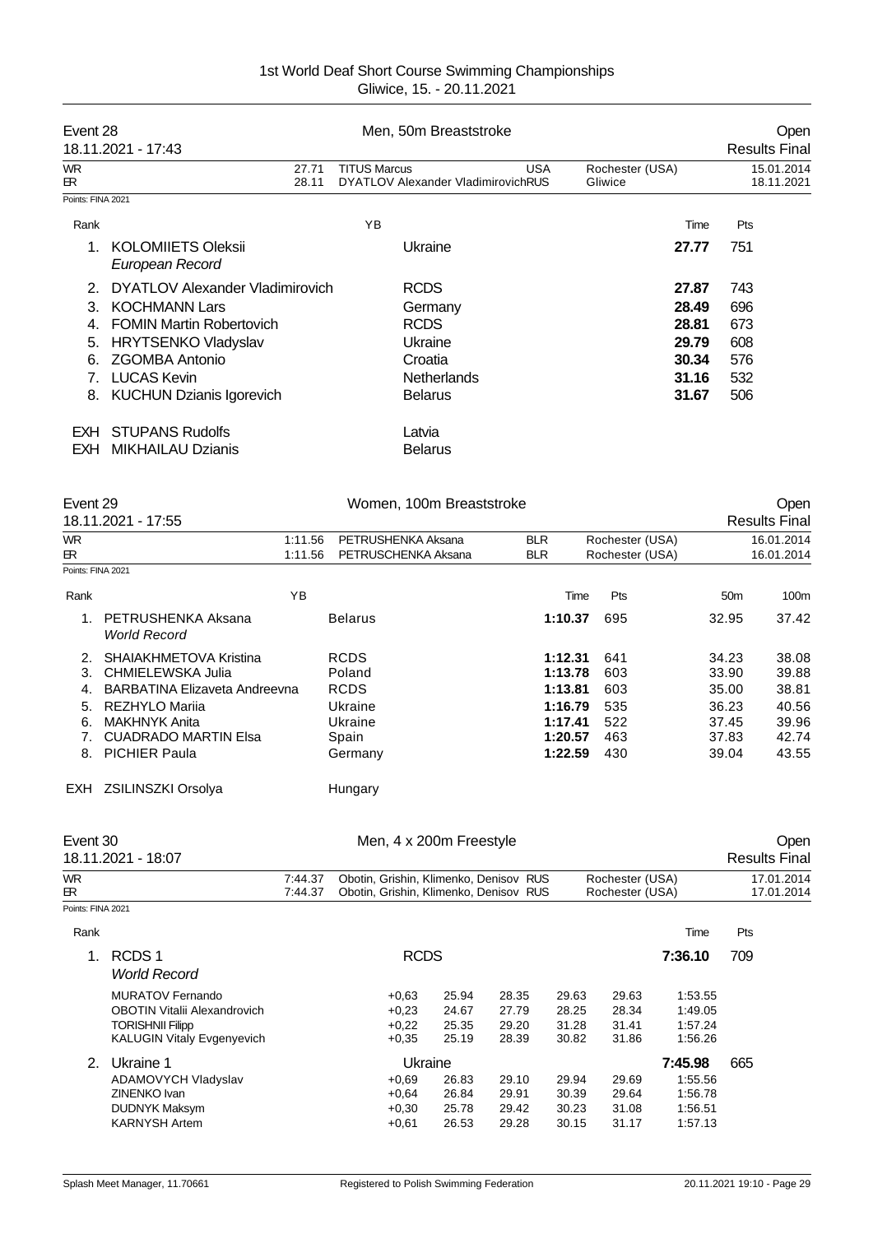| Event 28          | 18.11.2021 - 17:43                           | Men, 50m Breaststroke                                                   |                            |                          |  |  |  |  |
|-------------------|----------------------------------------------|-------------------------------------------------------------------------|----------------------------|--------------------------|--|--|--|--|
| <b>WR</b><br>ЕR   | 27.71<br>28.11                               | <b>TITUS Marcus</b><br><b>USA</b><br>DYATLOV Alexander VladimirovichRUS | Rochester (USA)<br>Gliwice | 15.01.2014<br>18.11.2021 |  |  |  |  |
| Points: FINA 2021 |                                              |                                                                         |                            |                          |  |  |  |  |
| Rank              |                                              | YB                                                                      | Time                       | Pts                      |  |  |  |  |
|                   | <b>KOLOMIIETS Oleksii</b><br>European Record | Ukraine                                                                 | 27.77                      | 751                      |  |  |  |  |
| 2 <sub>1</sub>    | <b>DYATLOV Alexander Vladimirovich</b>       | <b>RCDS</b>                                                             | 27.87                      | 743                      |  |  |  |  |
| 3.                | <b>KOCHMANN Lars</b>                         | Germany                                                                 | 28.49                      | 696                      |  |  |  |  |
| 4.                | <b>FOMIN Martin Robertovich</b>              | <b>RCDS</b>                                                             | 28.81                      | 673                      |  |  |  |  |
| 5.                | <b>HRYTSENKO Vladyslav</b>                   | Ukraine                                                                 | 29.79                      | 608                      |  |  |  |  |
| 6.                | <b>ZGOMBA Antonio</b>                        | Croatia                                                                 | 30.34                      | 576                      |  |  |  |  |
|                   | <b>LUCAS Kevin</b>                           | <b>Netherlands</b>                                                      | 31.16                      | 532                      |  |  |  |  |
| 8.                | <b>KUCHUN Dzianis Igorevich</b>              | <b>Belarus</b>                                                          | 31.67                      | 506                      |  |  |  |  |
| EXH.              | <b>STUPANS Rudolfs</b>                       | Latvia                                                                  |                            |                          |  |  |  |  |
| EXH .             | <b>MIKHAILAU Dzianis</b>                     | <b>Belarus</b>                                                          |                            |                          |  |  |  |  |

| Event 29          |                                           |                                | Women, 100m Breaststroke |                 |                 |                      |  |
|-------------------|-------------------------------------------|--------------------------------|--------------------------|-----------------|-----------------|----------------------|--|
|                   | 18.11.2021 - 17:55                        |                                |                          |                 |                 | <b>Results Final</b> |  |
| <b>WR</b>         |                                           | PETRUSHENKA Aksana<br>1:11.56  | <b>BLR</b>               | Rochester (USA) |                 | 16.01.2014           |  |
| <b>ER</b>         |                                           | PETRUSCHENKA Aksana<br>1:11.56 | <b>BLR</b>               | Rochester (USA) |                 | 16.01.2014           |  |
| Points: FINA 2021 |                                           |                                |                          |                 |                 |                      |  |
| Rank              | YB                                        |                                | Time                     | Pts             | 50 <sub>m</sub> | 100m                 |  |
| $\mathbf 1$       | PETRUSHENKA Aksana<br><b>World Record</b> | <b>Belarus</b>                 | 1:10.37                  | 695             | 32.95           | 37.42                |  |
| $\mathcal{P}$     | SHAIAKHMETOVA Kristina                    | <b>RCDS</b>                    | 1:12.31                  | 641             | 34.23           | 38.08                |  |
| 3.                | CHMIELEWSKA Julia                         | Poland                         | 1:13.78                  | 603             | 33.90           | 39.88                |  |
| 4.                | BARBATINA Elizaveta Andreevna             | <b>RCDS</b>                    | 1:13.81                  | 603             | 35.00           | 38.81                |  |
| 5.                | REZHYLO Marija                            | Ukraine                        | 1:16.79                  | 535             | 36.23           | 40.56                |  |
| 6.                | <b>MAKHNYK Anita</b>                      | Ukraine                        | 1:17.41                  | 522             | 37.45           | 39.96                |  |
|                   | <b>CUADRADO MARTIN Elsa</b>               | Spain                          | 1:20.57                  | 463             | 37.83           | 42.74                |  |
| 8.                | <b>PICHIER Paula</b>                      | Germany                        | 1:22.59                  | 430             | 39.04           | 43.55                |  |
|                   | EXH ZSILINSZKI Orsolya                    | Hungary                        |                          |                 |                 |                      |  |

| Event 30          | 18.11.2021 - 18:07                                                                                                             | Men, 4 x 200m Freestyle |                                                                                  |                                  |                                  |                                  |                                    | <b>Results Final</b>                                | Oper                     |  |
|-------------------|--------------------------------------------------------------------------------------------------------------------------------|-------------------------|----------------------------------------------------------------------------------|----------------------------------|----------------------------------|----------------------------------|------------------------------------|-----------------------------------------------------|--------------------------|--|
| WR.<br>ЕR.        |                                                                                                                                | 7:44.37<br>7:44.37      | Obotin, Grishin, Klimenko, Denisov RUS<br>Obotin, Grishin, Klimenko, Denisov RUS |                                  |                                  |                                  | Rochester (USA)<br>Rochester (USA) |                                                     | 17.01.2014<br>17.01.2014 |  |
| Points: FINA 2021 |                                                                                                                                |                         |                                                                                  |                                  |                                  |                                  |                                    |                                                     |                          |  |
| Rank              |                                                                                                                                |                         |                                                                                  |                                  |                                  |                                  |                                    | Time                                                | Pts                      |  |
| 1.                | RCDS <sub>1</sub><br><b>World Record</b>                                                                                       |                         | <b>RCDS</b>                                                                      |                                  |                                  |                                  |                                    | 7:36.10                                             | 709                      |  |
|                   | <b>MURATOV Fernando</b><br><b>OBOTIN Vitalii Alexandrovich</b><br><b>TORISHNII Filipp</b><br><b>KALUGIN Vitaly Evgenyevich</b> |                         | $+0.63$<br>$+0.23$<br>$+0.22$<br>$+0.35$                                         | 25.94<br>24.67<br>25.35<br>25.19 | 28.35<br>27.79<br>29.20<br>28.39 | 29.63<br>28.25<br>31.28<br>30.82 | 29.63<br>28.34<br>31.41<br>31.86   | 1:53.55<br>1:49.05<br>1:57.24<br>1:56.26            |                          |  |
| 2 <sup>1</sup>    | Ukraine 1<br>ADAMOVYCH Vladyslav<br>ZINENKO Ivan<br>DUDNYK Maksym<br><b>KARNYSH Artem</b>                                      |                         | Ukraine<br>$+0.69$<br>$+0.64$<br>$+0.30$<br>$+0.61$                              | 26.83<br>26.84<br>25.78<br>26.53 | 29.10<br>29.91<br>29.42<br>29.28 | 29.94<br>30.39<br>30.23<br>30.15 | 29.69<br>29.64<br>31.08<br>31.17   | 7:45.98<br>1:55.56<br>1:56.78<br>1:56.51<br>1:57.13 | 665                      |  |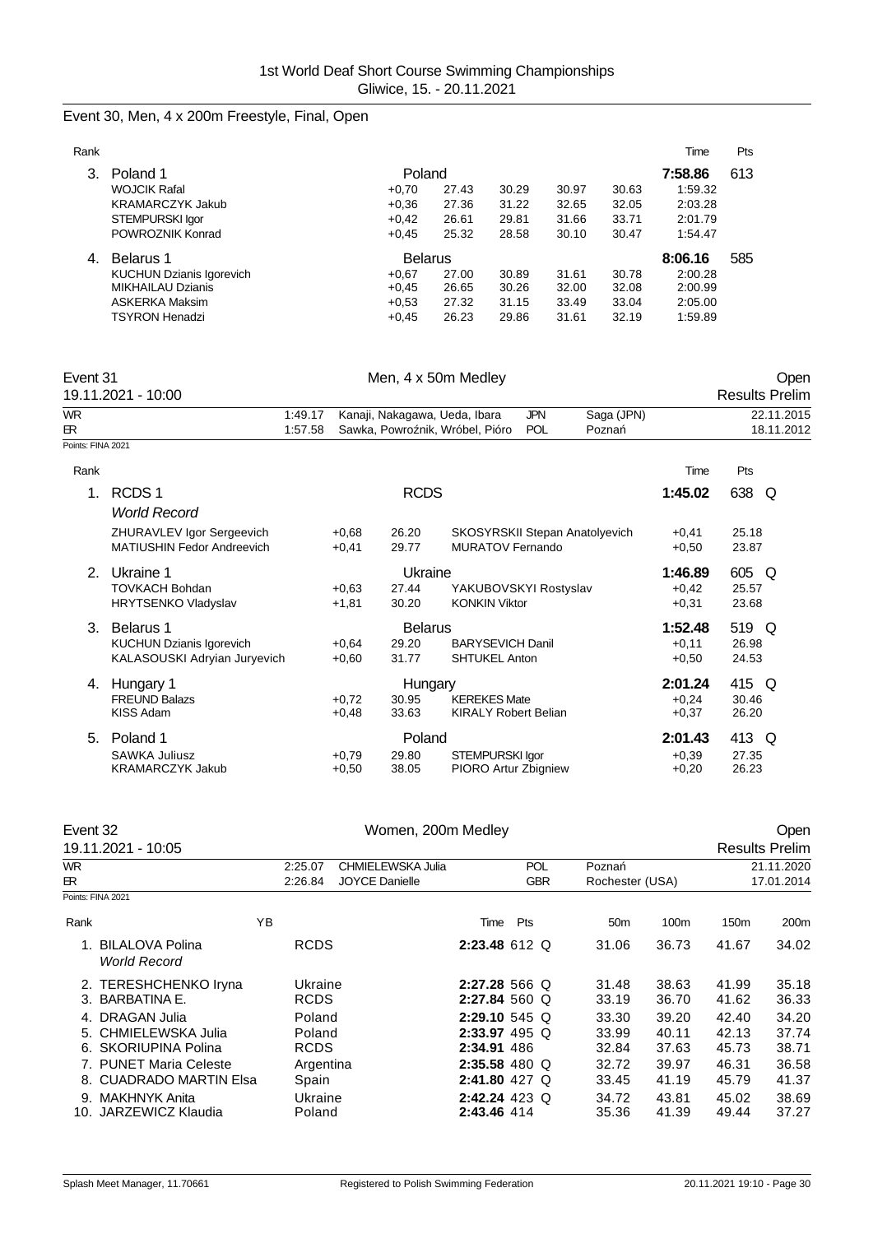# Event 30, Men, 4 x 200m Freestyle, Final, Open

| Rank |                                 |                |       |       |       |       | Time    | Pts |
|------|---------------------------------|----------------|-------|-------|-------|-------|---------|-----|
|      | Poland 1                        | Poland         |       |       |       |       | 7:58.86 | 613 |
|      | <b>WOJCIK Rafal</b>             | $+0.70$        | 27.43 | 30.29 | 30.97 | 30.63 | 1:59.32 |     |
|      | <b>KRAMARCZYK Jakub</b>         | $+0.36$        | 27.36 | 31.22 | 32.65 | 32.05 | 2:03.28 |     |
|      | STEMPURSKI Igor                 | $+0,42$        | 26.61 | 29.81 | 31.66 | 33.71 | 2:01.79 |     |
|      | POWROZNIK Konrad                | $+0.45$        | 25.32 | 28.58 | 30.10 | 30.47 | 1:54.47 |     |
| 4.   | Belarus 1                       | <b>Belarus</b> |       |       |       |       | 8:06.16 | 585 |
|      | <b>KUCHUN Dzianis Igorevich</b> | $+0.67$        | 27.00 | 30.89 | 31.61 | 30.78 | 2:00.28 |     |
|      | <b>MIKHAILAU Dzianis</b>        | $+0.45$        | 26.65 | 30.26 | 32.00 | 32.08 | 2:00.99 |     |
|      | <b>ASKERKA Maksim</b>           | $+0.53$        | 27.32 | 31.15 | 33.49 | 33.04 | 2:05.00 |     |
|      | <b>TSYRON Henadzi</b>           | $+0.45$        | 26.23 | 29.86 | 31.61 | 32.19 | 1:59.89 |     |
|      |                                 |                |       |       |       |       |         |     |

| Event 31          |                                                                |                    |                    |                               | Men, 4 x 50m Medley                                       |                   |                     |                    |                | Open                     |
|-------------------|----------------------------------------------------------------|--------------------|--------------------|-------------------------------|-----------------------------------------------------------|-------------------|---------------------|--------------------|----------------|--------------------------|
|                   | 19.11.2021 - 10:00                                             |                    |                    |                               |                                                           |                   |                     |                    |                | <b>Results Prelim</b>    |
| WR.<br>œ.         |                                                                | 1:49.17<br>1:57.58 |                    | Kanaji, Nakagawa, Ueda, Ibara | Sawka, Powro nik, Wróbel, Pióro                           | <b>JPN</b><br>POL | Saga (JPN)<br>Pozna |                    |                | 22.11.2015<br>18.11.2012 |
| Points: FINA 2021 |                                                                |                    |                    |                               |                                                           |                   |                     |                    |                |                          |
| Rank              |                                                                |                    |                    |                               |                                                           |                   |                     | Time               | Pts            |                          |
| 1.                | RCDS <sub>1</sub>                                              |                    |                    | <b>RCDS</b>                   |                                                           |                   |                     | 1:45.02            | 638 Q          |                          |
|                   | <b>World Record</b>                                            |                    |                    |                               |                                                           |                   |                     |                    |                |                          |
|                   | ZHURAVLEV Igor Sergeevich<br><b>MATIUSHIN Fedor Andreevich</b> |                    | $+0.68$<br>$+0.41$ | 26.20<br>29.77                | SKOSYRSKII Stepan Anatolyevich<br><b>MURATOV Fernando</b> |                   |                     | $+0,41$<br>$+0,50$ | 25.18<br>23.87 |                          |
| 2.                | Ukraine 1                                                      |                    |                    | Ukraine                       |                                                           |                   |                     | 1:46.89            | 605 Q          |                          |
|                   | <b>TOVKACH Bohdan</b>                                          |                    | $+0.63$            | 27.44                         | YAKUBOVSKYI Rostyslav                                     |                   |                     | $+0.42$            | 25.57          |                          |
|                   | <b>HRYTSENKO Vladyslav</b>                                     |                    | $+1,81$            | 30.20                         | <b>KONKIN Viktor</b>                                      |                   |                     | $+0,31$            | 23.68          |                          |
| 3.                | Belarus 1                                                      |                    |                    | <b>Belarus</b>                |                                                           |                   |                     | 1:52.48            | 519 Q          |                          |
|                   | <b>KUCHUN Dzianis Igorevich</b>                                |                    | $+0.64$            | 29.20                         | <b>BARYSEVICH Danil</b>                                   |                   |                     | $+0,11$            | 26.98          |                          |
|                   | KALASOUSKI Adryian Juryevich                                   |                    | $+0.60$            | 31.77                         | <b>SHTUKEL Anton</b>                                      |                   |                     | $+0.50$            | 24.53          |                          |
| 4.                | Hungary 1                                                      |                    |                    | Hungary                       |                                                           |                   |                     | 2:01.24            | 415 Q          |                          |
|                   | <b>FREUND Balazs</b>                                           |                    | $+0,72$            | 30.95                         | <b>KEREKES Mate</b>                                       |                   |                     | $+0,24$            | 30.46          |                          |
|                   | <b>KISS Adam</b>                                               |                    | $+0.48$            | 33.63                         | <b>KIRALY Robert Belian</b>                               |                   |                     | $+0,37$            | 26.20          |                          |
| 5.                | Poland 1                                                       |                    |                    | Poland                        |                                                           |                   |                     | 2:01.43            | 413 Q          |                          |
|                   | <b>SAWKA Juliusz</b>                                           |                    | $+0.79$            | 29.80                         | <b>STEMPURSKI Igor</b>                                    |                   |                     | $+0.39$            | 27.35          |                          |
|                   | <b>KRAMARCZYK Jakub</b>                                        |                    | $+0,50$            | 38.05                         | PIORO Artur Zbigniew                                      |                   |                     | $+0,20$            | 26.23          |                          |

| Event 32   | 19.11.2021 - 10:05                                           |    |                                 | Open<br><b>Results Prelim</b>              |                                                   |                          |                          |                         |                          |                         |
|------------|--------------------------------------------------------------|----|---------------------------------|--------------------------------------------|---------------------------------------------------|--------------------------|--------------------------|-------------------------|--------------------------|-------------------------|
| WR.<br>ER. |                                                              |    | 2:25.07<br>2:26.84              | CHMIELEWSKA Julia<br><b>JOYCE Danielle</b> |                                                   | <b>POL</b><br><b>GBR</b> | Pozna<br>Rochester (USA) |                         | 21.11.2020<br>17.01.2014 |                         |
|            | Points: FINA 2021                                            |    |                                 |                                            |                                                   |                          |                          |                         |                          |                         |
| Rank       |                                                              | ΥB |                                 |                                            | Time                                              | Pts                      | 50 <sub>m</sub>          | 100m                    | 150 <sub>m</sub>         | 200m                    |
|            | <b>BILALOVA Polina</b><br><b>World Record</b>                |    | <b>RCDS</b>                     |                                            | $2:23.48$ 612 Q                                   |                          | 31.06                    | 36.73                   | 41.67                    | 34.02                   |
| 3.         | 2. TERESHCHENKO Iryna<br>BARBATINA E.                        |    | Ukraine<br><b>RCDS</b>          |                                            | 2:27.28 566 Q<br>2:27.84 560 Q                    |                          | 31.48<br>33.19           | 38.63<br>36.70          | 41.99<br>41.62           | 35.18<br>36.33          |
| 6.         | 4. DRAGAN Julia<br>5. CHMIELEWSKA Julia<br>SKORIUPINA Polina |    | Poland<br>Poland<br><b>RCDS</b> |                                            | $2:29.10$ 545 Q<br>$2:33.97$ 495 Q<br>2:34.91 486 |                          | 33.30<br>33.99<br>32.84  | 39.20<br>40.11<br>37.63 | 42.40<br>42.13<br>45.73  | 34.20<br>37.74<br>38.71 |
| 8.         | 7. PUNET Maria Celeste<br><b>CUADRADO MARTIN Elsa</b>        |    | Argentina<br>Spain              |                                            | $2:35.58$ 480 Q<br>2:41.80 427 Q                  |                          | 32.72<br>33.45           | 39.97<br>41.19          | 46.31<br>45.79           | 36.58<br>41.37          |
| 9.<br>10.  | <b>MAKHNYK Anita</b><br>JARZEWICZ Klaudia                    |    | Ukraine<br>Poland               |                                            | $2:42.24$ 423 Q<br>2:43.46 414                    |                          | 34.72<br>35.36           | 43.81<br>41.39          | 45.02<br>49.44           | 38.69<br>37.27          |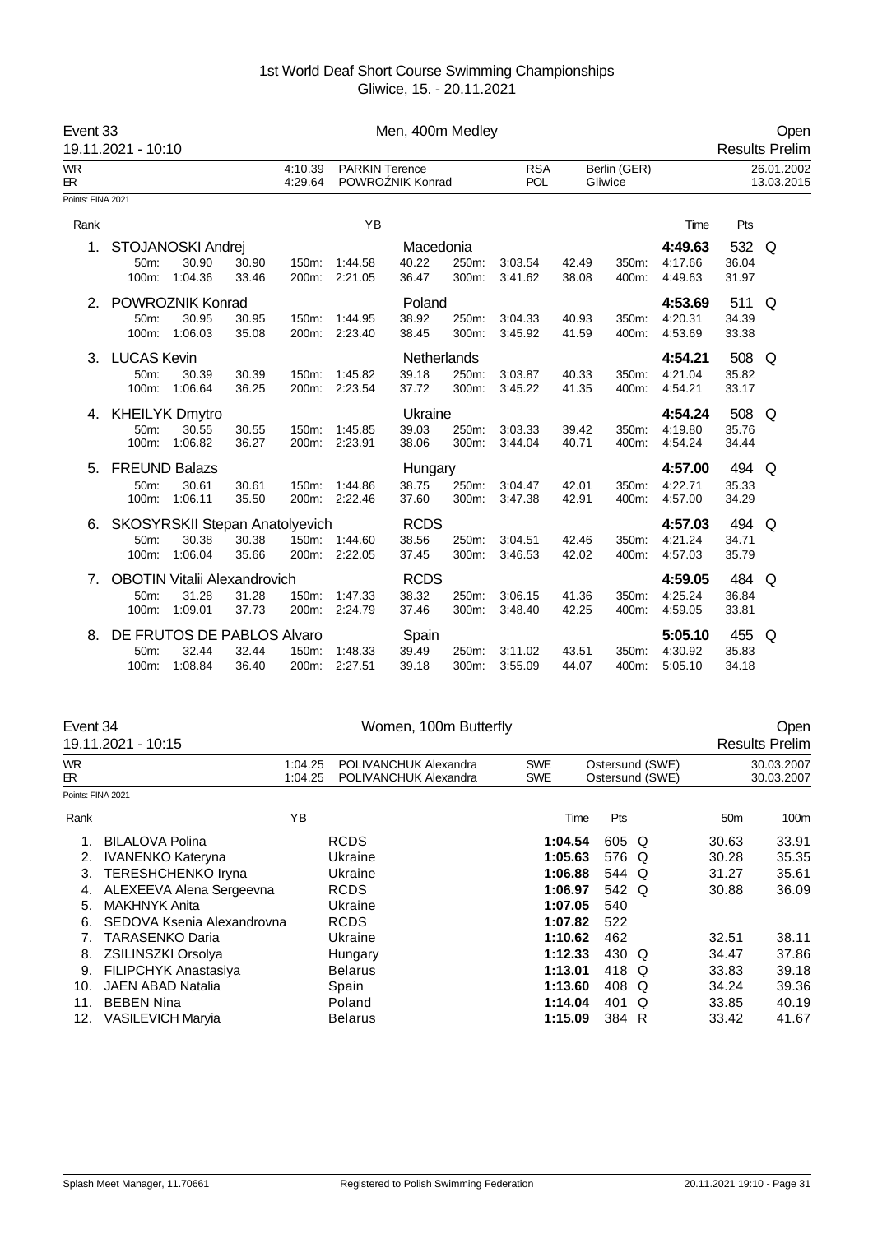| Event 33<br>19.11.2021 - 10:10 |                       |                                     |       | Men, 400m Medley   |                       |                  |       |                          |       |                         | Open<br><b>Results Prelim</b> |       |                          |
|--------------------------------|-----------------------|-------------------------------------|-------|--------------------|-----------------------|------------------|-------|--------------------------|-------|-------------------------|-------------------------------|-------|--------------------------|
| <b>WR</b><br>ЕR.               |                       |                                     |       | 4:10.39<br>4:29.64 | <b>PARKIN Terence</b> | POWRO NIK Konrad |       | <b>RSA</b><br><b>POL</b> |       | Berlin (GER)<br>Gliwice |                               |       | 26.01.2002<br>13.03.2015 |
| Points: FINA 2021              |                       |                                     |       |                    |                       |                  |       |                          |       |                         |                               |       |                          |
| Rank                           |                       |                                     |       |                    | YB                    |                  |       |                          |       |                         | Time                          | Pts   |                          |
| 1.                             |                       | STOJANOSKI Andrej                   |       |                    |                       | Macedonia        |       |                          |       |                         | 4:49.63                       | 532   | Q                        |
|                                | 50m:                  | 30.90                               | 30.90 | 150m:              | 1:44.58               | 40.22            | 250m: | 3:03.54                  | 42.49 | 350m:                   | 4:17.66                       | 36.04 |                          |
|                                | 100m:                 | 1:04.36                             | 33.46 | 200m:              | 2:21.05               | 36.47            | 300m: | 3:41.62                  | 38.08 | 400m:                   | 4:49.63                       | 31.97 |                          |
| 2.                             |                       | POWROZNIK Konrad                    |       |                    |                       | Poland           |       |                          |       |                         | 4:53.69                       | 511   | Q                        |
|                                | 50 <sub>m</sub> :     | 30.95                               | 30.95 | 150m:              | 1.44.95               | 38.92            | 250m: | 3:04.33                  | 40.93 | 350m:                   | 4:20.31                       | 34.39 |                          |
|                                | 100m:                 | 1:06.03                             | 35.08 | 200m:              | 2:23.40               | 38.45            | 300m: | 3:45.92                  | 41.59 | 400m:                   | 4:53.69                       | 33.38 |                          |
| 3.                             | <b>LUCAS Kevin</b>    |                                     |       |                    |                       | Netherlands      |       |                          |       |                         | 4:54.21                       | 508   | Q                        |
|                                | 50m:                  | 30.39                               | 30.39 | 150m:              | 1:45.82               | 39.18            | 250m: | 3:03.87                  | 40.33 | 350m:                   | 4:21.04                       | 35.82 |                          |
|                                | 100m:                 | 1:06.64                             | 36.25 | 200m:              | 2:23.54               | 37.72            | 300m: | 3:45.22                  | 41.35 | 400m:                   | 4:54.21                       | 33.17 |                          |
| 4.                             | <b>KHEILYK Dmytro</b> |                                     |       |                    |                       | Ukraine          |       |                          |       |                         | 4:54.24                       | 508   | Q                        |
|                                | 50m:                  | 30.55                               | 30.55 | 150m:              | 1:45.85               | 39.03            | 250m: | 3:03.33                  | 39.42 | 350m:                   | 4:19.80                       | 35.76 |                          |
|                                | 100m:                 | 1:06.82                             | 36.27 | 200m:              | 2:23.91               | 38.06            | 300m: | 3:44.04                  | 40.71 | 400m:                   | 4:54.24                       | 34.44 |                          |
| 5.                             | <b>FREUND Balazs</b>  |                                     |       |                    |                       | Hungary          |       |                          |       |                         | 4:57.00                       | 494   | Q                        |
|                                | 50m:                  | 30.61                               | 30.61 | $150m$ :           | 1:44.86               | 38.75            | 250m: | 3:04.47                  | 42.01 | 350m:                   | 4:22.71                       | 35.33 |                          |
|                                | 100m:                 | 1:06.11                             | 35.50 | 200m:              | 2:22.46               | 37.60            | 300m: | 3:47.38                  | 42.91 | 400m:                   | 4:57.00                       | 34.29 |                          |
| 6.                             |                       | SKOSYRSKII Stepan Anatolyevich      |       |                    |                       | <b>RCDS</b>      |       |                          |       |                         | 4:57.03                       | 494   | Q                        |
|                                | 50m:                  | 30.38                               | 30.38 | 150m:              | 1:44.60               | 38.56            | 250m: | 3:04.51                  | 42.46 | 350m:                   | 4:21.24                       | 34.71 |                          |
|                                | 100m:                 | 1:06.04                             | 35.66 | 200m:              | 2:22.05               | 37.45            | 300m: | 3:46.53                  | 42.02 | 400m:                   | 4:57.03                       | 35.79 |                          |
| 7.                             |                       | <b>OBOTIN Vitalii Alexandrovich</b> |       |                    |                       | <b>RCDS</b>      |       |                          |       |                         | 4:59.05                       | 484   | Q                        |
|                                | 50m:                  | 31.28                               | 31.28 | 150m:              | 1:47.33               | 38.32            | 250m: | 3:06.15                  | 41.36 | 350m:                   | 4:25.24                       | 36.84 |                          |
|                                | 100m:                 | 1:09.01                             | 37.73 | 200m:              | 2:24.79               | 37.46            | 300m: | 3:48.40                  | 42.25 | 400m:                   | 4:59.05                       | 33.81 |                          |
| 8.                             |                       | DE FRUTOS DE PABLOS Alvaro          |       |                    |                       | Spain            |       |                          |       |                         | 5:05.10                       | 455   | Q                        |
|                                | 50m:                  | 32.44                               | 32.44 | 150m:              | 1:48.33               | 39.49            | 250m: | 3:11.02                  | 43.51 | 350m:                   | 4:30.92                       | 35.83 |                          |
|                                | 100m:                 | 1:08.84                             | 36.40 | 200m:              | 2:27.51               | 39.18            | 300m: | 3:55.09                  | 44.07 | 400m:                   | 5:05.10                       | 34.18 |                          |

|                   | Event 34                    |                    | Women, 100m Butterfly                          |                          |      |       |                                    |                 | Open                     |  |  |
|-------------------|-----------------------------|--------------------|------------------------------------------------|--------------------------|------|-------|------------------------------------|-----------------|--------------------------|--|--|
|                   | 19.11.2021 - 10:15          |                    |                                                |                          |      |       |                                    |                 | <b>Results Prelim</b>    |  |  |
| <b>WR</b><br>ЕR.  |                             | 1:04.25<br>1:04.25 | POLIVANCHUK Alexandra<br>POLIVANCHUK Alexandra | <b>SWE</b><br><b>SWE</b> |      |       | Ostersund (SWE)<br>Ostersund (SWE) |                 | 30.03.2007<br>30.03.2007 |  |  |
| Points: FINA 2021 |                             |                    |                                                |                          |      |       |                                    |                 |                          |  |  |
| Rank              |                             | YB                 |                                                |                          | Time | Pts   |                                    | 50 <sub>m</sub> | 100m                     |  |  |
|                   | <b>BILALOVA Polina</b>      |                    | <b>RCDS</b>                                    | 1:04.54                  |      | 605 Q |                                    | 30.63           | 33.91                    |  |  |
| 2.                | <b>IVANENKO Kateryna</b>    |                    | Ukraine                                        | 1:05.63                  |      | 576 Q |                                    | 30.28           | 35.35                    |  |  |
| 3.                | TERESHCHENKO Iryna          |                    | Ukraine                                        | 1:06.88                  |      | 544 Q |                                    | 31.27           | 35.61                    |  |  |
| 4.                | ALEXEEVA Alena Sergeevna    |                    | <b>RCDS</b>                                    | 1:06.97                  |      | 542 Q |                                    | 30.88           | 36.09                    |  |  |
| 5.                | <b>MAKHNYK Anita</b>        |                    | Ukraine                                        | 1:07.05                  |      | 540   |                                    |                 |                          |  |  |
| 6.                | SEDOVA Ksenia Alexandrovna  |                    | <b>RCDS</b>                                    | 1:07.82                  |      | 522   |                                    |                 |                          |  |  |
| 7.                | <b>TARASENKO Daria</b>      |                    | Ukraine                                        | 1:10.62                  |      | 462   |                                    | 32.51           | 38.11                    |  |  |
| 8.                | <b>ZSILINSZKI Orsolya</b>   |                    | Hungary                                        | 1:12.33                  |      | 430 Q |                                    | 34.47           | 37.86                    |  |  |
| 9.                | <b>FILIPCHYK Anastasiya</b> |                    | <b>Belarus</b>                                 | 1:13.01                  |      | 418 Q |                                    | 33.83           | 39.18                    |  |  |
| 10.               | <b>JAEN ABAD Natalia</b>    |                    | Spain                                          | 1:13.60                  |      | 408 Q |                                    | 34.24           | 39.36                    |  |  |
| 11.               | <b>BEBEN Nina</b>           |                    | Poland                                         | 1:14.04                  |      | 401   | $\Omega$                           | 33.85           | 40.19                    |  |  |
| 12.               | VASILEVICH Maryia           |                    | <b>Belarus</b>                                 | 1:15.09                  |      | 384 R |                                    | 33.42           | 41.67                    |  |  |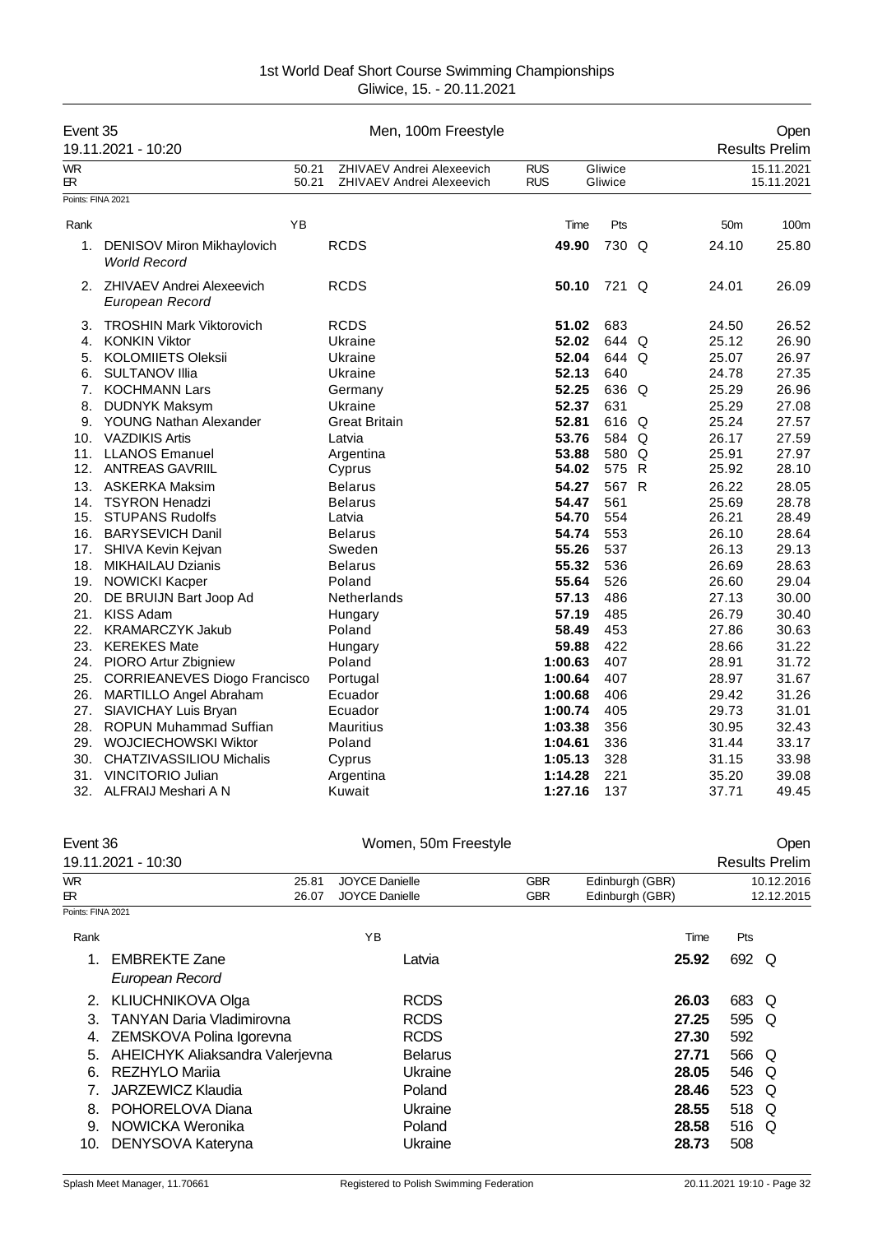| Event 35          | 19.11.2021 - 10:20                                       |                | Men, 100m Freestyle                                           |                          |                    |                 | Open<br><b>Results Prelim</b> |
|-------------------|----------------------------------------------------------|----------------|---------------------------------------------------------------|--------------------------|--------------------|-----------------|-------------------------------|
| <b>WR</b><br>ЕR   |                                                          | 50.21<br>50.21 | <b>ZHIVAEV Andrei Alexeevich</b><br>ZHIVAEV Andrei Alexeevich | <b>RUS</b><br><b>RUS</b> | Gliwice<br>Gliwice |                 | 15.11.2021<br>15.11.2021      |
| Points: FINA 2021 |                                                          |                |                                                               |                          |                    |                 |                               |
| Rank              |                                                          | YB             |                                                               | Time                     | Pts                | 50 <sub>m</sub> | 100m                          |
|                   |                                                          |                |                                                               |                          |                    |                 |                               |
| 1.                | <b>DENISOV Miron Mikhaylovich</b><br><b>World Record</b> |                | <b>RCDS</b>                                                   | 49.90                    | 730 Q              | 24.10           | 25.80                         |
|                   | 2. ZHIVAEV Andrei Alexeevich<br>European Record          |                | <b>RCDS</b>                                                   | 50.10                    | 721 Q              | 24.01           | 26.09                         |
| 3.                | <b>TROSHIN Mark Viktorovich</b>                          |                | <b>RCDS</b>                                                   | 51.02                    | 683                | 24.50           | 26.52                         |
| 4.                | <b>KONKIN Viktor</b>                                     |                | Ukraine                                                       | 52.02                    | 644 Q              | 25.12           | 26.90                         |
| 5.                | <b>KOLOMIIETS Oleksii</b>                                |                | Ukraine                                                       | 52.04                    | 644 Q              | 25.07           | 26.97                         |
| 6.                | <b>SULTANOV IIIia</b>                                    |                | Ukraine                                                       | 52.13                    | 640                | 24.78           | 27.35                         |
| 7.                | <b>KOCHMANN Lars</b>                                     |                | Germany                                                       | 52.25                    | 636 Q              | 25.29           | 26.96                         |
| 8.                | <b>DUDNYK Maksym</b>                                     |                | Ukraine                                                       | 52.37                    | 631                | 25.29           | 27.08                         |
| 9.                | YOUNG Nathan Alexander                                   |                | <b>Great Britain</b>                                          | 52.81                    | 616 Q              | 25.24           | 27.57                         |
| 10.               | <b>VAZDIKIS Artis</b>                                    |                | Latvia                                                        | 53.76                    | 584 Q              | 26.17           | 27.59                         |
| 11.               | <b>LLANOS Emanuel</b>                                    |                | Argentina                                                     | 53.88                    | 580 Q              | 25.91           | 27.97                         |
| 12.               | <b>ANTREAS GAVRIIL</b>                                   |                | Cyprus                                                        | 54.02                    | 575 R              | 25.92           | 28.10                         |
| 13.               | <b>ASKERKA Maksim</b>                                    |                | <b>Belarus</b>                                                | 54.27                    | 567 R              | 26.22           | 28.05                         |
| 14.               | <b>TSYRON Henadzi</b>                                    |                | <b>Belarus</b>                                                | 54.47                    | 561                | 25.69           | 28.78                         |
| 15.               | <b>STUPANS Rudolfs</b>                                   |                | Latvia                                                        | 54.70                    | 554                | 26.21           | 28.49                         |
| 16.               | <b>BARYSEVICH Danil</b>                                  |                | <b>Belarus</b>                                                | 54.74                    | 553                | 26.10           | 28.64                         |
| 17.               | SHIVA Kevin Kejvan                                       |                | Sweden                                                        | 55.26                    | 537                | 26.13           | 29.13                         |
| 18.               | <b>MIKHAILAU Dzianis</b>                                 |                | <b>Belarus</b>                                                | 55.32                    | 536                | 26.69           | 28.63                         |
| 19.               | <b>NOWICKI Kacper</b>                                    |                | Poland                                                        | 55.64                    | 526                | 26.60           | 29.04                         |
| 20.               | DE BRUIJN Bart Joop Ad                                   |                | Netherlands                                                   | 57.13                    | 486                | 27.13           | 30.00                         |
| 21.               | KISS Adam                                                |                | Hungary                                                       | 57.19                    | 485                | 26.79           | 30.40                         |
| 22.               | <b>KRAMARCZYK Jakub</b>                                  |                | Poland                                                        | 58.49                    | 453                | 27.86           | 30.63                         |
| 23.               | <b>KEREKES Mate</b>                                      |                | Hungary                                                       | 59.88                    | 422                | 28.66           | 31.22                         |
| 24.               | PIORO Artur Zbigniew                                     |                | Poland                                                        | 1:00.63                  | 407                | 28.91           | 31.72                         |
| 25.               | <b>CORRIEANEVES Diogo Francisco</b>                      |                | Portugal                                                      | 1:00.64                  | 407                | 28.97           | 31.67                         |
| 26.               | <b>MARTILLO Angel Abraham</b>                            |                | Ecuador                                                       | 1:00.68                  | 406                | 29.42           | 31.26                         |
| 27.               | SIAVICHAY Luis Bryan                                     |                | Ecuador                                                       | 1:00.74                  | 405                | 29.73           | 31.01                         |
| 28.               | <b>ROPUN Muhammad Suffian</b>                            |                | Mauritius                                                     | 1:03.38                  | 356                | 30.95           | 32.43                         |
| 29.               | WOJCIECHOWSKI Wiktor                                     |                | Poland                                                        | 1:04.61                  | 336                | 31.44           | 33.17                         |
| 30.               | <b>CHATZIVASSILIOU Michalis</b>                          |                | Cyprus                                                        | 1:05.13                  | 328                | 31.15           | 33.98                         |
| 31.               | <b>VINCITORIO Julian</b>                                 |                | Argentina                                                     | 1:14.28                  | 221                | 35.20           | 39.08                         |
| 32.               | ALFRAIJ Meshari A N                                      |                | Kuwait                                                        | 1:27.16                  | 137                | 37.71           | 49.45                         |

| Event 36          |                                  | Women, 50m Freestyle  | Open       |                 |       |                       |
|-------------------|----------------------------------|-----------------------|------------|-----------------|-------|-----------------------|
|                   | 19.11.2021 - 10:30               |                       |            |                 |       | <b>Results Prelim</b> |
| WR.               | 25.81                            | <b>JOYCE Danielle</b> | <b>GBR</b> | Edinburgh (GBR) |       | 10.12.2016            |
| R                 | 26.07                            | <b>JOYCE Danielle</b> | <b>GBR</b> | Edinburgh (GBR) |       | 12.12.2015            |
| Points: FINA 2021 |                                  |                       |            |                 |       |                       |
| Rank              |                                  | ΥB                    |            | Time            | Pts   |                       |
|                   | <b>EMBREKTE Zane</b>             | Latvia                |            | 25.92           | 692 Q |                       |
|                   | European Record                  |                       |            |                 |       |                       |
| 2.                | <b>KLIUCHNIKOVA Olga</b>         | <b>RCDS</b>           |            | 26.03           | 683 Q |                       |
| 3.                | <b>TANYAN Daria Vladimirovna</b> | <b>RCDS</b>           |            | 27.25           | 595   | O                     |
| 4.                | ZEMSKOVA Polina Igorevna         | <b>RCDS</b>           |            | 27.30           | 592   |                       |
| 5.                | AHEICHYK Aliaksandra Valerjevna  | <b>Belarus</b>        |            | 27.71           | 566   | O                     |
| 6.                | REZHYLO Marija                   | Ukraine               |            | 28.05           | 546   | O                     |
|                   | JARZEWICZ Klaudia                | Poland                |            | 28.46           | 523   | Q                     |
| 8.                | POHORELOVA Diana                 | Ukraine               |            | 28.55           | 518 Q |                       |
| 9.                | NOWICKA Weronika                 | Poland                |            | 28.58           | 516   | Q                     |
| 10.               | DENYSOVA Kateryna                | Ukraine               |            | 28.73           | 508   |                       |
|                   |                                  |                       |            |                 |       |                       |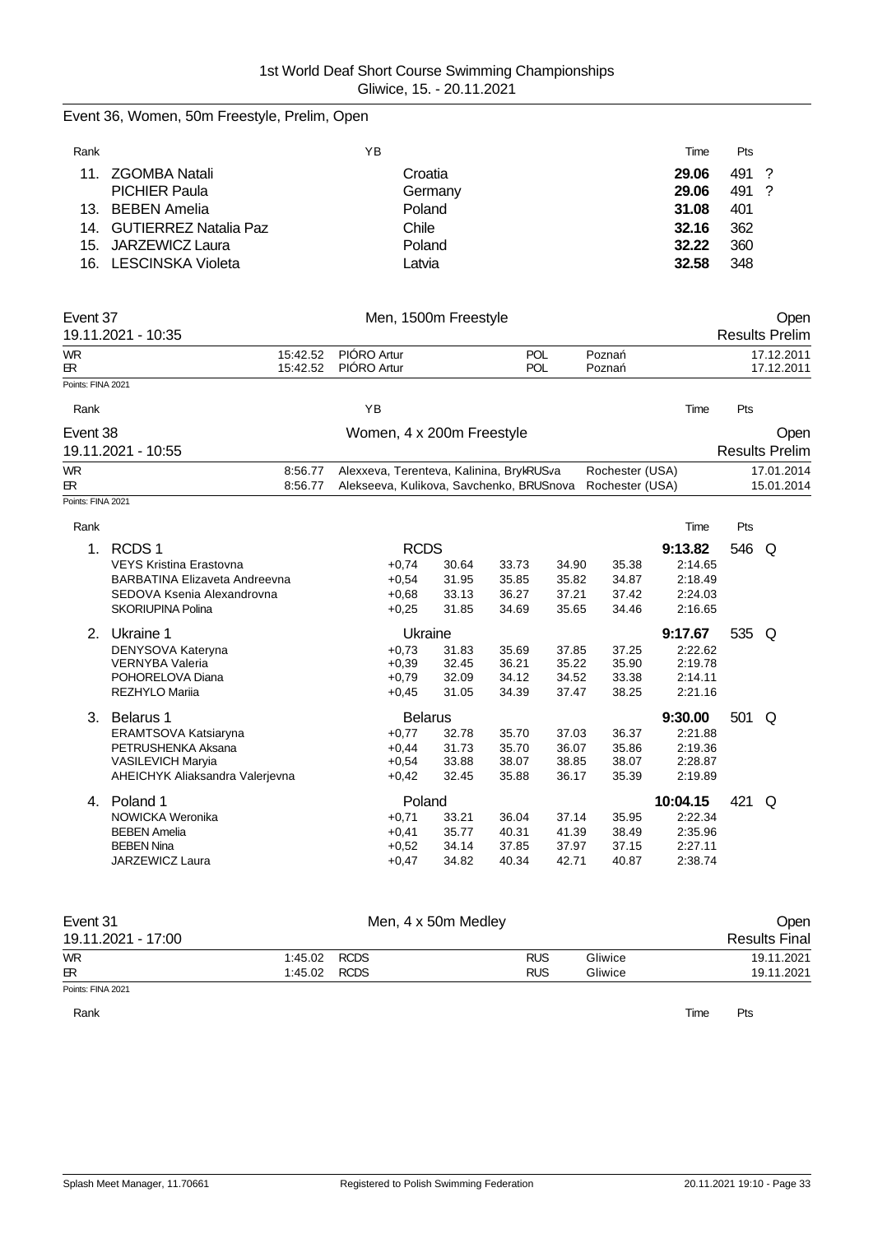# Event 36, Women, 50m Freestyle, Prelim, Open

| Rank            |                           | YΒ      | Time  | Pts   |  |
|-----------------|---------------------------|---------|-------|-------|--|
| 11 <sub>1</sub> | ZGOMBA Natali             | Croatia | 29.06 | 491 ? |  |
|                 | <b>PICHIER Paula</b>      | Germany | 29.06 | 491 ? |  |
|                 | 13. BEBEN Amelia          | Poland  | 31.08 | 401   |  |
|                 | 14. GUTIERREZ Natalia Paz | Chile   | 32.16 | 362   |  |
|                 | 15. JARZEWICZ Laura       | Poland  | 32.22 | 360   |  |
|                 | 16. LESCINSKA Violeta     | Latvia  | 32.58 | 348   |  |

| Event 37          |                                      |          | Men, 1500m Freestyle                     |       | Open  |       |                 |          |     |                       |  |
|-------------------|--------------------------------------|----------|------------------------------------------|-------|-------|-------|-----------------|----------|-----|-----------------------|--|
|                   | 19.11.2021 - 10:35                   |          |                                          |       |       |       |                 |          |     | <b>Results Prelim</b> |  |
| <b>WR</b>         |                                      | 15:42.52 | PIÓRO Artur                              |       | POL   |       | Pozna           |          |     | 17.12.2011            |  |
| <b>ER</b>         |                                      | 15:42.52 | PIÓRO Artur                              |       | POL   |       | Pozna           |          |     | 17.12.2011            |  |
| Points: FINA 2021 |                                      |          |                                          |       |       |       |                 |          |     |                       |  |
| Rank              |                                      |          | YB                                       |       |       |       |                 | Time     | Pts |                       |  |
| Event 38          |                                      |          | Women, 4 x 200m Freestyle                |       |       |       |                 |          |     | Open                  |  |
|                   | 19.11.2021 - 10:55                   |          |                                          |       |       |       |                 |          |     | <b>Results Prelim</b> |  |
| <b>WR</b>         |                                      | 8:56.77  | Alexxeva, Terenteva, Kalinina, BrykRUSva |       |       |       | Rochester (USA) |          |     | 17.01.2014            |  |
| <b>ER</b>         |                                      | 8:56.77  | Alekseeva, Kulikova, Savchenko, BRUSnova |       |       |       | Rochester (USA) |          |     | 15.01.2014            |  |
| Points: FINA 2021 |                                      |          |                                          |       |       |       |                 |          |     |                       |  |
| Rank              |                                      |          |                                          |       |       |       |                 | Time     | Pts |                       |  |
| 1 <sub>1</sub>    | RCDS <sub>1</sub>                    |          | <b>RCDS</b>                              |       |       |       |                 | 9:13.82  | 546 | Q                     |  |
|                   | <b>VEYS Kristina Erastovna</b>       |          | $+0,74$                                  | 30.64 | 33.73 | 34.90 | 35.38           | 2:14.65  |     |                       |  |
|                   | <b>BARBATINA Elizaveta Andreevna</b> |          | $+0,54$                                  | 31.95 | 35.85 | 35.82 | 34.87           | 2:18.49  |     |                       |  |
|                   | SEDOVA Ksenia Alexandrovna           |          | $+0,68$                                  | 33.13 | 36.27 | 37.21 | 37.42           | 2:24.03  |     |                       |  |
|                   | <b>SKORIUPINA Polina</b>             |          | $+0.25$                                  | 31.85 | 34.69 | 35.65 | 34.46           | 2:16.65  |     |                       |  |
| 2.                | Ukraine 1                            |          | Ukraine                                  |       |       |       |                 | 9:17.67  | 535 | Q                     |  |
|                   | DENYSOVA Kateryna                    |          | $+0.73$                                  | 31.83 | 35.69 | 37.85 | 37.25           | 2:22.62  |     |                       |  |
|                   | <b>VERNYBA Valeria</b>               |          | $+0,39$                                  | 32.45 | 36.21 | 35.22 | 35.90           | 2:19.78  |     |                       |  |
|                   | POHORELOVA Diana                     |          | $+0.79$                                  | 32.09 | 34.12 | 34.52 | 33.38           | 2:14.11  |     |                       |  |
|                   | <b>REZHYLO Marija</b>                |          | $+0.45$                                  | 31.05 | 34.39 | 37.47 | 38.25           | 2:21.16  |     |                       |  |
| 3.                | Belarus 1                            |          | <b>Belarus</b>                           |       |       |       |                 | 9:30.00  | 501 | Q                     |  |
|                   | ERAMTSOVA Katsiaryna                 |          | $+0,77$                                  | 32.78 | 35.70 | 37.03 | 36.37           | 2:21.88  |     |                       |  |
|                   | PETRUSHENKA Aksana                   |          | $+0,44$                                  | 31.73 | 35.70 | 36.07 | 35.86           | 2:19.36  |     |                       |  |
|                   | <b>VASILEVICH Maryia</b>             |          | $+0.54$                                  | 33.88 | 38.07 | 38.85 | 38.07           | 2:28.87  |     |                       |  |
|                   | AHEICHYK Aliaksandra Valerjevna      |          | $+0,42$                                  | 32.45 | 35.88 | 36.17 | 35.39           | 2:19.89  |     |                       |  |
| 4.                | Poland 1                             |          | Poland                                   |       |       |       |                 | 10:04.15 | 421 | Q                     |  |
|                   | NOWICKA Weronika                     |          | $+0,71$                                  | 33.21 | 36.04 | 37.14 | 35.95           | 2:22.34  |     |                       |  |
|                   | <b>BEBEN Amelia</b>                  |          | $+0,41$                                  | 35.77 | 40.31 | 41.39 | 38.49           | 2:35.96  |     |                       |  |
|                   | <b>BEBEN Nina</b>                    |          | $+0.52$                                  | 34.14 | 37.85 | 37.97 | 37.15           | 2:27.11  |     |                       |  |
|                   | JARZEWICZ Laura                      |          | $+0.47$                                  | 34.82 | 40.34 | 42.71 | 40.87           | 2:38.74  |     |                       |  |

| Event 31           |              | Men, 4 x 50m Medley |            |         | Open                 |  |  |
|--------------------|--------------|---------------------|------------|---------|----------------------|--|--|
| 19.11.2021 - 17:00 |              |                     |            |         | <b>Results Final</b> |  |  |
| <b>WR</b>          | 1:45.02 RCDS |                     | <b>RUS</b> | Gliwice | 19.11.2021           |  |  |
| <b>ER</b>          | 1:45.02 RCDS |                     | <b>RUS</b> | Gliwice | 19.11.2021           |  |  |
| Points: FINA 2021  |              |                     |            |         |                      |  |  |

Rank **Time Pts**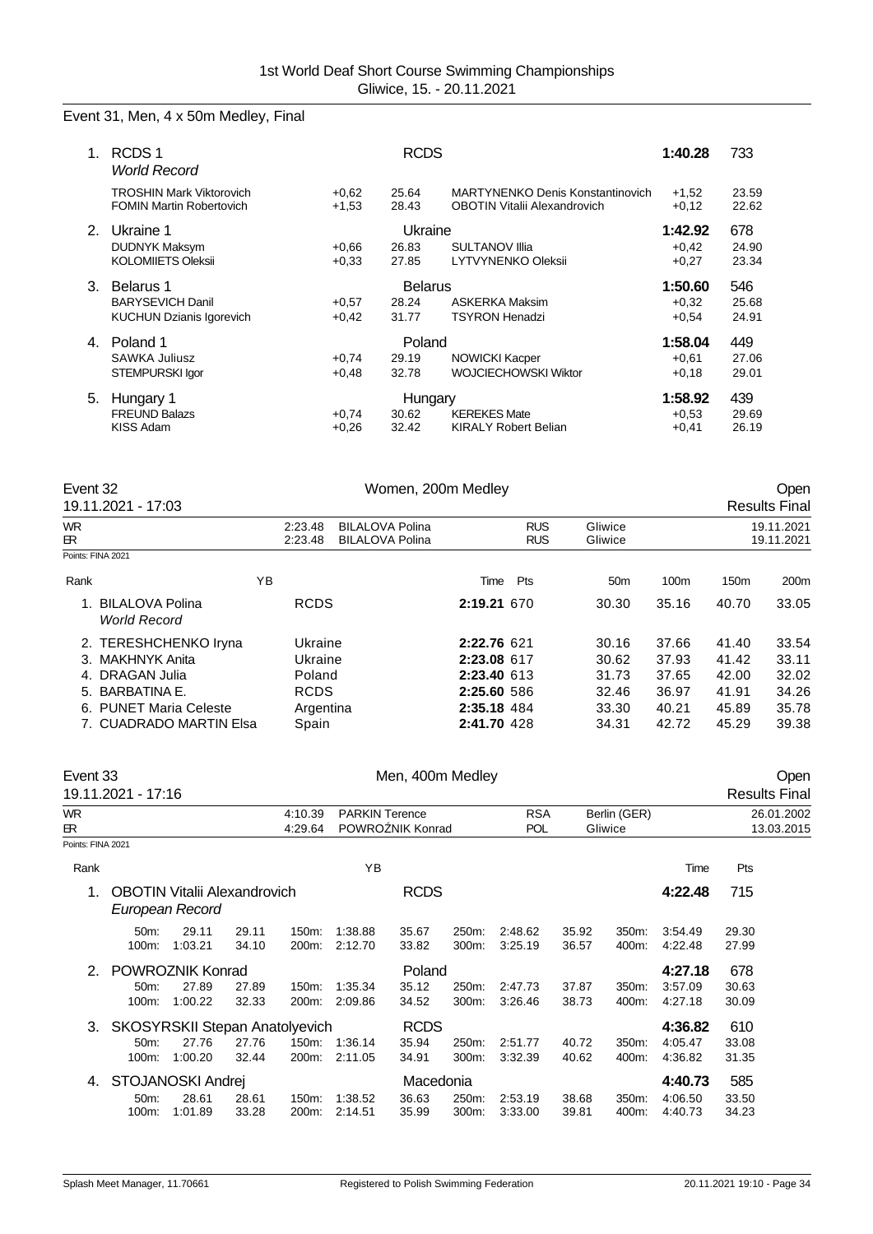# Event 31, Men, 4 x 50m Medley, Final

|    | RCDS <sub>1</sub><br><b>World Record</b>                           |                     | 1:40.28        | 733                                                                            |                    |                |
|----|--------------------------------------------------------------------|---------------------|----------------|--------------------------------------------------------------------------------|--------------------|----------------|
|    | <b>TROSHIN Mark Viktorovich</b><br><b>FOMIN Martin Robertovich</b> | $+0.62$<br>$+1,53$  | 25.64<br>28.43 | <b>MARTYNENKO Denis Konstantinovich</b><br><b>OBOTIN Vitalii Alexandrovich</b> | $+1.52$<br>$+0,12$ | 23.59<br>22.62 |
| 2. | Ukraine 1                                                          |                     | Ukraine        |                                                                                | 1:42.92            | 678            |
|    | DUDNYK Maksym                                                      | $+0.66$             | 26.83          | <b>SULTANOV IIIa</b>                                                           | $+0,42$            | 24.90          |
|    | <b>KOLOMIIETS Oleksii</b>                                          | $+0.33$             | 27.85          | <b>LYTVYNENKO Oleksii</b>                                                      | $+0,27$            | 23.34          |
| 3. | Belarus 1                                                          |                     | <b>Belarus</b> |                                                                                | 1:50.60            | 546            |
|    | <b>BARYSEVICH Danil</b>                                            | $+0.57$             | 28.24          | <b>ASKERKA Maksim</b>                                                          | $+0.32$            | 25.68          |
|    | <b>KUCHUN Dzianis Igorevich</b>                                    | $+0,42$             | 31.77          | <b>TSYRON Henadzi</b>                                                          | $+0.54$            | 24.91          |
| 4. | Poland 1                                                           |                     | Poland         |                                                                                | 1:58.04            | 449            |
|    | <b>SAWKA Juliusz</b>                                               | $+0.74$             | 29.19          | <b>NOWICKI Kacper</b>                                                          | $+0,61$            | 27.06          |
|    | STEMPURSKI lgor                                                    | $+0,48$             | 32.78          | <b>WOJCIECHOWSKI Wiktor</b>                                                    | $+0,18$            | 29.01          |
| 5. | Hungary 1                                                          |                     | Hungary        |                                                                                | 1:58.92            | 439            |
|    | <b>FREUND Balazs</b>                                               | <b>KEREKES Mate</b> | $+0.53$        | 29.69                                                                          |                    |                |
|    | KISS Adam                                                          | $+0.26$             | 32.42          | <b>KIRALY Robert Belian</b>                                                    | $+0,41$            | 26.19          |

| Event 32   | 19.11.2021 - 17:03                                                                                                                |    |                                                                   | Women, 200m Medley                               | Open<br><b>Results Final</b>                                                           |                          |                                                    |                                                    |                                                    |                                                    |
|------------|-----------------------------------------------------------------------------------------------------------------------------------|----|-------------------------------------------------------------------|--------------------------------------------------|----------------------------------------------------------------------------------------|--------------------------|----------------------------------------------------|----------------------------------------------------|----------------------------------------------------|----------------------------------------------------|
| WR.<br>ЕR. |                                                                                                                                   |    | 2:23.48<br>2.23.48                                                | <b>BILALOVA Polina</b><br><b>BILALOVA Polina</b> |                                                                                        | <b>RUS</b><br><b>RUS</b> | Gliwice<br>Gliwice                                 |                                                    |                                                    | 19.11.2021<br>19.11.2021                           |
|            | Points: FINA 2021                                                                                                                 |    |                                                                   |                                                  |                                                                                        |                          |                                                    |                                                    |                                                    |                                                    |
| Rank       |                                                                                                                                   | ΥB |                                                                   |                                                  | Time                                                                                   | Pts                      | 50 <sub>m</sub>                                    | 100m                                               | 150 <sub>m</sub>                                   | 200 <sub>m</sub>                                   |
|            | 1. BILALOVA Polina<br><b>World Record</b>                                                                                         |    | <b>RCDS</b>                                                       |                                                  | 2:19.21 670                                                                            |                          | 30.30                                              | 35.16                                              | 40.70                                              | 33.05                                              |
| 5.         | 2. TERESHCHENKO Iryna<br>3. MAKHNYK Anita<br>4. DRAGAN Julia<br>BARBATINA E.<br>6. PUNET Maria Celeste<br>7. CUADRADO MARTIN Elsa |    | Ukraine<br>Ukraine<br>Poland<br><b>RCDS</b><br>Argentina<br>Spain |                                                  | 2:22.76 621<br>2:23.08 617<br>2:23.40 613<br>2:25.60 586<br>2:35.18 484<br>2:41.70 428 |                          | 30.16<br>30.62<br>31.73<br>32.46<br>33.30<br>34.31 | 37.66<br>37.93<br>37.65<br>36.97<br>40.21<br>42.72 | 41.40<br>41.42<br>42.00<br>41.91<br>45.89<br>45.29 | 33.54<br>33.11<br>32.02<br>34.26<br>35.78<br>39.38 |

| Event 33          | 19.11.2021 - 17:16                    |                                                        |                |                | Men, 400m Medley      |                  |                |                    |                |                | Open<br><b>Results Final</b> |                |            |
|-------------------|---------------------------------------|--------------------------------------------------------|----------------|----------------|-----------------------|------------------|----------------|--------------------|----------------|----------------|------------------------------|----------------|------------|
| WR.               |                                       |                                                        |                | 4:10.39        | <b>PARKIN Terence</b> |                  |                | <b>RSA</b>         |                | Berlin (GER)   |                              |                | 26.01.2002 |
| 田                 |                                       |                                                        |                | 4:29.64        |                       | POWRO NIK Konrad |                | <b>POL</b>         |                | Gliwice        |                              |                | 13.03.2015 |
| Points: FINA 2021 |                                       |                                                        |                |                |                       |                  |                |                    |                |                |                              |                |            |
| Rank              |                                       |                                                        |                |                | ΥB                    |                  |                |                    |                |                | Time                         | Pts            |            |
|                   |                                       | <b>OBOTIN Vitalii Alexandrovich</b><br>European Record |                |                |                       | <b>RCDS</b>      |                |                    |                |                | 4:22.48                      | 715            |            |
|                   | 50m:<br>100m:                         | 29.11<br>1:03.21                                       | 29.11<br>34.10 | 150m:<br>200m: | 1:38.88<br>2:12.70    | 35.67<br>33.82   | 250m:<br>300m: | 2:48.62<br>3:25.19 | 35.92<br>36.57 | 350m:<br>400m: | 3:54.49<br>4:22.48           | 29.30<br>27.99 |            |
| $\mathcal{P}$     |                                       | POWROZNIK Konrad                                       |                |                |                       | Poland           |                |                    |                |                | 4:27.18                      | 678            |            |
|                   | $50m$ :                               | 27.89                                                  | 27.89          | 150m:          | 1:35.34               | 35.12            | 250m:          | 2:47.73            | 37.87          | 350m:          | 3:57.09                      | 30.63          |            |
|                   | $100m$ :                              | 1:00.22                                                | 32.33          | 200m:          | 2:09.86               | 34.52            | 300m:          | 3:26.46            | 38.73          | 400m:          | 4:27.18                      | 30.09          |            |
| 3.                | <b>SKOSYRSKII Stepan Anatolyevich</b> |                                                        |                |                |                       | <b>RCDS</b>      |                |                    |                |                | 4:36.82                      | 610            |            |
|                   | 50m:                                  | 27.76                                                  | 27.76          | 150m:          | 1:36.14               | 35.94            | 250m:          | 2:51.77            | 40.72          | 350m:          | 4:05.47                      | 33.08          |            |
|                   | $100m$ :                              | 1:00.20                                                | 32.44          | 200m:          | 2:11.05               | 34.91            | 300m:          | 3:32.39            | 40.62          | 400m:          | 4:36.82                      | 31.35          |            |
| 4.                |                                       | STOJANOSKI Andrej                                      |                |                |                       | Macedonia        |                |                    |                |                | 4:40.73                      | 585            |            |
|                   | 50m:                                  | 28.61                                                  | 28.61          | 150m:          | 1:38.52               | 36.63            | 250m:          | 2:53.19            | 38.68          | 350m:          | 4:06.50                      | 33.50          |            |
|                   | 100m:                                 | 1:01.89                                                | 33.28          | 200m:          | 2:14.51               | 35.99            | 300m:          | 3:33.00            | 39.81          | 400m:          | 4:40.73                      | 34.23          |            |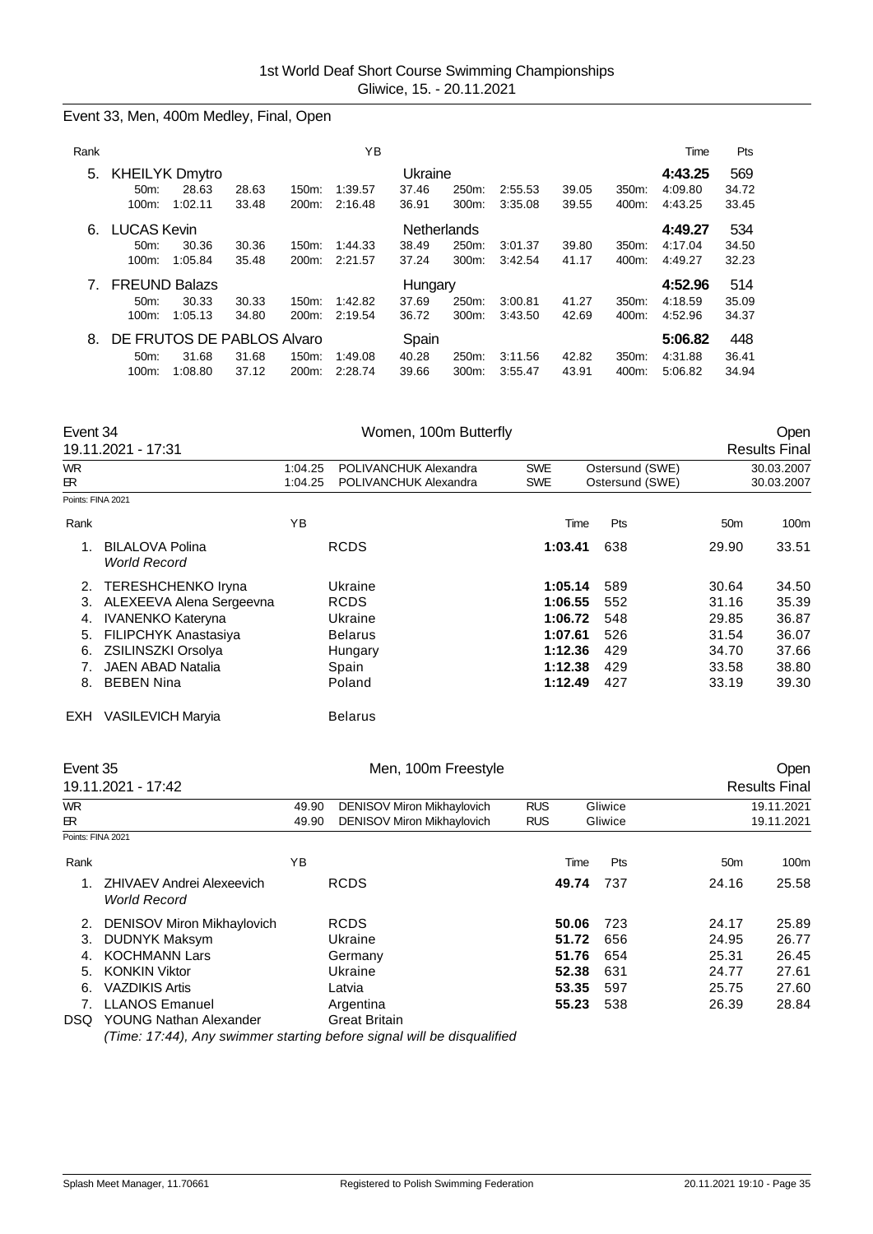Event 33, Men, 400m Medley, Final, Open

| Rank |                                                     |                                                |                |                | ΥB                 |                               |                   |                    |                |                   | Time                          | Pts                   |
|------|-----------------------------------------------------|------------------------------------------------|----------------|----------------|--------------------|-------------------------------|-------------------|--------------------|----------------|-------------------|-------------------------------|-----------------------|
| 5.   | <b>KHEILYK Dmytro</b><br>50m<br>$100m$ :            | 28.63<br>1:02.11                               | 28.63<br>33.48 | 150m:<br>200m: | 1:39.57<br>2:16.48 | Ukraine<br>37.46<br>36.91     | 250m:<br>$300m$ : | 2:55.53<br>3:35.08 | 39.05<br>39.55 | $350m$ :<br>400m: | 4:43.25<br>4:09.80<br>4:43.25 | 569<br>34.72<br>33.45 |
| 6.   | <b>LUCAS Kevin</b><br>50 <sub>m</sub> :<br>$100m$ : | 30.36<br>1:05.84                               | 30.36<br>35.48 | 150m:<br>200m: | 1:44.33<br>2:21.57 | Netherlands<br>38.49<br>37.24 | 250m:<br>$300m$ : | 3:01.37<br>3:42.54 | 39.80<br>41.17 | 350m:<br>400m:    | 4:49.27<br>4:17.04<br>4:49.27 | 534<br>34.50<br>32.23 |
| 7.   | <b>FREUND Balazs</b><br>$50m$ :<br>$100m$ :         | 30.33<br>1:05.13                               | 30.33<br>34.80 | 150m:<br>200m: | 1:42.82<br>2:19.54 | Hungary<br>37.69<br>36.72     | 250m:<br>300m:    | 3:00.81<br>3:43.50 | 41.27<br>42.69 | 350m:<br>400m:    | 4:52.96<br>4:18.59<br>4:52.96 | 514<br>35.09<br>34.37 |
| 8.   | 50 <sub>m</sub> :<br>$100m$ :                       | DE FRUTOS DE PABLOS Alvaro<br>31.68<br>1:08.80 | 31.68<br>37.12 | 150m:<br>200m: | 1:49.08<br>2:28.74 | Spain<br>40.28<br>39.66       | 250m:<br>300m:    | 3:11.56<br>3:55.47 | 42.82<br>43.91 | 350m:<br>400m:    | 5:06.82<br>4:31.88<br>5:06.82 | 448<br>36.41<br>34.94 |

| Event 34                         | 19.11.2021 - 17:31                                                                                                                                                 |                    | Women, 100m Butterfly                                                   |                                                                |                                        |                                                    | Open<br><b>Results Final</b>                       |
|----------------------------------|--------------------------------------------------------------------------------------------------------------------------------------------------------------------|--------------------|-------------------------------------------------------------------------|----------------------------------------------------------------|----------------------------------------|----------------------------------------------------|----------------------------------------------------|
| WR.<br>ER.                       |                                                                                                                                                                    | 1:04.25<br>1:04.25 | POLIVANCHUK Alexandra<br>POLIVANCHUK Alexandra                          | <b>SWE</b><br><b>SWE</b>                                       | Ostersund (SWE)<br>Ostersund (SWE)     |                                                    | 30.03.2007<br>30.03.2007                           |
| Points: FINA 2021                |                                                                                                                                                                    |                    |                                                                         |                                                                |                                        |                                                    |                                                    |
| Rank                             |                                                                                                                                                                    | YB                 |                                                                         | Time                                                           | Pts                                    | 50 <sub>m</sub>                                    | 100m                                               |
|                                  | <b>BILALOVA Polina</b><br><b>World Record</b>                                                                                                                      |                    | <b>RCDS</b>                                                             | 1:03.41                                                        | 638                                    | 29.90                                              | 33.51                                              |
| 2.<br>3.<br>4.<br>5.<br>6.<br>7. | <b>TERESHCHENKO Iryna</b><br>ALEXEEVA Alena Sergeevna<br><b>IVANENKO Kateryna</b><br><b>FILIPCHYK Anastasiya</b><br><b>ZSILINSZKI Orsolya</b><br>JAEN ABAD Natalia |                    | Ukraine<br><b>RCDS</b><br>Ukraine<br><b>Belarus</b><br>Hungary<br>Spain | 1:05.14<br>1:06.55<br>1:06.72<br>1:07.61<br>1:12.36<br>1:12.38 | 589<br>552<br>548<br>526<br>429<br>429 | 30.64<br>31.16<br>29.85<br>31.54<br>34.70<br>33.58 | 34.50<br>35.39<br>36.87<br>36.07<br>37.66<br>38.80 |
| 8.                               | <b>BEBEN Nina</b>                                                                                                                                                  |                    | Poland                                                                  | 1:12.49                                                        | 427                                    | 33.19                                              | 39.30                                              |
| EXH.                             | VASILEVICH Maryia                                                                                                                                                  |                    | <b>Belarus</b>                                                          |                                                                |                                        |                                                    |                                                    |

| Event 35          | 19.11.2021 - 17:42                                     | Men, 100m Freestyle |                                                                        |                          |                    |            | Open<br><b>Results Final</b> |                |
|-------------------|--------------------------------------------------------|---------------------|------------------------------------------------------------------------|--------------------------|--------------------|------------|------------------------------|----------------|
| <b>WR</b><br>ER   |                                                        | 49.90<br>49.90      | <b>DENISOV Miron Mikhaylovich</b><br><b>DENISOV Miron Mikhaylovich</b> | <b>RUS</b><br><b>RUS</b> | Gliwice<br>Gliwice |            | 19.11.2021<br>19.11.2021     |                |
| Points: FINA 2021 |                                                        |                     |                                                                        |                          |                    |            |                              |                |
| Rank              |                                                        | ΥB                  |                                                                        |                          | Time               | Pts        | 50 <sub>m</sub>              | 100m           |
|                   | ZHIVAEV Andrei Alexeevich<br><b>World Record</b>       |                     | <b>RCDS</b>                                                            |                          | 49.74              | 737        | 24.16                        | 25.58          |
| 2.<br>3.          | DENISOV Miron Mikhaylovich<br><b>DUDNYK Maksym</b>     |                     | <b>RCDS</b><br>Ukraine                                                 |                          | 50.06<br>51.72     | 723<br>656 | 24.17<br>24.95               | 25.89<br>26.77 |
| 4.                | <b>KOCHMANN Lars</b>                                   |                     | Germany                                                                |                          | 51.76              | 654        | 25.31                        | 26.45          |
| 5.                | <b>KONKIN Viktor</b>                                   |                     | Ukraine                                                                |                          | 52.38              | 631        | 24.77                        | 27.61          |
| 6.                | <b>VAZDIKIS Artis</b>                                  |                     | Latvia                                                                 |                          | 53.35              | 597        | 25.75                        | 27.60          |
| DSQ.              | <b>LLANOS Emanuel</b><br><b>YOUNG Nathan Alexander</b> |                     | Argentina<br><b>Great Britain</b>                                      |                          | 55.23              | 538        | 26.39                        | 28.84          |

*(Time: 17:44), Any swimmer starting before signal will be disqualified*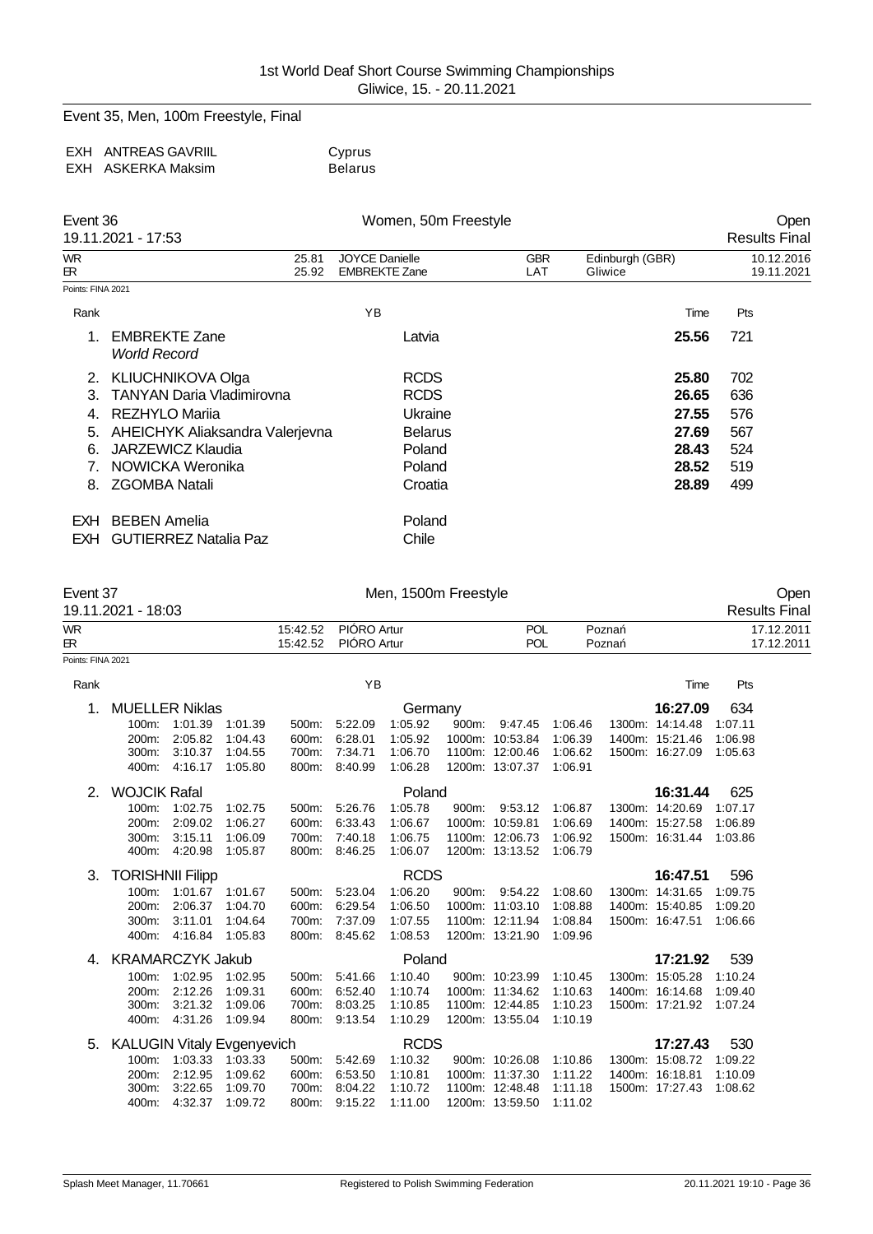Event 35, Men, 100m Freestyle, Final

| EXH ANTREAS GAVRIIL | Cyprus         |
|---------------------|----------------|
| EXH ASKERKA Maksim  | <b>Belarus</b> |

| Event 36          | 19.11.2021 - 17:53                          | Women, 50m Freestyle                          |                   |                            | Open<br><b>Results Final</b> |
|-------------------|---------------------------------------------|-----------------------------------------------|-------------------|----------------------------|------------------------------|
| <b>WR</b><br>БR.  | 25.81<br>25.92                              | <b>JOYCE Danielle</b><br><b>EMBREKTE Zane</b> | <b>GBR</b><br>LAT | Edinburgh (GBR)<br>Gliwice | 10.12.2016<br>19.11.2021     |
| Points: FINA 2021 |                                             |                                               |                   |                            |                              |
| Rank              |                                             | ΥB                                            |                   | Time                       | Pts                          |
| 1.                | <b>EMBREKTE Zane</b><br><b>World Record</b> | Latvia                                        |                   | 25.56                      | 721                          |
| 2.                | <b>KLIUCHNIKOVA Olga</b>                    | <b>RCDS</b>                                   |                   | 25.80                      | 702                          |
| 3.                | <b>TANYAN Daria Vladimirovna</b>            | <b>RCDS</b>                                   |                   | 26.65                      | 636                          |
| 4.                | REZHYLO Marija                              | Ukraine                                       |                   | 27.55                      | 576                          |
| 5.                | AHEICHYK Aliaksandra Valerjevna             | <b>Belarus</b>                                |                   | 27.69                      | 567                          |
| 6.                | JARZEWICZ Klaudia                           | Poland                                        |                   | 28.43                      | 524                          |
|                   | NOWICKA Weronika                            | Poland                                        |                   | 28.52                      | 519                          |
| 8.                | <b>ZGOMBA Natali</b>                        | Croatia                                       |                   | 28.89                      | 499                          |
| EXH.              | <b>BEBEN Amelia</b>                         | Poland                                        |                   |                            |                              |
| EXH.              | <b>GUTIERREZ Natalia Paz</b>                | Chile                                         |                   |                            |                              |

| Event 37           | Men, 1500m Freestyle |            |       |                      |  |  |
|--------------------|----------------------|------------|-------|----------------------|--|--|
| 19.11.2021 - 18:03 |                      |            |       | <b>Results Final</b> |  |  |
| <b>WR</b>          | 15:42.52 PIÓRO Artur | <b>POL</b> | Pozna | 17.12.2011           |  |  |
| $\mathbb{R}$       | 15:42.52 PIÓRO Artur | <b>POL</b> | Pozna | 17.12.2011           |  |  |
| Points: FINA 2021  |                      |            |       |                      |  |  |

| Rank |                                   |         |         |       | YB      |             |       |                 |         | Time            | Pts     |
|------|-----------------------------------|---------|---------|-------|---------|-------------|-------|-----------------|---------|-----------------|---------|
| 1.   | <b>MUELLER Niklas</b>             |         |         |       |         | Germany     |       |                 |         | 16:27.09        | 634     |
|      | $100m$ :                          | 1:01.39 | 1:01.39 | 500m: | 5:22.09 | 1:05.92     | 900m: | 9:47.45         | 1:06.46 | 1300m: 14:14.48 | 1:07.11 |
|      | $200m$ :                          | 2:05.82 | 1:04.43 | 600m: | 6:28.01 | 1:05.92     |       | 1000m: 10:53.84 | 1:06.39 | 1400m: 15:21.46 | 1:06.98 |
|      | 300m:                             | 3:10.37 | 1:04.55 | 700m: | 7:34.71 | 1:06.70     |       | 1100m: 12:00.46 | 1:06.62 | 1500m: 16:27.09 | 1:05.63 |
|      | 400m:                             | 4:16.17 | 1:05.80 | 800m: | 8:40.99 | 1:06.28     |       | 1200m: 13:07.37 | 1:06.91 |                 |         |
| 2.   | <b>WOJCIK Rafal</b>               |         |         |       |         | Poland      |       |                 |         | 16:31.44        | 625     |
|      | 100m:                             | 1:02.75 | 1:02.75 | 500m: | 5:26.76 | 1:05.78     | 900m: | 9:53.12         | 1:06.87 | 1300m: 14:20.69 | 1:07.17 |
|      | 200m:                             | 2:09.02 | 1:06.27 | 600m: | 6:33.43 | 1:06.67     |       | 1000m: 10:59.81 | 1:06.69 | 1400m: 15:27.58 | 1:06.89 |
|      | 300m.                             | 3:15.11 | 1:06.09 | 700m: | 7:40.18 | 1:06.75     |       | 1100m: 12:06.73 | 1:06.92 | 1500m: 16:31.44 | 1:03.86 |
|      | 400m:                             | 4:20.98 | 1:05.87 | 800m: | 8:46.25 | 1:06.07     |       | 1200m: 13:13.52 | 1:06.79 |                 |         |
| 3.   | <b>TORISHNII Filipp</b>           |         |         |       |         | <b>RCDS</b> |       |                 |         | 16:47.51        | 596     |
|      | $100m$ :                          | 1:01.67 | 1:01.67 | 500m: | 5:23.04 | 1:06.20     | 900m: | 9:54.22         | 1:08.60 | 1300m: 14:31.65 | 1:09.75 |
|      | 200m:                             | 2:06.37 | 1:04.70 | 600m: | 6.29.54 | 1:06.50     |       | 1000m: 11:03.10 | 1:08.88 | 1400m: 15:40.85 | 1:09.20 |
|      | 300m:                             | 3:11.01 | 1:04.64 | 700m: | 7:37.09 | 1:07.55     |       | 1100m: 12:11.94 | 1:08.84 | 1500m: 16:47.51 | 1:06.66 |
|      | 400m:                             | 4:16.84 | 1:05.83 | 800m: | 8:45.62 | 1:08.53     |       | 1200m: 13:21.90 | 1:09.96 |                 |         |
| 4.   | <b>KRAMARCZYK Jakub</b>           |         |         |       |         | Poland      |       |                 |         | 17:21.92        | 539     |
|      | 100m:                             | 1:02.95 | 1:02.95 | 500m: | 5:41.66 | 1:10.40     |       | 900m: 10:23.99  | 1:10.45 | 1300m: 15:05.28 | 1:10.24 |
|      | 200m:                             | 2:12.26 | 1:09.31 | 600m: | 6:52.40 | 1:10.74     |       | 1000m: 11:34.62 | 1:10.63 | 1400m: 16:14.68 | 1:09.40 |
|      | 300m.                             | 3:21.32 | 1:09.06 | 700m: | 8:03.25 | 1:10.85     |       | 1100m: 12:44.85 | 1:10.23 | 1500m: 17:21.92 | 1:07.24 |
|      | 400m:                             | 4:31.26 | 1:09.94 | 800m: | 9:13.54 | 1:10.29     |       | 1200m: 13:55.04 | 1:10.19 |                 |         |
| 5.   | <b>KALUGIN Vitaly Evgenyevich</b> |         |         |       |         | <b>RCDS</b> |       |                 |         | 17:27.43        | 530     |
|      | 100m:                             | 1:03.33 | 1:03.33 | 500m: | 5:42.69 | 1:10.32     |       | 900m: 10:26.08  | 1:10.86 | 1300m: 15:08.72 | 1:09.22 |
|      | 200m:                             | 2:12.95 | 1:09.62 | 600m: | 6:53.50 | 1:10.81     |       | 1000m: 11:37.30 | 1:11.22 | 1400m: 16:18.81 | 1:10.09 |
|      | 300m:                             | 3:22.65 | 1:09.70 | 700m: | 8:04.22 | 1:10.72     |       | 1100m: 12:48.48 | 1:11.18 | 1500m: 17:27.43 | 1:08.62 |
|      | 400m:                             | 4:32.37 | 1:09.72 | 800m: | 9:15.22 | 1:11.00     |       | 1200m: 13:59.50 | 1:11.02 |                 |         |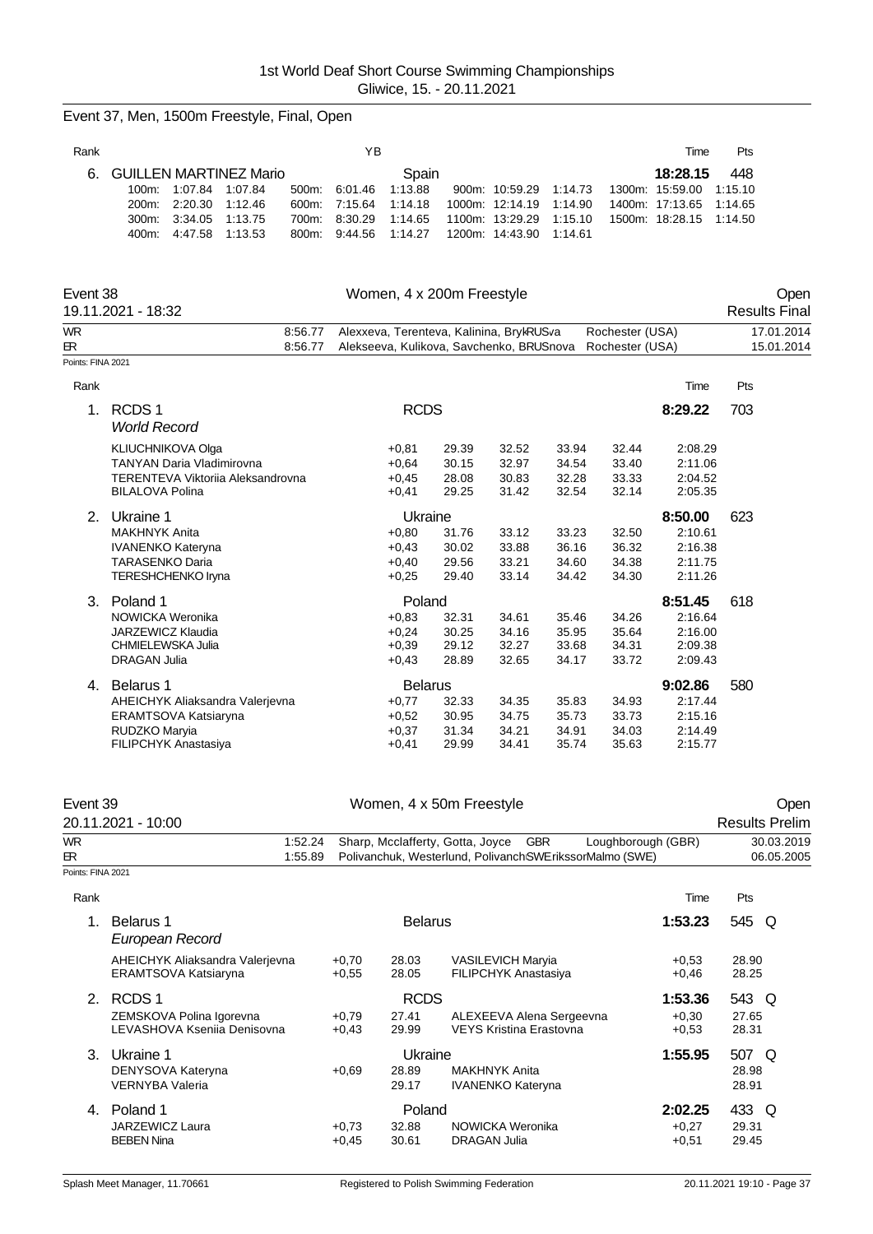|                   | Event 37, Men, 1500m Freestyle, Final, Open                                                                                                               |                                  |                                          |                                                                                               |                                  |                                                                         |                                          |                                    |                                                                   |                                      |
|-------------------|-----------------------------------------------------------------------------------------------------------------------------------------------------------|----------------------------------|------------------------------------------|-----------------------------------------------------------------------------------------------|----------------------------------|-------------------------------------------------------------------------|------------------------------------------|------------------------------------|-------------------------------------------------------------------|--------------------------------------|
| Rank              |                                                                                                                                                           |                                  | YB                                       |                                                                                               |                                  |                                                                         |                                          |                                    | Time                                                              | Pts                                  |
| 6.                | <b>GUILLEN MARTINEZ Mario</b><br>100m:<br>1:07.84<br>1:07.84<br>200m:<br>2:20.30<br>1:12.46<br>300m:<br>3:34.05<br>1:13.75<br>400m:<br>4:47.58<br>1:13.53 | 500m:<br>600m:<br>700m:<br>800m: | 6.01.46<br>7:15.64<br>8:30.29<br>9:44.56 | Spain<br>1:13.88<br>1:14.18<br>1:14.65<br>1:14.27                                             |                                  | 900m: 10:59.29<br>1000m: 12:14.19<br>1100m: 13:29.29<br>1200m: 14:43.90 | 1.14.73<br>1:14.90<br>1:15.10<br>1:14.61 |                                    | 18:28.15<br>1300m: 15:59.00<br>1400m: 17:13.65<br>1500m: 18:28.15 | 448<br>1:15.10<br>1:14.65<br>1:14.50 |
| Event 38          | 19.11.2021 - 18:32                                                                                                                                        |                                  |                                          | Women, 4 x 200m Freestyle                                                                     |                                  |                                                                         |                                          |                                    |                                                                   | Open<br><b>Results Final</b>         |
| WR<br>БR.         |                                                                                                                                                           | 8:56.77<br>8:56.77               |                                          | Alexxeva, Terenteva, Kalinina, BrykRUSva<br>Alekseeva, Kulikova, Savchenko, BRUSnova          |                                  |                                                                         |                                          | Rochester (USA)<br>Rochester (USA) |                                                                   | 17.01.2014<br>15.01.2014             |
| Points: FINA 2021 |                                                                                                                                                           |                                  |                                          |                                                                                               |                                  |                                                                         |                                          |                                    |                                                                   |                                      |
| Rank              |                                                                                                                                                           |                                  |                                          |                                                                                               |                                  |                                                                         |                                          |                                    | Time                                                              | Pts                                  |
| 1.                | RCDS <sub>1</sub><br><b>World Record</b>                                                                                                                  |                                  |                                          | <b>RCDS</b>                                                                                   |                                  |                                                                         |                                          |                                    | 8:29.22                                                           | 703                                  |
|                   | KLIUCHNIKOVA Olga<br><b>TANYAN Daria Vladimirovna</b><br>TERENTEVA Viktorija Aleksandrovna<br><b>BILALOVA Polina</b>                                      |                                  |                                          | $+0,81$<br>$+0,64$<br>$+0,45$<br>$+0,41$                                                      | 29.39<br>30.15<br>28.08<br>29.25 | 32.52<br>32.97<br>30.83<br>31.42                                        | 33.94<br>34.54<br>32.28<br>32.54         | 32.44<br>33.40<br>33.33<br>32.14   | 2:08.29<br>2:11.06<br>2:04.52<br>2:05.35                          |                                      |
|                   | 2. Ukraine 1<br><b>MAKHNYK Anita</b><br><b>IVANENKO Kateryna</b><br><b>TARASENKO Daria</b><br><b>TERESHCHENKO Iryna</b>                                   |                                  |                                          | Ukraine<br>$+0,80$<br>$+0,43$<br>$+0,40$<br>$+0,25$                                           | 31.76<br>30.02<br>29.56<br>29.40 | 33.12<br>33.88<br>33.21<br>33.14                                        | 33.23<br>36.16<br>34.60<br>34.42         | 32.50<br>36.32<br>34.38<br>34.30   | 8:50.00<br>2:10.61<br>2:16.38<br>2:11.75<br>2:11.26               | 623                                  |
|                   | 3. Poland 1<br>NOWICKA Weronika<br><b>JARZEWICZ Klaudia</b><br>CHMIELEWSKA Julia<br><b>DRAGAN Julia</b>                                                   |                                  |                                          | Poland<br>$+0,83$<br>$+0,24$<br>$+0,39$<br>$+0,43$                                            | 32.31<br>30.25<br>29.12<br>28.89 | 34.61<br>34.16<br>32.27<br>32.65                                        | 35.46<br>35.95<br>33.68<br>34.17         | 34.26<br>35.64<br>34.31<br>33.72   | 8:51.45<br>2:16.64<br>2:16.00<br>2:09.38<br>2:09.43               | 618                                  |
|                   | 4. Belarus 1<br>AHEICHYK Aliaksandra Valerjevna<br>ERAMTSOVA Katsiaryna<br>RUDZKO Maryia<br>FILIPCHYK Anastasiya                                          |                                  |                                          | <b>Belarus</b><br>$+0,77$<br>$+0,52$<br>$+0,37$<br>$+0,41$                                    | 32.33<br>30.95<br>31.34<br>29.99 | 34.35<br>34.75<br>34.21<br>34.41                                        | 35.83<br>35.73<br>34.91<br>35.74         | 34.93<br>33.73<br>34.03<br>35.63   | 9:02.86<br>2:17.44<br>2:15.16<br>2:14.49<br>2:15.77               | 580                                  |
| Event 39          | 20.11.2021 - 10:00                                                                                                                                        |                                  |                                          | Women, 4 x 50m Freestyle                                                                      |                                  |                                                                         |                                          |                                    |                                                                   | Open<br><b>Results Prelim</b>        |
| WR.<br>BR.        |                                                                                                                                                           | 1:52.24<br>1:55.89               |                                          | Sharp, Mcclafferty, Gotta, Joyce<br>Polivanchuk, Westerlund, Polivanch SWE rikssorMalmo (SWE) |                                  | <b>GBR</b>                                                              |                                          | Loughborough (GBR)                 |                                                                   | 30.03.2019<br>06.05.2005             |
| Points: FINA 2021 |                                                                                                                                                           |                                  |                                          |                                                                                               |                                  |                                                                         |                                          |                                    |                                                                   |                                      |
| Rank              |                                                                                                                                                           |                                  |                                          |                                                                                               |                                  |                                                                         |                                          |                                    | Time                                                              | Pts                                  |
| 1.                | <b>Belarus 1</b><br>European Record                                                                                                                       |                                  |                                          | <b>Belarus</b>                                                                                |                                  |                                                                         |                                          |                                    | 1:53.23                                                           | 545 Q                                |
|                   | LIFIOUND AIL                                                                                                                                              |                                  |                                          |                                                                                               | $1100H - 11011$                  |                                                                         |                                          |                                    |                                                                   | 0000                                 |

|    | AHEICHYK Aliaksandra Valerjevna<br>ERAMTSOVA Katsiaryna | $+0.70$<br>$+0.55$ | 28.03<br>28.05 | <b>VASILEVICH Maryia</b><br><b>FILIPCHYK Anastasiya</b>    | $+0.53$<br>$+0.46$ | 28.90<br>28.25 |
|----|---------------------------------------------------------|--------------------|----------------|------------------------------------------------------------|--------------------|----------------|
| 2. | RCDS <sub>1</sub>                                       |                    | <b>RCDS</b>    |                                                            | 1:53.36            | 543 Q          |
|    | ZEMSKOVA Polina Igorevna<br>LEVASHOVA Ksenija Denisovna | $+0.79$<br>$+0.43$ | 27.41<br>29.99 | ALEXEEVA Alena Sergeevna<br><b>VEYS Kristina Erastovna</b> | $+0.30$<br>$+0.53$ | 27.65<br>28.31 |
| 3. | Ukraine 1                                               |                    | Ukraine        |                                                            | 1:55.95            | 507<br>- Q     |
|    | DENYSOVA Kateryna                                       | $+0.69$            | 28.89          | <b>MAKHNYK Anita</b>                                       |                    | 28.98          |
|    | <b>VERNYBA Valeria</b>                                  |                    | 29.17          | <b>IVANENKO Kateryna</b>                                   |                    | 28.91          |
| 4. | Poland 1                                                |                    | Poland         |                                                            | 2:02.25            | 433 Q          |
|    | JARZEWICZ Laura                                         | $+0.73$            | 32.88          | NOWICKA Weronika                                           | $+0.27$            | 29.31          |
|    | <b>BEBEN Nina</b>                                       | $+0.45$            | 30.61          | DRAGAN Julia                                               | $+0.51$            | 29.45          |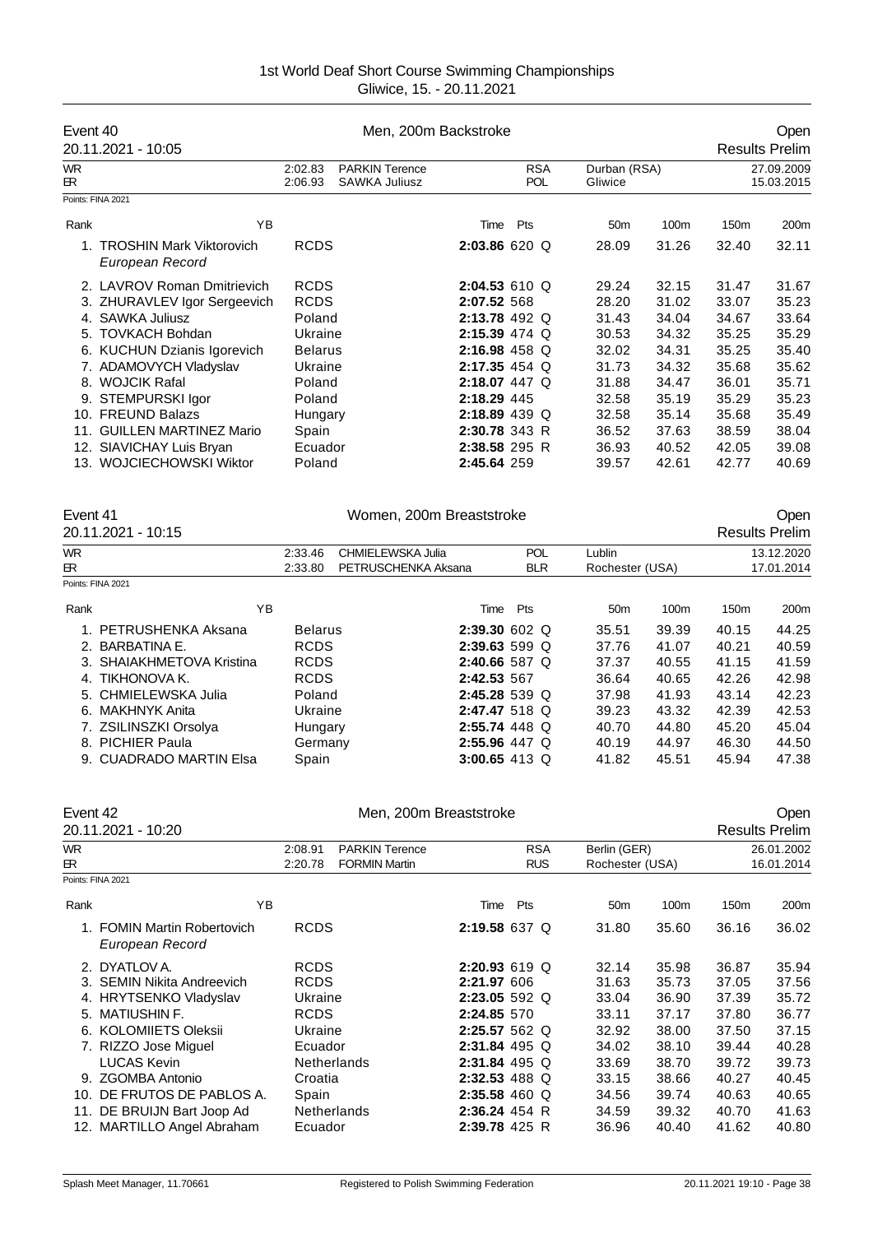| Event 40                                           |                    | Men, 200m Backstroke                          |                 |                          |                         |       |                  | Open                     |
|----------------------------------------------------|--------------------|-----------------------------------------------|-----------------|--------------------------|-------------------------|-------|------------------|--------------------------|
| 20.11.2021 - 10:05                                 |                    |                                               |                 |                          |                         |       |                  | <b>Results Prelim</b>    |
| <b>WR</b><br>БR.                                   | 2:02.83<br>2:06.93 | <b>PARKIN Terence</b><br><b>SAWKA Juliusz</b> |                 | <b>RSA</b><br><b>POL</b> | Durban (RSA)<br>Gliwice |       |                  | 27.09.2009<br>15.03.2015 |
| Points: FINA 2021                                  |                    |                                               |                 |                          |                         |       |                  |                          |
| Rank                                               | ΥB                 |                                               | Time            | Pts                      | 50 <sub>m</sub>         | 100m  | 150 <sub>m</sub> | 200m                     |
| <b>TROSHIN Mark Viktorovich</b><br>European Record | <b>RCDS</b>        |                                               | 2:03.86620      |                          | 28.09                   | 31.26 | 32.40            | 32.11                    |
| 2. LAVROV Roman Dmitrievich                        | <b>RCDS</b>        |                                               | 2:04.53610 Q    |                          | 29.24                   | 32.15 | 31.47            | 31.67                    |
| 3. ZHURAVLEV Igor Sergeevich                       | <b>RCDS</b>        |                                               | 2:07.52 568     |                          | 28.20                   | 31.02 | 33.07            | 35.23                    |
| 4. SAWKA Juliusz                                   | Poland             |                                               |                 | 2:13.78 492 Q            | 31.43                   | 34.04 | 34.67            | 33.64                    |
| 5. TOVKACH Bohdan                                  | Ukraine            |                                               | $2:15.39$ 474 Q |                          | 30.53                   | 34.32 | 35.25            | 35.29                    |
| 6. KUCHUN Dzianis Igorevich                        | <b>Belarus</b>     |                                               | $2:16.98$ 458 Q |                          | 32.02                   | 34.31 | 35.25            | 35.40                    |
| 7. ADAMOVYCH Vladyslav                             | Ukraine            |                                               | $2:17.35$ 454 Q |                          | 31.73                   | 34.32 | 35.68            | 35.62                    |
| 8. WOJCIK Rafal                                    | Poland             |                                               | 2:18.07 447 Q   |                          | 31.88                   | 34.47 | 36.01            | 35.71                    |
| 9. STEMPURSKI Igor                                 | Poland             |                                               | 2:18.29 445     |                          | 32.58                   | 35.19 | 35.29            | 35.23                    |
| 10. FREUND Balazs                                  | Hungary            |                                               | 2:18.89 439 Q   |                          | 32.58                   | 35.14 | 35.68            | 35.49                    |
| 11. GUILLEN MARTINEZ Mario                         | Spain              |                                               | 2:30.78 343 R   |                          | 36.52                   | 37.63 | 38.59            | 38.04                    |
| 12. SIAVICHAY Luis Bryan                           | Ecuador            |                                               | 2:38.58 295 R   |                          | 36.93                   | 40.52 | 42.05            | 39.08                    |
| 13. WOJCIECHOWSKI Wiktor                           | Poland             |                                               | 2:45.64 259     |                          | 39.57                   | 42.61 | 42.77            | 40.69                    |
| Event 41                                           |                    | Women, 200m Breaststroke                      |                 |                          |                         |       |                  | Open                     |
| $20.11.2021 - 10.15$                               |                    |                                               |                 |                          |                         |       |                  | <b>Doculte Drolim</b>    |

|           | 20.11.2021 - 10:15        |                |                     |                 |                 |       |                  | <b>Results Prelim</b> |
|-----------|---------------------------|----------------|---------------------|-----------------|-----------------|-------|------------------|-----------------------|
| <b>WR</b> |                           | 2:33.46        | CHMIELEWSKA Julia   | <b>POL</b>      | Lublin          |       |                  | 13.12.2020            |
| ЕR.       |                           | 2:33.80        | PETRUSCHENKA Aksana | <b>BLR</b>      | Rochester (USA) |       |                  | 17.01.2014            |
|           | Points: FINA 2021         |                |                     |                 |                 |       |                  |                       |
| Rank      | ΥB                        |                | Time                | Pts             | 50 <sub>m</sub> | 100m  | 150 <sub>m</sub> | 200m                  |
|           | 1. PETRUSHENKA Aksana     | <b>Belarus</b> |                     | $2:39.30602$ Q  | 35.51           | 39.39 | 40.15            | 44.25                 |
|           | 2. BARBATINA E.           | <b>RCDS</b>    |                     | $2:39.63599$ Q  | 37.76           | 41.07 | 40.21            | 40.59                 |
|           | 3. SHAIAKHMETOVA Kristina | <b>RCDS</b>    |                     | $2:40.66587$ Q  | 37.37           | 40.55 | 41.15            | 41.59                 |
|           | 4. TIKHONOVA K.           | <b>RCDS</b>    | 2:42.53 567         |                 | 36.64           | 40.65 | 42.26            | 42.98                 |
|           | 5. CHMIELEWSKA Julia      | Poland         |                     | $2:45.28539$ Q  | 37.98           | 41.93 | 43.14            | 42.23                 |
| 6.        | MAKHNYK Anita             | Ukraine        |                     | 2:47.47 518 Q   | 39.23           | 43.32 | 42.39            | 42.53                 |
|           | 7. ZSILINSZKI Orsolya     | Hungary        |                     | 2:55.74 448 Q   | 40.70           | 44.80 | 45.20            | 45.04                 |
|           | 8. PICHIER Paula          | Germany        |                     | $2:55.96$ 447 Q | 40.19           | 44.97 | 46.30            | 44.50                 |
|           | 9. CUADRADO MARTIN Elsa   | Spain          |                     | 3:00.65 413 Q   | 41.82           | 45.51 | 45.94            | 47.38                 |

| Event 42        |                                                |                                            | Men, 200m Breaststroke |                          |                                 |                |                  | <b>Open</b>              |
|-----------------|------------------------------------------------|--------------------------------------------|------------------------|--------------------------|---------------------------------|----------------|------------------|--------------------------|
|                 | 20.11.2021 - 10:20                             |                                            |                        |                          |                                 |                |                  | <b>Results Prelim</b>    |
| <b>WR</b><br>ЕR |                                                | 2:08.91<br><b>FORMIN Martin</b><br>2:20.78 | <b>PARKIN Terence</b>  | <b>RSA</b><br><b>RUS</b> | Berlin (GER)<br>Rochester (USA) |                |                  | 26.01.2002<br>16.01.2014 |
|                 | Points: FINA 2021                              |                                            |                        |                          |                                 |                |                  |                          |
| Rank            | ΥB                                             |                                            | Time                   | Pts                      | 50 <sub>m</sub>                 | 100m           | 150 <sub>m</sub> | 200m                     |
|                 | 1. FOMIN Martin Robertovich<br>European Record | <b>RCDS</b>                                |                        | 2:19.58 637 Q            | 31.80                           | 35.60          | 36.16            | 36.02                    |
|                 | 2. DYATLOV A.<br>3. SEMIN Nikita Andreevich    | <b>RCDS</b><br><b>RCDS</b>                 | 2:21.97 606            | $2:20.93619$ Q           | 32.14<br>31.63                  | 35.98<br>35.73 | 36.87<br>37.05   | 35.94<br>37.56           |
|                 | 4. HRYTSENKO Vladyslav                         | Ukraine                                    |                        | $2:23.055592$ Q          | 33.04                           | 36.90          | 37.39            | 35.72                    |
| 5.              | <b>MATIUSHIN F.</b>                            | <b>RCDS</b>                                | 2:24.85 570            |                          | 33.11                           | 37.17          | 37.80            | 36.77                    |
|                 | 6. KOLOMIIETS Oleksii                          | Ukraine                                    |                        | $2:25.57562$ Q           | 32.92                           | 38.00          | 37.50            | 37.15                    |
|                 | 7. RIZZO Jose Miguel                           | Ecuador                                    |                        | 2:31.84 495 Q            | 34.02                           | 38.10          | 39.44            | 40.28                    |
|                 | <b>LUCAS Kevin</b>                             | <b>Netherlands</b>                         |                        | $2:31.84$ 495 Q          | 33.69                           | 38.70          | 39.72            | 39.73                    |
| 9.              | <b>ZGOMBA Antonio</b>                          | Croatia                                    |                        | 2:32.53 488 Q            | 33.15                           | 38.66          | 40.27            | 40.45                    |
| 10.             | DE FRUTOS DE PABLOS A.                         | Spain                                      |                        | 2:35.58 460 Q            | 34.56                           | 39.74          | 40.63            | 40.65                    |
|                 | 11. DE BRUIJN Bart Joop Ad                     | <b>Netherlands</b>                         | 2:36.24 454 R          |                          | 34.59                           | 39.32          | 40.70            | 41.63                    |
|                 | 12. MARTILLO Angel Abraham                     | Ecuador                                    | 2:39.78 425 R          |                          | 36.96                           | 40.40          | 41.62            | 40.80                    |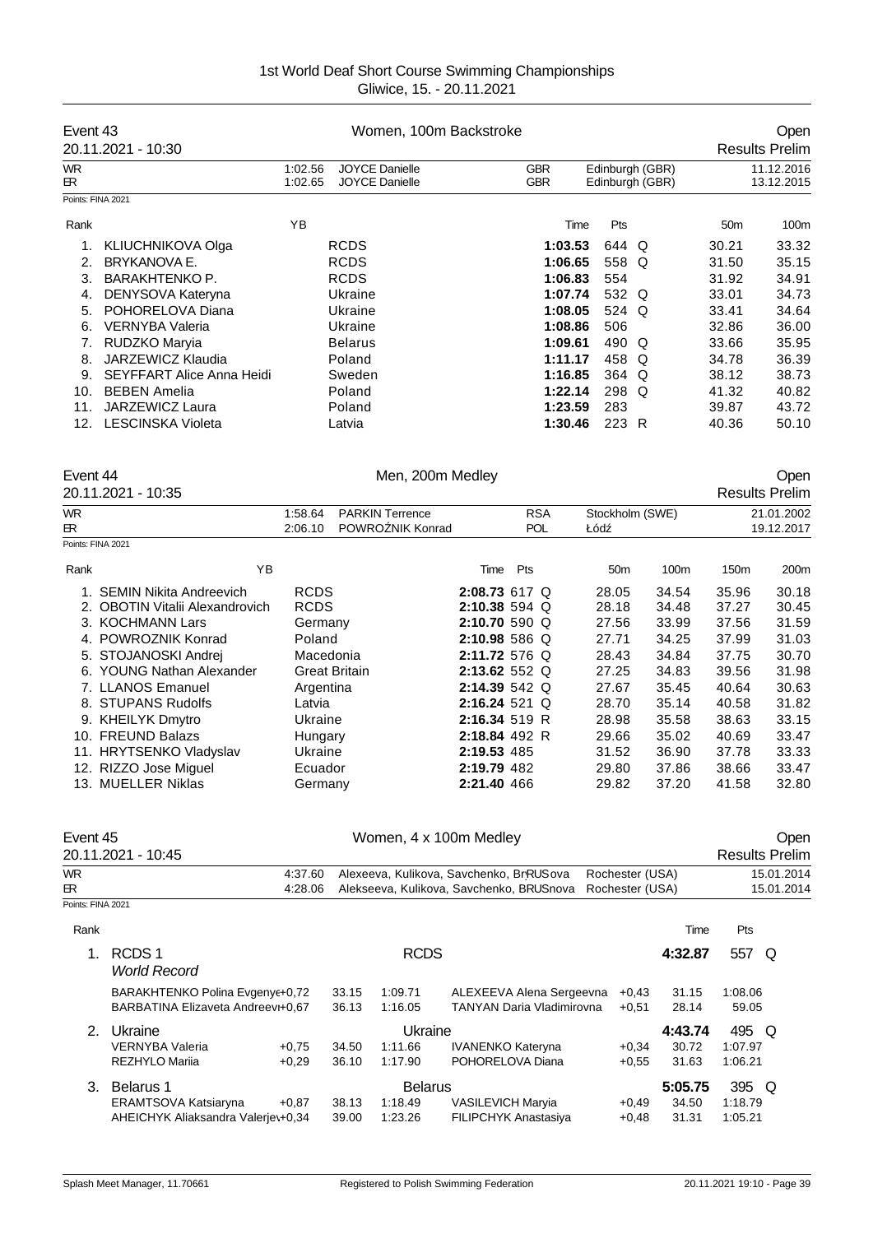| Event 43         | 20.11.2021 - 10:30               | Women, 100m Backstroke |                                                |                  |               |     |                          |                 | Open<br><b>Results Prelim</b>      |       |                 |                               |
|------------------|----------------------------------|------------------------|------------------------------------------------|------------------|---------------|-----|--------------------------|-----------------|------------------------------------|-------|-----------------|-------------------------------|
| <b>WR</b><br>ЕR. |                                  | 1:02.56<br>1:02.65     | <b>JOYCE Danielle</b><br><b>JOYCE Danielle</b> |                  |               |     | <b>GBR</b><br><b>GBR</b> |                 | Edinburgh (GBR)<br>Edinburgh (GBR) |       |                 | 11.12.2016<br>13.12.2015      |
|                  | Points: FINA 2021                |                        |                                                |                  |               |     |                          |                 |                                    |       |                 |                               |
|                  |                                  |                        |                                                |                  |               |     |                          |                 |                                    |       |                 |                               |
| Rank             |                                  | YB                     |                                                |                  |               |     | Time                     | Pts             |                                    |       | 50 <sub>m</sub> | 100m                          |
| 1.               | <b>KLIUCHNIKOVA Olga</b>         |                        | <b>RCDS</b>                                    |                  |               |     | 1:03.53                  | 644 Q           |                                    |       | 30.21           | 33.32                         |
| 2.               | <b>BRYKANOVA E.</b>              |                        | <b>RCDS</b>                                    |                  |               |     | 1:06.65                  | 558 Q           |                                    |       | 31.50           | 35.15                         |
| 3.               | <b>BARAKHTENKO P.</b>            |                        | <b>RCDS</b>                                    |                  |               |     | 1:06.83                  | 554             |                                    |       | 31.92           | 34.91                         |
| 4.               | DENYSOVA Kateryna                |                        | Ukraine                                        |                  |               |     | 1:07.74                  | 532 Q           |                                    |       | 33.01           | 34.73                         |
| 5.               | POHORELOVA Diana                 |                        | Ukraine                                        |                  |               |     | 1:08.05                  | 524 Q           |                                    |       | 33.41           | 34.64                         |
| 6.               | <b>VERNYBA Valeria</b>           |                        | Ukraine                                        |                  |               |     | 1:08.86                  | 506             |                                    |       | 32.86           | 36.00                         |
| 7.               | RUDZKO Maryia                    |                        | <b>Belarus</b>                                 |                  |               |     | 1:09.61                  | 490 Q           |                                    |       | 33.66           | 35.95                         |
| 8.               | JARZEWICZ Klaudia                |                        | Poland                                         |                  |               |     | 1:11.17                  | 458 Q           |                                    |       | 34.78           | 36.39                         |
| 9.               | <b>SEYFFART Alice Anna Heidi</b> |                        | Sweden                                         |                  |               |     | 1:16.85                  | 364 Q           |                                    |       | 38.12           | 38.73                         |
| 10.              | <b>BEBEN Amelia</b>              |                        | Poland                                         |                  |               |     | 1:22.14                  | 298 Q           |                                    |       | 41.32           | 40.82                         |
| 11.              | JARZEWICZ Laura                  |                        | Poland                                         |                  |               |     | 1:23.59                  | 283             |                                    |       | 39.87           | 43.72                         |
| 12.              | <b>LESCINSKA Violeta</b>         |                        | Latvia                                         |                  |               |     | 1:30.46                  | 223 R           |                                    |       | 40.36           | 50.10                         |
| Event 44         | 20.11.2021 - 10:35               |                        |                                                | Men, 200m Medley |               |     |                          |                 |                                    |       |                 | Open<br><b>Results Prelim</b> |
| <b>WR</b>        |                                  | 1:58.64                | <b>PARKIN Terrence</b>                         |                  |               |     | <b>RSA</b>               |                 | Stockholm (SWE)                    |       |                 | 21.01.2002                    |
| ЕR.              | Points: FINA 2021                | 2:06.10                |                                                | POWRO NIK Konrad |               |     | <b>POL</b>               | Łód             |                                    |       |                 | 19.12.2017                    |
|                  |                                  |                        |                                                |                  |               |     |                          |                 |                                    |       |                 |                               |
| Rank             | YB                               |                        |                                                |                  | Time          | Pts |                          | 50 <sub>m</sub> |                                    | 100m  | 150m            | 200m                          |
|                  | 1. SEMIN Nikita Andreevich       | <b>RCDS</b>            |                                                |                  | 2:08.73 617 Q |     |                          | 28.05           |                                    | 34.54 | 35.96           | 30.18                         |
|                  | 2. OBOTIN Vitalii Alexandrovich  | <b>RCDS</b>            |                                                |                  | 2:10.38 594 Q |     |                          | 28.18           |                                    | 34.48 | 37.27           | 30.45                         |
|                  | 3. KOCHMANN Lars                 | Germany                |                                                |                  | 2:10.70 590 Q |     |                          | 27.56           |                                    | 33.99 | 37.56           | 31.59                         |
|                  | 4. POWROZNIK Konrad              | Poland                 |                                                |                  | 2:10.98 586 Q |     |                          | 27.71           |                                    | 34.25 | 37.99           | 31.03                         |
|                  | 5. STOJANOSKI Andrej             | Macedonia              |                                                |                  | 2:11.72 576 Q |     |                          | 28.43           |                                    | 34.84 | 37.75           | 30.70                         |
|                  | 6. YOUNG Nathan Alexander        |                        | <b>Great Britain</b>                           |                  | 2:13.62 552 Q |     |                          | 27.25           |                                    | 34.83 | 39.56           | 31.98                         |
|                  | 7. LLANOS Emanuel                | Argentina              |                                                |                  | 2:14.39 542 Q |     |                          | 27.67           |                                    | 35.45 | 40.64           | 30.63                         |
|                  | 8. STUPANS Rudolfs               | Latvia                 |                                                |                  | 2:16.24 521 Q |     |                          | 28.70           |                                    | 35.14 | 40.58           | 31.82                         |
|                  | 9. KHEILYK Dmytro                | Ukraine                |                                                |                  | 2:16.34 519 R |     |                          | 28.98           |                                    | 35.58 | 38.63           | 33.15                         |
|                  | 10. FREUND Balazs                | Hungary                |                                                |                  | 2:18.84 492 R |     |                          | 29.66           |                                    | 35.02 | 40.69           | 33.47                         |
|                  | 11. HRYTSENKO Vladyslav          | Ukraine                |                                                |                  | 2:19.53 485   |     |                          | 31.52           |                                    | 36.90 | 37.78           | 33.33                         |
|                  | 12. RIZZO Jose Miguel            | Ecuador                |                                                |                  | 2:19.79 482   |     |                          | 29.80           |                                    | 37.86 | 38.66           | 33.47                         |
|                  | 13. MUELLER Niklas               | Germany                |                                                |                  | 2:21.40 466   |     |                          | 29.82           |                                    | 37.20 | 41.58           | 32.80                         |

| Event 45          |                                                                         |                    |                |                                      | Women, 4 x 100m Medley                                  |                    |                           |                             |            | Oper |
|-------------------|-------------------------------------------------------------------------|--------------------|----------------|--------------------------------------|---------------------------------------------------------|--------------------|---------------------------|-----------------------------|------------|------|
|                   | 20.11.2021 - 10:45                                                      |                    |                |                                      |                                                         |                    |                           | <b>Results Prelim</b>       |            |      |
| <b>WR</b>         |                                                                         | 4:37.60            |                |                                      | Alexeeva, Kulikova, Savchenko, BrRUSova                 | Rochester (USA)    |                           |                             | 15.01.2014 |      |
| ЕR                |                                                                         | 4:28.06            |                |                                      | Alekseeva, Kulikova, Savchenko, BRUSnova                | Rochester (USA)    |                           |                             | 15.01.2014 |      |
| Points: FINA 2021 |                                                                         |                    |                |                                      |                                                         |                    |                           |                             |            |      |
| Rank              |                                                                         |                    |                |                                      |                                                         |                    | Time                      | Pts                         |            |      |
| 1.                | RCDS <sub>1</sub><br><b>World Record</b>                                |                    |                | <b>RCDS</b>                          |                                                         |                    | 4:32.87                   | 557                         | Q          |      |
|                   | BARAKHTENKO Polina Evgeny +0,72<br>BARBATINA Elizaveta Andreevi+0,67    |                    | 33.15<br>36.13 | 1:09.71<br>1:16.05                   | ALEXEEVA Alena Sergeevna<br>TANYAN Daria Vladimirovna   | $+0.43$<br>$+0,51$ | 31.15<br>28.14            | 1:08.06<br>59.05            |            |      |
| 2.                | Ukraine<br><b>VERNYBA Valeria</b><br><b>REZHYLO Marija</b>              | $+0.75$<br>$+0,29$ | 34.50<br>36.10 | Ukraine<br>1:11.66<br>1:17.90        | <b>IVANENKO Kateryna</b><br>POHORELOVA Diana            | $+0.34$<br>$+0.55$ | 4:43.74<br>30.72<br>31.63 | 495 Q<br>1:07.97<br>1:06.21 |            |      |
| 3.                | Belarus 1<br>ERAMTSOVA Katsiaryna<br>AHEICHYK Aliaksandra Valerie\+0,34 | $+0.87$            | 38.13<br>39.00 | <b>Belarus</b><br>1:18.49<br>1:23.26 | <b>VASILEVICH Maryia</b><br><b>FILIPCHYK Anastasiya</b> | $+0.49$<br>$+0,48$ | 5:05.75<br>34.50<br>31.31 | 395 Q<br>1:18.79<br>1:05.21 |            |      |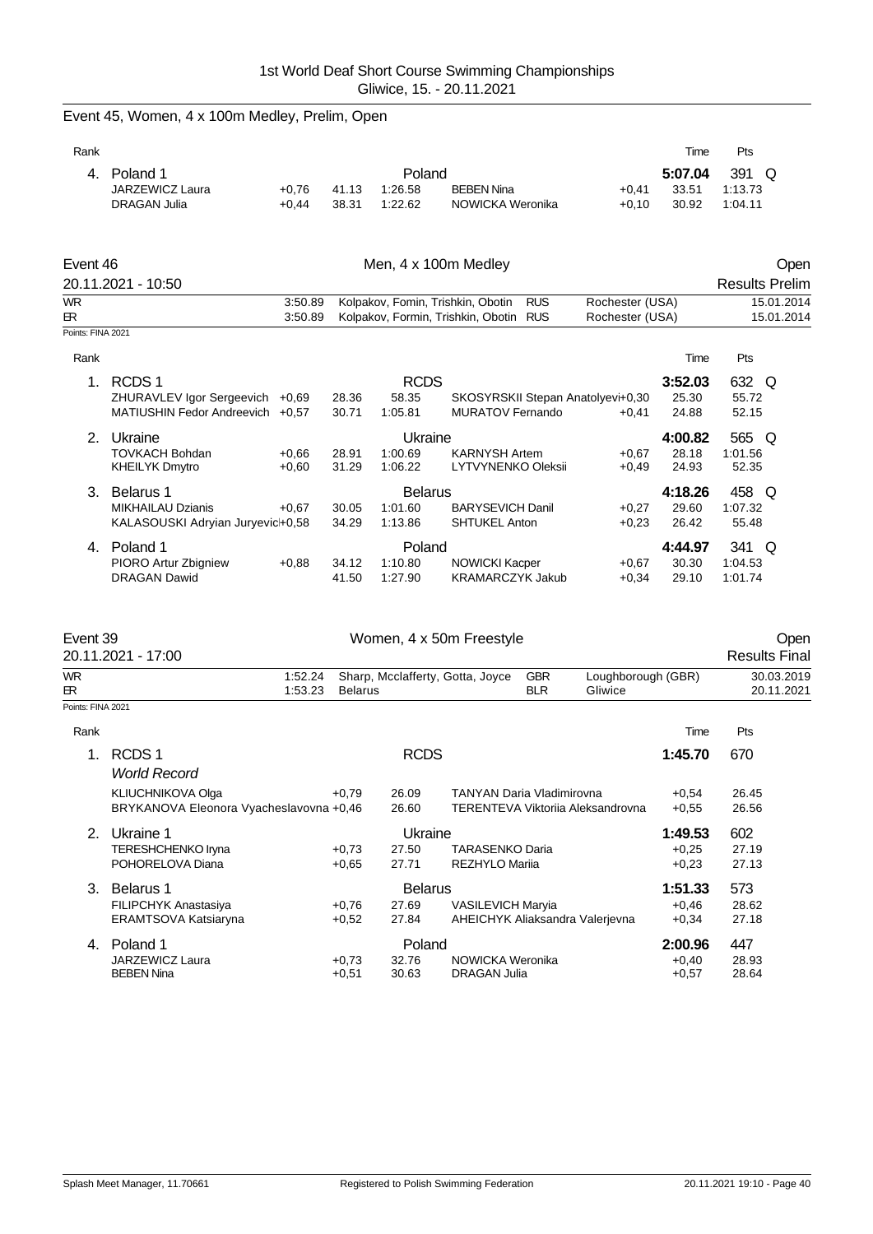| Rank |                     |         |       |         |                   |         | Time    | Pts     |
|------|---------------------|---------|-------|---------|-------------------|---------|---------|---------|
| 4.   | Poland 1            |         |       | Poland  |                   |         | 5:07.04 | 391 Q   |
|      | JARZEWICZ Laura     | $+0.76$ | 41.13 | 1:26.58 | <b>BEBEN Nina</b> | $+0.41$ | 33.51   | 1:13.73 |
|      | <b>DRAGAN Julia</b> | $+0.44$ | 38.31 | 1:22.62 | NOWICKA Weronika  | $+0.10$ | 30.92   | 1:04.11 |
|      |                     |         |       |         |                   |         |         |         |

Event 45, Women, 4 x 100m Medley, Prelim, Open

| Event 46           |         | Men, 4 x 100m Medley                   |  | Open            |                       |  |
|--------------------|---------|----------------------------------------|--|-----------------|-----------------------|--|
| 20.11.2021 - 10:50 |         |                                        |  |                 | <b>Results Prelim</b> |  |
| WR                 | 3:50.89 | Kolpakov, Fomin, Trishkin, Obotin RUS  |  | Rochester (USA) | 15.01.2014            |  |
| FR.                | 3:50.89 | Kolpakov, Formin, Trishkin, Obotin RUS |  | Rochester (USA) | 15.01.2014            |  |
| Points: FINA 2021  |         |                                        |  |                 |                       |  |

|                             |         |                                                                                                   |         |                           |                                                    | Time                              | Pts     |  |
|-----------------------------|---------|---------------------------------------------------------------------------------------------------|---------|---------------------------|----------------------------------------------------|-----------------------------------|---------|--|
| RCDS <sub>1</sub>           |         |                                                                                                   |         |                           |                                                    | 3:52.03                           | 632 Q   |  |
|                             | $+0.69$ | 28.36                                                                                             | 58.35   |                           |                                                    | 25.30                             | 55.72   |  |
|                             |         | 30.71                                                                                             | 1:05.81 | <b>MURATOV Fernando</b>   | $+0.41$                                            | 24.88                             | 52.15   |  |
| Ukraine                     |         |                                                                                                   |         |                           |                                                    | 4:00.82                           | 565 Q   |  |
| <b>TOVKACH Bohdan</b>       | $+0.66$ | 28.91                                                                                             | 1:00.69 | <b>KARNYSH Artem</b>      | $+0.67$                                            | 28.18                             | 1:01.56 |  |
| <b>KHEILYK Dmytro</b>       | $+0,60$ | 31.29                                                                                             | 1:06.22 | <b>LYTVYNENKO Oleksii</b> | $+0.49$                                            | 24.93                             | 52.35   |  |
| Belarus 1                   |         |                                                                                                   |         |                           |                                                    | 4:18.26                           | 458 Q   |  |
| <b>MIKHAILAU Dzianis</b>    | $+0.67$ | 30.05                                                                                             | 1:01.60 | <b>BARYSEVICH Danil</b>   | $+0.27$                                            | 29.60                             | 1:07.32 |  |
|                             |         | 34.29                                                                                             | 1:13.86 | <b>SHTUKEL Anton</b>      | $+0.23$                                            | 26.42                             | 55.48   |  |
| Poland 1                    |         |                                                                                                   |         |                           |                                                    | 4:44.97                           | 341 Q   |  |
| <b>PIORO Artur Zbigniew</b> | $+0.88$ | 34.12                                                                                             | 1:10.80 | <b>NOWICKI Kacper</b>     | $+0.67$                                            | 30.30                             | 1:04.53 |  |
| <b>DRAGAN Dawid</b>         |         | 41.50                                                                                             | 1:27.90 | <b>KRAMARCZYK Jakub</b>   | $+0.34$                                            | 29.10                             | 1:01.74 |  |
|                             |         | ZHURAVLEV Igor Sergeevich<br>MATIUSHIN Fedor Andreevich +0.57<br>KALASOUSKI Adryian Juryevic+0,58 |         |                           | <b>RCDS</b><br>Ukraine<br><b>Belarus</b><br>Poland | SKOSYRSKII Stepan Anatolyevi+0,30 |         |  |

| Event 39                  | 20.11.2021 - 17:00                                           |                    |                | Women, 4 x 50m Freestyle                        |                          |                                   |                    | <b>Results Final</b>     | Open |
|---------------------------|--------------------------------------------------------------|--------------------|----------------|-------------------------------------------------|--------------------------|-----------------------------------|--------------------|--------------------------|------|
| <b>WR</b><br>$\mathbb{R}$ | 1:52.24<br>1:53.23                                           | <b>Belarus</b>     |                | Sharp, Mcclafferty, Gotta, Joyce                | <b>GBR</b><br><b>BLR</b> | Loughborough (GBR)<br>Gliwice     |                    | 30.03.2019<br>20.11.2021 |      |
| Points: FINA 2021         |                                                              |                    |                |                                                 |                          |                                   |                    |                          |      |
| Rank                      |                                                              |                    |                |                                                 |                          |                                   | Time               | Pts                      |      |
| $\overline{1}$ .          | RCDS <sub>1</sub><br><b>World Record</b>                     |                    | <b>RCDS</b>    |                                                 |                          |                                   | 1:45.70            | 670                      |      |
|                           | KLIUCHNIKOVA Olga<br>BRYKANOVA Eleonora Vyacheslavovna +0,46 | $+0.79$            | 26.09<br>26.60 | <b>TANYAN Daria Vladimirovna</b>                |                          | TERENTEVA Viktorija Aleksandrovna | $+0.54$<br>$+0.55$ | 26.45<br>26.56           |      |
| 2 <sup>1</sup>            | Ukraine 1                                                    |                    | Ukraine        |                                                 |                          |                                   | 1:49.53            | 602                      |      |
|                           | TERESHCHENKO Iryna<br>POHORELOVA Diana                       | $+0.73$<br>$+0.65$ | 27.50<br>27.71 | <b>TARASENKO Daria</b><br><b>REZHYLO Marija</b> |                          |                                   | $+0,25$<br>$+0,23$ | 27.19<br>27.13           |      |
| 3.                        | Belarus 1                                                    |                    | <b>Belarus</b> |                                                 |                          |                                   | 1:51.33            | 573                      |      |
|                           | <b>FILIPCHYK Anastasiya</b>                                  | $+0,76$            | 27.69          | <b>VASILEVICH Maryia</b>                        |                          |                                   | $+0,46$            | 28.62                    |      |
|                           | ERAMTSOVA Katsiaryna                                         | $+0,52$            | 27.84          |                                                 |                          | AHEICHYK Aliaksandra Valerjevna   | $+0,34$            | 27.18                    |      |
| 4.                        | Poland 1                                                     |                    | Poland         |                                                 |                          |                                   | 2:00.96            | 447                      |      |
|                           | JARZEWICZ Laura                                              | $+0.73$            | 32.76          | NOWICKA Weronika                                |                          |                                   | $+0,40$            | 28.93                    |      |
|                           | <b>BEBEN Nina</b>                                            | $+0,51$            | 30.63          | <b>DRAGAN Julia</b>                             |                          |                                   | $+0,57$            | 28.64                    |      |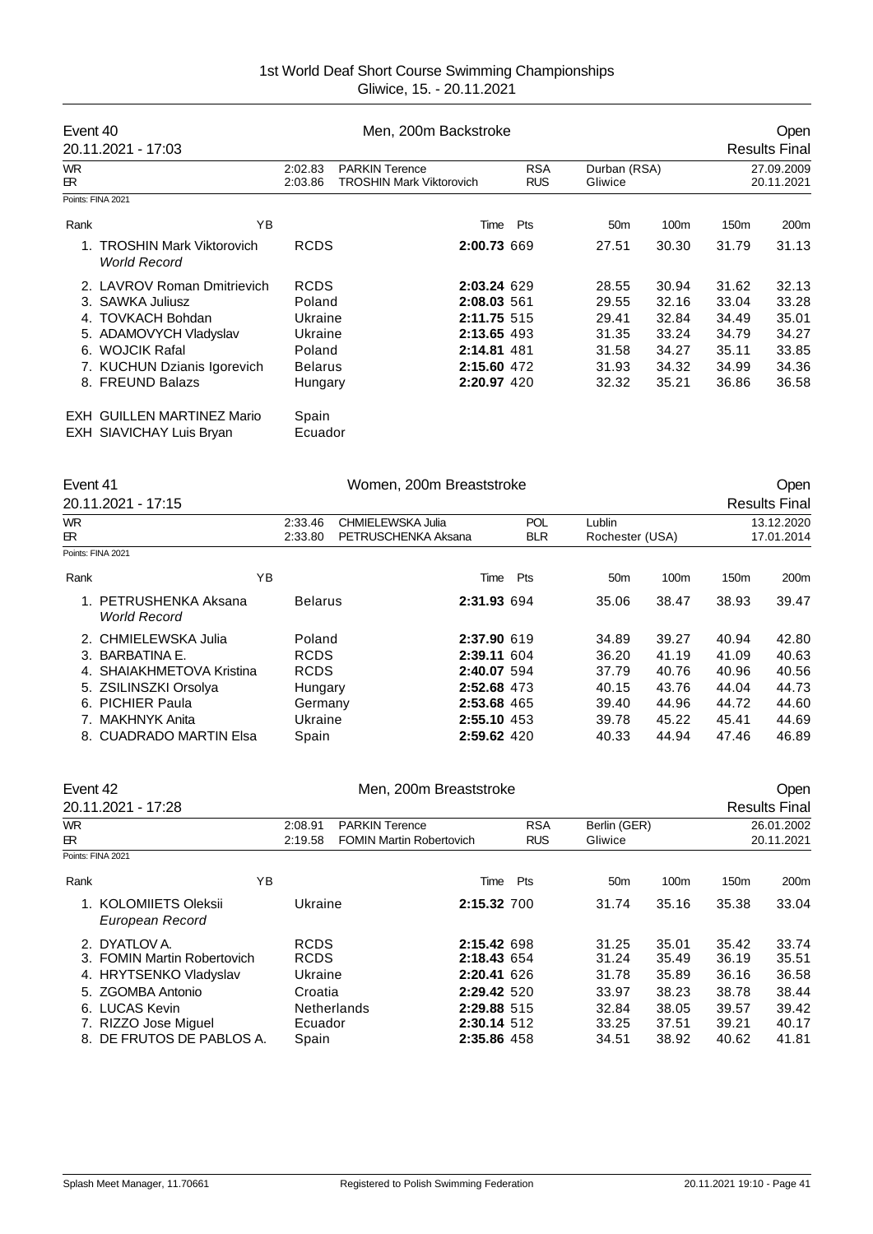| Event 40         | 20.11.2021 - 17:03                                            |                    | Men, 200m Backstroke                                     |                          | Open<br><b>Results Final</b> |       |                  |                          |
|------------------|---------------------------------------------------------------|--------------------|----------------------------------------------------------|--------------------------|------------------------------|-------|------------------|--------------------------|
| <b>WR</b><br>ER. |                                                               | 2:02.83<br>2:03.86 | <b>PARKIN Terence</b><br><b>TROSHIN Mark Viktorovich</b> | <b>RSA</b><br><b>RUS</b> | Durban (RSA)<br>Gliwice      |       |                  | 27.09.2009<br>20.11.2021 |
|                  | Points: FINA 2021                                             |                    |                                                          |                          |                              |       |                  |                          |
| Rank             | ΥB                                                            |                    | Time                                                     | Pts                      | 50 <sub>m</sub>              | 100m  | 150 <sub>m</sub> | 200 <sub>m</sub>         |
|                  | <b>TROSHIN Mark Viktorovich</b><br><b>World Record</b>        | <b>RCDS</b>        | 2:00.73 669                                              |                          | 27.51                        | 30.30 | 31.79            | 31.13                    |
|                  | 2. LAVROV Roman Dmitrievich                                   | <b>RCDS</b>        | 2:03.24 629                                              |                          | 28.55                        | 30.94 | 31.62            | 32.13                    |
|                  | 3. SAWKA Juliusz                                              | Poland             | 2:08.03 561                                              |                          | 29.55                        | 32.16 | 33.04            | 33.28                    |
|                  | 4. TOVKACH Bohdan                                             | Ukraine            | 2:11.75 515                                              |                          | 29.41                        | 32.84 | 34.49            | 35.01                    |
|                  | 5. ADAMOVYCH Vladyslav                                        | Ukraine            | 2:13.65 493                                              |                          | 31.35                        | 33.24 | 34.79            | 34.27                    |
|                  | 6. WOJCIK Rafal                                               | Poland             | 2:14.81 481                                              |                          | 31.58                        | 34.27 | 35.11            | 33.85                    |
|                  | 7. KUCHUN Dzianis Igorevich                                   | <b>Belarus</b>     | 2:15.60 472                                              |                          | 31.93                        | 34.32 | 34.99            | 34.36                    |
|                  | 8. FREUND Balazs                                              | Hungary            | 2:20.97 420                                              |                          | 32.32                        | 35.21 | 36.86            | 36.58                    |
|                  | EXH GUILLEN MARTINEZ Mario<br><b>EXH SIAVICHAY Luis Bryan</b> | Spain<br>Ecuador   |                                                          |                          |                              |       |                  |                          |

| Event 41  |                                              | Women, 200m Breaststroke |                     |            |                 |       |                  | Open                 |
|-----------|----------------------------------------------|--------------------------|---------------------|------------|-----------------|-------|------------------|----------------------|
|           | 20.11.2021 - 17:15                           |                          |                     |            |                 |       |                  | <b>Results Final</b> |
| <b>WR</b> |                                              | 2:33.46                  | CHMIELEWSKA Julia   | <b>POL</b> | Lublin          |       |                  | 13.12.2020           |
| ЕR.       |                                              | 2:33.80                  | PETRUSCHENKA Aksana | <b>BLR</b> | Rochester (USA) |       |                  | 17.01.2014           |
|           | Points: FINA 2021                            |                          |                     |            |                 |       |                  |                      |
| Rank      |                                              | ΥB                       | Time                | Pts        | 50 <sub>m</sub> | 100m  | 150 <sub>m</sub> | 200m                 |
|           | 1. PETRUSHENKA Aksana<br><b>World Record</b> | <b>Belarus</b>           | 2:31.93 694         |            | 35.06           | 38.47 | 38.93            | 39.47                |
|           | 2. CHMIELEWSKA Julia                         | Poland                   | 2:37.90 619         |            | 34.89           | 39.27 | 40.94            | 42.80                |
|           | 3. BARBATINA E.                              | <b>RCDS</b>              | 2:39.11 604         |            | 36.20           | 41.19 | 41.09            | 40.63                |
|           | 4. SHAIAKHMETOVA Kristina                    | <b>RCDS</b>              | 2:40.07 594         |            | 37.79           | 40.76 | 40.96            | 40.56                |
|           | 5. ZSILINSZKI Orsolya                        | Hungary                  | 2:52.68 473         |            | 40.15           | 43.76 | 44.04            | 44.73                |
|           | 6. PICHIER Paula                             | Germany                  | 2:53.68 465         |            | 39.40           | 44.96 | 44.72            | 44.60                |
|           | 7. MAKHNYK Anita                             | Ukraine                  | 2:55.10 453         |            | 39.78           | 45.22 | 45.41            | 44.69                |
|           | 8. CUADRADO MARTIN Elsa                      | Spain                    | 2:59.62 420         |            | 40.33           | 44.94 | 47.46            | 46.89                |

| Event 42   | 20.11.2021 - 17:28                                                                                                                                                 | Men, 200m Breaststroke |                                                                                            |                                                          |                                                                                                       |                          |                                                             | <b>Open</b><br><b>Results Final</b>                         |                                                             |                                                             |
|------------|--------------------------------------------------------------------------------------------------------------------------------------------------------------------|------------------------|--------------------------------------------------------------------------------------------|----------------------------------------------------------|-------------------------------------------------------------------------------------------------------|--------------------------|-------------------------------------------------------------|-------------------------------------------------------------|-------------------------------------------------------------|-------------------------------------------------------------|
| WR.<br>ЕR. |                                                                                                                                                                    |                        | 2:08.91<br>2:19.58                                                                         | <b>PARKIN Terence</b><br><b>FOMIN Martin Robertovich</b> |                                                                                                       | <b>RSA</b><br><b>RUS</b> | Berlin (GER)<br>Gliwice                                     |                                                             |                                                             | 26.01.2002<br>20.11.2021                                    |
|            | Points: FINA 2021                                                                                                                                                  |                        |                                                                                            |                                                          |                                                                                                       |                          |                                                             |                                                             |                                                             |                                                             |
| Rank       |                                                                                                                                                                    | ΥB                     |                                                                                            |                                                          | Time                                                                                                  | Pts                      | 50 <sub>m</sub>                                             | 100m                                                        | 150 <sub>m</sub>                                            | 200m                                                        |
|            | 1. KOLOMIIETS Oleksii<br>European Record                                                                                                                           |                        | Ukraine                                                                                    |                                                          | 2:15.32 700                                                                                           |                          | 31.74                                                       | 35.16                                                       | 35.38                                                       | 33.04                                                       |
|            | 2. DYATLOV A.<br>3. FOMIN Martin Robertovich<br>4. HRYTSENKO Vladyslav<br>5. ZGOMBA Antonio<br>6. LUCAS Kevin<br>7. RIZZO Jose Miguel<br>8. DE FRUTOS DE PABLOS A. |                        | <b>RCDS</b><br><b>RCDS</b><br>Ukraine<br>Croatia<br><b>Netherlands</b><br>Ecuador<br>Spain |                                                          | 2:15.42 698<br>2:18.43 654<br>2:20.41 626<br>2:29.42 520<br>2:29.88 515<br>2:30.14 512<br>2:35.86 458 |                          | 31.25<br>31.24<br>31.78<br>33.97<br>32.84<br>33.25<br>34.51 | 35.01<br>35.49<br>35.89<br>38.23<br>38.05<br>37.51<br>38.92 | 35.42<br>36.19<br>36.16<br>38.78<br>39.57<br>39.21<br>40.62 | 33.74<br>35.51<br>36.58<br>38.44<br>39.42<br>40.17<br>41.81 |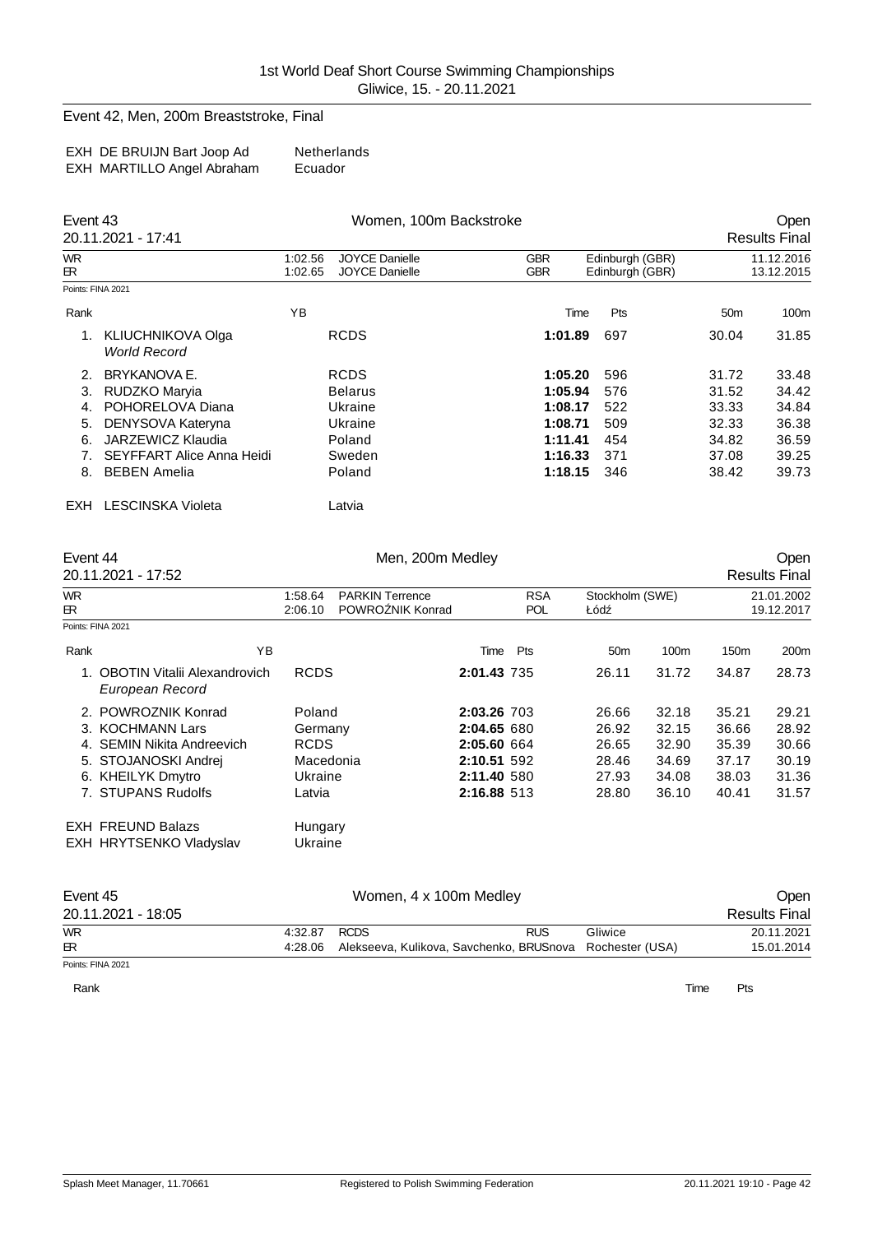#### Event 42, Men, 200m Breaststroke, Final

| EXH DE BRUIJN Bart Joop Ad | Netherlands |
|----------------------------|-------------|
| EXH MARTILLO Angel Abraham | Ecuador     |

|                   | Event 43<br>20.11.2021 - 17:41           |                    | Women, 100m Backstroke                         | Open<br><b>Results Final</b> |                                    |                 |                          |
|-------------------|------------------------------------------|--------------------|------------------------------------------------|------------------------------|------------------------------------|-----------------|--------------------------|
| <b>WR</b><br>ЕR.  |                                          | 1:02.56<br>1:02.65 | <b>JOYCE Danielle</b><br><b>JOYCE Danielle</b> | <b>GBR</b><br><b>GBR</b>     | Edinburgh (GBR)<br>Edinburgh (GBR) |                 | 11.12.2016<br>13.12.2015 |
| Points: FINA 2021 |                                          |                    |                                                |                              |                                    |                 |                          |
| Rank              |                                          | YB                 |                                                | Time                         | <b>Pts</b>                         | 50 <sub>m</sub> | 100m                     |
|                   | KLIUCHNIKOVA Olga<br><b>World Record</b> |                    | <b>RCDS</b>                                    | 1:01.89                      | 697                                | 30.04           | 31.85                    |
| 2.                | <b>BRYKANOVA E.</b>                      |                    | <b>RCDS</b>                                    | 1:05.20                      | 596                                | 31.72           | 33.48                    |
| 3.                | RUDZKO Maryia                            |                    | <b>Belarus</b>                                 | 1:05.94                      | 576                                | 31.52           | 34.42                    |
| 4.                | POHORELOVA Diana                         |                    | Ukraine                                        | 1:08.17                      | 522                                | 33.33           | 34.84                    |
| 5.                | DENYSOVA Kateryna                        |                    | Ukraine                                        | 1:08.71                      | 509                                | 32.33           | 36.38                    |
| 6.                | JARZEWICZ Klaudia                        |                    | Poland                                         | 1:11.41                      | 454                                | 34.82           | 36.59                    |
| 7.                | SEYFFART Alice Anna Heidi                |                    | Sweden                                         | 1:16.33                      | 371                                | 37.08           | 39.25                    |
| 8.                | <b>BEBEN Amelia</b>                      |                    | Poland                                         | 1:18.15                      | 346                                | 38.42           | 39.73                    |
| <b>EXH</b>        | <b>LESCINSKA Violeta</b>                 |                    | Latvia                                         |                              |                                    |                 |                          |

| Event 44         |                                                                                                                                          |                                                                    | Men, 200m Medley |                                                                                        |                          |                                                    |                                                    |                                                    | <b>Open</b>                                        |
|------------------|------------------------------------------------------------------------------------------------------------------------------------------|--------------------------------------------------------------------|------------------|----------------------------------------------------------------------------------------|--------------------------|----------------------------------------------------|----------------------------------------------------|----------------------------------------------------|----------------------------------------------------|
|                  | 20.11.2021 - 17:52                                                                                                                       |                                                                    |                  |                                                                                        |                          |                                                    |                                                    |                                                    | <b>Results Final</b>                               |
| <b>WR</b><br>ЕR. |                                                                                                                                          | <b>PARKIN Terrence</b><br>1:58.64<br>POWRO NIK Konrad<br>2:06.10   |                  |                                                                                        | <b>RSA</b><br><b>POL</b> | Stockholm (SWE)<br>Łód                             |                                                    | 21.01.2002<br>19.12.2017                           |                                                    |
|                  | Points: FINA 2021                                                                                                                        |                                                                    |                  |                                                                                        |                          |                                                    |                                                    |                                                    |                                                    |
| Rank             | ΥB                                                                                                                                       |                                                                    |                  | Time                                                                                   | Pts                      | 50 <sub>m</sub>                                    | 100m                                               | 150 <sub>m</sub>                                   | 200 <sub>m</sub>                                   |
|                  | <b>OBOTIN Vitalii Alexandrovich</b><br>European Record                                                                                   | <b>RCDS</b>                                                        |                  | 2:01.43 735                                                                            |                          | 26.11                                              | 31.72                                              | 34.87                                              | 28.73                                              |
|                  | 2. POWROZNIK Konrad<br>3. KOCHMANN Lars<br>4. SEMIN Nikita Andreevich<br>5. STOJANOSKI Andrei<br>6. KHEILYK Dmytro<br>7. STUPANS Rudolfs | Poland<br>Germany<br><b>RCDS</b><br>Macedonia<br>Ukraine<br>Latvia |                  | 2:03.26 703<br>2:04.65 680<br>2:05.60 664<br>2:10.51 592<br>2:11.40 580<br>2:16.88 513 |                          | 26.66<br>26.92<br>26.65<br>28.46<br>27.93<br>28.80 | 32.18<br>32.15<br>32.90<br>34.69<br>34.08<br>36.10 | 35.21<br>36.66<br>35.39<br>37.17<br>38.03<br>40.41 | 29.21<br>28.92<br>30.66<br>30.19<br>31.36<br>31.57 |
|                  | <b>EXH FREUND Balazs</b><br>EXH HRYTSENKO Vladyslav                                                                                      | Hungary<br>Ukraine                                                 |                  |                                                                                        |                          |                                                    |                                                    |                                                    |                                                    |

| Event 45           |              | Open                                                     |            |         |                      |
|--------------------|--------------|----------------------------------------------------------|------------|---------|----------------------|
| 20.11.2021 - 18:05 |              |                                                          |            |         | <b>Results Final</b> |
| <b>WR</b>          | 4:32.87 RCDS |                                                          | <b>RUS</b> | Gliwice | 20.11.2021           |
| $\mathbb{R}$       | 4:28.06      | Alekseeva, Kulikova, Savchenko, BRUSnova Rochester (USA) |            |         | 15.01.2014           |
| Points: FINA 2021  |              |                                                          |            |         |                      |

Rank **Time Pts**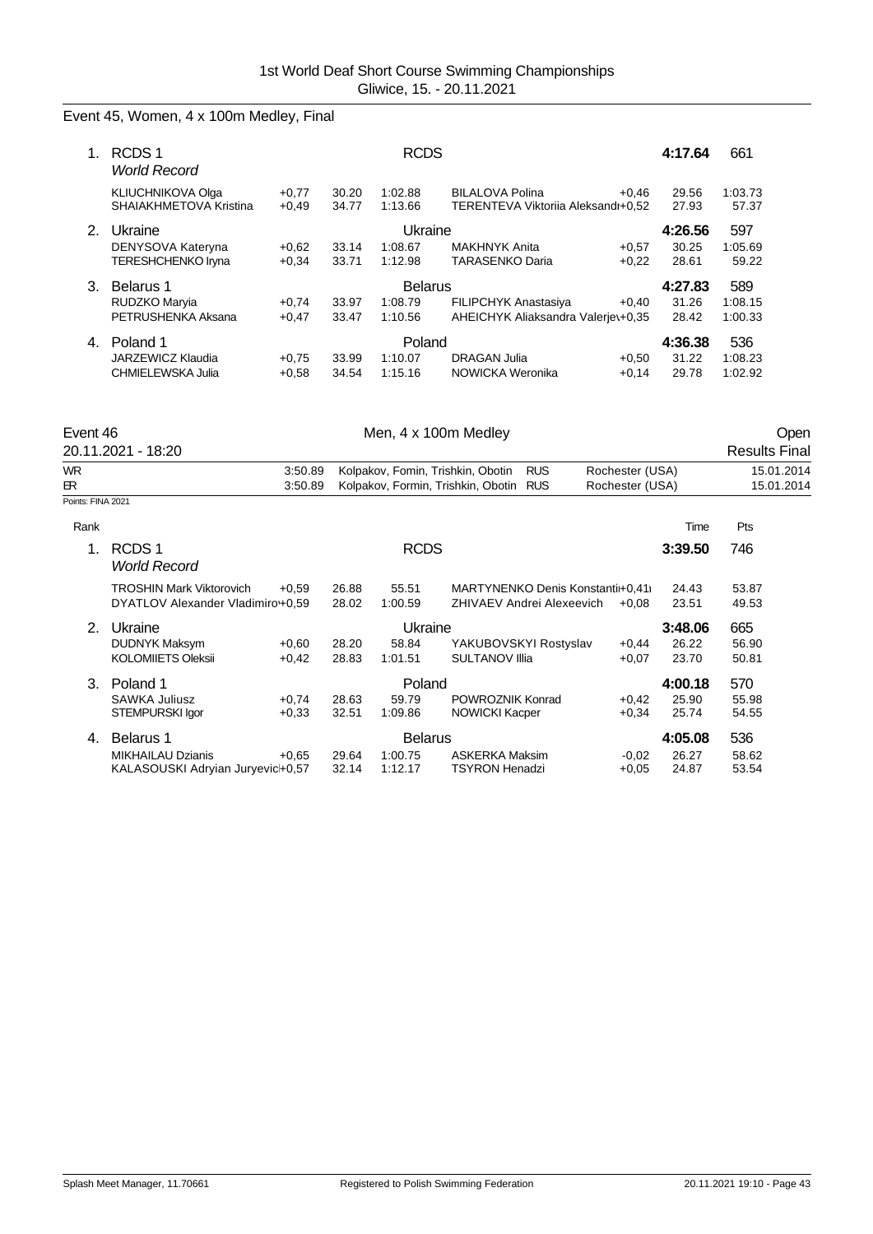# Event 45, Women, 4 x 100m Medley, Final

|    | RCDS <sub>1</sub><br><b>World Record</b>           |                    |                | <b>RCDS</b>        |                                                              |         | 4:17.64        | 661              |
|----|----------------------------------------------------|--------------------|----------------|--------------------|--------------------------------------------------------------|---------|----------------|------------------|
|    | <b>KLIUCHNIKOVA Olga</b><br>SHAIAKHMETOVA Kristina | $+0,77$<br>$+0.49$ | 30.20<br>34.77 | 1:02.88<br>1:13.66 | <b>BILALOVA Polina</b><br>TERENTEVA Viktoriia Aleksandr+0,52 | $+0.46$ | 29.56<br>27.93 | 1:03.73<br>57.37 |
| 2. | Ukraine                                            |                    |                | Ukraine            |                                                              |         | 4:26.56        | 597              |
|    | DENYSOVA Kateryna                                  | $+0.62$            | 33.14          | 1:08.67            | MAKHNYK Anita                                                | $+0.57$ | 30.25          | 1:05.69          |
|    | <b>TERESHCHENKO Iryna</b>                          | $+0.34$            | 33.71          | 1:12.98            | <b>TARASENKO Daria</b>                                       | $+0.22$ | 28.61          | 59.22            |
| 3. | Belarus 1                                          |                    |                | <b>Belarus</b>     |                                                              |         | 4:27.83        | 589              |
|    | RUDZKO Maryia                                      | $+0,74$            | 33.97          | 1:08.79            | <b>FILIPCHYK Anastasiya</b>                                  | $+0.40$ | 31.26          | 1:08.15          |
|    | PETRUSHENKA Aksana                                 | $+0,47$            | 33.47          | 1:10.56            | AHEICHYK Aliaksandra Valeriev+0,35                           |         | 28.42          | 1:00.33          |
| 4. | Poland 1                                           |                    |                | Poland             |                                                              |         | 4:36.38        | 536              |
|    | JARZEWICZ Klaudia                                  | $+0.75$            | 33.99          | 1:10.07            | DRAGAN Julia                                                 | $+0.50$ | 31.22          | 1:08.23          |
|    | CHMIELEWSKA Julia                                  | $+0.58$            | 34.54          | 1:15.16            | NOWICKA Weronika                                             | $+0.14$ | 29.78          | 1:02.92          |

| Event 46          |                                          |         | Open  |                |                                                  |                 |         |                      |
|-------------------|------------------------------------------|---------|-------|----------------|--------------------------------------------------|-----------------|---------|----------------------|
|                   | 20.11.2021 - 18:20                       |         |       |                |                                                  |                 |         | <b>Results Final</b> |
| <b>WR</b>         |                                          | 3:50.89 |       |                | Kolpakov, Fomin, Trishkin, Obotin<br><b>RUS</b>  | Rochester (USA) |         | 15.01.2014           |
| ЕR.               |                                          | 3:50.89 |       |                | Kolpakov, Formin, Trishkin, Obotin<br><b>RUS</b> | Rochester (USA) |         | 15.01.2014           |
| Points: FINA 2021 |                                          |         |       |                |                                                  |                 |         |                      |
| Rank              |                                          |         |       |                |                                                  |                 | Time    | <b>Pts</b>           |
| 1.                | RCDS <sub>1</sub><br><b>World Record</b> |         |       | <b>RCDS</b>    |                                                  |                 | 3:39.50 | 746                  |
|                   | <b>TROSHIN Mark Viktorovich</b>          | $+0.59$ | 26.88 | 55.51          | MARTYNENKO Denis Konstanti+0,41                  |                 | 24.43   | 53.87                |
|                   | DYATLOV Alexander Vladimiro+0,59         |         | 28.02 | 1:00.59        | ZHIVAEV Andrei Alexeevich                        | $+0.08$         | 23.51   | 49.53                |
| 2.                | Ukraine                                  |         |       | Ukraine        |                                                  |                 | 3:48.06 | 665                  |
|                   | DUDNYK Maksym                            | $+0.60$ | 28.20 | 58.84          | YAKUBOVSKYI Rostyslav                            | $+0,44$         | 26.22   | 56.90                |
|                   | <b>KOLOMIIETS Oleksii</b>                | $+0.42$ | 28.83 | 1:01.51        | <b>SULTANOV Illia</b>                            | $+0.07$         | 23.70   | 50.81                |
| 3.                | Poland 1                                 |         |       | Poland         |                                                  |                 | 4:00.18 | 570                  |
|                   | <b>SAWKA Juliusz</b>                     | $+0,74$ | 28.63 | 59.79          | POWROZNIK Konrad                                 | $+0,42$         | 25.90   | 55.98                |
|                   | STEMPURSKI Igor                          | $+0,33$ | 32.51 | 1:09.86        | <b>NOWICKI Kacper</b>                            | $+0.34$         | 25.74   | 54.55                |
| 4.                | Belarus 1                                |         |       | <b>Belarus</b> |                                                  |                 | 4:05.08 | 536                  |
|                   | <b>MIKHAILAU Dzianis</b>                 | $+0.65$ | 29.64 | 1:00.75        | <b>ASKERKA Maksim</b>                            | $-0.02$         | 26.27   | 58.62                |
|                   | KALASOUSKI Adryian Juryevic+0,57         |         | 32.14 | 1:12.17        | <b>TSYRON Henadzi</b>                            | $+0.05$         | 24.87   | 53.54                |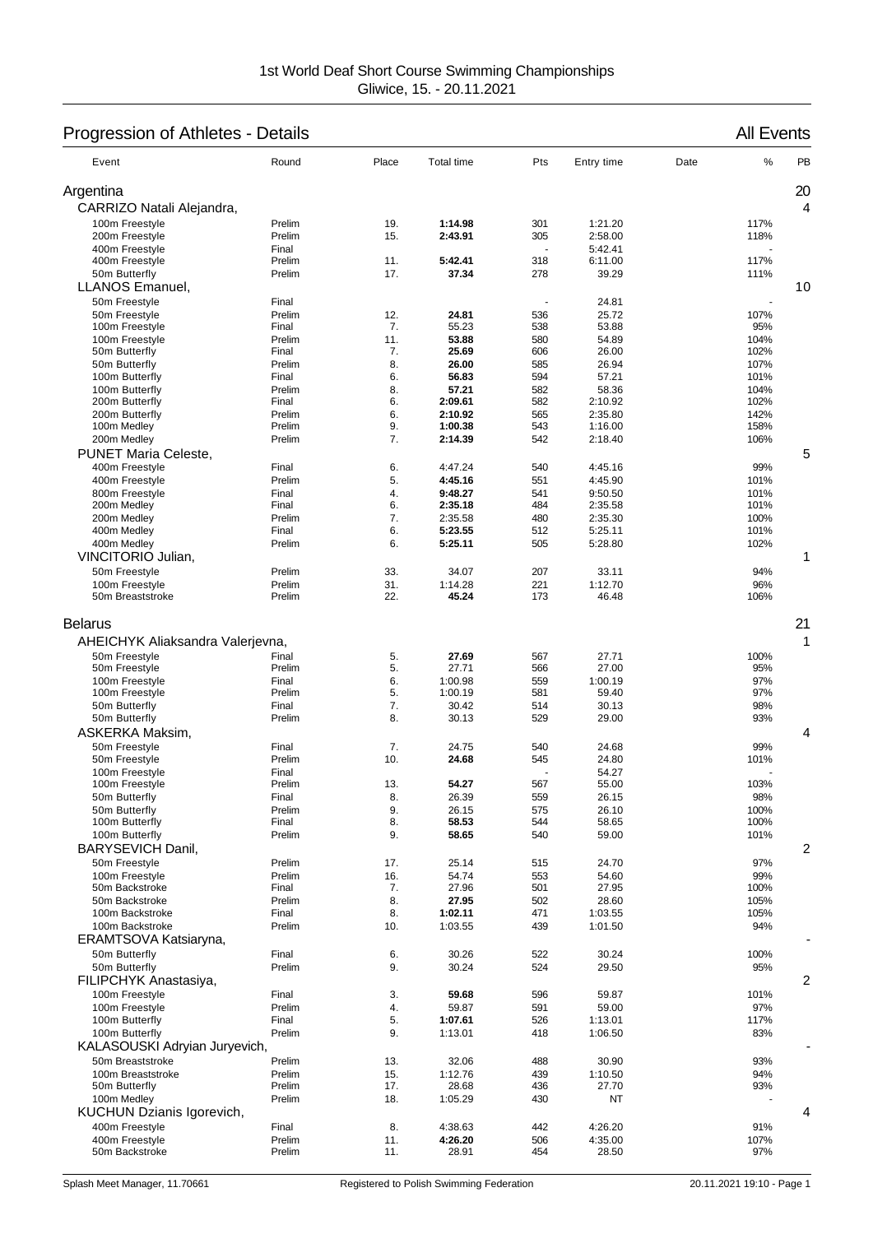# Progression of Athletes - Details All Events

| Event                                                                                                                                    | Round                                                 | Place                            | <b>Total time</b>                                      | Pts                                    | Entry time                                           | Date | %                                       | PB |
|------------------------------------------------------------------------------------------------------------------------------------------|-------------------------------------------------------|----------------------------------|--------------------------------------------------------|----------------------------------------|------------------------------------------------------|------|-----------------------------------------|----|
| Argentina                                                                                                                                |                                                       |                                  |                                                        |                                        |                                                      |      |                                         | 20 |
| CARRIZO Natali Alejandra,                                                                                                                |                                                       |                                  |                                                        |                                        |                                                      |      |                                         | 4  |
| 100m Freestyle                                                                                                                           | Prelim                                                | 19.                              | 1:14.98                                                | 301                                    | 1:21.20                                              |      | 117%                                    |    |
| 200m Freestyle                                                                                                                           | Prelim                                                | 15.                              | 2:43.91                                                | 305                                    | 2:58.00                                              |      | 118%                                    |    |
| 400m Freestyle                                                                                                                           | Final                                                 |                                  |                                                        |                                        | 5:42.41                                              |      |                                         |    |
| 400m Freestyle                                                                                                                           | Prelim                                                | 11.                              | 5:42.41                                                | 318                                    | 6:11.00                                              |      | 117%                                    |    |
| 50m Butterfly<br><b>LLANOS Emanuel,</b>                                                                                                  | Prelim                                                | 17.                              | 37.34                                                  | 278                                    | 39.29                                                |      | 111%                                    | 10 |
|                                                                                                                                          | Final                                                 |                                  |                                                        |                                        | 24.81                                                |      |                                         |    |
| 50m Freestyle<br>50m Freestyle                                                                                                           | Prelim                                                | 12.                              | 24.81                                                  | 536                                    | 25.72                                                |      | 107%                                    |    |
| 100m Freestyle                                                                                                                           | Final                                                 | 7.                               | 55.23                                                  | 538                                    | 53.88                                                |      | 95%                                     |    |
| 100m Freestyle                                                                                                                           | Prelim                                                | 11.                              | 53.88                                                  | 580                                    | 54.89                                                |      | 104%                                    |    |
| 50m Butterfly                                                                                                                            | Final                                                 | 7.                               | 25.69                                                  | 606                                    | 26.00                                                |      | 102%                                    |    |
| 50m Butterfly                                                                                                                            | Prelim                                                | 8.                               | 26.00                                                  | 585                                    | 26.94                                                |      | 107%                                    |    |
| 100m Butterfly                                                                                                                           | Final                                                 | 6.                               | 56.83                                                  | 594                                    | 57.21                                                |      | 101%                                    |    |
| 100m Butterfly                                                                                                                           | Prelim                                                | 8.                               | 57.21                                                  | 582                                    | 58.36                                                |      | 104%                                    |    |
| 200m Butterfly                                                                                                                           | Final                                                 | 6.                               | 2:09.61                                                | 582                                    | 2:10.92                                              |      | 102%                                    |    |
| 200m Butterfly                                                                                                                           | Prelim                                                | 6.                               | 2:10.92                                                | 565                                    | 2:35.80                                              |      | 142%                                    |    |
| 100m Medley                                                                                                                              | Prelim                                                | 9.                               | 1:00.38                                                | 543                                    | 1:16.00                                              |      | 158%                                    |    |
| 200m Medley                                                                                                                              | Prelim                                                | 7.                               | 2:14.39                                                | 542                                    | 2:18.40                                              |      | 106%                                    |    |
| <b>PUNET Maria Celeste,</b>                                                                                                              |                                                       |                                  |                                                        |                                        |                                                      |      |                                         | 5  |
| 400m Freestyle                                                                                                                           | Final                                                 | 6.                               | 4:47.24                                                | 540                                    | 4:45.16                                              |      | 99%                                     |    |
| 400m Freestyle<br>800m Freestyle                                                                                                         | Prelim                                                | 5.                               | 4:45.16                                                | 551                                    | 4:45.90                                              |      | 101%                                    |    |
| 200m Medley                                                                                                                              | Final<br>Final                                        | 4.<br>6.                         | 9:48.27<br>2:35.18                                     | 541<br>484                             | 9:50.50<br>2:35.58                                   |      | 101%<br>101%                            |    |
| 200m Medley                                                                                                                              | Prelim                                                | 7.                               | 2:35.58                                                | 480                                    | 2:35.30                                              |      | 100%                                    |    |
| 400m Medley                                                                                                                              | Final                                                 | 6.                               | 5:23.55                                                | 512                                    | 5:25.11                                              |      | 101%                                    |    |
| 400m Medley                                                                                                                              | Prelim                                                | 6.                               | 5:25.11                                                | 505                                    | 5:28.80                                              |      | 102%                                    |    |
| VINCITORIO Julian,                                                                                                                       |                                                       |                                  |                                                        |                                        |                                                      |      |                                         | 1  |
| 50m Freestyle                                                                                                                            | Prelim                                                | 33.                              | 34.07                                                  | 207                                    | 33.11                                                |      | 94%                                     |    |
| 100m Freestyle                                                                                                                           | Prelim                                                | 31.                              | 1:14.28                                                | 221                                    | 1:12.70                                              |      | 96%                                     |    |
| 50m Breaststroke                                                                                                                         | Prelim                                                | 22.                              | 45.24                                                  | 173                                    | 46.48                                                |      | 106%                                    |    |
| AHEICHYK Aliaksandra Valerjevna,<br>50m Freestyle<br>50m Freestyle<br>100m Freestyle<br>100m Freestyle<br>50m Butterfly<br>50m Butterfly | Final<br>Prelim<br>Final<br>Prelim<br>Final<br>Prelim | 5.<br>5.<br>6.<br>5.<br>7.<br>8. | 27.69<br>27.71<br>1:00.98<br>1:00.19<br>30.42<br>30.13 | 567<br>566<br>559<br>581<br>514<br>529 | 27.71<br>27.00<br>1:00.19<br>59.40<br>30.13<br>29.00 |      | 100%<br>95%<br>97%<br>97%<br>98%<br>93% | 1  |
| ASKERKA Maksim,                                                                                                                          |                                                       |                                  |                                                        |                                        |                                                      |      |                                         | 4  |
| 50m Freestyle<br>50m Freestyle                                                                                                           | Final<br>Prelim                                       | 7.<br>10.                        | 24.75<br>24.68                                         | 540<br>545                             | 24.68<br>24.80                                       |      | 99%<br>101%                             |    |
| 100m Freestyle                                                                                                                           | Final                                                 |                                  |                                                        |                                        | 54.27                                                |      |                                         |    |
| 100m Freestyle                                                                                                                           | Prelim                                                | 13.                              | 54.27                                                  | 567                                    | 55.00                                                |      | 103%                                    |    |
| 50m Butterfly                                                                                                                            | Final                                                 | 8.                               | 26.39                                                  | 559                                    | 26.15                                                |      | 98%                                     |    |
| 50m Butterfly                                                                                                                            | Prelim                                                | 9.                               | 26.15                                                  | 575                                    | 26.10                                                |      | 100%                                    |    |
| 100m Butterfly                                                                                                                           | Final                                                 | 8.                               | 58.53                                                  | 544                                    | 58.65                                                |      | 100%                                    |    |
| 100m Butterfly                                                                                                                           | Prelim                                                | 9.                               | 58.65                                                  | 540                                    | 59.00                                                |      | 101%                                    |    |
| BARYSEVICH Danil,                                                                                                                        |                                                       |                                  |                                                        |                                        |                                                      |      |                                         | 2  |
| 50m Freestyle                                                                                                                            | Prelim                                                | 17.                              | 25.14                                                  | 515                                    | 24.70                                                |      | 97%                                     |    |
| 100m Freestyle                                                                                                                           | Prelim                                                | 16.                              | 54.74                                                  | 553                                    | 54.60                                                |      | 99%                                     |    |
| 50m Backstroke                                                                                                                           | Final                                                 | 7.                               | 27.96                                                  | 501                                    | 27.95                                                |      | 100%                                    |    |
| 50m Backstroke<br>100m Backstroke                                                                                                        | Prelim                                                | 8.                               | 27.95                                                  | 502                                    | 28.60                                                |      | 105%                                    |    |
| 100m Backstroke                                                                                                                          | Final<br>Prelim                                       | 8.<br>10.                        | 1:02.11<br>1:03.55                                     | 471<br>439                             | 1:03.55<br>1:01.50                                   |      | 105%<br>94%                             |    |
| ERAMTSOVA Katsiaryna,                                                                                                                    |                                                       |                                  |                                                        |                                        |                                                      |      |                                         |    |
|                                                                                                                                          |                                                       |                                  |                                                        |                                        |                                                      |      |                                         |    |
| 50m Butterfly                                                                                                                            | Final                                                 | 6.<br>9.                         | 30.26<br>30.24                                         | 522<br>524                             | 30.24                                                |      | 100%<br>95%                             |    |
| 50m Butterfly<br>FILIPCHYK Anastasiya,                                                                                                   | Prelim                                                |                                  |                                                        |                                        | 29.50                                                |      |                                         | 2  |
|                                                                                                                                          |                                                       |                                  |                                                        |                                        |                                                      |      |                                         |    |
| 100m Freestyle                                                                                                                           | Final<br>Prelim                                       | 3.                               | 59.68                                                  | 596                                    | 59.87                                                |      | 101%                                    |    |
| 100m Freestyle<br>100m Butterfly                                                                                                         | Final                                                 | 4.<br>5.                         | 59.87<br>1:07.61                                       | 591<br>526                             | 59.00<br>1:13.01                                     |      | 97%<br>117%                             |    |
| 100m Butterfly                                                                                                                           | Prelim                                                | 9.                               | 1:13.01                                                | 418                                    | 1:06.50                                              |      | 83%                                     |    |
| KALASOUSKI Adryian Juryevich,                                                                                                            |                                                       |                                  |                                                        |                                        |                                                      |      |                                         |    |
| 50m Breaststroke                                                                                                                         | Prelim                                                | 13.                              | 32.06                                                  | 488                                    | 30.90                                                |      | 93%                                     |    |
| 100m Breaststroke                                                                                                                        | Prelim                                                | 15.                              | 1:12.76                                                | 439                                    | 1:10.50                                              |      | 94%                                     |    |
| 50m Butterfly                                                                                                                            | Prelim                                                | 17.                              | 28.68                                                  | 436                                    | 27.70                                                |      | 93%                                     |    |
| 100m Medley                                                                                                                              | Prelim                                                | 18.                              | 1:05.29                                                | 430                                    | ΝT                                                   |      |                                         |    |
| KUCHUN Dzianis Igorevich,                                                                                                                |                                                       |                                  |                                                        |                                        |                                                      |      |                                         | 4  |
| 400m Freestyle                                                                                                                           | Final                                                 | 8.                               | 4:38.63                                                | 442                                    | 4:26.20                                              |      | 91%                                     |    |
| 400m Freestyle                                                                                                                           | Prelim                                                | 11.                              | 4:26.20                                                | 506                                    | 4:35.00                                              |      | 107%                                    |    |
| 50m Backstroke                                                                                                                           | Prelim                                                | 11.                              | 28.91                                                  | 454                                    | 28.50                                                |      | 97%                                     |    |
|                                                                                                                                          |                                                       |                                  |                                                        |                                        |                                                      |      |                                         |    |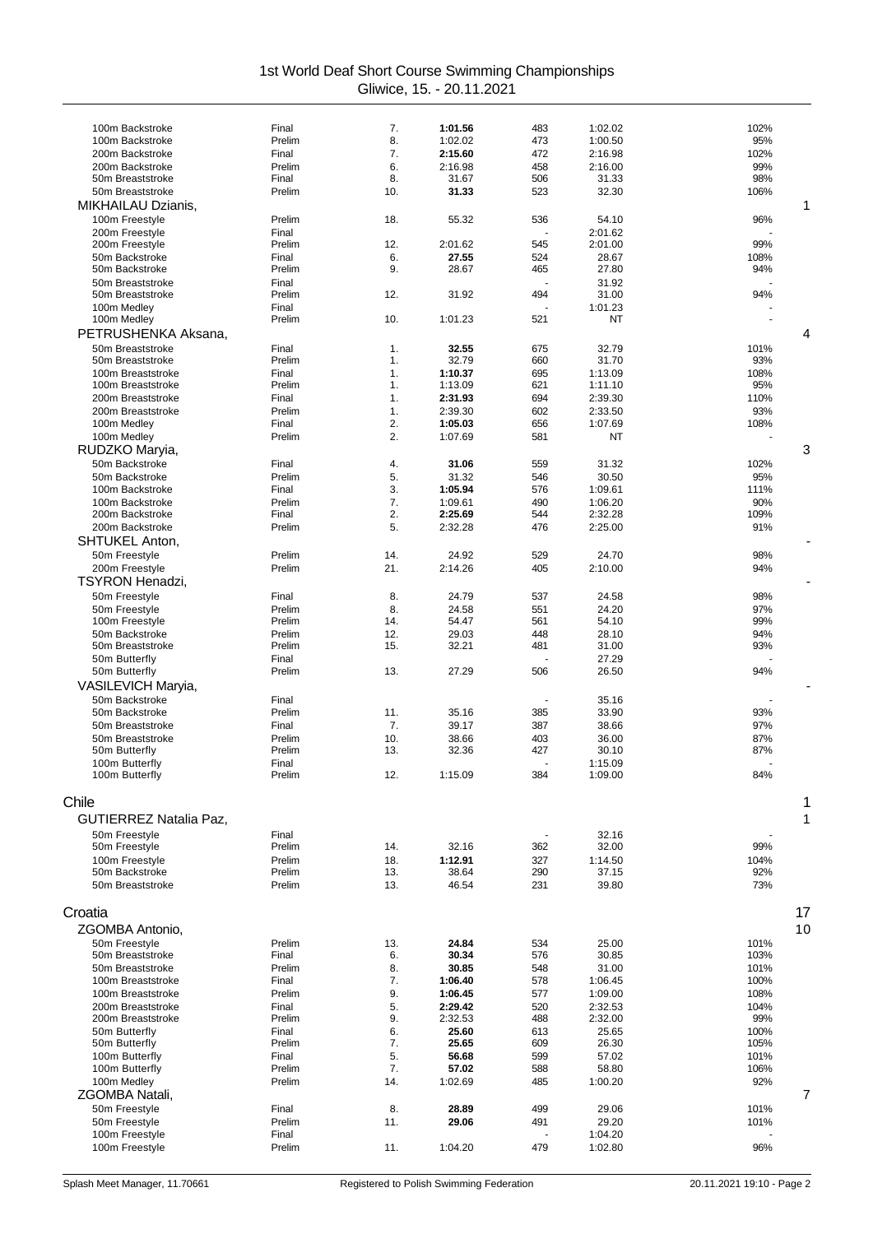| 100m Backstroke<br>100m Backstroke<br>200m Backstroke<br>200m Backstroke<br>50m Breaststroke<br>50m Breaststroke<br>MIKHAILAU Dzianis. | Final            |            |                    |            |                    |              |  |
|----------------------------------------------------------------------------------------------------------------------------------------|------------------|------------|--------------------|------------|--------------------|--------------|--|
|                                                                                                                                        |                  | 7.         | 1:01.56            | 483        | 1:02.02            | 102%         |  |
|                                                                                                                                        | Prelim           | 8.         | 1:02.02            | 473        | 1:00.50            | 95%          |  |
|                                                                                                                                        | Final            | 7.         | 2:15.60            | 472        | 2:16.98            | 102%         |  |
|                                                                                                                                        | Prelim           | 6.         | 2:16.98            | 458        | 2:16.00            | 99%          |  |
|                                                                                                                                        | Final            | 8.         | 31.67              | 506        | 31.33              | 98%          |  |
|                                                                                                                                        | Prelim           | 10.        | 31.33              | 523        | 32.30              | 106%<br>1    |  |
| 100m Freestyle                                                                                                                         | Prelim           | 18.        | 55.32              | 536        | 54.10              | 96%          |  |
| 200m Freestyle                                                                                                                         | Final            |            |                    |            | 2:01.62            |              |  |
| 200m Freestyle                                                                                                                         | Prelim           | 12.        | 2:01.62            | 545        | 2:01.00            | 99%          |  |
| 50m Backstroke                                                                                                                         | Final            | 6.         | 27.55              | 524        | 28.67              | 108%         |  |
| 50m Backstroke                                                                                                                         | Prelim           | 9.         | 28.67              | 465        | 27.80              | 94%          |  |
| 50m Breaststroke                                                                                                                       | Final            |            |                    |            | 31.92              |              |  |
| 50m Breaststroke                                                                                                                       | Prelim           | 12.        | 31.92              | 494        | 31.00              | 94%          |  |
| 100m Medley<br>100m Medley                                                                                                             | Final<br>Prelim  | 10.        | 1:01.23            | 521        | 1:01.23<br>NT      |              |  |
| PETRUSHENKA Aksana,                                                                                                                    |                  |            |                    |            |                    | 4            |  |
| 50m Breaststroke                                                                                                                       | Final            | 1.         | 32.55              | 675        | 32.79              | 101%         |  |
| 50m Breaststroke                                                                                                                       | Prelim           | 1.         | 32.79              | 660        | 31.70              | 93%          |  |
| 100m Breaststroke                                                                                                                      | Final            | 1.         | 1:10.37            | 695        | 1:13.09            | 108%         |  |
| 100m Breaststroke                                                                                                                      | Prelim           | 1.         | 1:13.09            | 621        | 1:11.10            | 95%          |  |
| 200m Breaststroke                                                                                                                      | Final            | 1.         | 2:31.93            | 694        | 2:39.30            | 110%         |  |
| 200m Breaststroke                                                                                                                      | Prelim           | 1.         | 2:39.30            | 602        | 2:33.50            | 93%          |  |
| 100m Medley                                                                                                                            | Final            | 2.         | 1:05.03            | 656        | 1:07.69            | 108%         |  |
| 100m Medley                                                                                                                            | Prelim           | 2.         | 1:07.69            | 581        | NT                 |              |  |
| RUDZKO Maryia,                                                                                                                         |                  |            |                    |            |                    | 3            |  |
| 50m Backstroke                                                                                                                         | Final            | 4.         | 31.06              | 559        | 31.32              | 102%         |  |
| 50m Backstroke                                                                                                                         | Prelim           | 5.         | 31.32              | 546        | 30.50              | 95%          |  |
| 100m Backstroke<br>100m Backstroke                                                                                                     | Final<br>Prelim  | 3.<br>7.   | 1:05.94<br>1:09.61 | 576<br>490 | 1:09.61<br>1:06.20 | 111%<br>90%  |  |
| 200m Backstroke                                                                                                                        | Final            | 2.         | 2:25.69            | 544        | 2:32.28            | 109%         |  |
| 200m Backstroke                                                                                                                        | Prelim           | 5.         | 2:32.28            | 476        | 2:25.00            | 91%          |  |
| <b>SHTUKEL Anton,</b>                                                                                                                  |                  |            |                    |            |                    |              |  |
| 50m Freestyle                                                                                                                          | Prelim           | 14.        | 24.92              | 529        | 24.70              | 98%          |  |
| 200m Freestyle                                                                                                                         | Prelim           | 21.        | 2:14.26            | 405        | 2:10.00            | 94%          |  |
| <b>TSYRON Henadzi,</b>                                                                                                                 |                  |            |                    |            |                    |              |  |
| 50m Freestyle                                                                                                                          | Final            | 8.         | 24.79              | 537        | 24.58              | 98%          |  |
| 50m Freestyle                                                                                                                          | Prelim           | 8.         | 24.58              | 551        | 24.20              | 97%          |  |
| 100m Freestyle                                                                                                                         | Prelim           | 14.        | 54.47              | 561        | 54.10              | 99%          |  |
| 50m Backstroke                                                                                                                         | Prelim           | 12.        | 29.03              | 448        | 28.10              | 94%          |  |
| 50m Breaststroke                                                                                                                       | Prelim           | 15.        | 32.21              | 481        | 31.00              | 93%          |  |
| 50m Butterfly<br>50m Butterfly                                                                                                         | Final<br>Prelim  | 13.        | 27.29              | 506        | 27.29<br>26.50     | 94%          |  |
|                                                                                                                                        |                  |            |                    |            |                    |              |  |
| VASILEVICH Maryia,<br>50m Backstroke                                                                                                   | Final            |            |                    |            | 35.16              |              |  |
| 50m Backstroke                                                                                                                         | Prelim           | 11.        | 35.16              | 385        | 33.90              | 93%          |  |
| 50m Breaststroke                                                                                                                       | Final            | 7.         | 39.17              | 387        | 38.66              | 97%          |  |
| 50m Breaststroke                                                                                                                       | Prelim           | 10.        | 38.66              | 403        | 36.00              | 87%          |  |
| 50m Butterfly                                                                                                                          | Prelim           | 13.        | 32.36              | 427        | 30.10              | 87%          |  |
| 100m Butterfly                                                                                                                         | Final            |            |                    |            | 1:15.09            |              |  |
| 100m Butterfly                                                                                                                         | Prelim           | 12.        | 1:15.09            | 384        | 1:09.00            | 84%          |  |
| Chile                                                                                                                                  |                  |            |                    |            |                    |              |  |
|                                                                                                                                        |                  |            |                    |            |                    |              |  |
| GUTIERREZ Natalia Paz,                                                                                                                 |                  |            |                    |            |                    | 1            |  |
| 50m Freestyle                                                                                                                          | Final            |            |                    |            | 32.16              |              |  |
| 50m Freestyle<br>100m Freestyle                                                                                                        | Prelim<br>Prelim | 14.<br>18. | 32.16<br>1:12.91   | 362<br>327 | 32.00<br>1:14.50   | 99%<br>104%  |  |
| 50m Backstroke                                                                                                                         | Prelim           | 13.        | 38.64              | 290        | 37.15              | 92%          |  |
| 50m Breaststroke                                                                                                                       | Prelim           | 13.        | 46.54              | 231        | 39.80              | 73%          |  |
|                                                                                                                                        |                  |            |                    |            |                    |              |  |
|                                                                                                                                        |                  |            |                    |            |                    | 17           |  |
|                                                                                                                                        |                  |            |                    |            |                    | 10           |  |
| Croatia                                                                                                                                |                  |            | 24.84              | 534        | 25.00              | 101%         |  |
| ZGOMBA Antonio,                                                                                                                        |                  |            |                    |            |                    | 103%         |  |
| 50m Freestyle<br>50m Breaststroke                                                                                                      | Prelim<br>Final  | 13.<br>6.  | 30.34              | 576        | 30.85              |              |  |
| 50m Breaststroke                                                                                                                       | Prelim           | 8.         | 30.85              | 548        | 31.00              | 101%         |  |
| 100m Breaststroke                                                                                                                      | Final            | 7.         | 1:06.40            | 578        | 1:06.45            | 100%         |  |
| 100m Breaststroke                                                                                                                      | Prelim           | 9.         | 1:06.45            | 577        | 1:09.00            | 108%         |  |
| 200m Breaststroke                                                                                                                      | Final            | 5.         | 2:29.42            | 520        | 2:32.53            | 104%         |  |
| 200m Breaststroke                                                                                                                      | Prelim           | 9.         | 2:32.53            | 488        | 2:32.00            | 99%          |  |
| 50m Butterfly                                                                                                                          | Final            | 6.         | 25.60              | 613        | 25.65              | 100%         |  |
| 50m Butterfly<br>100m Butterfly                                                                                                        | Prelim<br>Final  | 7.<br>5.   | 25.65<br>56.68     | 609<br>599 | 26.30<br>57.02     | 105%<br>101% |  |
| 100m Butterfly                                                                                                                         | Prelim           | 7.         | 57.02              | 588        | 58.80              | 106%         |  |
| 100m Medley                                                                                                                            | Prelim           | 14.        | 1:02.69            | 485        | 1:00.20            | 92%          |  |
| <b>ZGOMBA Natali,</b>                                                                                                                  |                  |            |                    |            |                    | 7            |  |
| 50m Freestyle                                                                                                                          | Final            | 8.         | 28.89              | 499        | 29.06              | 101%         |  |
| 50m Freestyle                                                                                                                          | Prelim           | 11.        | 29.06              | 491        | 29.20              | 101%         |  |
| 100m Freestyle<br>100m Freestyle                                                                                                       | Final<br>Prelim  | 11.        | 1:04.20            | 479        | 1:04.20<br>1:02.80 | 96%          |  |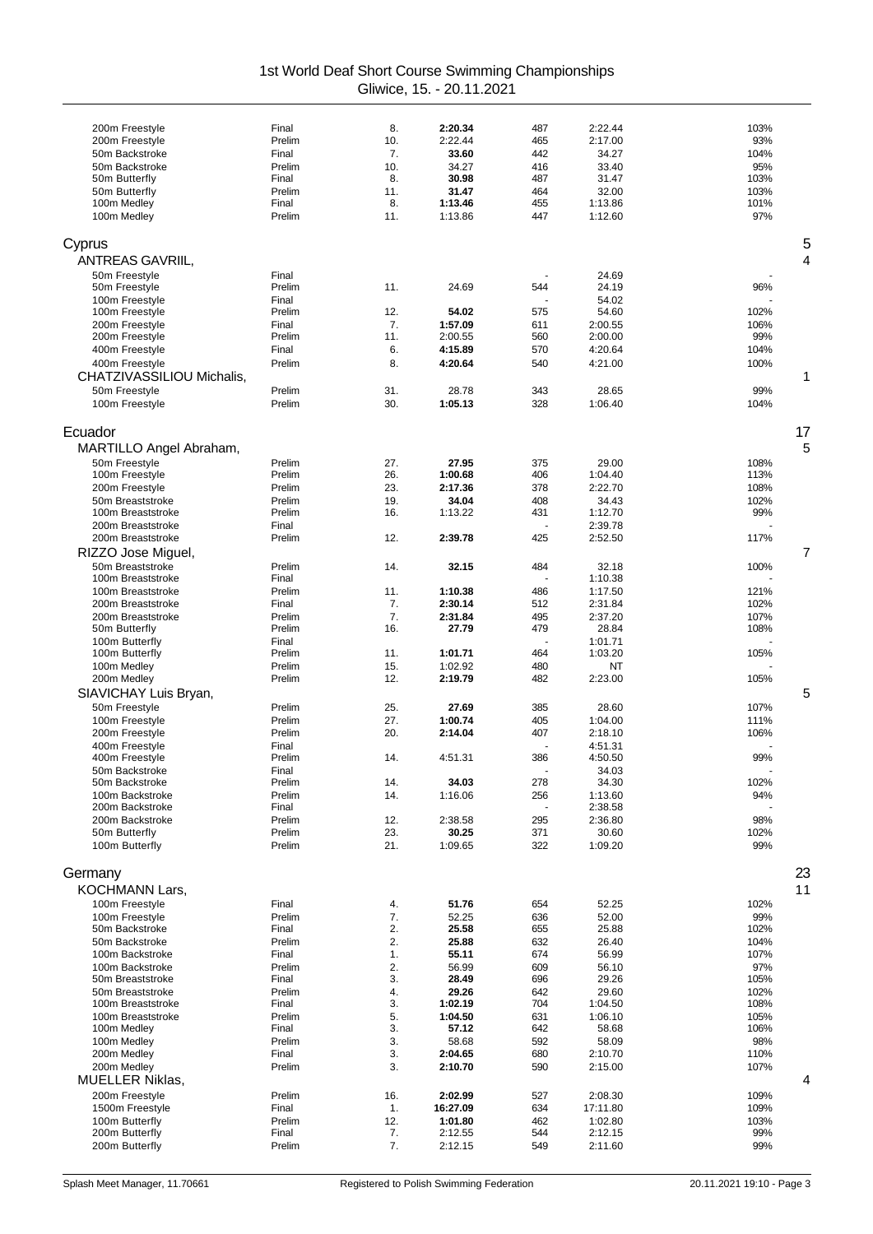| 200m Freestyle                         | Final            | 8.         | 2:20.34            | 487                  | 2:22.44            | 103%         |
|----------------------------------------|------------------|------------|--------------------|----------------------|--------------------|--------------|
| 200m Freestyle                         | Prelim           | 10.        | 2:22.44            | 465                  | 2:17.00            | 93%          |
| 50m Backstroke                         | Final            | 7.         | 33.60              | 442                  | 34.27              | 104%         |
| 50m Backstroke                         | Prelim           | 10.        | 34.27              | 416                  | 33.40              | 95%          |
| 50m Butterfly                          | Final            | 8.         | 30.98              | 487                  | 31.47              | 103%         |
| 50m Butterfly                          | Prelim           | 11.        | 31.47              | 464                  | 32.00              | 103%         |
| 100m Medley                            | Final            | 8.         | 1:13.46            | 455                  | 1:13.86            | 101%         |
| 100m Medley                            | Prelim           | 11.        | 1:13.86            | 447                  | 1:12.60            | 97%          |
| Cyprus                                 |                  |            |                    |                      |                    | 5            |
|                                        |                  |            |                    |                      |                    |              |
| <b>ANTREAS GAVRIIL.</b>                |                  |            |                    |                      |                    | 4            |
| 50m Freestyle<br>50m Freestyle         | Final<br>Prelim  | 11.        | 24.69              | 544                  | 24.69<br>24.19     | 96%          |
| 100m Freestyle                         | Final            |            |                    | $\ddot{\phantom{1}}$ | 54.02              |              |
| 100m Freestyle                         | Prelim           | 12.        | 54.02              | 575                  | 54.60              | 102%         |
| 200m Freestyle                         | Final            | 7.         | 1:57.09            | 611                  | 2:00.55            | 106%         |
| 200m Freestyle                         | Prelim           | 11.        | 2:00.55            | 560                  | 2:00.00            | 99%          |
| 400m Freestyle                         | Final            | 6.         | 4:15.89            | 570                  | 4:20.64            | 104%         |
| 400m Freestyle                         | Prelim           | 8.         | 4:20.64            | 540                  | 4:21.00            | 100%         |
| CHATZIVASSILIOU Michalis,              |                  |            |                    |                      |                    | 1            |
| 50m Freestyle                          | Prelim           | 31.        | 28.78              | 343                  | 28.65              | 99%          |
| 100m Freestyle                         | Prelim           | 30.        | 1:05.13            | 328                  | 1:06.40            | 104%         |
|                                        |                  |            |                    |                      |                    |              |
| Ecuador                                |                  |            |                    |                      |                    | 17           |
| MARTILLO Angel Abraham,                |                  |            |                    |                      |                    | 5            |
| 50m Freestyle                          | Prelim           | 27.        | 27.95              | 375                  | 29.00              | 108%         |
| 100m Freestyle                         | Prelim           | 26.        | 1:00.68            | 406                  | 1:04.40            | 113%         |
| 200m Freestyle                         | Prelim           | 23.        | 2:17.36            | 378                  | 2:22.70            | 108%         |
| 50m Breaststroke<br>100m Breaststroke  | Prelim<br>Prelim | 19.<br>16. | 34.04<br>1:13.22   | 408<br>431           | 34.43<br>1:12.70   | 102%<br>99%  |
| 200m Breaststroke                      | Final            |            |                    |                      | 2:39.78            |              |
| 200m Breaststroke                      | Prelim           | 12.        | 2:39.78            | 425                  | 2:52.50            | 117%         |
| RIZZO Jose Miguel,                     |                  |            |                    |                      |                    | 7            |
| 50m Breaststroke                       | Prelim           | 14.        | 32.15              | 484                  | 32.18              | 100%         |
| 100m Breaststroke                      | Final            |            |                    |                      | 1:10.38            |              |
| 100m Breaststroke                      | Prelim           | 11.        | 1:10.38            | 486                  | 1:17.50            | 121%         |
| 200m Breaststroke                      | Final            | 7.         | 2:30.14            | 512                  | 2:31.84            | 102%         |
| 200m Breaststroke                      | Prelim           | 7.         | 2:31.84            | 495                  | 2:37.20            | 107%         |
| 50m Butterfly                          | Prelim           | 16.        | 27.79              | 479                  | 28.84              | 108%         |
| 100m Butterfly                         | Final            |            |                    |                      | 1:01.71            |              |
| 100m Butterfly                         | Prelim           | 11.        | 1:01.71            | 464                  | 1:03.20            | 105%         |
| 100m Medley<br>200m Medley             | Prelim<br>Prelim | 15.<br>12. | 1:02.92<br>2:19.79 | 480<br>482           | NT<br>2:23.00      | 105%         |
|                                        |                  |            |                    |                      |                    | 5            |
| SIAVICHAY Luis Bryan,                  |                  |            |                    |                      |                    |              |
| 50m Freestyle                          | Prelim<br>Prelim | 25.<br>27. | 27.69<br>1:00.74   | 385                  | 28.60              | 107%         |
| 100m Freestyle<br>200m Freestyle       | Prelim           | 20.        | 2:14.04            | 405<br>407           | 1:04.00<br>2:18.10 | 111%<br>106% |
| 400m Freestyle                         | Final            |            |                    |                      | 4:51.31            |              |
| 400m Freestyle                         | Prelim           | 14.        | 4:51.31            | 386                  | 4:50.50            | 99%          |
| 50m Backstroke                         | Final            |            |                    |                      | 34.03              |              |
| 50m Backstroke                         | Prelim           | 14.        | 34.03              | 278                  | 34.30              | 102%         |
| 100m Backstroke                        | Prelim           | 14.        | 1:16.06            | 256                  | 1:13.60            | 94%          |
| 200m Backstroke                        | Final            |            |                    |                      | 2:38.58            |              |
| 200m Backstroke                        | Prelim           | 12.        | 2:38.58            | 295                  | 2:36.80            | 98%          |
| 50m Butterfly<br>100m Butterfly        | Prelim<br>Prelim | 23.<br>21. | 30.25<br>1:09.65   | 371<br>322           | 30.60<br>1:09.20   | 102%<br>99%  |
|                                        |                  |            |                    |                      |                    |              |
| Germany                                |                  |            |                    |                      |                    | 23           |
| <b>KOCHMANN Lars,</b>                  |                  |            |                    |                      |                    | 11           |
| 100m Freestyle                         | Final            | 4.         | 51.76              | 654                  | 52.25              | 102%         |
| 100m Freestyle                         | Prelim           | 7.         | 52.25              | 636                  | 52.00              | 99%          |
| 50m Backstroke                         | Final            | 2.         | 25.58              | 655                  | 25.88              | 102%         |
| 50m Backstroke                         | Prelim           | 2.         | 25.88              | 632                  | 26.40              | 104%         |
| 100m Backstroke                        | Final            | 1.         | 55.11              | 674                  | 56.99              | 107%         |
| 100m Backstroke                        | Prelim           | 2.         | 56.99              | 609                  | 56.10              | 97%          |
| 50m Breaststroke                       | Final            | 3.         | 28.49              | 696                  | 29.26              | 105%         |
| 50m Breaststroke                       | Prelim           | 4.         | 29.26              | 642                  | 29.60              | 102%         |
| 100m Breaststroke<br>100m Breaststroke | Final            | 3.         | 1:02.19            | 704                  | 1:04.50            | 108%         |
| 100m Medley                            | Prelim<br>Final  | 5.<br>3.   | 1:04.50<br>57.12   | 631<br>642           | 1:06.10<br>58.68   | 105%<br>106% |
| 100m Medley                            | Prelim           | 3.         | 58.68              | 592                  | 58.09              | 98%          |
| 200m Medley                            | Final            | 3.         | 2:04.65            | 680                  | 2:10.70            | 110%         |
| 200m Medley                            | Prelim           | 3.         | 2:10.70            | 590                  | 2:15.00            | 107%         |
| <b>MUELLER Niklas,</b>                 |                  |            |                    |                      |                    | 4            |
| 200m Freestyle                         | Prelim           | 16.        | 2:02.99            | 527                  | 2:08.30            | 109%         |
| 1500m Freestyle                        | Final            | 1.         | 16:27.09           | 634                  | 17:11.80           | 109%         |
| 100m Butterfly                         | Prelim           | 12.        | 1:01.80            | 462                  | 1:02.80            | 103%         |
| 200m Butterfly                         | Final            | 7.         | 2:12.55            | 544                  | 2:12.15            | 99%          |
| 200m Butterfly                         | Prelim           | 7.         | 2:12.15            | 549                  | 2:11.60            | 99%          |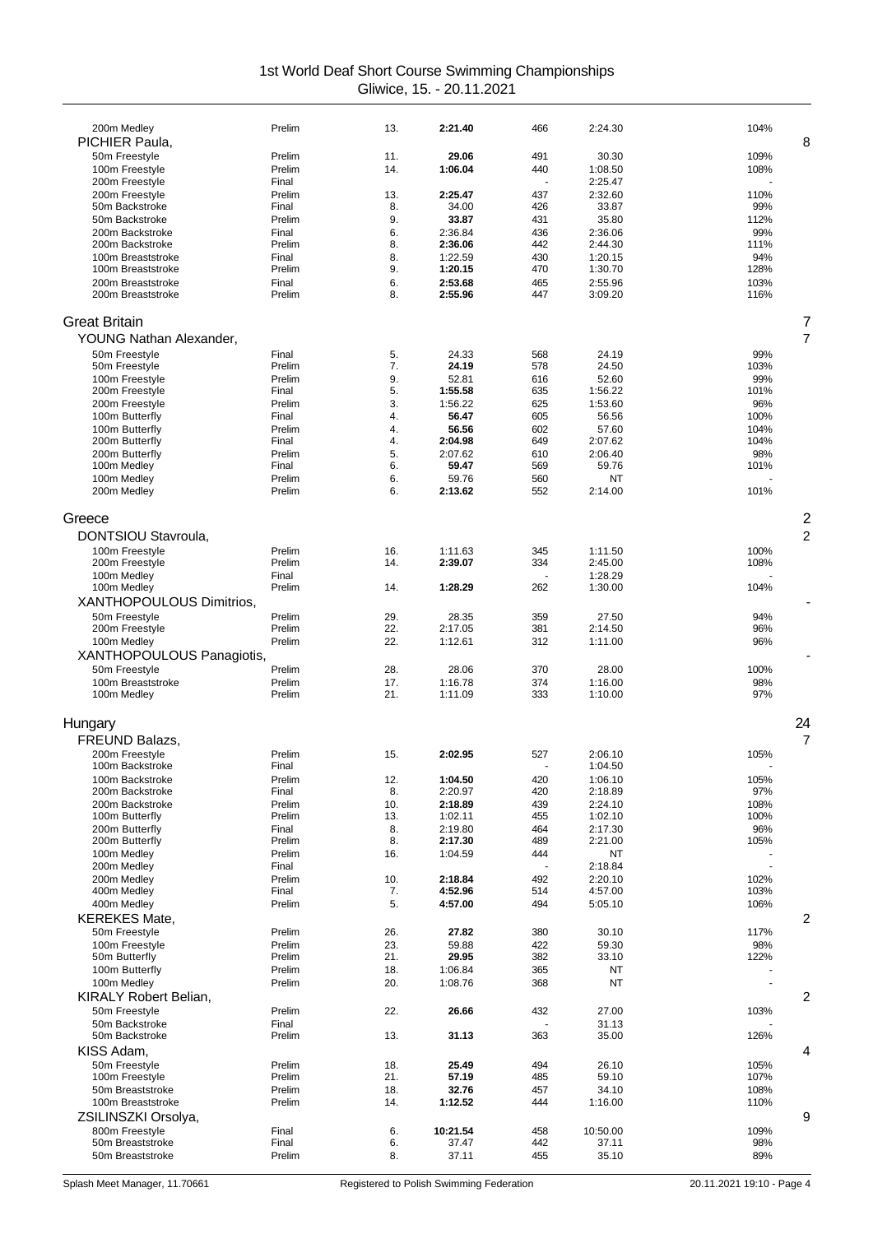| 200m Medley               | Prelim | 13. | 2:21.40  | 466 | 2:24.30  | 104%           |
|---------------------------|--------|-----|----------|-----|----------|----------------|
| PICHIER Paula,            |        |     |          |     |          | 8              |
| 50m Freestyle             | Prelim | 11. | 29.06    | 491 | 30.30    | 109%           |
| 100m Freestyle            | Prelim | 14. | 1:06.04  | 440 | 1:08.50  | 108%           |
| 200m Freestyle            | Final  |     |          |     | 2:25.47  |                |
| 200m Freestyle            | Prelim | 13. | 2:25.47  | 437 | 2:32.60  | 110%           |
| 50m Backstroke            | Final  | 8.  | 34.00    | 426 | 33.87    | 99%            |
| 50m Backstroke            | Prelim | 9.  | 33.87    | 431 | 35.80    | 112%           |
| 200m Backstroke           | Final  | 6.  | 2:36.84  | 436 | 2:36.06  | 99%            |
| 200m Backstroke           | Prelim | 8.  | 2:36.06  | 442 | 2:44.30  | 111%           |
| 100m Breaststroke         | Final  | 8.  | 1:22.59  | 430 | 1:20.15  | 94%            |
| 100m Breaststroke         | Prelim | 9.  | 1:20.15  | 470 | 1:30.70  | 128%           |
| 200m Breaststroke         | Final  | 6.  | 2:53.68  | 465 | 2:55.96  | 103%           |
| 200m Breaststroke         | Prelim | 8.  | 2:55.96  | 447 | 3:09.20  | 116%           |
| <b>Great Britain</b>      |        |     |          |     |          | 7              |
| YOUNG Nathan Alexander,   |        |     |          |     |          | 7              |
| 50m Freestyle             | Final  | 5.  | 24.33    | 568 | 24.19    | 99%            |
| 50m Freestyle             | Prelim | 7.  | 24.19    | 578 | 24.50    | 103%           |
| 100m Freestyle            | Prelim | 9.  | 52.81    | 616 | 52.60    | 99%            |
| 200m Freestyle            | Final  | 5.  | 1:55.58  | 635 | 1:56.22  | 101%           |
| 200m Freestyle            | Prelim | 3.  | 1:56.22  | 625 | 1:53.60  | 96%            |
| 100m Butterfly            | Final  | 4.  | 56.47    | 605 | 56.56    | 100%           |
| 100m Butterfly            | Prelim | 4.  | 56.56    | 602 | 57.60    | 104%           |
| 200m Butterfly            | Final  | 4.  | 2:04.98  | 649 | 2:07.62  | 104%           |
| 200m Butterfly            | Prelim | 5.  | 2:07.62  | 610 | 2:06.40  | 98%            |
| 100m Medley               | Final  | 6.  | 59.47    | 569 | 59.76    | 101%           |
| 100m Medley               | Prelim | 6.  | 59.76    | 560 | NT       |                |
| 200m Medley               | Prelim | 6.  | 2:13.62  | 552 | 2:14.00  | 101%           |
|                           |        |     |          |     |          |                |
| Greece                    |        |     |          |     |          | $\overline{c}$ |
| DONTSIOU Stavroula,       |        |     |          |     |          | 2              |
| 100m Freestyle            | Prelim | 16. | 1:11.63  | 345 | 1:11.50  | 100%           |
| 200m Freestyle            | Prelim | 14. | 2:39.07  | 334 | 2:45.00  | 108%           |
| 100m Medley               | Final  |     |          |     | 1:28.29  |                |
| 100m Medley               | Prelim | 14. | 1:28.29  | 262 | 1:30.00  | 104%           |
| XANTHOPOULOUS Dimitrios,  |        |     |          |     |          |                |
| 50m Freestyle             | Prelim | 29. | 28.35    | 359 | 27.50    | 94%            |
| 200m Freestyle            | Prelim | 22. | 2:17.05  | 381 | 2:14.50  | 96%            |
| 100m Medley               | Prelim | 22. | 1:12.61  | 312 | 1:11.00  | 96%            |
| XANTHOPOULOUS Panagiotis, |        |     |          |     |          |                |
| 50m Freestyle             | Prelim | 28. | 28.06    | 370 | 28.00    | 100%           |
| 100m Breaststroke         | Prelim | 17. | 1:16.78  | 374 | 1:16.00  | 98%            |
| 100m Medley               | Prelim | 21. | 1:11.09  | 333 | 1:10.00  | 97%            |
|                           |        |     |          |     |          |                |
| Hungary                   |        |     |          |     |          | 24             |
| <b>FREUND Balazs,</b>     |        |     |          |     |          | $\overline{7}$ |
| 200m Freestyle            | Prelim | 15. | 2:02.95  | 527 | 2:06.10  | 105%           |
| 100m Backstroke           | Final  |     |          |     | 1:04.50  |                |
| 100m Backstroke           | Prelim | 12. | 1:04.50  | 420 | 1:06.10  | 105%           |
| 200m Backstroke           | Final  | 8.  | 2:20.97  | 420 | 2:18.89  | 97%            |
| 200m Backstroke           | Prelim | 10. | 2:18.89  | 439 | 2:24.10  | 108%           |
| 100m Butterfly            | Prelim | 13. | 1:02.11  | 455 | 1:02.10  | 100%           |
| 200m Butterfly            | Final  | 8.  | 2:19.80  | 464 | 2:17.30  | 96%            |
| 200m Butterfly            | Prelim | 8.  | 2:17.30  | 489 | 2:21.00  | 105%           |
| 100m Medley               | Prelim | 16. | 1:04.59  | 444 | NT       |                |
| 200m Medley               | Final  |     |          |     | 2:18.84  |                |
| 200m Medley               | Prelim | 10. | 2:18.84  | 492 | 2:20.10  | 102%           |
| 400m Medley               | Final  | 7.  | 4:52.96  | 514 | 4:57.00  | 103%           |
| 400m Medley               | Prelim | 5.  | 4:57.00  | 494 | 5:05.10  | 106%           |
| <b>KEREKES Mate,</b>      |        |     |          |     |          | 2              |
| 50m Freestyle             | Prelim | 26. | 27.82    | 380 | 30.10    | 117%           |
| 100m Freestyle            | Prelim | 23. | 59.88    | 422 | 59.30    | 98%            |
| 50m Butterfly             | Prelim | 21. | 29.95    | 382 | 33.10    | 122%           |
| 100m Butterfly            | Prelim | 18. | 1:06.84  | 365 | NT       |                |
| 100m Medley               | Prelim | 20. | 1:08.76  | 368 | NT       |                |
| KIRALY Robert Belian,     |        |     |          |     |          | 2              |
| 50m Freestyle             | Prelim | 22. | 26.66    | 432 | 27.00    | 103%           |
| 50m Backstroke            | Final  |     |          |     | 31.13    |                |
| 50m Backstroke            | Prelim | 13. | 31.13    | 363 | 35.00    | 126%           |
|                           |        |     |          |     |          |                |
| KISS Adam,                |        |     |          |     |          | 4              |
| 50m Freestyle             | Prelim | 18. | 25.49    | 494 | 26.10    | 105%           |
| 100m Freestyle            | Prelim | 21. | 57.19    | 485 | 59.10    | 107%           |
| 50m Breaststroke          | Prelim | 18. | 32.76    | 457 | 34.10    | 108%           |
| 100m Breaststroke         | Prelim | 14. | 1:12.52  | 444 | 1:16.00  | 110%           |
| ZSILINSZKI Orsolya,       |        |     |          |     |          | 9              |
| 800m Freestyle            | Final  | 6.  | 10:21.54 | 458 | 10:50.00 | 109%           |
| 50m Breaststroke          | Final  | 6.  | 37.47    | 442 | 37.11    | 98%            |
| 50m Breaststroke          | Prelim | 8.  | 37.11    | 455 | 35.10    | 89%            |
|                           |        |     |          |     |          |                |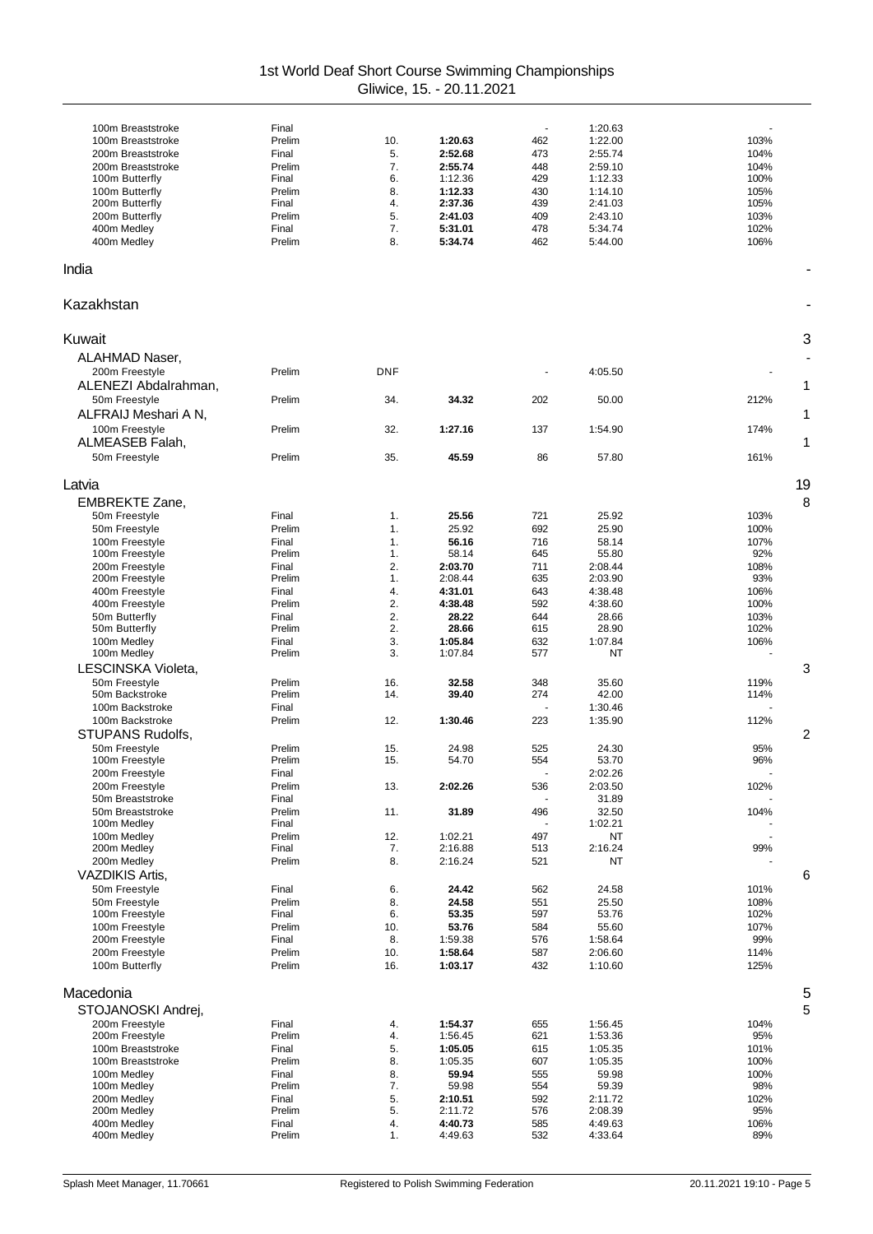| 100m Breaststroke       | Final  |            |         | ä,  | 1:20.63 |                |
|-------------------------|--------|------------|---------|-----|---------|----------------|
|                         |        |            |         |     |         |                |
| 100m Breaststroke       | Prelim | 10.        | 1:20.63 | 462 | 1:22.00 | 103%           |
| 200m Breaststroke       | Final  | 5.         | 2:52.68 | 473 | 2:55.74 | 104%           |
| 200m Breaststroke       | Prelim | 7.         | 2:55.74 | 448 | 2:59.10 | 104%           |
| 100m Butterfly          | Final  | 6.         | 1:12.36 | 429 | 1:12.33 | 100%           |
|                         |        |            |         |     |         |                |
| 100m Butterfly          | Prelim | 8.         | 1:12.33 | 430 | 1:14.10 | 105%           |
| 200m Butterfly          | Final  | 4.         | 2:37.36 | 439 | 2:41.03 | 105%           |
| 200m Butterfly          | Prelim | 5.         | 2:41.03 | 409 | 2:43.10 | 103%           |
| 400m Medley             | Final  | 7.         | 5:31.01 | 478 | 5:34.74 | 102%           |
|                         |        | 8.         |         |     |         |                |
| 400m Medley             | Prelim |            | 5:34.74 | 462 | 5:44.00 | 106%           |
|                         |        |            |         |     |         |                |
| India                   |        |            |         |     |         |                |
|                         |        |            |         |     |         |                |
|                         |        |            |         |     |         |                |
| Kazakhstan              |        |            |         |     |         |                |
|                         |        |            |         |     |         |                |
|                         |        |            |         |     |         |                |
| Kuwait                  |        |            |         |     |         | 3              |
| ALAHMAD Naser,          |        |            |         |     |         |                |
|                         |        |            |         |     |         |                |
| 200m Freestyle          | Prelim | <b>DNF</b> |         |     | 4:05.50 |                |
| ALENEZI Abdalrahman,    |        |            |         |     |         | 1              |
| 50m Freestvle           | Prelim | 34.        | 34.32   | 202 | 50.00   | 212%           |
|                         |        |            |         |     |         |                |
| ALFRAIJ Meshari A N,    |        |            |         |     |         | 1              |
| 100m Freestyle          | Prelim | 32.        | 1:27.16 | 137 | 1:54.90 | 174%           |
|                         |        |            |         |     |         |                |
| ALMEASEB Falah,         |        |            |         |     |         | 1              |
| 50m Freestyle           | Prelim | 35.        | 45.59   | 86  | 57.80   | 161%           |
|                         |        |            |         |     |         |                |
| Latvia                  |        |            |         |     |         | 19             |
|                         |        |            |         |     |         |                |
| <b>EMBREKTE Zane,</b>   |        |            |         |     |         | 8              |
| 50m Freestyle           | Final  | 1.         | 25.56   | 721 | 25.92   | 103%           |
| 50m Freestyle           | Prelim | 1.         | 25.92   | 692 | 25.90   | 100%           |
| 100m Freestyle          | Final  | 1.         | 56.16   | 716 | 58.14   | 107%           |
|                         |        |            |         |     |         |                |
| 100m Freestyle          | Prelim | 1.         | 58.14   | 645 | 55.80   | 92%            |
| 200m Freestyle          | Final  | 2.         | 2:03.70 | 711 | 2:08.44 | 108%           |
| 200m Freestyle          | Prelim | 1.         | 2:08.44 | 635 | 2:03.90 | 93%            |
| 400m Freestyle          | Final  | 4.         | 4:31.01 | 643 | 4:38.48 | 106%           |
| 400m Freestyle          | Prelim | 2.         | 4:38.48 | 592 | 4:38.60 | 100%           |
|                         |        |            |         |     |         |                |
| 50m Butterfly           | Final  | 2.         | 28.22   | 644 | 28.66   | 103%           |
| 50m Butterfly           | Prelim | 2.         | 28.66   | 615 | 28.90   | 102%           |
| 100m Medley             | Final  | 3.         | 1:05.84 | 632 | 1:07.84 | 106%           |
| 100m Medley             | Prelim | 3.         | 1:07.84 | 577 | NT      |                |
| LESCINSKA Violeta,      |        |            |         |     |         | 3              |
|                         |        |            |         |     |         |                |
| 50m Freestyle           | Prelim | 16.        | 32.58   | 348 | 35.60   | 119%           |
| 50m Backstroke          | Prelim | 14.        | 39.40   | 274 | 42.00   | 114%           |
| 100m Backstroke         | Final  |            |         |     | 1:30.46 |                |
| 100m Backstroke         | Prelim | 12.        | 1:30.46 | 223 | 1:35.90 | 112%           |
|                         |        |            |         |     |         |                |
| <b>STUPANS Rudolfs,</b> |        |            |         |     |         | $\overline{c}$ |
| 50m Freestyle           | Prelim | 15.        | 24.98   | 525 | 24.30   | 95%            |
| 100m Freestyle          | Prelim | 15.        | 54.70   | 554 | 53.70   | 96%            |
|                         |        |            |         |     | 2:02.26 |                |
| 200m Freestyle          | Final  |            |         |     |         |                |
| 200m Freestyle          | Prelim | 13.        | 2:02.26 | 536 | 2:03.50 | 102%           |
| 50m Breaststroke        | Final  |            |         |     | 31.89   |                |
| 50m Breaststroke        | Prelim | 11.        | 31.89   | 496 | 32.50   | 104%           |
| 100m Medley             | Final  |            |         |     | 1:02.21 |                |
| 100m Medley             | Prelim | 12.        | 1:02.21 | 497 | NT      |                |
| 200m Medley             | Final  | 7.         | 2:16.88 | 513 | 2:16.24 | 99%            |
|                         |        |            |         |     |         |                |
| 200m Medley             | Prelim | 8.         | 2:16.24 | 521 | NT      |                |
| <b>VAZDIKIS Artis,</b>  |        |            |         |     |         | 6              |
| 50m Freestyle           | Final  | 6.         | 24.42   | 562 | 24.58   | 101%           |
| 50m Freestyle           | Prelim | 8.         | 24.58   | 551 | 25.50   | 108%           |
| 100m Freestyle          | Final  |            |         | 597 |         | 102%           |
|                         |        | 6.         | 53.35   |     | 53.76   |                |
| 100m Freestyle          | Prelim | 10.        | 53.76   | 584 | 55.60   | 107%           |
| 200m Freestyle          | Final  | 8.         | 1:59.38 | 576 | 1:58.64 | 99%            |
| 200m Freestyle          | Prelim | 10.        | 1:58.64 | 587 | 2:06.60 | 114%           |
| 100m Butterfly          | Prelim | 16.        | 1:03.17 | 432 | 1:10.60 | 125%           |
|                         |        |            |         |     |         |                |
|                         |        |            |         |     |         |                |
| Macedonia               |        |            |         |     |         | 5              |
| STOJANOSKI Andrej,      |        |            |         |     |         | 5              |
|                         |        |            |         |     |         |                |
| 200m Freestyle          | Final  | 4.         | 1:54.37 | 655 | 1:56.45 | 104%           |
| 200m Freestyle          | Prelim | 4.         | 1:56.45 | 621 | 1:53.36 | 95%            |
| 100m Breaststroke       | Final  | 5.         | 1:05.05 | 615 | 1:05.35 | 101%           |
| 100m Breaststroke       | Prelim | 8.         | 1:05.35 | 607 | 1:05.35 | 100%           |
| 100m Medley             | Final  | 8.         | 59.94   | 555 | 59.98   | 100%           |
| 100m Medley             | Prelim | 7.         | 59.98   | 554 | 59.39   | 98%            |
|                         |        |            |         |     |         |                |
| 200m Medley             | Final  | 5.         | 2:10.51 | 592 | 2:11.72 | 102%           |
| 200m Medley             | Prelim | 5.         | 2:11.72 | 576 | 2:08.39 | 95%            |
| 400m Medley             | Final  | 4.         | 4:40.73 | 585 | 4:49.63 | 106%           |
| 400m Medley             | Prelim | 1.         | 4:49.63 | 532 | 4:33.64 | 89%            |
|                         |        |            |         |     |         |                |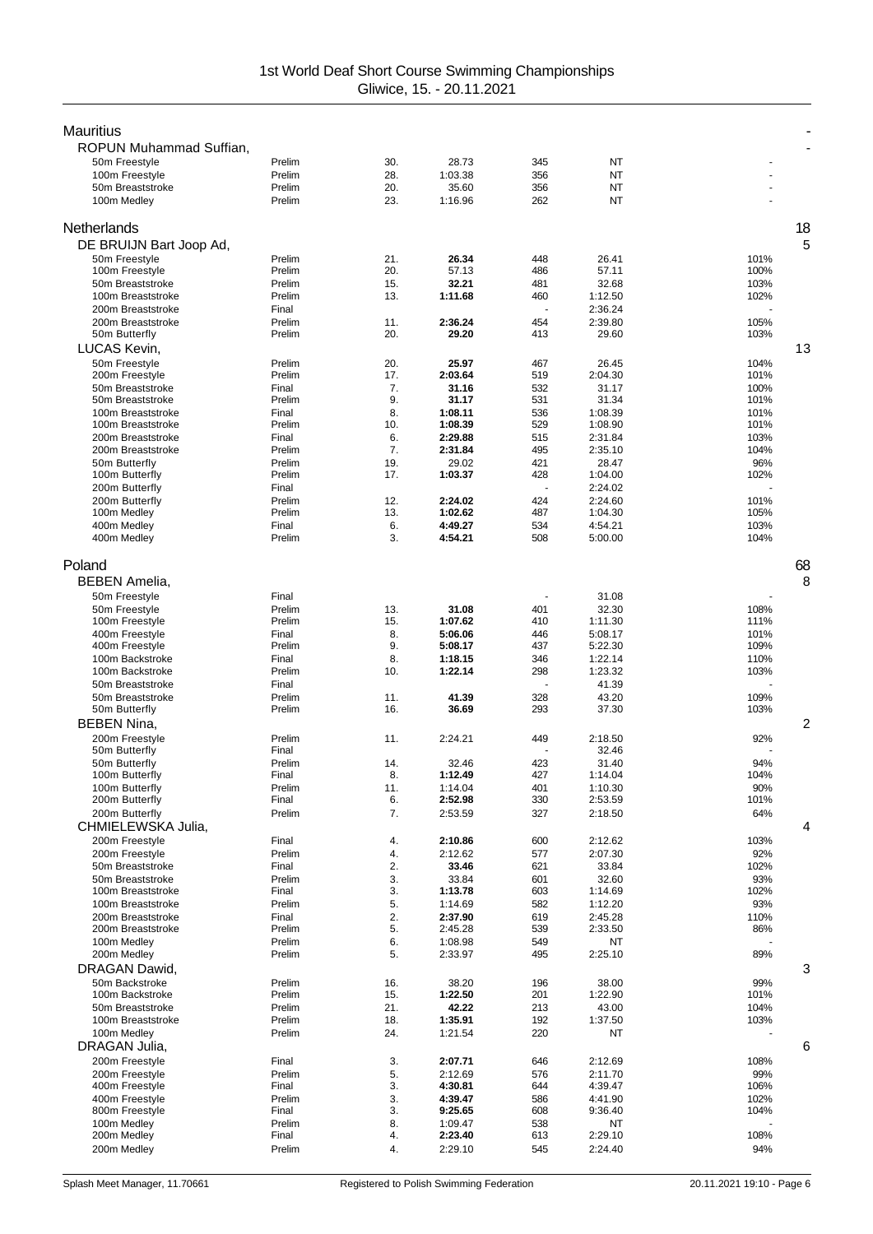| <b>Mauritius</b>                      |                  |            |                    |            |                    |              |    |
|---------------------------------------|------------------|------------|--------------------|------------|--------------------|--------------|----|
| ROPUN Muhammad Suffian,               |                  |            |                    |            |                    |              |    |
| 50m Freestyle                         | Prelim           | 30.        | 28.73              | 345        | NT                 |              |    |
| 100m Freestyle                        | Prelim           | 28.        | 1:03.38            | 356        | NT                 |              |    |
| 50m Breaststroke<br>100m Medley       | Prelim<br>Prelim | 20.<br>23. | 35.60<br>1:16.96   | 356<br>262 | NT<br><b>NT</b>    |              |    |
|                                       |                  |            |                    |            |                    |              |    |
| Netherlands                           |                  |            |                    |            |                    |              | 18 |
| DE BRUIJN Bart Joop Ad,               |                  |            |                    |            |                    |              | 5  |
| 50m Freestyle                         | Prelim           | 21.        | 26.34              | 448        | 26.41              | 101%         |    |
| 100m Freestyle                        | Prelim           | 20.        | 57.13              | 486        | 57.11              | 100%         |    |
| 50m Breaststroke<br>100m Breaststroke | Prelim<br>Prelim | 15.<br>13. | 32.21<br>1:11.68   | 481<br>460 | 32.68              | 103%<br>102% |    |
| 200m Breaststroke                     | Final            |            |                    |            | 1:12.50<br>2:36.24 |              |    |
| 200m Breaststroke                     | Prelim           | 11.        | 2:36.24            | 454        | 2:39.80            | 105%         |    |
| 50m Butterfly                         | Prelim           | 20.        | 29.20              | 413        | 29.60              | 103%         |    |
| LUCAS Kevin,                          |                  |            |                    |            |                    |              | 13 |
| 50m Freestyle                         | Prelim           | 20.        | 25.97              | 467        | 26.45              | 104%         |    |
| 200m Freestyle                        | Prelim           | 17.        | 2:03.64            | 519        | 2:04.30            | 101%         |    |
| 50m Breaststroke<br>50m Breaststroke  | Final<br>Prelim  | 7.<br>9.   | 31.16<br>31.17     | 532<br>531 | 31.17<br>31.34     | 100%<br>101% |    |
| 100m Breaststroke                     | Final            | 8.         | 1:08.11            | 536        | 1:08.39            | 101%         |    |
| 100m Breaststroke                     | Prelim           | 10.        | 1:08.39            | 529        | 1:08.90            | 101%         |    |
| 200m Breaststroke                     | Final            | 6.         | 2:29.88            | 515        | 2:31.84            | 103%         |    |
| 200m Breaststroke                     | Prelim           | 7.         | 2:31.84            | 495        | 2:35.10            | 104%         |    |
| 50m Butterfly                         | Prelim<br>Prelim | 19.<br>17. | 29.02<br>1:03.37   | 421<br>428 | 28.47<br>1:04.00   | 96%<br>102%  |    |
| 100m Butterfly<br>200m Butterfly      | Final            |            |                    |            | 2:24.02            |              |    |
| 200m Butterfly                        | Prelim           | 12.        | 2:24.02            | 424        | 2:24.60            | 101%         |    |
| 100m Medley                           | Prelim           | 13.        | 1:02.62            | 487        | 1:04.30            | 105%         |    |
| 400m Medley                           | Final            | 6.         | 4:49.27            | 534        | 4:54.21            | 103%         |    |
| 400m Medley                           | Prelim           | 3.         | 4:54.21            | 508        | 5:00.00            | 104%         |    |
| Poland                                |                  |            |                    |            |                    |              | 68 |
| <b>BEBEN Amelia,</b>                  |                  |            |                    |            |                    |              | 8  |
| 50m Freestyle                         | Final            |            |                    |            | 31.08              |              |    |
| 50m Freestyle                         | Prelim           | 13.        | 31.08              | 401        | 32.30              | 108%         |    |
| 100m Freestyle                        | Prelim           | 15.        | 1:07.62            | 410        | 1:11.30            | 111%         |    |
| 400m Freestyle                        | Final            | 8.         | 5:06.06            | 446        | 5:08.17            | 101%         |    |
| 400m Freestyle                        | Prelim           | 9.         | 5:08.17            | 437        | 5:22.30            | 109%         |    |
| 100m Backstroke<br>100m Backstroke    | Final<br>Prelim  | 8.<br>10.  | 1:18.15<br>1:22.14 | 346<br>298 | 1:22.14<br>1:23.32 | 110%<br>103% |    |
| 50m Breaststroke                      | Final            |            |                    |            | 41.39              |              |    |
| 50m Breaststroke                      | Prelim           | 11.        | 41.39              | 328        | 43.20              | 109%         |    |
| 50m Butterfly                         | Prelim           | 16.        | 36.69              | 293        | 37.30              | 103%         |    |
| <b>BEBEN Nina,</b>                    |                  |            |                    |            |                    |              | 2  |
| 200m Freestyle                        | Prelim           | 11.        | 2:24.21            | 449        | 2:18.50            | 92%          |    |
| 50m Butterfly                         | Final            |            |                    |            | 32.46              |              |    |
| 50m Butterfly<br>100m Butterfly       | Prelim<br>Final  | 14.<br>8   | 32.46<br>1:12.49   | 423<br>427 | 31.40<br>1:14.04   | 94%<br>104%  |    |
| 100m Butterfly                        | Prelim           | 11.        | 1:14.04            | 401        | 1:10.30            | 90%          |    |
| 200m Butterfly                        | Final            | 6.         | 2:52.98            | 330        | 2:53.59            | 101%         |    |
| 200m Butterfly                        | Prelim           | 7.         | 2:53.59            | 327        | 2:18.50            | 64%          |    |
| CHMIELEWSKA Julia,                    |                  |            |                    |            |                    |              | 4  |
| 200m Freestyle                        | Final            | 4.         | 2:10.86            | 600        | 2:12.62            | 103%         |    |
| 200m Freestyle<br>50m Breaststroke    | Prelim           | 4.         | 2:12.62            | 577        | 2:07.30            | 92%          |    |
| 50m Breaststroke                      | Final<br>Prelim  | 2.<br>3.   | 33.46<br>33.84     | 621<br>601 | 33.84<br>32.60     | 102%<br>93%  |    |
| 100m Breaststroke                     | Final            | 3.         | 1:13.78            | 603        | 1:14.69            | 102%         |    |
| 100m Breaststroke                     | Prelim           | 5.         | 1:14.69            | 582        | 1:12.20            | 93%          |    |
| 200m Breaststroke                     | Final            | 2.         | 2:37.90            | 619        | 2:45.28            | 110%         |    |
| 200m Breaststroke                     | Prelim           | 5.         | 2:45.28            | 539        | 2:33.50            | 86%          |    |
| 100m Medley<br>200m Medley            | Prelim<br>Prelim | 6.<br>5.   | 1:08.98<br>2:33.97 | 549<br>495 | ΝT<br>2:25.10      | 89%          |    |
| DRAGAN Dawid,                         |                  |            |                    |            |                    |              | 3  |
| 50m Backstroke                        | Prelim           | 16.        | 38.20              | 196        | 38.00              | 99%          |    |
| 100m Backstroke                       | Prelim           | 15.        | 1:22.50            | 201        | 1:22.90            | 101%         |    |
| 50m Breaststroke                      | Prelim           | 21.        | 42.22              | 213        | 43.00              | 104%         |    |
| 100m Breaststroke                     | Prelim           | 18.        | 1:35.91            | 192        | 1:37.50            | 103%         |    |
| 100m Medley                           | Prelim           | 24.        | 1:21.54            | 220        | NT                 |              |    |
| DRAGAN Julia,                         |                  |            |                    |            |                    |              | 6  |
| 200m Freestyle<br>200m Freestyle      | Final<br>Prelim  | 3.<br>5.   | 2:07.71<br>2:12.69 | 646<br>576 | 2:12.69<br>2:11.70 | 108%<br>99%  |    |
| 400m Freestyle                        | Final            | 3.         | 4:30.81            | 644        | 4:39.47            | 106%         |    |
| 400m Freestyle                        | Prelim           | 3.         | 4:39.47            | 586        | 4:41.90            | 102%         |    |
| 800m Freestyle                        | Final            | 3.         | 9:25.65            | 608        | 9:36.40            | 104%         |    |
| 100m Medley                           | Prelim           | 8.         | 1:09.47            | 538        | ΝT                 |              |    |
| 200m Medley<br>200m Medlev            | Final<br>Prelim  | 4.<br>4.   | 2:23.40<br>2:29.10 | 613<br>545 | 2:29.10<br>2:24.40 | 108%<br>94%  |    |
|                                       |                  |            |                    |            |                    |              |    |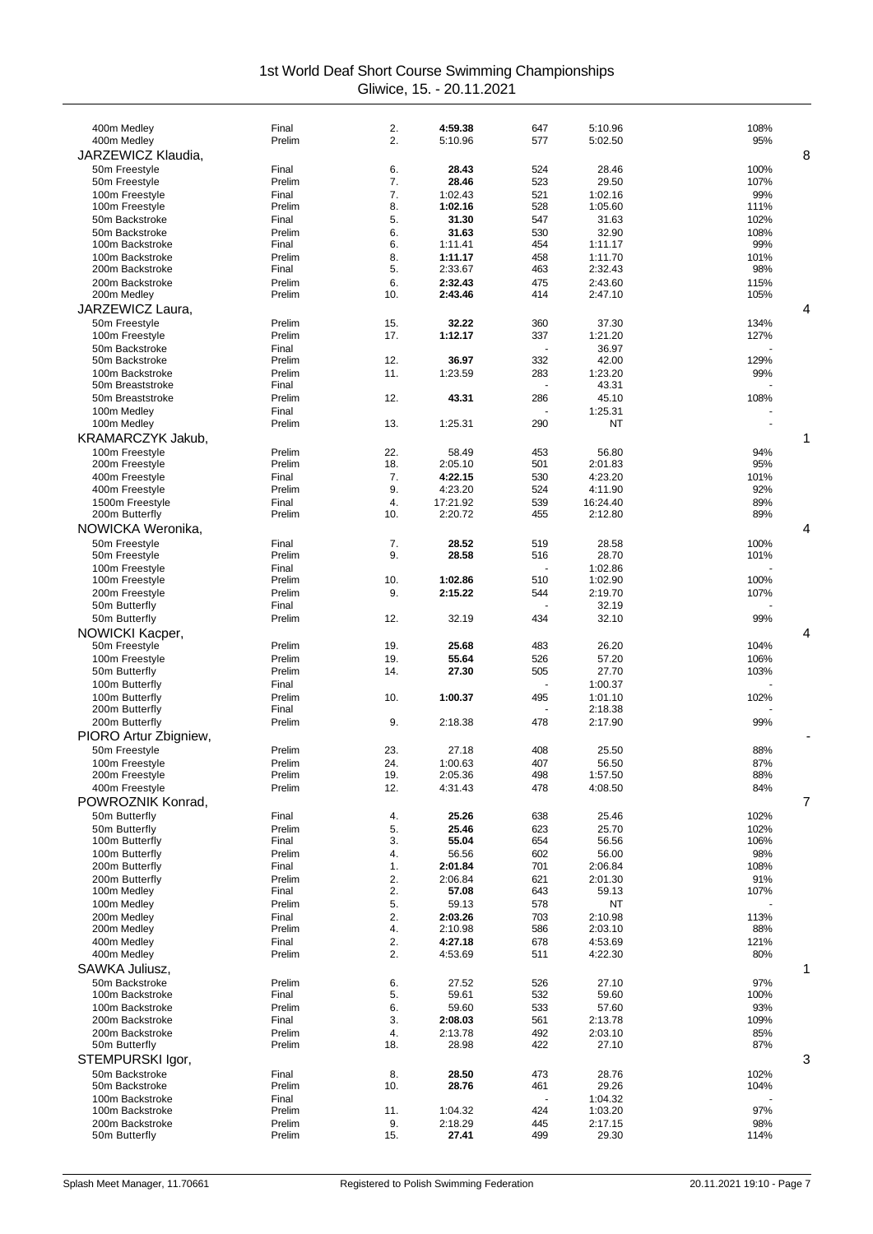| 400m Medley                        | Final           | 2.        | 4:59.38             | 647        | 5:10.96             | 108%         |
|------------------------------------|-----------------|-----------|---------------------|------------|---------------------|--------------|
| 400m Medley                        | Prelim          | 2.        | 5:10.96             | 577        | 5:02.50             | 95%          |
| JARZEWICZ Klaudia,                 |                 |           |                     |            |                     | 8            |
| 50m Freestyle                      | Final           | 6.        | 28.43               | 524        | 28.46               | 100%         |
| 50m Freestyle                      | Prelim          | 7.        | 28.46               | 523        | 29.50               | 107%         |
| 100m Freestyle                     | Final           | 7.<br>8.  | 1:02.43             | 521        | 1:02.16<br>1:05.60  | 99%          |
| 100m Freestyle<br>50m Backstroke   | Prelim<br>Final | 5.        | 1:02.16<br>31.30    | 528<br>547 | 31.63               | 111%<br>102% |
| 50m Backstroke                     | Prelim          | 6.        | 31.63               | 530        | 32.90               | 108%         |
| 100m Backstroke                    | Final           | 6.        | 1:11.41             | 454        | 1:11.17             | 99%          |
| 100m Backstroke                    | Prelim          | 8.        | 1:11.17             | 458        | 1:11.70             | 101%         |
| 200m Backstroke                    | Final           | 5.        | 2:33.67             | 463        | 2:32.43             | 98%          |
| 200m Backstroke                    | Prelim          | 6.        | 2:32.43             | 475        | 2:43.60             | 115%         |
| 200m Medley                        | Prelim          | 10.       | 2:43.46             | 414        | 2:47.10             | 105%         |
| JARZEWICZ Laura.                   |                 |           |                     |            |                     | 4            |
| 50m Freestyle                      | Prelim          | 15.       | 32.22               | 360        | 37.30               | 134%         |
| 100m Freestyle<br>50m Backstroke   | Prelim<br>Final | 17.       | 1:12.17             | 337        | 1:21.20<br>36.97    | 127%         |
| 50m Backstroke                     | Prelim          | 12.       | 36.97               | 332        | 42.00               | 129%         |
| 100m Backstroke                    | Prelim          | 11.       | 1:23.59             | 283        | 1:23.20             | 99%          |
| 50m Breaststroke                   | Final           |           |                     |            | 43.31               |              |
| 50m Breaststroke                   | Prelim          | 12.       | 43.31               | 286        | 45.10               | 108%         |
| 100m Medley                        | Final           |           |                     |            | 1:25.31             |              |
| 100m Medley                        | Prelim          | 13.       | 1:25.31             | 290        | NT                  |              |
| KRAMARCZYK Jakub,                  |                 |           |                     |            |                     | 1            |
| 100m Freestyle                     | Prelim          | 22.       | 58.49               | 453        | 56.80               | 94%          |
| 200m Freestyle                     | Prelim          | 18.       | 2:05.10             | 501        | 2:01.83             | 95%          |
| 400m Freestyle                     | Final           | 7.        | 4:22.15             | 530        | 4:23.20             | 101%         |
| 400m Freestyle                     | Prelim          | 9.        | 4:23.20             | 524        | 4:11.90             | 92%          |
| 1500m Freestyle<br>200m Butterfly  | Final<br>Prelim | 4.<br>10. | 17:21.92<br>2:20.72 | 539<br>455 | 16:24.40<br>2:12.80 | 89%<br>89%   |
| NOWICKA Weronika,                  |                 |           |                     |            |                     | 4            |
|                                    |                 |           |                     |            |                     |              |
| 50m Freestyle<br>50m Freestyle     | Final<br>Prelim | 7.<br>9.  | 28.52<br>28.58      | 519<br>516 | 28.58<br>28.70      | 100%<br>101% |
| 100m Freestyle                     | Final           |           |                     |            | 1:02.86             |              |
| 100m Freestyle                     | Prelim          | 10.       | 1:02.86             | 510        | 1:02.90             | 100%         |
| 200m Freestyle                     | Prelim          | 9.        | 2:15.22             | 544        | 2:19.70             | 107%         |
| 50m Butterfly                      | Final           |           |                     |            | 32.19               |              |
| 50m Butterfly                      | Prelim          | 12.       | 32.19               | 434        | 32.10               | 99%          |
| NOWICKI Kacper,                    |                 |           |                     |            |                     | 4            |
| 50m Freestyle                      | Prelim          | 19.       | 25.68               | 483        | 26.20               | 104%         |
| 100m Freestyle                     | Prelim          | 19.       | 55.64               | 526        | 57.20               | 106%         |
| 50m Butterfly                      | Prelim          | 14.       | 27.30               | 505        | 27.70               | 103%         |
| 100m Butterfly<br>100m Butterfly   | Final<br>Prelim | 10.       | 1:00.37             | 495        | 1:00.37<br>1:01.10  |              |
| 200m Butterfly                     | Final           |           |                     |            | 2:18.38             | 102%         |
| 200m Butterfly                     | Prelim          | 9.        | 2:18.38             | 478        | 2:17.90             | 99%          |
| PIORO Artur Zbigniew,              |                 |           |                     |            |                     |              |
| 50m Freestyle                      | Prelim          | 23.       | 27.18               | 408        | 25.50               | 88%          |
| 100m Freestyle                     | Prelim          | 24.       | 1:00.63             | 407        | 56.50               | 87%          |
| 200m Freestyle                     | Prelim          | 19.       | 2:05.36             | 498        | 1:57.50             | 88%          |
| 400m Freestyle                     | Prelim          | 12.       | 4:31.43             | 478        | 4:08.50             | 84%          |
| POWROZNIK Konrad,                  |                 |           |                     |            |                     | 7            |
| 50m Butterfly                      | Final           | 4.        | 25.26               | 638        | 25.46               | 102%         |
| 50m Butterfly                      | Prelim          | 5.        | 25.46               | 623        | 25.70               | 102%         |
| 100m Butterfly                     | Final           | 3.        | 55.04               | 654        | 56.56               | 106%         |
| 100m Butterfly<br>200m Butterfly   | Prelim<br>Final | 4.<br>1.  | 56.56<br>2:01.84    | 602<br>701 | 56.00<br>2:06.84    | 98%<br>108%  |
| 200m Butterfly                     | Prelim          | 2.        | 2:06.84             | 621        | 2:01.30             | 91%          |
| 100m Medley                        | Final           | 2.        | 57.08               | 643        | 59.13               | 107%         |
| 100m Medley                        | Prelim          | 5.        | 59.13               | 578        | ΝT                  |              |
| 200m Medley                        | Final           | 2.        | 2:03.26             | 703        | 2:10.98             | 113%         |
| 200m Medley                        | Prelim          | 4.        | 2:10.98             | 586        | 2:03.10             | 88%          |
| 400m Medley                        | Final           | 2.        | 4:27.18             | 678        | 4:53.69             | 121%         |
| 400m Medley                        | Prelim          | 2.        | 4:53.69             | 511        | 4:22.30             | 80%          |
| SAWKA Juliusz,                     |                 |           |                     |            |                     | 1            |
| 50m Backstroke                     | Prelim          | 6.        | 27.52               | 526        | 27.10               | 97%          |
| 100m Backstroke                    | Final           | 5.        | 59.61               | 532        | 59.60               | 100%         |
| 100m Backstroke                    | Prelim          | 6.        | 59.60               | 533        | 57.60               | 93%          |
| 200m Backstroke<br>200m Backstroke | Final<br>Prelim | 3.<br>4.  | 2:08.03<br>2:13.78  | 561<br>492 | 2:13.78<br>2:03.10  | 109%<br>85%  |
| 50m Butterfly                      | Prelim          | 18.       | 28.98               | 422        | 27.10               | 87%          |
| STEMPURSKI Igor,                   |                 |           |                     |            |                     | 3            |
| 50m Backstroke                     | Final           | 8.        | 28.50               | 473        | 28.76               | 102%         |
| 50m Backstroke                     | Prelim          | 10.       | 28.76               | 461        | 29.26               | 104%         |
| 100m Backstroke                    | Final           |           |                     |            | 1:04.32             |              |
| 100m Backstroke                    | Prelim          | 11.       | 1:04.32             | 424        | 1:03.20             | 97%          |
| 200m Backstroke                    | Prelim          | 9.        | 2:18.29             | 445        | 2:17.15             | 98%          |
| 50m Butterfly                      | Prelim          | 15.       | 27.41               | 499        | 29.30               | 114%         |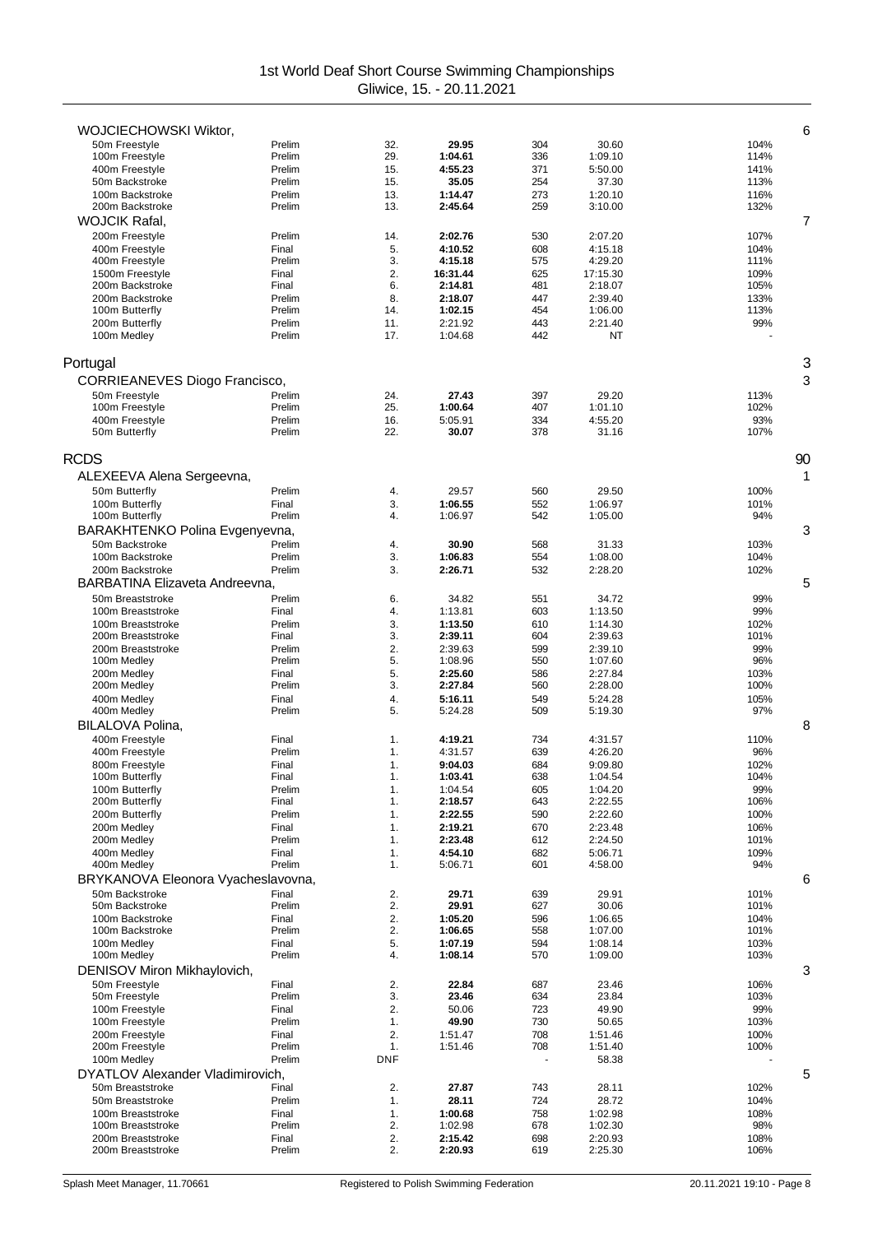| WOJCIECHOWSKI Wiktor,              |                  |            |                     |            |                     | 6            |
|------------------------------------|------------------|------------|---------------------|------------|---------------------|--------------|
| 50m Freestyle                      | Prelim           | 32.        | 29.95               | 304        | 30.60               | 104%         |
| 100m Freestyle                     | Prelim           | 29.        | 1:04.61             | 336        | 1:09.10             | 114%         |
| 400m Freestyle                     | Prelim           | 15.        | 4:55.23             | 371        | 5:50.00             | 141%         |
| 50m Backstroke                     | Prelim           | 15.        | 35.05               | 254        | 37.30               | 113%         |
| 100m Backstroke                    | Prelim           | 13.        | 1:14.47             | 273        | 1:20.10             | 116%         |
| 200m Backstroke                    | Prelim           | 13.        | 2:45.64             | 259        | 3:10.00             | 132%         |
| <b>WOJCIK Rafal.</b>               |                  |            |                     |            |                     | 7            |
| 200m Freestyle                     | Prelim           | 14.        | 2:02.76             | 530        | 2:07.20             | 107%         |
| 400m Freestyle                     | Final            | 5.         | 4:10.52             | 608        | 4:15.18             | 104%         |
| 400m Freestyle                     | Prelim           | 3.         | 4:15.18             | 575        | 4:29.20             | 111%         |
| 1500m Freestyle<br>200m Backstroke | Final<br>Final   | 2.<br>6.   | 16:31.44<br>2:14.81 | 625<br>481 | 17:15.30<br>2:18.07 | 109%<br>105% |
| 200m Backstroke                    | Prelim           | 8.         | 2:18.07             | 447        | 2:39.40             | 133%         |
| 100m Butterfly                     | Prelim           | 14.        | 1:02.15             | 454        | 1:06.00             | 113%         |
| 200m Butterfly                     | Prelim           | 11.        | 2:21.92             | 443        | 2:21.40             | 99%          |
| 100m Medley                        | Prelim           | 17.        | 1:04.68             | 442        | NT                  |              |
|                                    |                  |            |                     |            |                     |              |
| Portugal                           |                  |            |                     |            |                     | 3            |
| CORRIEANEVES Diogo Francisco,      |                  |            |                     |            |                     | 3            |
| 50m Freestyle                      | Prelim           | 24.        | 27.43               | 397        | 29.20               | 113%         |
| 100m Freestyle                     | Prelim           | 25.        | 1:00.64             | 407        | 1:01.10             | 102%         |
| 400m Freestyle                     | Prelim           | 16.        | 5:05.91             | 334        | 4:55.20             | 93%          |
| 50m Butterfly                      | Prelim           | 22.        | 30.07               | 378        | 31.16               | 107%         |
| RCDS                               |                  |            |                     |            |                     | 90           |
|                                    |                  |            |                     |            |                     | 1            |
| ALEXEEVA Alena Sergeevna,          |                  |            |                     |            |                     |              |
| 50m Butterfly                      | Prelim           | 4.         | 29.57               | 560        | 29.50               | 100%         |
| 100m Butterfly<br>100m Butterfly   | Final<br>Prelim  | 3.<br>4.   | 1:06.55<br>1:06.97  | 552<br>542 | 1:06.97<br>1:05.00  | 101%<br>94%  |
|                                    |                  |            |                     |            |                     | 3            |
| BARAKHTENKO Polina Evgenyevna,     |                  |            |                     |            |                     |              |
| 50m Backstroke<br>100m Backstroke  | Prelim<br>Prelim | 4.<br>3.   | 30.90<br>1:06.83    | 568<br>554 | 31.33<br>1:08.00    | 103%<br>104% |
| 200m Backstroke                    | Prelim           | 3.         | 2:26.71             | 532        | 2:28.20             | 102%         |
| BARBATINA Elizaveta Andreevna,     |                  |            |                     |            |                     | 5            |
| 50m Breaststroke                   | Prelim           | 6.         | 34.82               | 551        | 34.72               | 99%          |
| 100m Breaststroke                  | Final            | 4.         | 1:13.81             | 603        | 1:13.50             | 99%          |
| 100m Breaststroke                  | Prelim           | 3.         | 1:13.50             | 610        | 1:14.30             | 102%         |
| 200m Breaststroke                  | Final            | 3.         | 2:39.11             | 604        | 2:39.63             | 101%         |
| 200m Breaststroke                  | Prelim           | 2.         | 2:39.63             | 599        | 2:39.10             | 99%          |
| 100m Medley                        | Prelim           | 5.         | 1:08.96             | 550        | 1:07.60             | 96%          |
| 200m Medley                        | Final            | 5.         | 2:25.60             | 586        | 2:27.84             | 103%         |
| 200m Medley                        | Prelim           | 3.         | 2:27.84             | 560        | 2:28.00             | 100%         |
| 400m Medley                        | Final            | 4.         | 5:16.11             | 549        | 5:24.28             | 105%         |
| 400m Medley                        | Prelim           | 5.         | 5:24.28             | 509        | 5:19.30             | 97%          |
| BILALOVA Polina,                   |                  |            |                     |            |                     | 8            |
| 400m Freestyle                     | Final            | 1.         | 4:19.21             | 734        | 4:31.57             | 110%         |
| 400m Freestyle                     | Prelim           | 1.         | 4:31.57             | 639        | 4:26.20             | 96%          |
| 800m Freestyle<br>100m Butterfly   | Final<br>Final   | 1.<br>1.   | 9:04.03<br>1:03.41  | 684<br>638 | 9:09.80<br>1:04.54  | 102%<br>104% |
| 100m Butterfly                     | Prelim           | 1.         | 1:04.54             | 605        | 1:04.20             | 99%          |
| 200m Butterfly                     | Final            | 1.         | 2:18.57             | 643        | 2:22.55             | 106%         |
| 200m Butterfly                     | Prelim           | 1.         | 2:22.55             | 590        | 2:22.60             | 100%         |
| 200m Medlev                        | Final            | 1.         | 2:19.21             | 670        | 2:23.48             | 106%         |
| 200m Medley                        | Prelim           | 1.         | 2:23.48             | 612        | 2:24.50             | 101%         |
| 400m Medley                        | Final            | 1.         | 4:54.10             | 682        | 5:06.71             | 109%         |
| 400m Medley                        | Prelim           | 1.         | 5:06.71             | 601        | 4:58.00             | 94%          |
| BRYKANOVA Eleonora Vyacheslavovna, |                  |            |                     |            |                     | 6            |
| 50m Backstroke                     | Final            | 2.         | 29.71               | 639        | 29.91               | 101%         |
| 50m Backstroke                     | Prelim           | 2.         | 29.91               | 627        | 30.06               | 101%         |
| 100m Backstroke                    | Final            | 2.         | 1:05.20             | 596        | 1:06.65             | 104%         |
| 100m Backstroke                    | Prelim           | 2.         | 1:06.65             | 558        | 1:07.00             | 101%         |
| 100m Medlev<br>100m Medley         | Final<br>Prelim  | 5.<br>4.   | 1:07.19<br>1:08.14  | 594<br>570 | 1:08.14<br>1:09.00  | 103%         |
|                                    |                  |            |                     |            |                     | 103%<br>3    |
| DENISOV Miron Mikhaylovich,        |                  |            |                     |            |                     |              |
| 50m Freestyle<br>50m Freestyle     | Final<br>Prelim  | 2.<br>3.   | 22.84<br>23.46      | 687<br>634 | 23.46<br>23.84      | 106%<br>103% |
| 100m Freestyle                     | Final            | 2.         | 50.06               | 723        | 49.90               | 99%          |
| 100m Freestyle                     | Prelim           | 1.         | 49.90               | 730        | 50.65               | 103%         |
| 200m Freestyle                     | Final            | 2.         | 1:51.47             | 708        | 1:51.46             | 100%         |
| 200m Freestyle                     | Prelim           | 1.         | 1:51.46             | 708        | 1:51.40             | 100%         |
| 100m Medley                        | Prelim           | <b>DNF</b> |                     |            | 58.38               |              |
| DYATLOV Alexander Vladimirovich,   |                  |            |                     |            |                     | 5            |
| 50m Breaststroke                   | Final            | 2.         | 27.87               | 743        | 28.11               | 102%         |
| 50m Breaststroke                   | Prelim           | 1.         | 28.11               | 724        | 28.72               | 104%         |
| 100m Breaststroke                  | Final            | 1.         | 1:00.68             | 758        | 1:02.98             | 108%         |
| 100m Breaststroke                  | Prelim           | 2.         | 1:02.98             | 678        | 1:02.30             | 98%          |
| 200m Breaststroke                  | Final            | 2.         | 2:15.42             | 698        | 2:20.93             | 108%         |
| 200m Breaststroke                  | Prelim           | 2.         | 2:20.93             | 619        | 2:25.30             | 106%         |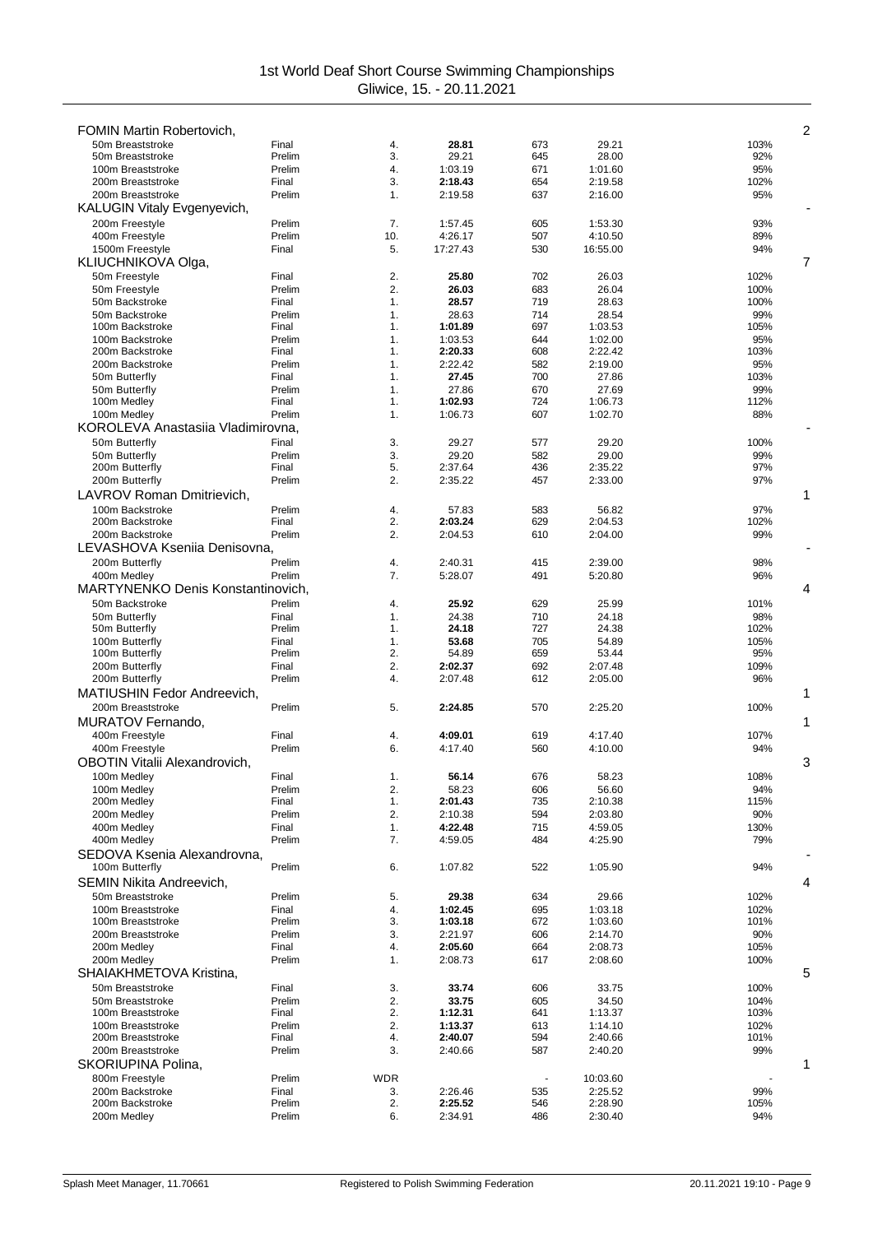| <b>FOMIN Martin Robertovich,</b>                        |                 |            |                    |            |                    | 2            |
|---------------------------------------------------------|-----------------|------------|--------------------|------------|--------------------|--------------|
| 50m Breaststroke                                        | Final           | 4.         | 28.81              | 673        | 29.21              | 103%         |
| 50m Breaststroke                                        | Prelim          | 3.         | 29.21              | 645        | 28.00              | 92%          |
| 100m Breaststroke                                       | Prelim          | 4.         | 1:03.19            | 671        | 1:01.60            | 95%          |
| 200m Breaststroke                                       | Final           | 3.         | 2:18.43            | 654        | 2:19.58            | 102%         |
| 200m Breaststroke<br><b>KALUGIN Vitaly Evgenyevich,</b> | Prelim          | 1.         | 2:19.58            | 637        | 2:16.00            | 95%          |
| 200m Freestyle                                          | Prelim          | 7.         | 1:57.45            | 605        | 1:53.30            | 93%          |
| 400m Freestyle                                          | Prelim          | 10.        | 4:26.17            | 507        | 4:10.50            | 89%          |
| 1500m Freestyle                                         | Final           | 5.         | 17:27.43           | 530        | 16:55.00           | 94%          |
| KLIUCHNIKOVA Olga,                                      |                 |            |                    |            |                    | 7            |
| 50m Freestyle                                           | Final           | 2.         | 25.80              | 702        | 26.03              | 102%         |
| 50m Freestyle<br>50m Backstroke                         | Prelim<br>Final | 2.<br>1.   | 26.03<br>28.57     | 683<br>719 | 26.04<br>28.63     | 100%<br>100% |
| 50m Backstroke                                          | Prelim          | 1.         | 28.63              | 714        | 28.54              | 99%          |
| 100m Backstroke                                         | Final           | 1.         | 1:01.89            | 697        | 1:03.53            | 105%         |
| 100m Backstroke                                         | Prelim          | 1.         | 1:03.53            | 644        | 1:02.00            | 95%          |
| 200m Backstroke                                         | Final           | 1.         | 2:20.33            | 608        | 2:22.42            | 103%         |
| 200m Backstroke                                         | Prelim          | 1.         | 2:22.42            | 582        | 2:19.00            | 95%          |
| 50m Butterfly<br>50m Butterfly                          | Final<br>Prelim | 1.<br>1.   | 27.45<br>27.86     | 700<br>670 | 27.86<br>27.69     | 103%<br>99%  |
| 100m Medley                                             | Final           | 1.         | 1:02.93            | 724        | 1:06.73            | 112%         |
| 100m Medley                                             | Prelim          | 1.         | 1:06.73            | 607        | 1:02.70            | 88%          |
| KOROLEVA Anastasiia Vladimirovna,                       |                 |            |                    |            |                    |              |
| 50m Butterfly                                           | Final           | 3.         | 29.27              | 577        | 29.20              | 100%         |
| 50m Butterfly                                           | Prelim          | 3.         | 29.20              | 582        | 29.00              | 99%          |
| 200m Butterfly                                          | Final           | 5.         | 2:37.64            | 436        | 2:35.22            | 97%          |
| 200m Butterfly                                          | Prelim          | 2.         | 2:35.22            | 457        | 2:33.00            | 97%          |
| LAVROV Roman Dmitrievich,                               |                 |            |                    |            |                    | 1            |
| 100m Backstroke                                         | Prelim          | 4.         | 57.83              | 583        | 56.82              | 97%          |
| 200m Backstroke<br>200m Backstroke                      | Final<br>Prelim | 2.<br>2.   | 2:03.24<br>2:04.53 | 629<br>610 | 2:04.53<br>2:04.00 | 102%<br>99%  |
| LEVASHOVA Kseniia Denisovna,                            |                 |            |                    |            |                    |              |
| 200m Butterfly                                          | Prelim          | 4.         | 2:40.31            | 415        | 2:39.00            | 98%          |
| 400m Medley                                             | Prelim          | 7.         | 5:28.07            | 491        | 5:20.80            | 96%          |
| MARTYNENKO Denis Konstantinovich,                       |                 |            |                    |            |                    | 4            |
| 50m Backstroke                                          | Prelim          | 4.         | 25.92              | 629        | 25.99              | 101%         |
| 50m Butterfly                                           | Final           | 1.         | 24.38              | 710        | 24.18              | 98%          |
| 50m Butterfly                                           | Prelim          | 1.         | 24.18              | 727        | 24.38              | 102%         |
| 100m Butterfly                                          | Final           | 1.         | 53.68              | 705        | 54.89              | 105%         |
| 100m Butterfly                                          | Prelim          | 2.         | 54.89              | 659        | 53.44              | 95%          |
| 200m Butterfly<br>200m Butterfly                        | Final<br>Prelim | 2.<br>4.   | 2:02.37<br>2:07.48 | 692<br>612 | 2:07.48<br>2:05.00 | 109%<br>96%  |
| MATIUSHIN Fedor Andreevich,                             |                 |            |                    |            |                    | 1            |
| 200m Breaststroke                                       | Prelim          | 5.         | 2:24.85            | 570        | 2:25.20            | 100%         |
| MURATOV Fernando.                                       |                 |            |                    |            |                    | 1            |
| 400m Freestyle                                          | Final           | 4.         | 4:09.01            | 619        | 4:17.40            | 107%         |
| 400m Freestyle                                          | Prelim          | 6.         | 4:17.40            | 560        | 4:10.00            | 94%          |
| OBOTIN Vitalii Alexandrovich,                           |                 |            |                    |            |                    | 3            |
| 100m Medley                                             | Final           | 1.         | 56.14              | 676        | 58.23              | 108%         |
| 100m Medley                                             | Prelim          | 2.         | 58.23              | 606        | 56.60              | 94%          |
| 200m Medley                                             | Final           | 1.         | 2:01.43            | 735        | 2:10.38            | 115%         |
| 200m Medley<br>400m Medley                              | Prelim<br>Final | 2.<br>1.   | 2:10.38<br>4:22.48 | 594<br>715 | 2:03.80<br>4:59.05 | 90%<br>130%  |
| 400m Medley                                             | Prelim          | 7.         | 4:59.05            | 484        | 4:25.90            | 79%          |
| SEDOVA Ksenia Alexandrovna,                             |                 |            |                    |            |                    |              |
| 100m Butterfly                                          | Prelim          | 6.         | 1:07.82            | 522        | 1:05.90            | 94%          |
| <b>SEMIN Nikita Andreevich,</b>                         |                 |            |                    |            |                    | 4            |
| 50m Breaststroke                                        | Prelim          | 5.         | 29.38              | 634        | 29.66              | 102%         |
| 100m Breaststroke                                       | Final           | 4.         | 1:02.45            | 695        | 1:03.18            | 102%         |
| 100m Breaststroke                                       | Prelim          | 3.         | 1:03.18            | 672        | 1:03.60            | 101%         |
| 200m Breaststroke<br>200m Medley                        | Prelim<br>Final | 3.<br>4.   | 2:21.97<br>2:05.60 | 606<br>664 | 2:14.70<br>2:08.73 | 90%<br>105%  |
| 200m Medley                                             | Prelim          | 1.         | 2:08.73            | 617        | 2:08.60            | 100%         |
| SHAIAKHMETOVA Kristina,                                 |                 |            |                    |            |                    | 5            |
| 50m Breaststroke                                        | Final           | 3.         | 33.74              | 606        | 33.75              | 100%         |
| 50m Breaststroke                                        | Prelim          | 2.         | 33.75              | 605        | 34.50              | 104%         |
| 100m Breaststroke                                       | Final           | 2.         | 1:12.31            | 641        | 1:13.37            | 103%         |
| 100m Breaststroke                                       | Prelim          | 2.         | 1:13.37            | 613        | 1:14.10            | 102%         |
| 200m Breaststroke                                       | Final           | 4.         | 2:40.07            | 594        | 2:40.66            | 101%         |
| 200m Breaststroke<br>SKORIUPINA Polina,                 | Prelim          | 3.         | 2:40.66            | 587        | 2:40.20            | 99%<br>1     |
| 800m Freestyle                                          | Prelim          | <b>WDR</b> |                    |            | 10:03.60           |              |
| 200m Backstroke                                         | Final           | 3.         | 2:26.46            | 535        | 2:25.52            | 99%          |
| 200m Backstroke                                         | Prelim          | 2.         | 2:25.52            | 546        | 2:28.90            | 105%         |
| 200m Medley                                             | Prelim          | 6.         | 2:34.91            | 486        | 2:30.40            | 94%          |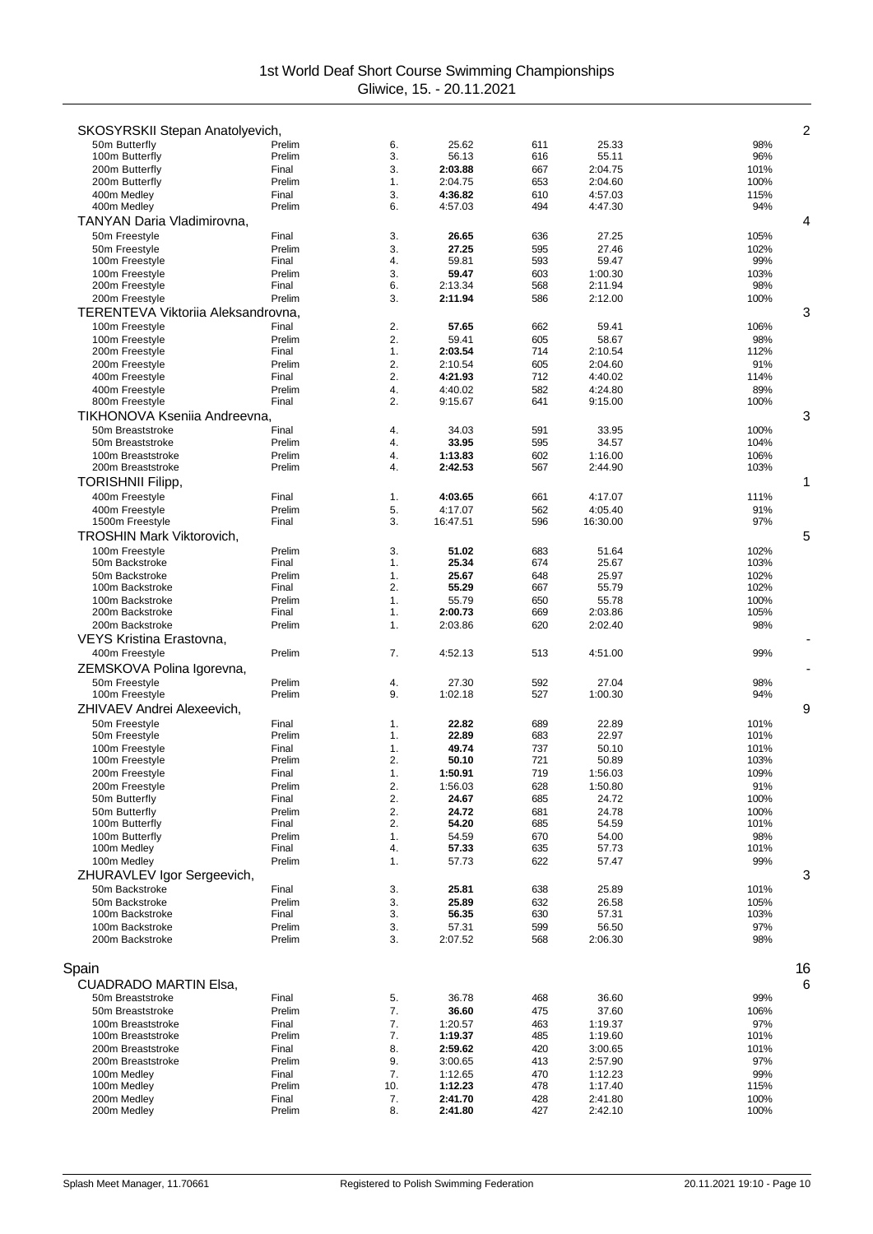| SKOSYRSKII Stepan Anatolyevich,    |                 |          |                    |            |                    | $\overline{2}$ |
|------------------------------------|-----------------|----------|--------------------|------------|--------------------|----------------|
| 50m Butterfly                      | Prelim          | 6.       | 25.62              | 611        | 25.33              | 98%            |
| 100m Butterfly                     | Prelim          | 3.       | 56.13              | 616        | 55.11              | 96%            |
| 200m Butterfly                     | Final           | 3.       | 2:03.88            | 667        | 2:04.75            | 101%           |
| 200m Butterfly                     | Prelim          | 1.       | 2:04.75            | 653        | 2:04.60            | 100%           |
| 400m Medlev                        | Final<br>Prelim | 3.<br>6. | 4:36.82<br>4:57.03 | 610<br>494 | 4:57.03<br>4:47.30 | 115%<br>94%    |
| 400m Medley                        |                 |          |                    |            |                    |                |
| TANYAN Daria Vladimirovna,         |                 |          |                    |            |                    | 4              |
| 50m Freestyle                      | Final           | 3.       | 26.65              | 636        | 27.25              | 105%           |
| 50m Freestyle<br>100m Freestyle    | Prelim<br>Final | 3.<br>4. | 27.25<br>59.81     | 595<br>593 | 27.46<br>59.47     | 102%<br>99%    |
| 100m Freestyle                     | Prelim          | 3.       | 59.47              | 603        | 1:00.30            | 103%           |
| 200m Freestyle                     | Final           | 6.       | 2:13.34            | 568        | 2:11.94            | 98%            |
| 200m Freestyle                     | Prelim          | 3.       | 2:11.94            | 586        | 2:12.00            | 100%           |
| TERENTEVA Viktoriia Aleksandrovna, |                 |          |                    |            |                    | 3              |
| 100m Freestyle                     | Final           | 2.       | 57.65              | 662        | 59.41              | 106%           |
| 100m Freestyle                     | Prelim          | 2.       | 59.41              | 605        | 58.67              | 98%            |
| 200m Freestyle                     | Final           | 1.       | 2:03.54            | 714        | 2:10.54            | 112%           |
| 200m Freestyle                     | Prelim          | 2.       | 2:10.54            | 605        | 2:04.60            | 91%            |
| 400m Freestyle                     | Final<br>Prelim | 2.<br>4. | 4:21.93<br>4:40.02 | 712<br>582 | 4:40.02<br>4:24.80 | 114%           |
| 400m Freestyle<br>800m Freestyle   | Final           | 2.       | 9:15.67            | 641        | 9:15.00            | 89%<br>100%    |
| TIKHONOVA Kseniia Andreevna.       |                 |          |                    |            |                    | 3              |
| 50m Breaststroke                   | Final           | 4.       | 34.03              | 591        | 33.95              | 100%           |
| 50m Breaststroke                   | Prelim          | 4.       | 33.95              | 595        | 34.57              | 104%           |
| 100m Breaststroke                  | Prelim          | 4.       | 1:13.83            | 602        | 1:16.00            | 106%           |
| 200m Breaststroke                  | Prelim          | 4.       | 2:42.53            | 567        | 2:44.90            | 103%           |
| <b>TORISHNII Filipp,</b>           |                 |          |                    |            |                    | 1              |
| 400m Freestyle                     | Final           | 1.       | 4:03.65            | 661        | 4:17.07            | 111%           |
| 400m Freestyle                     | Prelim          | 5.       | 4:17.07            | 562        | 4:05.40            | 91%            |
| 1500m Freestyle                    | Final           | 3.       | 16:47.51           | 596        | 16:30.00           | 97%            |
| TROSHIN Mark Viktorovich,          |                 |          |                    |            |                    | 5              |
| 100m Freestyle                     | Prelim          | 3.       | 51.02              | 683        | 51.64              | 102%           |
| 50m Backstroke                     | Final           | 1.       | 25.34              | 674        | 25.67              | 103%           |
| 50m Backstroke<br>100m Backstroke  | Prelim<br>Final | 1.<br>2. | 25.67<br>55.29     | 648<br>667 | 25.97<br>55.79     | 102%<br>102%   |
| 100m Backstroke                    | Prelim          | 1.       | 55.79              | 650        | 55.78              | 100%           |
| 200m Backstroke                    | Final           | 1.       | 2:00.73            | 669        | 2:03.86            | 105%           |
| 200m Backstroke                    | Prelim          | 1.       | 2:03.86            | 620        | 2:02.40            | 98%            |
| VEYS Kristina Erastovna,           |                 |          |                    |            |                    |                |
| 400m Freestyle                     | Prelim          | 7.       | 4:52.13            | 513        | 4:51.00            | 99%            |
| ZEMSKOVA Polina Igorevna,          |                 |          |                    |            |                    |                |
| 50m Freestyle                      | Prelim          | 4.       | 27.30              | 592        | 27.04              | 98%            |
| 100m Freestyle                     | Prelim          | 9.       | 1:02.18            | 527        | 1:00.30            | 94%            |
| ZHIVAEV Andrei Alexeevich,         |                 |          |                    |            |                    | 9              |
| 50m Freestyle                      | Final           | 1.       | 22.82              | 689        | 22.89              | 101%           |
| 50m Freestyle                      | Prelim          | 1.       | 22.89              | 683        | 22.97              | 101%           |
| 100m Freestyle                     | Final           | 1.       | 49.74              | 737        | 50.10              | 101%           |
| 100m Freestyle                     | Prelim          | 2.       | 50.10              | 721        | 50.89              | 103%           |
| 200m Freestyle<br>200m Freestyle   | Final<br>Prelim | 1.       | 1:50.91            | 719        | 1:56.03<br>1:50.80 | 109%<br>91%    |
| 50m Butterfly                      | Final           | 2.<br>2. | 1:56.03<br>24.67   | 628<br>685 | 24.72              | 100%           |
| 50m Butterfly                      | Prelim          | 2.       | 24.72              | 681        | 24.78              | 100%           |
| 100m Butterfly                     | Final           | 2.       | 54.20              | 685        | 54.59              | 101%           |
| 100m Butterfly                     | Prelim          | 1.       | 54.59              | 670        | 54.00              | 98%            |
| 100m Medley                        | Final           | 4.       | 57.33              | 635        | 57.73              | 101%           |
| 100m Medley                        | Prelim          | 1.       | 57.73              | 622        | 57.47              | 99%            |
| ZHURAVLEV Igor Sergeevich,         |                 |          |                    |            |                    | 3              |
| 50m Backstroke                     | Final           | 3.       | 25.81              | 638        | 25.89              | 101%           |
| 50m Backstroke<br>100m Backstroke  | Prelim<br>Final | 3.<br>3. | 25.89              | 632        | 26.58              | 105%<br>103%   |
| 100m Backstroke                    | Prelim          | 3.       | 56.35<br>57.31     | 630<br>599 | 57.31<br>56.50     | 97%            |
| 200m Backstroke                    | Prelim          | 3.       | 2:07.52            | 568        | 2:06.30            | 98%            |
|                                    |                 |          |                    |            |                    |                |
| Spain                              |                 |          |                    |            |                    | 16             |
| <b>CUADRADO MARTIN Elsa,</b>       |                 |          |                    |            |                    | 6              |
| 50m Breaststroke                   | Final           | 5.       | 36.78              | 468        | 36.60              | 99%            |
| 50m Breaststroke                   | Prelim          | 7.       | 36.60              | 475        | 37.60              | 106%           |
| 100m Breaststroke                  | Final           | 7.       | 1:20.57            | 463        | 1:19.37            | 97%            |
| 100m Breaststroke                  | Prelim          | 7.       | 1:19.37            | 485        | 1:19.60            | 101%           |
| 200m Breaststroke                  | Final           | 8.       | 2:59.62            | 420        | 3:00.65            | 101%           |
| 200m Breaststroke                  | Prelim          | 9.       | 3:00.65            | 413        | 2:57.90            | 97%            |
| 100m Medley                        | Final           | 7.       | 1:12.65            | 470        | 1:12.23            | 99%            |
| 100m Medley                        | Prelim          | 10.      | 1:12.23            | 478        | 1:17.40            | 115%           |
| 200m Medley<br>200m Medley         | Final<br>Prelim | 7.<br>8. | 2:41.70<br>2:41.80 | 428<br>427 | 2:41.80<br>2:42.10 | 100%<br>100%   |
|                                    |                 |          |                    |            |                    |                |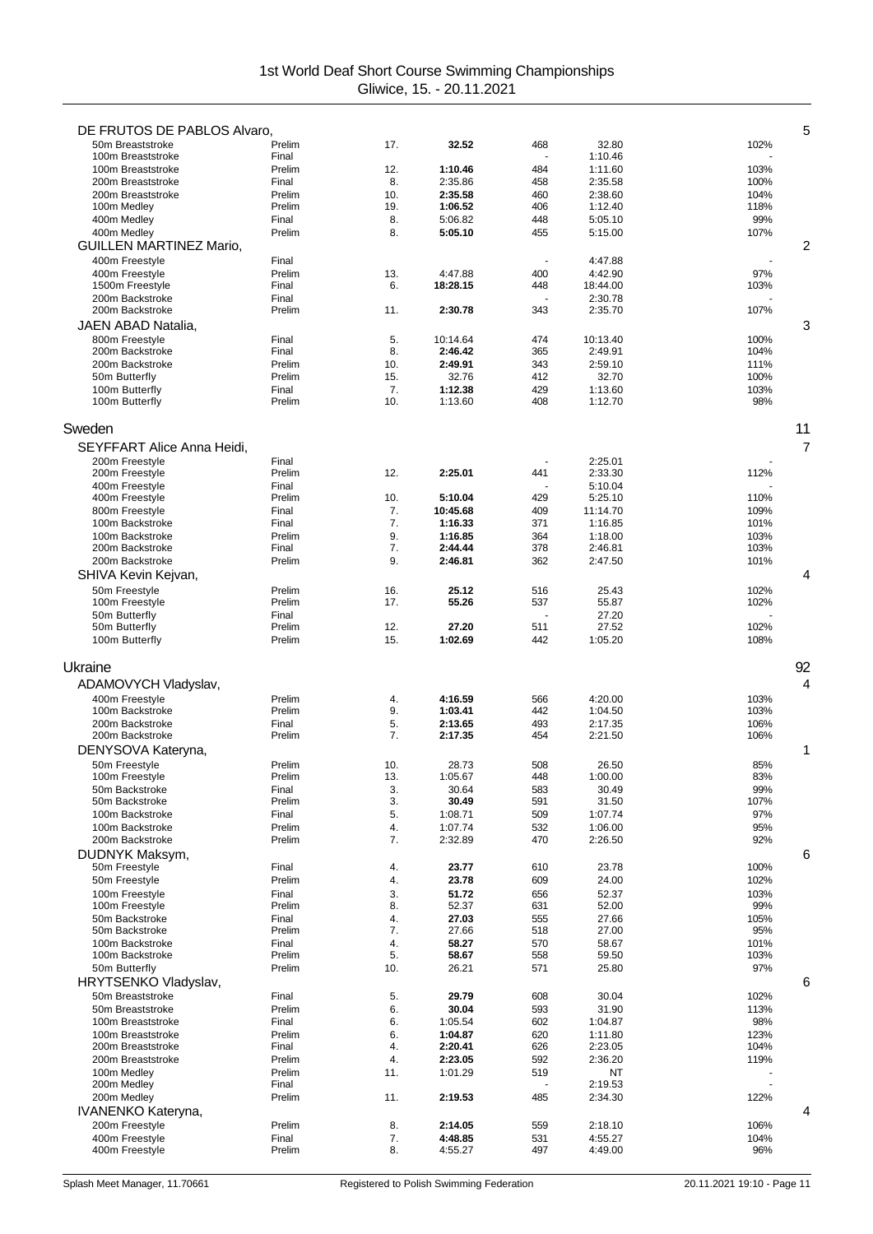| DE FRUTOS DE PABLOS Alvaro,            |                  |           |                    |            |                    | 5              |
|----------------------------------------|------------------|-----------|--------------------|------------|--------------------|----------------|
| 50m Breaststroke                       | Prelim           | 17.       | 32.52              | 468        | 32.80              | 102%           |
| 100m Breaststroke                      | Final            |           |                    |            | 1:10.46            |                |
| 100m Breaststroke<br>200m Breaststroke | Prelim<br>Final  | 12.<br>8. | 1:10.46<br>2:35.86 | 484<br>458 | 1:11.60<br>2:35.58 | 103%<br>100%   |
| 200m Breaststroke                      | Prelim           | 10.       | 2:35.58            | 460        | 2:38.60            | 104%           |
| 100m Medley                            | Prelim           | 19.       | 1:06.52            | 406        | 1:12.40            | 118%           |
| 400m Medley                            | Final            | 8.        | 5:06.82            | 448        | 5:05.10            | 99%            |
| 400m Medley                            | Prelim           | 8.        | 5:05.10            | 455        | 5:15.00            | 107%           |
| <b>GUILLEN MARTINEZ Mario,</b>         |                  |           |                    |            |                    | 2              |
| 400m Freestyle                         | Final            |           |                    |            | 4:47.88            |                |
| 400m Freestyle                         | Prelim           | 13.       | 4:47.88            | 400        | 4:42.90            | 97%            |
| 1500m Freestyle                        | Final            | 6.        | 18:28.15           | 448        | 18:44.00           | 103%           |
| 200m Backstroke<br>200m Backstroke     | Final<br>Prelim  | 11.       | 2:30.78            | 343        | 2:30.78<br>2:35.70 | 107%           |
|                                        |                  |           |                    |            |                    | 3              |
| JAEN ABAD Natalia,<br>800m Freestyle   | Final            | 5.        | 10:14.64           | 474        | 10:13.40           | 100%           |
| 200m Backstroke                        | Final            | 8.        | 2:46.42            | 365        | 2:49.91            | 104%           |
| 200m Backstroke                        | Prelim           | 10.       | 2:49.91            | 343        | 2:59.10            | 111%           |
| 50m Butterfly                          | Prelim           | 15.       | 32.76              | 412        | 32.70              | 100%           |
| 100m Butterfly                         | Final            | 7.        | 1:12.38            | 429        | 1:13.60            | 103%           |
| 100m Butterfly                         | Prelim           | 10.       | 1:13.60            | 408        | 1:12.70            | 98%            |
| Sweden                                 |                  |           |                    |            |                    | 11             |
| SEYFFART Alice Anna Heidi,             |                  |           |                    |            |                    | $\overline{7}$ |
| 200m Freestyle                         | Final            |           |                    |            | 2:25.01            |                |
| 200m Freestyle                         | Prelim           | 12.       | 2:25.01            | 441        | 2:33.30            | 112%           |
| 400m Freestyle<br>400m Freestyle       | Final<br>Prelim  | 10.       | 5:10.04            | 429        | 5:10.04<br>5:25.10 | 110%           |
| 800m Freestyle                         | Final            | 7.        | 10:45.68           | 409        | 11:14.70           | 109%           |
| 100m Backstroke                        | Final            | 7.        | 1:16.33            | 371        | 1:16.85            | 101%           |
| 100m Backstroke                        | Prelim           | 9.        | 1:16.85            | 364        | 1:18.00            | 103%           |
| 200m Backstroke                        | Final            | 7.        | 2:44.44            | 378        | 2:46.81            | 103%           |
| 200m Backstroke                        | Prelim           | 9.        | 2:46.81            | 362        | 2:47.50            | 101%           |
| SHIVA Kevin Kejvan,                    |                  |           |                    |            |                    | 4              |
| 50m Freestyle                          | Prelim           | 16.       | 25.12              | 516        | 25.43              | 102%           |
| 100m Freestyle                         | Prelim           | 17.       | 55.26              | 537        | 55.87              | 102%           |
| 50m Butterfly<br>50m Butterfly         | Final<br>Prelim  | 12.       | 27.20              | 511        | 27.20<br>27.52     | 102%           |
| 100m Butterfly                         | Prelim           | 15.       | 1:02.69            | 442        | 1:05.20            | 108%           |
|                                        |                  |           |                    |            |                    |                |
| Ukraine                                |                  |           |                    |            |                    | 92             |
|                                        |                  |           |                    |            |                    |                |
| ADAMOVYCH Vladyslav,                   |                  |           |                    |            |                    | 4              |
| 400m Freestyle                         | Prelim           | 4.        | 4:16.59            | 566        | 4:20.00            | 103%           |
| 100m Backstroke                        | Prelim           | 9.        | 1:03.41            | 442        | 1:04.50            | 103%           |
| 200m Backstroke                        | Final            | 5.        | 2:13.65            | 493        | 2:17.35            | 106%           |
| 200m Backstroke                        | Prelim           | 7.        | 2:17.35            | 454        | 2:21.50            | 106%           |
| DENYSOVA Kateryna,                     |                  |           |                    |            |                    | 1              |
| 50m Freestyle                          | Prelim           | 10.       | 28.73              | 508        | 26.50              | 85%            |
| 100m Freestyle                         | Prelim           | 13.       | 1:05.67            | 448        | 1:00.00            | 83%            |
| 50m Backstroke<br>50m Backstroke       | Final<br>Prelim  | 3.<br>3.  | 30.64<br>30.49     | 583<br>591 | 30.49<br>31.50     | 99%<br>107%    |
| 100m Backstroke                        | Final            | 5.        | 1:08.71            | 509        | 1:07.74            | 97%            |
| 100m Backstroke                        | Prelim           | 4.        | 1:07.74            | 532        | 1:06.00            | 95%            |
| 200m Backstroke                        | Prelim           | 7.        | 2:32.89            | 470        | 2:26.50            | 92%            |
| DUDNYK Maksym,                         |                  |           |                    |            |                    | 6              |
| 50m Freestyle                          | Final            | 4.        | 23.77              | 610        | 23.78              | 100%           |
| 50m Freestyle                          | Prelim           | 4.        | 23.78              | 609        | 24.00              | 102%           |
| 100m Freestyle                         | Final            | 3.        | 51.72              | 656        | 52.37              | 103%           |
| 100m Freestyle                         | Prelim           | 8.        | 52.37              | 631        | 52.00              | 99%            |
| 50m Backstroke<br>50m Backstroke       | Final<br>Prelim  | 4.<br>7.  | 27.03              | 555        | 27.66              | 105%<br>95%    |
| 100m Backstroke                        | Final            | 4.        | 27.66<br>58.27     | 518<br>570 | 27.00<br>58.67     | 101%           |
| 100m Backstroke                        | Prelim           | 5.        | 58.67              | 558        | 59.50              | 103%           |
| 50m Butterfly                          | Prelim           | 10.       | 26.21              | 571        | 25.80              | 97%            |
| HRYTSENKO Vladyslav,                   |                  |           |                    |            |                    | 6              |
| 50m Breaststroke                       | Final            | 5.        | 29.79              | 608        | 30.04              | 102%           |
| 50m Breaststroke                       | Prelim           | 6.        | 30.04              | 593        | 31.90              | 113%           |
| 100m Breaststroke                      | Final            | 6.        | 1:05.54            | 602        | 1:04.87            | 98%            |
| 100m Breaststroke                      | Prelim           | 6.        | 1:04.87            | 620        | 1:11.80            | 123%           |
| 200m Breaststroke                      | Final            | 4.        | 2:20.41            | 626        | 2:23.05            | 104%           |
| 200m Breaststroke                      | Prelim<br>Prelim | 4.<br>11. | 2:23.05            | 592        | 2:36.20            | 119%           |
| 100m Medley<br>200m Medley             | Final            |           | 1:01.29            | 519        | NT<br>2:19.53      |                |
| 200m Medley                            | Prelim           | 11.       | 2:19.53            | 485        | 2:34.30            | 122%           |
| IVANENKO Kateryna,                     |                  |           |                    |            |                    | 4              |
| 200m Freestyle                         | Prelim           | 8.        | 2:14.05            | 559        | 2:18.10            | 106%           |
| 400m Freestyle<br>400m Freestyle       | Final<br>Prelim  | 7.<br>8.  | 4:48.85<br>4:55.27 | 531<br>497 | 4:55.27<br>4:49.00 | 104%<br>96%    |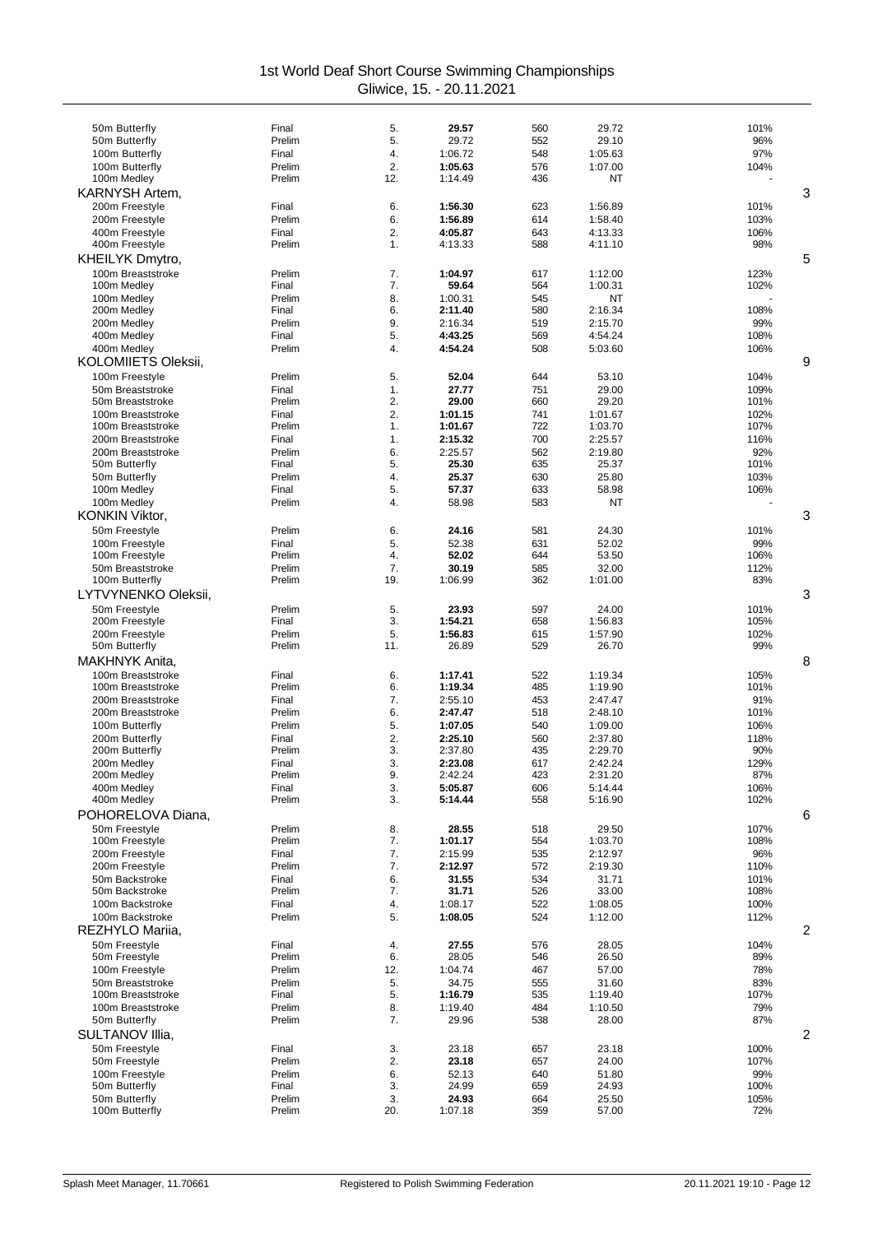| 50m Butterfly                        | Final            | 5.        | 29.57              | 560        | 29.72              | 101%         |
|--------------------------------------|------------------|-----------|--------------------|------------|--------------------|--------------|
| 50m Butterfly                        | Prelim           | 5.        | 29.72              | 552        | 29.10              | 96%          |
| 100m Butterfly                       | Final            | 4.        | 1:06.72            | 548        | 1:05.63            | 97%          |
| 100m Butterfly<br>100m Medley        | Prelim<br>Prelim | 2.<br>12. | 1:05.63<br>1:14.49 | 576<br>436 | 1:07.00<br>ΝT      | 104%         |
| KARNYSH Artem,                       |                  |           |                    |            |                    | 3            |
| 200m Freestyle                       | Final            | 6.        | 1:56.30            | 623        | 1:56.89            | 101%         |
| 200m Freestyle                       | Prelim           | 6.        | 1:56.89            | 614        | 1:58.40            | 103%         |
| 400m Freestyle                       | Final            | 2.        | 4:05.87            | 643        | 4:13.33            | 106%         |
| 400m Freestyle                       | Prelim           | 1.        | 4:13.33            | 588        | 4:11.10            | 98%          |
| KHEILYK Dmytro,                      |                  |           |                    |            |                    | 5            |
| 100m Breaststroke                    | Prelim           | 7.<br>7.  | 1:04.97            | 617        | 1:12.00            | 123%         |
| 100m Medley<br>100m Medley           | Final<br>Prelim  | 8.        | 59.64<br>1:00.31   | 564<br>545 | 1:00.31<br>NT      | 102%         |
| 200m Medley                          | Final            | 6.        | 2:11.40            | 580        | 2:16.34            | 108%         |
| 200m Medley                          | Prelim           | 9.        | 2:16.34            | 519        | 2:15.70            | 99%          |
| 400m Medley                          | Final            | 5.        | 4:43.25            | 569        | 4:54.24            | 108%         |
| 400m Medley                          | Prelim           | 4.        | 4:54.24            | 508        | 5:03.60            | 106%         |
| <b>KOLOMIIETS Oleksii,</b>           |                  |           |                    |            |                    | 9            |
| 100m Freestyle                       | Prelim           | 5.        | 52.04              | 644        | 53.10              | 104%         |
| 50m Breaststroke<br>50m Breaststroke | Final<br>Prelim  | 1.<br>2.  | 27.77<br>29.00     | 751<br>660 | 29.00<br>29.20     | 109%<br>101% |
| 100m Breaststroke                    | Final            | 2.        | 1:01.15            | 741        | 1:01.67            | 102%         |
| 100m Breaststroke                    | Prelim           | 1.        | 1:01.67            | 722        | 1:03.70            | 107%         |
| 200m Breaststroke                    | Final            | 1.        | 2:15.32            | 700        | 2:25.57            | 116%         |
| 200m Breaststroke                    | Prelim           | 6.        | 2:25.57            | 562        | 2:19.80            | 92%          |
| 50m Butterfly                        | Final            | 5.        | 25.30              | 635        | 25.37              | 101%         |
| 50m Butterfly                        | Prelim           | 4.        | 25.37              | 630        | 25.80              | 103%         |
| 100m Medley<br>100m Medley           | Final<br>Prelim  | 5.<br>4.  | 57.37<br>58.98     | 633<br>583 | 58.98<br>ΝT        | 106%         |
| <b>KONKIN Viktor,</b>                |                  |           |                    |            |                    | 3            |
| 50m Freestyle                        | Prelim           | 6.        | 24.16              | 581        | 24.30              | 101%         |
| 100m Freestyle                       | Final            | 5.        | 52.38              | 631        | 52.02              | 99%          |
| 100m Freestyle                       | Prelim           | 4.        | 52.02              | 644        | 53.50              | 106%         |
| 50m Breaststroke                     | Prelim           | 7.        | 30.19              | 585        | 32.00              | 112%         |
| 100m Butterfly                       | Prelim           | 19.       | 1:06.99            | 362        | 1:01.00            | 83%          |
| LYTVYNENKO Oleksii,                  |                  |           |                    |            |                    | 3            |
| 50m Freestyle<br>200m Freestyle      | Prelim<br>Final  | 5.<br>3.  | 23.93<br>1:54.21   | 597<br>658 | 24.00<br>1:56.83   | 101%<br>105% |
| 200m Freestyle                       | Prelim           | 5.        | 1:56.83            | 615        | 1:57.90            | 102%         |
| 50m Butterfly                        | Prelim           | 11.       | 26.89              | 529        | 26.70              | 99%          |
| <b>MAKHNYK Anita.</b>                |                  |           |                    |            |                    | 8            |
| 100m Breaststroke                    | Final            | 6.        | 1:17.41            | 522        | 1:19.34            | 105%         |
| 100m Breaststroke                    | Prelim           | 6.        | 1:19.34            | 485        | 1:19.90            | 101%         |
| 200m Breaststroke                    | Final            | 7.        | 2:55.10            | 453        | 2:47.47            | 91%          |
| 200m Breaststroke                    | Prelim           | 6.        | 2:47.47            | 518        | 2:48.10            | 101%         |
| 100m Butterfly<br>200m Butterfly     | Prelim<br>Final  | 5.<br>2.  | 1:07.05<br>2:25.10 | 540<br>560 | 1:09.00<br>2:37.80 | 106%<br>118% |
| 200m Butterfly                       | Prelim           | 3.        | 2:37.80            | 435        | 2:29.70            | 90%          |
| 200m Medley                          | Final            | 3.        | 2:23.08            | 617        | 2:42.24            | 129%         |
| 200m Medley                          | Prelim           | 9.        | 2:42.24            | 423        | 2:31.20            | 87%          |
| 400m Medley                          | Final            | 3.        | 5:05.87            | 606        | 5:14.44            | 106%         |
| 400m Medley                          | Prelim           | 3.        | 5:14.44            | 558        | 5:16.90            | 102%         |
| POHORELOVA Diana,                    |                  |           |                    |            |                    | 6            |
| 50m Freestyle<br>100m Freestyle      | Prelim<br>Prelim | 8.<br>7.  | 28.55<br>1:01.17   | 518<br>554 | 29.50<br>1:03.70   | 107%<br>108% |
| 200m Freestyle                       | Final            | 7.        | 2:15.99            | 535        | 2:12.97            | 96%          |
| 200m Freestyle                       | Prelim           | 7.        | 2:12.97            | 572        | 2:19.30            | 110%         |
| 50m Backstroke                       | Final            | 6.        | 31.55              | 534        | 31.71              | 101%         |
| 50m Backstroke                       | Prelim           | 7.        | 31.71              | 526        | 33.00              | 108%         |
| 100m Backstroke                      | Final            | 4.        | 1:08.17            | 522        | 1:08.05            | 100%         |
| 100m Backstroke                      | Prelim           | 5.        | 1:08.05            | 524        | 1:12.00            | 112%         |
| REZHYLO Mariia,                      |                  |           |                    |            |                    | 2            |
| 50m Freestyle<br>50m Freestyle       | Final<br>Prelim  | 4.<br>6.  | 27.55<br>28.05     | 576<br>546 | 28.05<br>26.50     | 104%<br>89%  |
| 100m Freestyle                       | Prelim           | 12.       | 1:04.74            | 467        | 57.00              | 78%          |
| 50m Breaststroke                     | Prelim           | 5.        | 34.75              | 555        | 31.60              | 83%          |
| 100m Breaststroke                    | Final            | 5.        | 1:16.79            | 535        | 1:19.40            | 107%         |
| 100m Breaststroke                    | Prelim           | 8.        | 1:19.40            | 484        | 1:10.50            | 79%          |
| 50m Butterfly                        | Prelim           | 7.        | 29.96              | 538        | 28.00              | 87%          |
| SULTANOV IIIia,                      |                  |           |                    |            |                    | 2            |
| 50m Freestyle                        | Final            | 3.        | 23.18              | 657        | 23.18              | 100%         |
| 50m Freestyle                        | Prelim           | 2.        | 23.18              | 657        | 24.00              | 107%         |
| 100m Freestyle<br>50m Butterfly      | Prelim<br>Final  | 6.<br>3.  | 52.13<br>24.99     | 640<br>659 | 51.80<br>24.93     | 99%<br>100%  |
| 50m Butterfly                        | Prelim           | 3.        | 24.93              | 664        | 25.50              | 105%         |
| 100m Butterfly                       | Prelim           | 20.       | 1:07.18            | 359        | 57.00              | 72%          |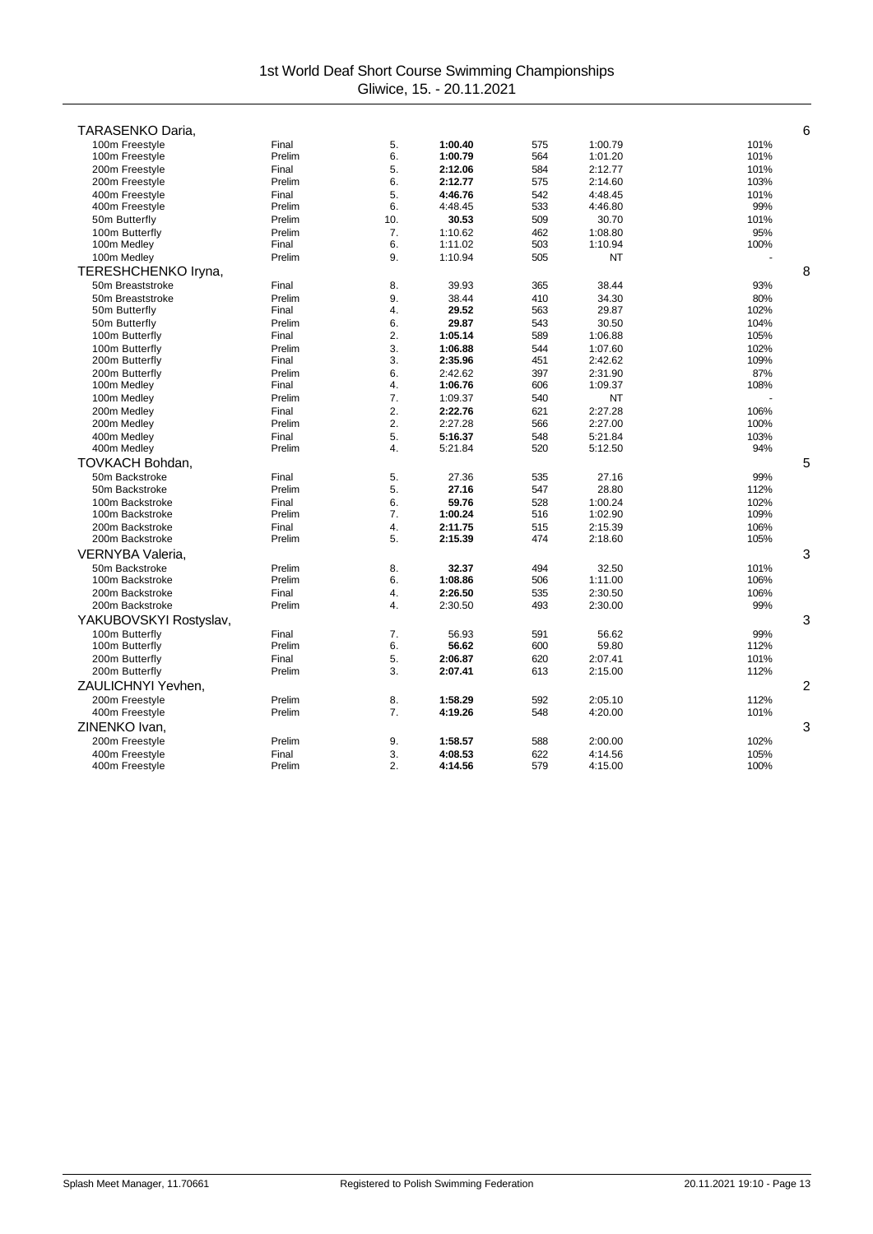| TARASENKO Daria,                 |                 |                  |                    |            |                    | 6              |
|----------------------------------|-----------------|------------------|--------------------|------------|--------------------|----------------|
|                                  |                 |                  |                    |            |                    | 101%           |
| 100m Freestyle<br>100m Freestyle | Final<br>Prelim | 5.<br>6.         | 1:00.40<br>1:00.79 | 575<br>564 | 1:00.79<br>1:01.20 | 101%           |
| 200m Freestyle                   | Final           | 5.               | 2:12.06            | 584        | 2:12.77            | 101%           |
| 200m Freestyle                   | Prelim          | 6.               | 2:12.77            | 575        | 2:14.60            | 103%           |
| 400m Freestyle                   | Final           | 5.               | 4:46.76            | 542        | 4:48.45            | 101%           |
| 400m Freestyle                   | Prelim          | 6.               | 4:48.45            | 533        | 4:46.80            | 99%            |
| 50m Butterfly                    | Prelim          | 10.              | 30.53              | 509        | 30.70              | 101%           |
| 100m Butterfly                   | Prelim          | 7.               | 1:10.62            | 462        | 1:08.80            | 95%            |
| 100m Medley                      | Final           | 6.               | 1:11.02            | 503        | 1:10.94            | 100%           |
| 100m Medley                      | Prelim          | 9.               | 1:10.94            | 505        | NT                 |                |
| TERESHCHENKO Iryna,              |                 |                  |                    |            |                    | 8              |
| 50m Breaststroke                 | Final           | 8.               | 39.93              | 365        | 38.44              | 93%            |
| 50m Breaststroke                 | Prelim          | 9.               | 38.44              | 410        | 34.30              | 80%            |
| 50m Butterfly                    | Final           | 4.               | 29.52              | 563        | 29.87              | 102%           |
| 50m Butterfly                    | Prelim          | 6.               | 29.87              | 543        | 30.50              | 104%           |
| 100m Butterfly                   | Final           | 2.               | 1:05.14            | 589        | 1:06.88            | 105%           |
| 100m Butterfly                   | Prelim          | 3.               | 1:06.88            | 544        | 1:07.60            | 102%           |
| 200m Butterfly                   | Final           | 3.               | 2:35.96            | 451        | 2:42.62            | 109%           |
| 200m Butterfly                   | Prelim          | 6.               | 2:42.62            | 397        | 2:31.90            | 87%            |
| 100m Medley                      | Final           | 4.               | 1:06.76            | 606        | 1:09.37            | 108%           |
| 100m Medley                      | Prelim          | 7.               | 1:09.37            | 540        | ΝT                 |                |
| 200m Medley                      | Final           | 2.               | 2:22.76            | 621        | 2:27.28            | 106%           |
| 200m Medley                      | Prelim          | 2.               | 2:27.28            | 566        | 2:27.00            | 100%           |
| 400m Medley                      | Final           | 5.               | 5:16.37            | 548        | 5:21.84            | 103%           |
| 400m Medley                      | Prelim          | 4.               | 5:21.84            | 520        | 5:12.50            | 94%            |
| TOVKACH Bohdan.                  |                 |                  |                    |            |                    | 5              |
| 50m Backstroke                   | Final           | 5.               | 27.36              | 535        | 27.16              | 99%            |
| 50m Backstroke                   | Prelim          | 5.               | 27.16              | 547        | 28.80              | 112%           |
| 100m Backstroke                  | Final           | 6.               | 59.76              | 528        | 1:00.24            | 102%           |
| 100m Backstroke                  | Prelim          | 7.               | 1:00.24            | 516        | 1:02.90            | 109%           |
| 200m Backstroke                  | Final           | $\overline{4}$ . | 2:11.75            | 515        | 2:15.39            | 106%           |
| 200m Backstroke                  | Prelim          | 5.               | 2:15.39            | 474        | 2:18.60            | 105%           |
| VERNYBA Valeria,                 |                 |                  |                    |            |                    | 3              |
| 50m Backstroke                   | Prelim          | 8.               | 32.37              | 494        | 32.50              | 101%           |
| 100m Backstroke                  | Prelim          | 6.               | 1:08.86            | 506        | 1:11.00            | 106%           |
| 200m Backstroke                  | Final           | 4.               | 2:26.50            | 535        | 2:30.50            | 106%           |
| 200m Backstroke                  | Prelim          | 4.               | 2:30.50            | 493        | 2:30.00            | 99%            |
| YAKUBOVSKYI Rostyslav,           |                 |                  |                    |            |                    | 3              |
| 100m Butterfly                   | Final           | 7.               | 56.93              | 591        | 56.62              | 99%            |
| 100m Butterfly                   | Prelim          | 6.               | 56.62              | 600        | 59.80              | 112%           |
| 200m Butterfly                   | Final           | 5.               | 2:06.87            | 620        | 2:07.41            | 101%           |
| 200m Butterfly                   | Prelim          | 3.               | 2:07.41            | 613        | 2:15.00            | 112%           |
| ZAULICHNYI Yevhen.               |                 |                  |                    |            |                    | $\overline{c}$ |
| 200m Freestyle                   | Prelim          | 8.               | 1:58.29            | 592        | 2:05.10            | 112%           |
| 400m Freestyle                   | Prelim          | 7.               | 4:19.26            | 548        | 4:20.00            | 101%           |
| ZINENKO Ivan.                    |                 |                  |                    |            |                    | 3              |
| 200m Freestyle                   | Prelim          | 9.               | 1:58.57            | 588        | 2:00.00            | 102%           |
| 400m Freestyle                   | Final           | 3.               | 4:08.53            | 622        | 4:14.56            | 105%           |
| 400m Freestyle                   | Prelim          | 2.               | 4:14.56            | 579        | 4:15.00            | 100%           |